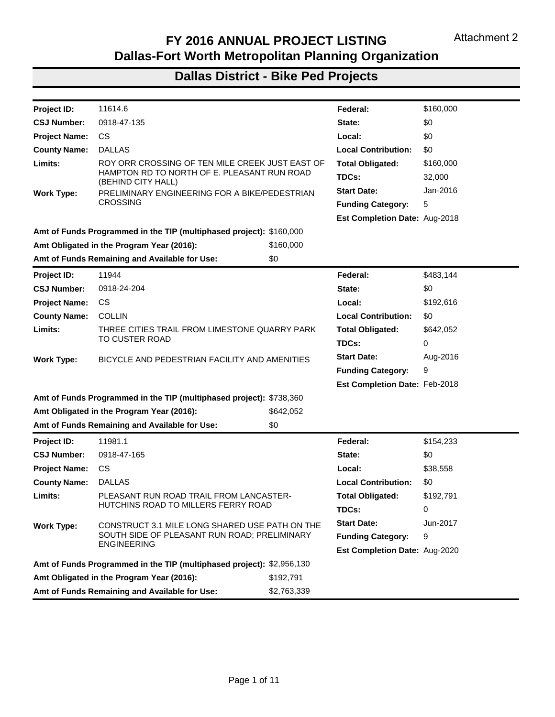

North Central Texas Council Of Governments

December 14, 2016

Mr. Nick Page **MPO Coordinator Texas Department of Transportation Transportation Planning and Programming Division** 118 E Riverside Drive **Austin, TX 78704** 

Dear Mr. Page

Enclosed is the Fiscal Year (FY) 2016 Annual Project Listing for the Dallas-Fort Worth Metropolitan Planning Organization (MPO), which consists of the attachments listed below:

| Attachment 1 - Texas Department of Transportation (TxDOT) Dallas District Roadway |
|-----------------------------------------------------------------------------------|
| Attachment 2 - TxDOT Dallas District Bicycle and Pedestrian                       |
| <b>Attachment 3 - TxDOT Dallas District Grouped</b>                               |
| Attachment 4 - TxDOT Dallas District Transit                                      |
| Attachment 5 - TxDOT Fort Worth District Roadway                                  |
| Attachment 6 - TxDOT Fort Worth District Bicycle and Pedestrian                   |
| Attachment 7 - TxDOT Fort Worth District Grouped                                  |
| Attachment 8 - TxDOT Fort Worth District Transit                                  |
| <b>Attachment 9 - TxDOT Paris District Roadway</b>                                |
| Attachment 10 - TxDOT Paris District Bicycle and Pedestrian                       |
| Attachment 11 - TxDOT Paris District Grouped                                      |
|                                                                                   |

The project information included in the highway listings was obtained from each of the TxDOT districts, and then compiled by MPO staff. The sources of information used in the roadway. bicycle and pedestrian, and the grouped listings are Federal Project Agreement and Authorizations (FPAA's), monthly TxDOT reports of federal obligations for MPO selected funding Categories, and TxDOT's Design and Construction Information System (DCIS). The obligation amounts presented may include construction engineering and contingency costs, which are not included in programmed amounts.

The listings for transit projects were compiled using the Federal Transit Administration Transit Award and Management System (TrAMS). Transit transfers may be included in the roadway section of the annual project listing, since the source of that funding is the Federal Highway Administration and those projects are listed in the roadway section of the Transportation Improvement Program.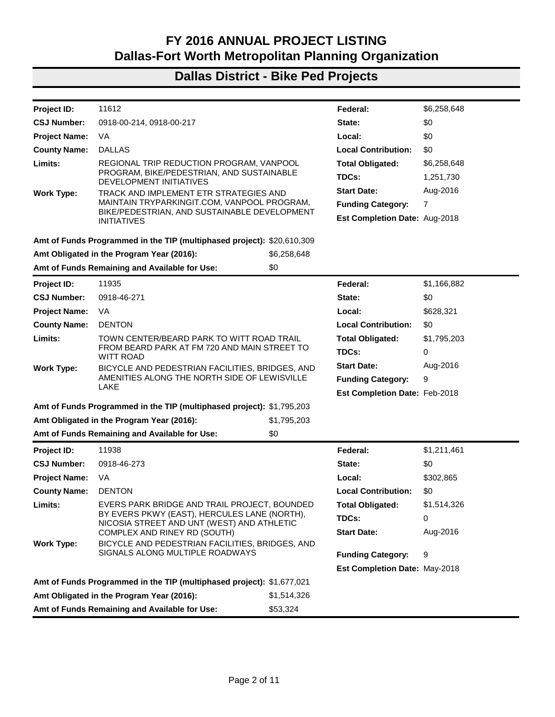Mr. Nick Page Page Two

December 14, 2016

The enclosed compact disc contains files in both Microsoft Access and Portable Document Format for your convenience. If you need any additional information related to the FY 2016 Annual Project Listings, please contact Amanda Long-Rodriguez or me at 817-608-2338.

Sincerely,

N

**Christie Gotti Senior Program Manager** 

ALR:tw/tb **Enclosure** 

cc: John Cordary, Jr., P.E., Director of Transportation, Planning and Development, **TxDOT Fort Worth District** 

Mo Bur, P.E., Director of Transportation, Planning and Development, TxDOT Dallas District Tommi Fugate, Transportation Funding Specialist, TxDOT Fort Worth District Kelly Kirkland, Public Transportation Division, TxDOT Austin

Ricky Mackey, P.E., Director of Transportation Planning and Development, TxDOT Paris **District** 

Lori Morel, Transportation Planning and Programming Division, TxDOT Austin Dan Kessler, Assistant Director of Transportation, NCTCOG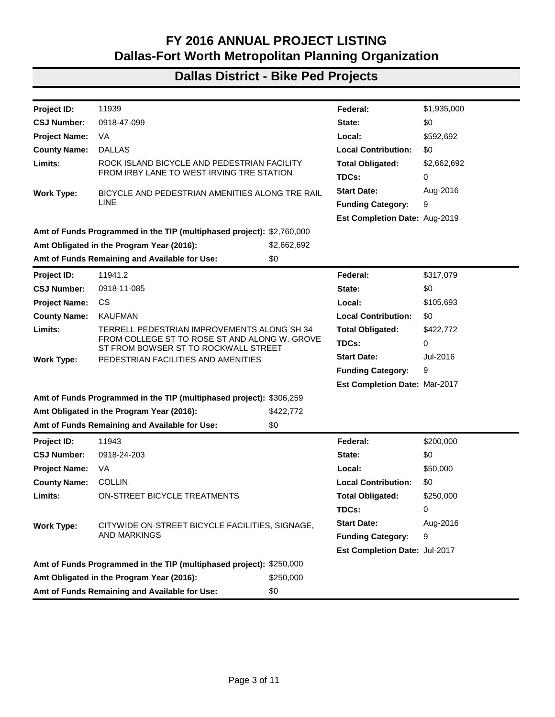| Project ID:          | 11614.6                                                               |             | Federal:                      | \$160,000 |
|----------------------|-----------------------------------------------------------------------|-------------|-------------------------------|-----------|
| <b>CSJ Number:</b>   | 0918-47-135                                                           |             | State:                        | \$0       |
| <b>Project Name:</b> | <b>CS</b>                                                             |             | Local:                        | \$0       |
| <b>County Name:</b>  | <b>DALLAS</b>                                                         |             | <b>Local Contribution:</b>    | \$0       |
| Limits:              | ROY ORR CROSSING OF TEN MILE CREEK JUST EAST OF                       |             | <b>Total Obligated:</b>       | \$160,000 |
|                      | HAMPTON RD TO NORTH OF E. PLEASANT RUN ROAD<br>(BEHIND CITY HALL)     |             | TDCs:                         | 32,000    |
| <b>Work Type:</b>    | PRELIMINARY ENGINEERING FOR A BIKE/PEDESTRIAN                         |             | <b>Start Date:</b>            | Jan-2016  |
|                      | <b>CROSSING</b>                                                       |             | <b>Funding Category:</b>      | 5         |
|                      |                                                                       |             | Est Completion Date: Aug-2018 |           |
|                      | Amt of Funds Programmed in the TIP (multiphased project): \$160,000   |             |                               |           |
|                      | Amt Obligated in the Program Year (2016):                             | \$160,000   |                               |           |
|                      | Amt of Funds Remaining and Available for Use:                         | \$0         |                               |           |
| <b>Project ID:</b>   | 11944                                                                 |             | Federal:                      | \$483,144 |
| <b>CSJ Number:</b>   | 0918-24-204                                                           |             | State:                        | \$0       |
| <b>Project Name:</b> | CS.                                                                   |             | Local:                        | \$192,616 |
| <b>County Name:</b>  | <b>COLLIN</b>                                                         |             | <b>Local Contribution:</b>    | \$0       |
| Limits:              | THREE CITIES TRAIL FROM LIMESTONE QUARRY PARK                         |             | <b>Total Obligated:</b>       | \$642,052 |
|                      | <b>TO CUSTER ROAD</b>                                                 |             | TDCs:                         | 0         |
| Work Type:           | BICYCLE AND PEDESTRIAN FACILITY AND AMENITIES                         |             | <b>Start Date:</b>            | Aug-2016  |
|                      |                                                                       |             | <b>Funding Category:</b>      | 9         |
|                      |                                                                       |             | Est Completion Date: Feb-2018 |           |
|                      | Amt of Funds Programmed in the TIP (multiphased project): \$738,360   |             |                               |           |
|                      | Amt Obligated in the Program Year (2016):                             | \$642,052   |                               |           |
|                      | Amt of Funds Remaining and Available for Use:                         | \$0         |                               |           |
| Project ID:          | 11981.1                                                               |             | Federal:                      | \$154,233 |
| <b>CSJ Number:</b>   | 0918-47-165                                                           |             | State:                        | \$0       |
| <b>Project Name:</b> | CS.                                                                   |             | Local:                        | \$38,558  |
| <b>County Name:</b>  | <b>DALLAS</b>                                                         |             | <b>Local Contribution:</b>    | \$0       |
| Limits:              | PLEASANT RUN ROAD TRAIL FROM LANCASTER-                               |             | <b>Total Obligated:</b>       | \$192,791 |
|                      | HUTCHINS ROAD TO MILLERS FERRY ROAD                                   |             | TDCs:                         | 0         |
| <b>Work Type:</b>    | CONSTRUCT 3.1 MILE LONG SHARED USE PATH ON THE                        |             | <b>Start Date:</b>            | Jun-2017  |
|                      | SOUTH SIDE OF PLEASANT RUN ROAD; PRELIMINARY                          |             | <b>Funding Category:</b>      | 9         |
|                      | <b>ENGINEERING</b>                                                    |             | Est Completion Date: Aug-2020 |           |
|                      | Amt of Funds Programmed in the TIP (multiphased project): \$2,956,130 |             |                               |           |
|                      | Amt Obligated in the Program Year (2016):                             | \$192,791   |                               |           |
|                      | Amt of Funds Remaining and Available for Use:                         | \$2,763,339 |                               |           |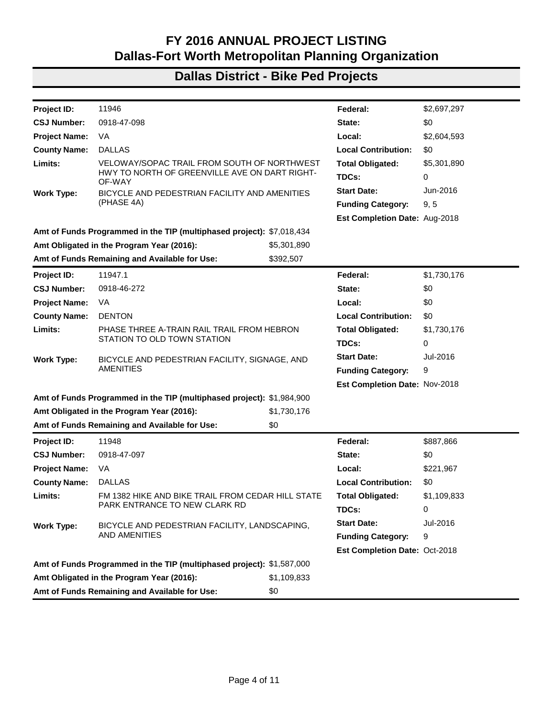| Project ID:          | 11612                                                                                                              |             | Federal:                      | \$6,258,648 |
|----------------------|--------------------------------------------------------------------------------------------------------------------|-------------|-------------------------------|-------------|
| <b>CSJ Number:</b>   | 0918-00-214, 0918-00-217                                                                                           |             | State:                        | \$0         |
| <b>Project Name:</b> | VA                                                                                                                 |             | Local:                        | \$0         |
| <b>County Name:</b>  | <b>DALLAS</b>                                                                                                      |             | <b>Local Contribution:</b>    | \$0         |
| Limits:              | REGIONAL TRIP REDUCTION PROGRAM, VANPOOL                                                                           |             | <b>Total Obligated:</b>       | \$6,258,648 |
|                      | PROGRAM, BIKE/PEDESTRIAN, AND SUSTAINABLE<br>DEVELOPMENT INITIATIVES                                               |             | TDCs:                         | 1,251,730   |
| <b>Work Type:</b>    | TRACK AND IMPLEMENT ETR STRATEGIES AND                                                                             |             | <b>Start Date:</b>            | Aug-2016    |
|                      | MAINTAIN TRYPARKINGIT.COM, VANPOOL PROGRAM,<br>BIKE/PEDESTRIAN, AND SUSTAINABLE DEVELOPMENT                        |             | <b>Funding Category:</b>      | 7           |
|                      | <b>INITIATIVES</b>                                                                                                 |             | Est Completion Date: Aug-2018 |             |
|                      | Amt of Funds Programmed in the TIP (multiphased project): \$20,610,309                                             |             |                               |             |
|                      | Amt Obligated in the Program Year (2016):                                                                          | \$6,258,648 |                               |             |
|                      | Amt of Funds Remaining and Available for Use:                                                                      | \$0         |                               |             |
| Project ID:          | 11935                                                                                                              |             | Federal:                      | \$1,166,882 |
| <b>CSJ Number:</b>   | 0918-46-271                                                                                                        |             | State:                        | \$0         |
| <b>Project Name:</b> | VA                                                                                                                 |             | Local:                        | \$628,321   |
| <b>County Name:</b>  | <b>DENTON</b>                                                                                                      |             | <b>Local Contribution:</b>    | \$0         |
| Limits:              | TOWN CENTER/BEARD PARK TO WITT ROAD TRAIL<br>FROM BEARD PARK AT FM 720 AND MAIN STREET TO                          |             | <b>Total Obligated:</b>       | \$1,795,203 |
|                      |                                                                                                                    |             | TDCs:                         | 0           |
| <b>Work Type:</b>    | <b>WITT ROAD</b><br>BICYCLE AND PEDESTRIAN FACILITIES, BRIDGES, AND                                                |             | <b>Start Date:</b>            | Aug-2016    |
|                      | AMENITIES ALONG THE NORTH SIDE OF LEWISVILLE                                                                       |             | <b>Funding Category:</b>      | 9           |
|                      | <b>LAKE</b>                                                                                                        |             | Est Completion Date: Feb-2018 |             |
|                      | Amt of Funds Programmed in the TIP (multiphased project): \$1,795,203                                              |             |                               |             |
|                      | Amt Obligated in the Program Year (2016):                                                                          | \$1,795,203 |                               |             |
|                      | Amt of Funds Remaining and Available for Use:                                                                      | \$0         |                               |             |
| Project ID:          | 11938                                                                                                              |             | Federal:                      | \$1,211,461 |
| <b>CSJ Number:</b>   | 0918-46-273                                                                                                        |             | State:                        | \$0         |
| <b>Project Name:</b> | VA                                                                                                                 |             | Local:                        | \$302,865   |
| <b>County Name:</b>  | <b>DENTON</b>                                                                                                      |             | <b>Local Contribution:</b>    | \$0         |
| Limits:              | EVERS PARK BRIDGE AND TRAIL PROJECT, BOUNDED                                                                       |             | <b>Total Obligated:</b>       | \$1,514,326 |
|                      | BY EVERS PKWY (EAST), HERCULES LANE (NORTH),<br>NICOSIA STREET AND UNT (WEST) AND ATHLETIC                         |             | TDCs:                         | 0           |
|                      | COMPLEX AND RINEY RD (SOUTH)                                                                                       |             | <b>Start Date:</b>            | Aug-2016    |
| <b>Work Type:</b>    | BICYCLE AND PEDESTRIAN FACILITIES, BRIDGES, AND<br>SIGNALS ALONG MULTIPLE ROADWAYS                                 |             |                               |             |
|                      |                                                                                                                    |             | <b>Funding Category:</b>      | 9           |
|                      |                                                                                                                    |             | Est Completion Date: May-2018 |             |
|                      | Amt of Funds Programmed in the TIP (multiphased project): \$1,677,021<br>Amt Obligated in the Program Year (2016): |             |                               |             |
|                      |                                                                                                                    | \$1,514,326 |                               |             |
|                      | Amt of Funds Remaining and Available for Use:                                                                      | \$53,324    |                               |             |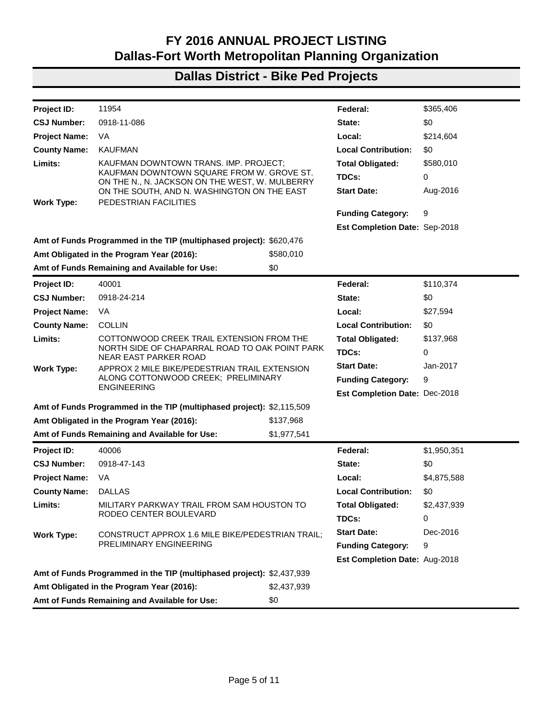| Project ID:          | 11939                                                                                                                        |             | Federal:                             | \$1,935,000 |
|----------------------|------------------------------------------------------------------------------------------------------------------------------|-------------|--------------------------------------|-------------|
| <b>CSJ Number:</b>   | 0918-47-099                                                                                                                  |             | State:                               | \$0         |
| <b>Project Name:</b> | VA                                                                                                                           |             | Local:                               | \$592,692   |
| <b>County Name:</b>  | <b>DALLAS</b>                                                                                                                |             | <b>Local Contribution:</b>           | \$0         |
| Limits:              | ROCK ISLAND BICYCLE AND PEDESTRIAN FACILITY                                                                                  |             | <b>Total Obligated:</b>              | \$2,662,692 |
|                      | FROM IRBY LANE TO WEST IRVING TRE STATION                                                                                    |             | TDCs:                                | 0           |
| <b>Work Type:</b>    | BICYCLE AND PEDESTRIAN AMENITIES ALONG TRE RAIL                                                                              |             | <b>Start Date:</b>                   | Aug-2016    |
|                      | <b>LINE</b>                                                                                                                  |             | <b>Funding Category:</b>             | 9           |
|                      |                                                                                                                              |             | Est Completion Date: Aug-2019        |             |
|                      | Amt of Funds Programmed in the TIP (multiphased project): \$2,760,000                                                        |             |                                      |             |
|                      | Amt Obligated in the Program Year (2016):                                                                                    | \$2,662,692 |                                      |             |
|                      | Amt of Funds Remaining and Available for Use:                                                                                | \$0         |                                      |             |
| Project ID:          | 11941.2                                                                                                                      |             | Federal:                             | \$317,079   |
| <b>CSJ Number:</b>   | 0918-11-085                                                                                                                  |             | State:                               | \$0         |
| <b>Project Name:</b> | CS.                                                                                                                          |             | Local:                               | \$105,693   |
| <b>County Name:</b>  | <b>KAUFMAN</b>                                                                                                               |             | <b>Local Contribution:</b>           | \$0         |
| Limits:              | TERRELL PEDESTRIAN IMPROVEMENTS ALONG SH 34                                                                                  |             | <b>Total Obligated:</b>              | \$422,772   |
|                      | FROM COLLEGE ST TO ROSE ST AND ALONG W. GROVE<br>ST FROM BOWSER ST TO ROCKWALL STREET<br>PEDESTRIAN FACILITIES AND AMENITIES |             | TDCs:                                | 0           |
| <b>Work Type:</b>    |                                                                                                                              |             | <b>Start Date:</b>                   | Jul-2016    |
|                      |                                                                                                                              |             | <b>Funding Category:</b>             | 9           |
|                      |                                                                                                                              |             | <b>Est Completion Date: Mar-2017</b> |             |
|                      | Amt of Funds Programmed in the TIP (multiphased project): \$306,259                                                          |             |                                      |             |
|                      | Amt Obligated in the Program Year (2016):                                                                                    | \$422,772   |                                      |             |
|                      | Amt of Funds Remaining and Available for Use:                                                                                | \$0         |                                      |             |
| Project ID:          | 11943                                                                                                                        |             | Federal:                             | \$200,000   |
| <b>CSJ Number:</b>   | 0918-24-203                                                                                                                  |             | State:                               | \$0         |
| <b>Project Name:</b> | VA                                                                                                                           |             | Local:                               | \$50,000    |
| <b>County Name:</b>  | <b>COLLIN</b>                                                                                                                |             | <b>Local Contribution:</b>           | \$0         |
| Limits:              | ON-STREET BICYCLE TREATMENTS                                                                                                 |             | <b>Total Obligated:</b>              | \$250,000   |
|                      |                                                                                                                              |             | TDCs:                                | 0           |
| <b>Work Type:</b>    | CITYWIDE ON-STREET BICYCLE FACILITIES, SIGNAGE,                                                                              |             | <b>Start Date:</b>                   | Aug-2016    |
|                      | <b>AND MARKINGS</b>                                                                                                          |             | <b>Funding Category:</b>             | 9           |
|                      |                                                                                                                              |             | Est Completion Date: Jul-2017        |             |
|                      | Amt of Funds Programmed in the TIP (multiphased project): \$250,000                                                          |             |                                      |             |
|                      | Amt Obligated in the Program Year (2016):                                                                                    | \$250,000   |                                      |             |
|                      | Amt of Funds Remaining and Available for Use:                                                                                | \$0         |                                      |             |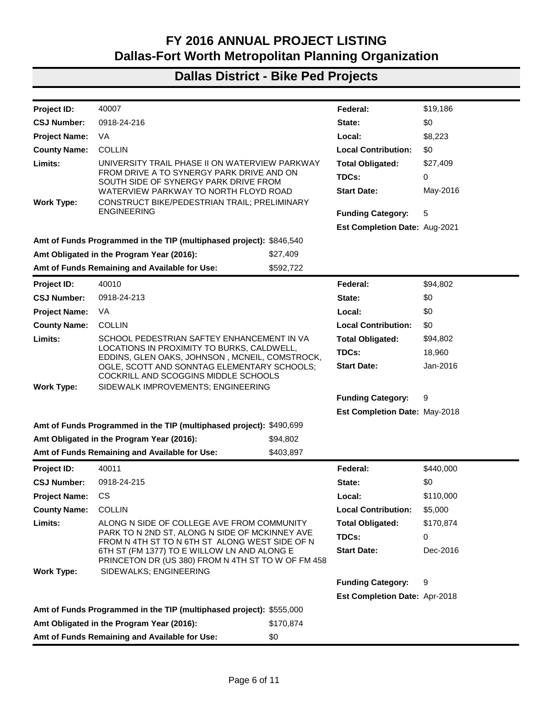| Project ID:          | 11946                                                                 |             | Federal:                      | \$2,697,297 |
|----------------------|-----------------------------------------------------------------------|-------------|-------------------------------|-------------|
| <b>CSJ Number:</b>   | 0918-47-098                                                           |             | State:                        | \$0         |
| <b>Project Name:</b> | VA                                                                    |             | Local:                        | \$2,604,593 |
| <b>County Name:</b>  | <b>DALLAS</b>                                                         |             | <b>Local Contribution:</b>    | \$0         |
| Limits:              | VELOWAY/SOPAC TRAIL FROM SOUTH OF NORTHWEST                           |             | <b>Total Obligated:</b>       | \$5,301,890 |
|                      | HWY TO NORTH OF GREENVILLE AVE ON DART RIGHT-<br>OF-WAY               |             | TDCs:                         | 0           |
| <b>Work Type:</b>    | BICYCLE AND PEDESTRIAN FACILITY AND AMENITIES                         |             | <b>Start Date:</b>            | Jun-2016    |
|                      | (PHASE 4A)                                                            |             | <b>Funding Category:</b>      | 9, 5        |
|                      |                                                                       |             | Est Completion Date: Aug-2018 |             |
|                      | Amt of Funds Programmed in the TIP (multiphased project): \$7,018,434 |             |                               |             |
|                      | Amt Obligated in the Program Year (2016):                             | \$5,301,890 |                               |             |
|                      | Amt of Funds Remaining and Available for Use:                         | \$392,507   |                               |             |
| Project ID:          | 11947.1                                                               |             | Federal:                      | \$1,730,176 |
| <b>CSJ Number:</b>   | 0918-46-272                                                           |             | State:                        | \$0         |
| <b>Project Name:</b> | VA                                                                    |             | Local:                        | \$0         |
| <b>County Name:</b>  | <b>DENTON</b>                                                         |             | <b>Local Contribution:</b>    | \$0         |
| Limits:              | PHASE THREE A-TRAIN RAIL TRAIL FROM HEBRON                            |             | <b>Total Obligated:</b>       | \$1,730,176 |
|                      | STATION TO OLD TOWN STATION                                           |             | TDCs:                         | 0           |
| <b>Work Type:</b>    | BICYCLE AND PEDESTRIAN FACILITY, SIGNAGE, AND<br><b>AMENITIES</b>     |             | <b>Start Date:</b>            | Jul-2016    |
|                      |                                                                       |             | <b>Funding Category:</b>      | 9           |
|                      |                                                                       |             | Est Completion Date: Nov-2018 |             |
|                      | Amt of Funds Programmed in the TIP (multiphased project): \$1,984,900 |             |                               |             |
|                      | Amt Obligated in the Program Year (2016):                             | \$1,730,176 |                               |             |
|                      | Amt of Funds Remaining and Available for Use:                         | \$0         |                               |             |
| Project ID:          | 11948                                                                 |             | Federal:                      | \$887,866   |
| <b>CSJ Number:</b>   | 0918-47-097                                                           |             | State:                        | \$0         |
| <b>Project Name:</b> | VA                                                                    |             | Local:                        | \$221,967   |
| <b>County Name:</b>  | <b>DALLAS</b>                                                         |             | <b>Local Contribution:</b>    | \$0         |
| Limits:              | FM 1382 HIKE AND BIKE TRAIL FROM CEDAR HILL STATE                     |             | <b>Total Obligated:</b>       | \$1,109,833 |
|                      | PARK ENTRANCE TO NEW CLARK RD                                         |             | TDCs:                         | 0           |
| <b>Work Type:</b>    | BICYCLE AND PEDESTRIAN FACILITY, LANDSCAPING,                         |             | <b>Start Date:</b>            | Jul-2016    |
|                      | <b>AND AMENITIES</b>                                                  |             | <b>Funding Category:</b>      | 9           |
|                      |                                                                       |             | Est Completion Date: Oct-2018 |             |
|                      | Amt of Funds Programmed in the TIP (multiphased project): \$1,587,000 |             |                               |             |
|                      | Amt Obligated in the Program Year (2016):                             | \$1,109,833 |                               |             |
|                      | Amt of Funds Remaining and Available for Use:                         | \$0         |                               |             |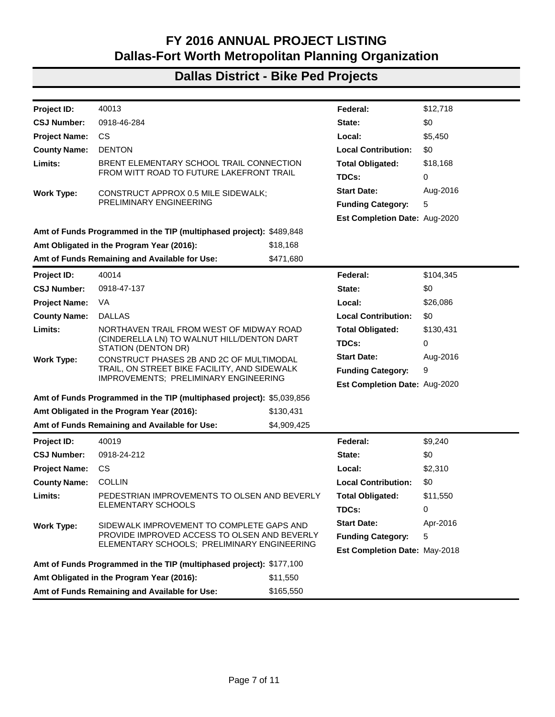| 11954<br>\$365,406<br>Project ID:<br>Federal:<br><b>CSJ Number:</b><br>0918-11-086<br>\$0<br>State:<br>VA<br>\$214,604<br><b>Project Name:</b><br>Local:<br><b>KAUFMAN</b><br><b>Local Contribution:</b><br>\$0<br><b>County Name:</b> |  |
|----------------------------------------------------------------------------------------------------------------------------------------------------------------------------------------------------------------------------------------|--|
|                                                                                                                                                                                                                                        |  |
|                                                                                                                                                                                                                                        |  |
|                                                                                                                                                                                                                                        |  |
|                                                                                                                                                                                                                                        |  |
| Limits:<br>KAUFMAN DOWNTOWN TRANS. IMP. PROJECT:<br>\$580,010<br><b>Total Obligated:</b>                                                                                                                                               |  |
| KAUFMAN DOWNTOWN SQUARE FROM W. GROVE ST.<br>TDCs:<br>0<br>ON THE N., N. JACKSON ON THE WEST, W. MULBERRY                                                                                                                              |  |
| Aug-2016<br><b>Start Date:</b><br>ON THE SOUTH, AND N. WASHINGTON ON THE EAST<br>PEDESTRIAN FACILITIES<br><b>Work Type:</b>                                                                                                            |  |
| <b>Funding Category:</b><br>9                                                                                                                                                                                                          |  |
| Est Completion Date: Sep-2018                                                                                                                                                                                                          |  |
| Amt of Funds Programmed in the TIP (multiphased project): \$620,476                                                                                                                                                                    |  |
| Amt Obligated in the Program Year (2016):<br>\$580,010                                                                                                                                                                                 |  |
| Amt of Funds Remaining and Available for Use:<br>\$0                                                                                                                                                                                   |  |
| \$110,374<br>40001<br>Federal:<br><b>Project ID:</b>                                                                                                                                                                                   |  |
| 0918-24-214<br>\$0<br><b>CSJ Number:</b><br>State:                                                                                                                                                                                     |  |
| <b>Project Name:</b><br>VA<br>Local:<br>\$27,594                                                                                                                                                                                       |  |
| <b>COLLIN</b><br><b>Local Contribution:</b><br><b>County Name:</b><br>\$0                                                                                                                                                              |  |
| Limits:<br>COTTONWOOD CREEK TRAIL EXTENSION FROM THE<br><b>Total Obligated:</b><br>\$137,968                                                                                                                                           |  |
| NORTH SIDE OF CHAPARRAL ROAD TO OAK POINT PARK<br>TDCs:<br>0<br>NEAR EAST PARKER ROAD                                                                                                                                                  |  |
| <b>Start Date:</b><br>Jan-2017<br>APPROX 2 MILE BIKE/PEDESTRIAN TRAIL EXTENSION<br><b>Work Type:</b>                                                                                                                                   |  |
| ALONG COTTONWOOD CREEK; PRELIMINARY<br>9<br><b>Funding Category:</b>                                                                                                                                                                   |  |
| <b>ENGINEERING</b><br>Est Completion Date: Dec-2018                                                                                                                                                                                    |  |
| Amt of Funds Programmed in the TIP (multiphased project): \$2,115,509                                                                                                                                                                  |  |
| Amt Obligated in the Program Year (2016):<br>\$137,968                                                                                                                                                                                 |  |
| Amt of Funds Remaining and Available for Use:<br>\$1,977,541                                                                                                                                                                           |  |
| 40006<br>Project ID:<br>Federal:<br>\$1,950,351                                                                                                                                                                                        |  |
| <b>CSJ Number:</b><br>0918-47-143<br>State:<br>\$0                                                                                                                                                                                     |  |
| <b>Project Name:</b><br>VA<br>Local:<br>\$4,875,588                                                                                                                                                                                    |  |
| <b>DALLAS</b><br><b>Local Contribution:</b><br><b>County Name:</b><br>\$0                                                                                                                                                              |  |
| MILITARY PARKWAY TRAIL FROM SAM HOUSTON TO<br>\$2,437,939<br><b>Total Obligated:</b><br>Limits:                                                                                                                                        |  |
| RODEO CENTER BOULEVARD<br>TDCs:<br>0                                                                                                                                                                                                   |  |
| <b>Start Date:</b><br>Dec-2016<br><b>Work Type:</b><br>CONSTRUCT APPROX 1.6 MILE BIKE/PEDESTRIAN TRAIL;                                                                                                                                |  |
| PRELIMINARY ENGINEERING<br><b>Funding Category:</b><br>9                                                                                                                                                                               |  |
| Est Completion Date: Aug-2018                                                                                                                                                                                                          |  |
| Amt of Funds Programmed in the TIP (multiphased project): \$2,437,939                                                                                                                                                                  |  |
| Amt Obligated in the Program Year (2016):<br>\$2,437,939                                                                                                                                                                               |  |
| Amt of Funds Remaining and Available for Use:<br>\$0                                                                                                                                                                                   |  |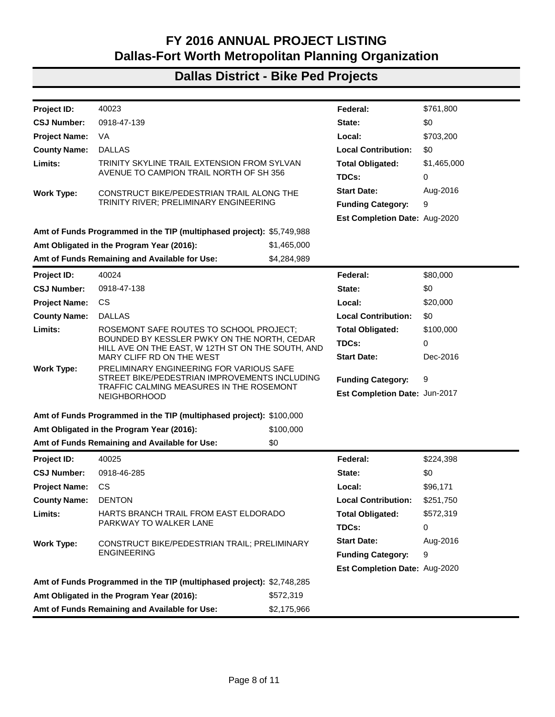| Project ID:          | 40007                                                                                             |           | Federal:                             | \$19,186  |
|----------------------|---------------------------------------------------------------------------------------------------|-----------|--------------------------------------|-----------|
| <b>CSJ Number:</b>   | 0918-24-216                                                                                       |           | State:                               | \$0       |
| <b>Project Name:</b> | VA.                                                                                               |           | Local:                               | \$8,223   |
| <b>County Name:</b>  | <b>COLLIN</b>                                                                                     |           | <b>Local Contribution:</b>           | \$0       |
| Limits:              | UNIVERSITY TRAIL PHASE II ON WATERVIEW PARKWAY                                                    |           | <b>Total Obligated:</b>              | \$27,409  |
|                      | FROM DRIVE A TO SYNERGY PARK DRIVE AND ON<br>SOUTH SIDE OF SYNERGY PARK DRIVE FROM                |           | TDCs:                                | 0         |
|                      | WATERVIEW PARKWAY TO NORTH FLOYD ROAD                                                             |           | <b>Start Date:</b>                   | May-2016  |
| <b>Work Type:</b>    | CONSTRUCT BIKE/PEDESTRIAN TRAIL; PRELIMINARY                                                      |           |                                      |           |
|                      | <b>ENGINEERING</b>                                                                                |           | <b>Funding Category:</b>             | 5         |
|                      |                                                                                                   |           | Est Completion Date: Aug-2021        |           |
|                      | Amt of Funds Programmed in the TIP (multiphased project): \$846,540                               |           |                                      |           |
|                      | Amt Obligated in the Program Year (2016):                                                         | \$27,409  |                                      |           |
|                      | Amt of Funds Remaining and Available for Use:                                                     | \$592,722 |                                      |           |
| Project ID:          | 40010                                                                                             |           | Federal:                             | \$94,802  |
| <b>CSJ Number:</b>   | 0918-24-213                                                                                       |           | State:                               | \$0       |
| <b>Project Name:</b> | VA                                                                                                |           | Local:                               | \$0       |
| <b>County Name:</b>  | <b>COLLIN</b>                                                                                     |           | <b>Local Contribution:</b>           | \$0       |
| Limits:              | SCHOOL PEDESTRIAN SAFTEY ENHANCEMENT IN VA                                                        |           | <b>Total Obligated:</b>              | \$94,802  |
|                      | LOCATIONS IN PROXIMITY TO BURKS, CALDWELL,<br>EDDINS, GLEN OAKS, JOHNSON, MCNEIL, COMSTROCK,      | TDCs:     | 18,960                               |           |
|                      | OGLE, SCOTT AND SONNTAG ELEMENTARY SCHOOLS;<br>COCKRILL AND SCOGGINS MIDDLE SCHOOLS               |           | <b>Start Date:</b>                   | Jan-2016  |
| <b>Work Type:</b>    | SIDEWALK IMPROVEMENTS; ENGINEERING                                                                |           |                                      |           |
|                      |                                                                                                   |           | <b>Funding Category:</b>             | 9         |
|                      |                                                                                                   |           | Est Completion Date: May-2018        |           |
|                      | Amt of Funds Programmed in the TIP (multiphased project): \$490,699                               |           |                                      |           |
|                      | Amt Obligated in the Program Year (2016):                                                         | \$94,802  |                                      |           |
|                      | Amt of Funds Remaining and Available for Use:                                                     | \$403,897 |                                      |           |
| Project ID:          | 40011                                                                                             |           | Federal:                             | \$440,000 |
| <b>CSJ Number:</b>   | 0918-24-215                                                                                       |           | State:                               | \$0       |
| <b>Project Name:</b> | CS                                                                                                |           | Local:                               | \$110,000 |
| <b>County Name:</b>  | <b>COLLIN</b>                                                                                     |           | <b>Local Contribution:</b>           | \$5,000   |
| Limits:              | ALONG N SIDE OF COLLEGE AVE FROM COMMUNITY                                                        |           | <b>Total Obligated:</b>              | \$170,874 |
|                      | PARK TO N 2ND ST, ALONG N SIDE OF MCKINNEY AVE<br>FROM N 4TH ST TO N 6TH ST ALONG WEST SIDE OF N  |           | TDCs:                                | 0         |
|                      | 6TH ST (FM 1377) TO E WILLOW LN AND ALONG E<br>PRINCETON DR (US 380) FROM N 4TH ST TO W OF FM 458 |           | <b>Start Date:</b>                   | Dec-2016  |
| <b>Work Type:</b>    | SIDEWALKS; ENGINEERING                                                                            |           | <b>Funding Category:</b>             | 9         |
|                      |                                                                                                   |           |                                      |           |
|                      |                                                                                                   |           | <b>Est Completion Date: Apr-2018</b> |           |
|                      | Amt of Funds Programmed in the TIP (multiphased project): \$555,000                               | \$170,874 |                                      |           |
|                      | Amt Obligated in the Program Year (2016):                                                         | \$0       |                                      |           |
|                      | Amt of Funds Remaining and Available for Use:                                                     |           |                                      |           |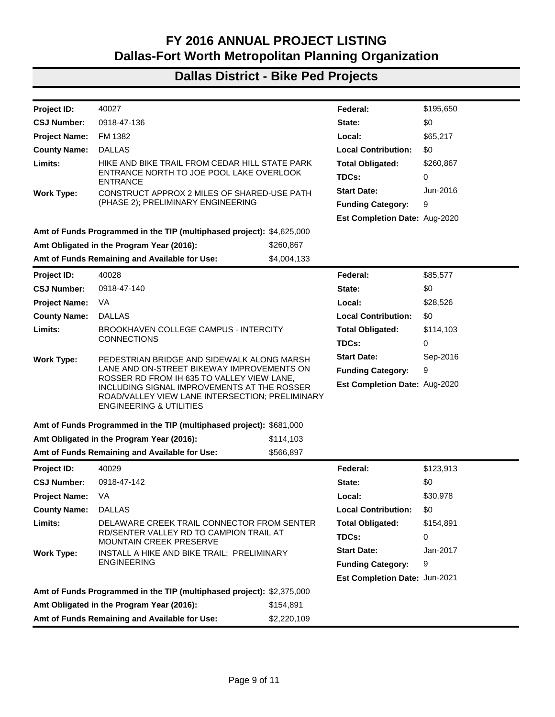| Project ID:          | 40013                                                                                                         |             | Federal:                      | \$12,718  |
|----------------------|---------------------------------------------------------------------------------------------------------------|-------------|-------------------------------|-----------|
| <b>CSJ Number:</b>   | 0918-46-284                                                                                                   |             | State:                        | \$0       |
| <b>Project Name:</b> | CS.                                                                                                           |             | Local:                        | \$5,450   |
| <b>County Name:</b>  | <b>DENTON</b>                                                                                                 |             | <b>Local Contribution:</b>    | \$0       |
| Limits:              | BRENT ELEMENTARY SCHOOL TRAIL CONNECTION                                                                      |             | <b>Total Obligated:</b>       | \$18,168  |
|                      | FROM WITT ROAD TO FUTURE LAKEFRONT TRAIL                                                                      |             | TDCs:                         | 0         |
| <b>Work Type:</b>    | CONSTRUCT APPROX 0.5 MILE SIDEWALK;                                                                           |             | <b>Start Date:</b>            | Aug-2016  |
|                      | PRELIMINARY ENGINEERING                                                                                       |             | <b>Funding Category:</b>      | 5         |
|                      |                                                                                                               |             | Est Completion Date: Aug-2020 |           |
|                      | Amt of Funds Programmed in the TIP (multiphased project): \$489,848                                           |             |                               |           |
|                      | Amt Obligated in the Program Year (2016):                                                                     | \$18,168    |                               |           |
|                      | Amt of Funds Remaining and Available for Use:                                                                 | \$471,680   |                               |           |
| Project ID:          | 40014                                                                                                         |             | Federal:                      | \$104,345 |
| <b>CSJ Number:</b>   | 0918-47-137                                                                                                   |             | State:                        | \$0       |
| <b>Project Name:</b> | VA                                                                                                            |             | Local:                        | \$26,086  |
| <b>County Name:</b>  | <b>DALLAS</b>                                                                                                 |             | <b>Local Contribution:</b>    | \$0       |
| Limits:              | NORTHAVEN TRAIL FROM WEST OF MIDWAY ROAD<br>(CINDERELLA LN) TO WALNUT HILL/DENTON DART<br>STATION (DENTON DR) |             | <b>Total Obligated:</b>       | \$130,431 |
|                      |                                                                                                               |             | TDCs:                         | 0         |
| <b>Work Type:</b>    | CONSTRUCT PHASES 2B AND 2C OF MULTIMODAL<br>TRAIL, ON STREET BIKE FACILITY, AND SIDEWALK                      |             | <b>Start Date:</b>            | Aug-2016  |
|                      |                                                                                                               |             | <b>Funding Category:</b>      | 9         |
|                      | IMPROVEMENTS; PRELIMINARY ENGINEERING                                                                         |             | Est Completion Date: Aug-2020 |           |
|                      | Amt of Funds Programmed in the TIP (multiphased project): \$5,039,856                                         |             |                               |           |
|                      | Amt Obligated in the Program Year (2016):                                                                     | \$130,431   |                               |           |
|                      | Amt of Funds Remaining and Available for Use:                                                                 | \$4,909,425 |                               |           |
| <b>Project ID:</b>   | 40019                                                                                                         |             | Federal:                      | \$9,240   |
| <b>CSJ Number:</b>   | 0918-24-212                                                                                                   |             | State:                        | \$0       |
| <b>Project Name:</b> | CS.                                                                                                           |             | Local:                        | \$2,310   |
| <b>County Name:</b>  | <b>COLLIN</b>                                                                                                 |             | <b>Local Contribution:</b>    | \$0       |
| Limits:              | PEDESTRIAN IMPROVEMENTS TO OLSEN AND BEVERLY                                                                  |             | <b>Total Obligated:</b>       | \$11,550  |
|                      | ELEMENTARY SCHOOLS                                                                                            |             | TDCs:                         | 0         |
| <b>Work Type:</b>    | SIDEWALK IMPROVEMENT TO COMPLETE GAPS AND                                                                     |             | <b>Start Date:</b>            | Apr-2016  |
|                      | PROVIDE IMPROVED ACCESS TO OLSEN AND BEVERLY                                                                  |             | <b>Funding Category:</b>      | 5         |
|                      | ELEMENTARY SCHOOLS; PRELIMINARY ENGINEERING                                                                   |             | Est Completion Date: May-2018 |           |
|                      | Amt of Funds Programmed in the TIP (multiphased project): \$177,100                                           |             |                               |           |
|                      | Amt Obligated in the Program Year (2016):                                                                     | \$11,550    |                               |           |
|                      | Amt of Funds Remaining and Available for Use:                                                                 | \$165,550   |                               |           |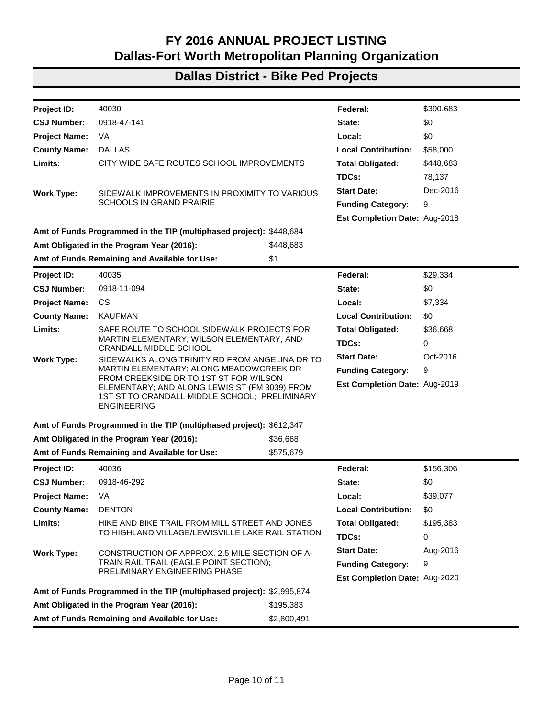| Project ID:                                                  | 40023                                                                                                                                       |             | Federal:                             | \$761,800   |
|--------------------------------------------------------------|---------------------------------------------------------------------------------------------------------------------------------------------|-------------|--------------------------------------|-------------|
| <b>CSJ Number:</b>                                           | 0918-47-139                                                                                                                                 |             | State:                               | \$0         |
| <b>Project Name:</b>                                         | VA                                                                                                                                          |             | Local:                               | \$703,200   |
| <b>County Name:</b>                                          | <b>DALLAS</b>                                                                                                                               |             | <b>Local Contribution:</b>           | \$0         |
| Limits:                                                      | TRINITY SKYLINE TRAIL EXTENSION FROM SYLVAN                                                                                                 |             | <b>Total Obligated:</b>              | \$1,465,000 |
|                                                              | AVENUE TO CAMPION TRAIL NORTH OF SH 356                                                                                                     |             | TDCs:                                | 0           |
| <b>Work Type:</b>                                            | CONSTRUCT BIKE/PEDESTRIAN TRAIL ALONG THE                                                                                                   |             | <b>Start Date:</b>                   | Aug-2016    |
|                                                              | TRINITY RIVER; PRELIMINARY ENGINEERING                                                                                                      |             | <b>Funding Category:</b>             | 9           |
|                                                              |                                                                                                                                             |             | Est Completion Date: Aug-2020        |             |
|                                                              | Amt of Funds Programmed in the TIP (multiphased project): \$5,749,988                                                                       |             |                                      |             |
|                                                              | Amt Obligated in the Program Year (2016):                                                                                                   | \$1,465,000 |                                      |             |
|                                                              | Amt of Funds Remaining and Available for Use:                                                                                               | \$4,284,989 |                                      |             |
| Project ID:                                                  | 40024                                                                                                                                       |             | Federal:                             | \$80,000    |
| <b>CSJ Number:</b>                                           | 0918-47-138                                                                                                                                 |             | State:                               | \$0         |
| <b>Project Name:</b>                                         | CS.                                                                                                                                         |             | Local:                               | \$20,000    |
| <b>County Name:</b>                                          | <b>DALLAS</b>                                                                                                                               |             | <b>Local Contribution:</b>           | \$0         |
| Limits:                                                      | ROSEMONT SAFE ROUTES TO SCHOOL PROJECT;<br>BOUNDED BY KESSLER PWKY ON THE NORTH, CEDAR<br>HILL AVE ON THE EAST, W 12TH ST ON THE SOUTH, AND |             | <b>Total Obligated:</b>              | \$100,000   |
|                                                              |                                                                                                                                             |             | TDCs:                                | 0           |
|                                                              | MARY CLIFF RD ON THE WEST                                                                                                                   |             | <b>Start Date:</b>                   | Dec-2016    |
| <b>Work Type:</b>                                            | PRELIMINARY ENGINEERING FOR VARIOUS SAFE<br>STREET BIKE/PEDESTRIAN IMPROVEMENTS INCLUDING<br>TRAFFIC CALMING MEASURES IN THE ROSEMONT       |             |                                      |             |
|                                                              |                                                                                                                                             |             | <b>Funding Category:</b>             | 9           |
|                                                              | <b>NEIGHBORHOOD</b>                                                                                                                         |             | Est Completion Date: Jun-2017        |             |
|                                                              | Amt of Funds Programmed in the TIP (multiphased project): \$100,000                                                                         |             |                                      |             |
|                                                              | Amt Obligated in the Program Year (2016):                                                                                                   | \$100,000   |                                      |             |
|                                                              | Amt of Funds Remaining and Available for Use:                                                                                               | \$0         |                                      |             |
| Project ID:                                                  | 40025                                                                                                                                       |             | Federal:                             | \$224,398   |
| <b>CSJ Number:</b>                                           | 0918-46-285                                                                                                                                 |             | State:                               | \$0         |
| <b>Project Name:</b>                                         | <b>CS</b>                                                                                                                                   |             | Local:                               | \$96,171    |
| <b>County Name:</b>                                          | <b>DENTON</b>                                                                                                                               |             | <b>Local Contribution:</b>           | \$251,750   |
| Limits:                                                      | HARTS BRANCH TRAIL FROM EAST ELDORADO                                                                                                       |             | <b>Total Obligated:</b>              | \$572,319   |
|                                                              | PARKWAY TO WALKER LANE                                                                                                                      |             | TDCs:                                | 0           |
| <b>Work Type:</b>                                            | CONSTRUCT BIKE/PEDESTRIAN TRAIL; PRELIMINARY                                                                                                |             | <b>Start Date:</b>                   | Aug-2016    |
|                                                              | <b>ENGINEERING</b>                                                                                                                          |             | <b>Funding Category:</b>             | 9           |
|                                                              |                                                                                                                                             |             | <b>Est Completion Date: Aug-2020</b> |             |
|                                                              | Amt of Funds Programmed in the TIP (multiphased project): \$2,748,285                                                                       |             |                                      |             |
| Amt Obligated in the Program Year (2016):                    |                                                                                                                                             | \$572,319   |                                      |             |
| Amt of Funds Remaining and Available for Use:<br>\$2,175,966 |                                                                                                                                             |             |                                      |             |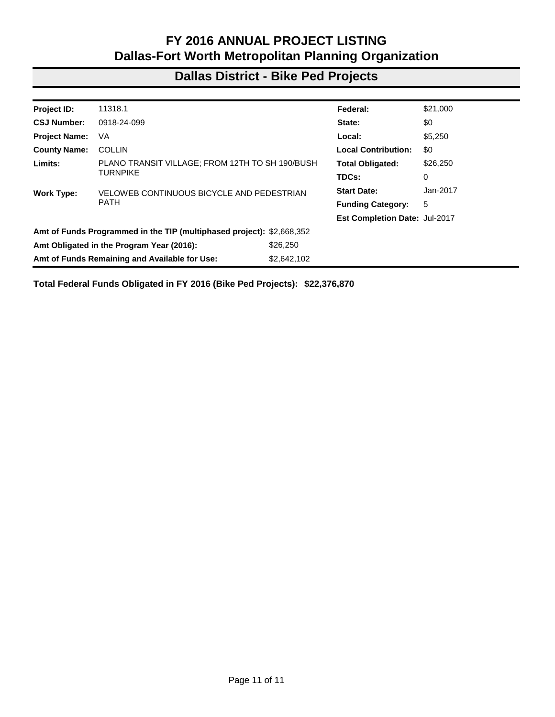| Project ID:                                                  | 40027                                                                                                                                                                              |             | Federal:                      | \$195,650 |
|--------------------------------------------------------------|------------------------------------------------------------------------------------------------------------------------------------------------------------------------------------|-------------|-------------------------------|-----------|
| <b>CSJ Number:</b>                                           | 0918-47-136                                                                                                                                                                        |             | State:                        | \$0       |
| <b>Project Name:</b>                                         | FM 1382                                                                                                                                                                            |             | Local:                        | \$65,217  |
| <b>County Name:</b>                                          | <b>DALLAS</b>                                                                                                                                                                      |             | <b>Local Contribution:</b>    | \$0       |
| Limits:                                                      | HIKE AND BIKE TRAIL FROM CEDAR HILL STATE PARK                                                                                                                                     |             | <b>Total Obligated:</b>       | \$260,867 |
|                                                              | ENTRANCE NORTH TO JOE POOL LAKE OVERLOOK<br><b>ENTRANCE</b>                                                                                                                        |             | TDCs:                         | 0         |
| <b>Work Type:</b>                                            | CONSTRUCT APPROX 2 MILES OF SHARED-USE PATH                                                                                                                                        |             | <b>Start Date:</b>            | Jun-2016  |
|                                                              | (PHASE 2); PRELIMINARY ENGINEERING                                                                                                                                                 |             | <b>Funding Category:</b>      | 9         |
|                                                              |                                                                                                                                                                                    |             | Est Completion Date: Aug-2020 |           |
|                                                              | Amt of Funds Programmed in the TIP (multiphased project): \$4,625,000                                                                                                              |             |                               |           |
|                                                              | Amt Obligated in the Program Year (2016):                                                                                                                                          | \$260,867   |                               |           |
|                                                              | Amt of Funds Remaining and Available for Use:                                                                                                                                      | \$4,004,133 |                               |           |
| Project ID:                                                  | 40028                                                                                                                                                                              |             | Federal:                      | \$85,577  |
| <b>CSJ Number:</b>                                           | 0918-47-140                                                                                                                                                                        |             | State:                        | \$0       |
| <b>Project Name:</b>                                         | VA                                                                                                                                                                                 |             | Local:                        | \$28,526  |
| <b>County Name:</b>                                          | <b>DALLAS</b>                                                                                                                                                                      |             | <b>Local Contribution:</b>    | \$0       |
| Limits:                                                      | <b>BROOKHAVEN COLLEGE CAMPUS - INTERCITY</b><br><b>CONNECTIONS</b>                                                                                                                 |             | <b>Total Obligated:</b>       | \$114,103 |
|                                                              |                                                                                                                                                                                    |             | TDCs:                         | 0         |
| <b>Work Type:</b>                                            | PEDESTRIAN BRIDGE AND SIDEWALK ALONG MARSH                                                                                                                                         |             | <b>Start Date:</b>            | Sep-2016  |
|                                                              | LANE AND ON-STREET BIKEWAY IMPROVEMENTS ON                                                                                                                                         |             | <b>Funding Category:</b>      | 9         |
|                                                              | ROSSER RD FROM IH 635 TO VALLEY VIEW LANE,<br>INCLUDING SIGNAL IMPROVEMENTS AT THE ROSSER<br>ROAD/VALLEY VIEW LANE INTERSECTION; PRELIMINARY<br><b>ENGINEERING &amp; UTILITIES</b> |             | Est Completion Date: Aug-2020 |           |
|                                                              | Amt of Funds Programmed in the TIP (multiphased project): \$681,000                                                                                                                |             |                               |           |
|                                                              | Amt Obligated in the Program Year (2016):                                                                                                                                          | \$114,103   |                               |           |
|                                                              | Amt of Funds Remaining and Available for Use:                                                                                                                                      | \$566,897   |                               |           |
| Project ID:                                                  | 40029                                                                                                                                                                              |             | Federal:                      | \$123,913 |
| <b>CSJ Number:</b>                                           | 0918-47-142                                                                                                                                                                        |             | State:                        | \$0       |
| <b>Project Name:</b>                                         | VA                                                                                                                                                                                 |             | Local:                        | \$30,978  |
| <b>County Name:</b>                                          | <b>DALLAS</b>                                                                                                                                                                      |             | <b>Local Contribution:</b>    | \$0       |
| Limits:                                                      | DELAWARE CREEK TRAIL CONNECTOR FROM SENTER                                                                                                                                         |             | <b>Total Obligated:</b>       | \$154,891 |
|                                                              | RD/SENTER VALLEY RD TO CAMPION TRAIL AT<br><b>MOUNTAIN CREEK PRESERVE</b>                                                                                                          |             | TDCs:                         | 0         |
| <b>Work Type:</b>                                            | INSTALL A HIKE AND BIKE TRAIL; PRELIMINARY                                                                                                                                         |             | <b>Start Date:</b>            | Jan-2017  |
|                                                              | <b>ENGINEERING</b>                                                                                                                                                                 |             | <b>Funding Category:</b>      | 9         |
|                                                              |                                                                                                                                                                                    |             | Est Completion Date: Jun-2021 |           |
|                                                              | Amt of Funds Programmed in the TIP (multiphased project): \$2,375,000                                                                                                              |             |                               |           |
|                                                              | Amt Obligated in the Program Year (2016):<br>\$154,891                                                                                                                             |             |                               |           |
| Amt of Funds Remaining and Available for Use:<br>\$2,220,109 |                                                                                                                                                                                    |             |                               |           |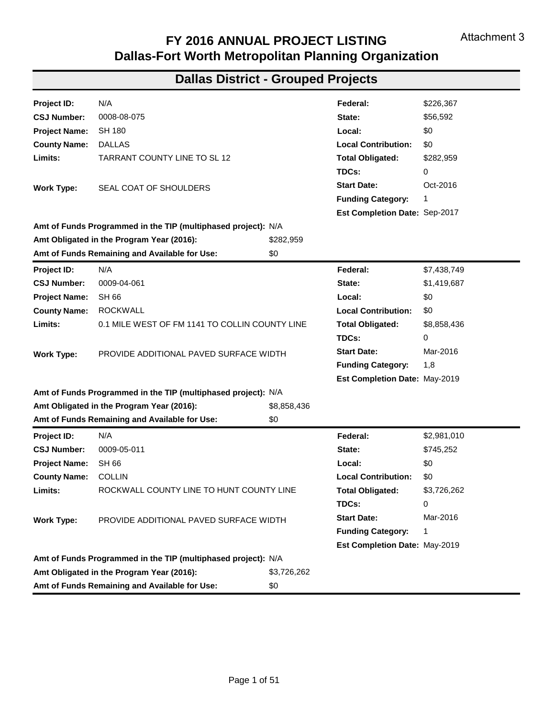| Project ID:                                            | 40030                                                                                                                                                          |             | Federal:                      | \$390,683 |
|--------------------------------------------------------|----------------------------------------------------------------------------------------------------------------------------------------------------------------|-------------|-------------------------------|-----------|
| <b>CSJ Number:</b>                                     | 0918-47-141                                                                                                                                                    |             | State:                        | \$0       |
| <b>Project Name:</b>                                   | VA                                                                                                                                                             |             | Local:                        | \$0       |
| <b>County Name:</b>                                    | <b>DALLAS</b>                                                                                                                                                  |             | <b>Local Contribution:</b>    | \$58,000  |
| Limits:                                                | CITY WIDE SAFE ROUTES SCHOOL IMPROVEMENTS                                                                                                                      |             | <b>Total Obligated:</b>       | \$448,683 |
|                                                        |                                                                                                                                                                |             | TDCs:                         | 78,137    |
| <b>Work Type:</b>                                      | SIDEWALK IMPROVEMENTS IN PROXIMITY TO VARIOUS                                                                                                                  |             | <b>Start Date:</b>            | Dec-2016  |
|                                                        | <b>SCHOOLS IN GRAND PRAIRIE</b>                                                                                                                                |             | <b>Funding Category:</b>      | 9         |
|                                                        |                                                                                                                                                                |             | Est Completion Date: Aug-2018 |           |
|                                                        | Amt of Funds Programmed in the TIP (multiphased project): \$448,684                                                                                            |             |                               |           |
|                                                        | Amt Obligated in the Program Year (2016):                                                                                                                      | \$448,683   |                               |           |
|                                                        | Amt of Funds Remaining and Available for Use:                                                                                                                  | \$1         |                               |           |
| Project ID:                                            | 40035                                                                                                                                                          |             | Federal:                      | \$29,334  |
| <b>CSJ Number:</b>                                     | 0918-11-094                                                                                                                                                    |             | State:                        | \$0       |
| <b>Project Name:</b>                                   | <b>CS</b>                                                                                                                                                      |             | Local:                        | \$7,334   |
| <b>County Name:</b>                                    | <b>KAUFMAN</b>                                                                                                                                                 |             | <b>Local Contribution:</b>    | \$0       |
| Limits:                                                | SAFE ROUTE TO SCHOOL SIDEWALK PROJECTS FOR                                                                                                                     |             | <b>Total Obligated:</b>       | \$36,668  |
|                                                        | MARTIN ELEMENTARY, WILSON ELEMENTARY, AND<br>CRANDALL MIDDLE SCHOOL                                                                                            |             | TDCs:                         | 0         |
| <b>Work Type:</b>                                      | SIDEWALKS ALONG TRINITY RD FROM ANGELINA DR TO                                                                                                                 |             | <b>Start Date:</b>            | Oct-2016  |
|                                                        | MARTIN ELEMENTARY; ALONG MEADOWCREEK DR                                                                                                                        |             | <b>Funding Category:</b>      | 9         |
|                                                        | FROM CREEKSIDE DR TO 1ST ST FOR WILSON<br>ELEMENTARY; AND ALONG LEWIS ST (FM 3039) FROM<br>1ST ST TO CRANDALL MIDDLE SCHOOL; PRELIMINARY<br><b>ENGINEERING</b> |             | Est Completion Date: Aug-2019 |           |
|                                                        | Amt of Funds Programmed in the TIP (multiphased project): \$612,347                                                                                            |             |                               |           |
|                                                        | Amt Obligated in the Program Year (2016):                                                                                                                      | \$36,668    |                               |           |
|                                                        | Amt of Funds Remaining and Available for Use:                                                                                                                  | \$575,679   |                               |           |
| Project ID:                                            | 40036                                                                                                                                                          |             | Federal:                      | \$156,306 |
| <b>CSJ Number:</b>                                     | 0918-46-292                                                                                                                                                    |             | State:                        | \$0       |
| <b>Project Name:</b>                                   | VA                                                                                                                                                             |             | Local:                        | \$39,077  |
| <b>County Name:</b>                                    | <b>DENTON</b>                                                                                                                                                  |             | <b>Local Contribution:</b>    | \$0       |
| Limits:                                                | HIKE AND BIKE TRAIL FROM MILL STREET AND JONES                                                                                                                 |             | <b>Total Obligated:</b>       | \$195,383 |
|                                                        | TO HIGHLAND VILLAGE/LEWISVILLE LAKE RAIL STATION                                                                                                               |             | TDCs:                         | 0         |
| <b>Work Type:</b>                                      | CONSTRUCTION OF APPROX. 2.5 MILE SECTION OF A-                                                                                                                 |             | <b>Start Date:</b>            | Aug-2016  |
|                                                        | TRAIN RAIL TRAIL (EAGLE POINT SECTION);<br>PRELIMINARY ENGINEERING PHASE                                                                                       |             | <b>Funding Category:</b>      | 9         |
|                                                        |                                                                                                                                                                |             | Est Completion Date: Aug-2020 |           |
|                                                        | Amt of Funds Programmed in the TIP (multiphased project): \$2,995,874                                                                                          |             |                               |           |
| \$195,383<br>Amt Obligated in the Program Year (2016): |                                                                                                                                                                |             |                               |           |
|                                                        | Amt of Funds Remaining and Available for Use:                                                                                                                  | \$2,800,491 |                               |           |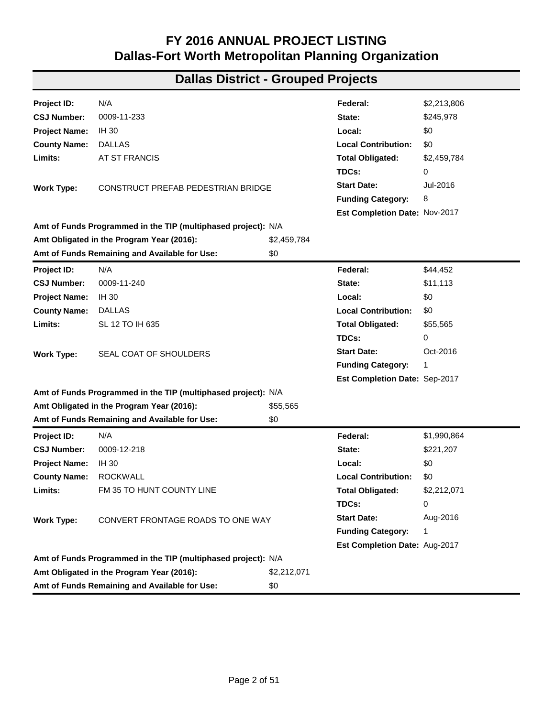#### **Dallas District - Bike Ped Projects**

| <b>Project ID:</b>                                           | 11318.1                                                               |  | Federal:                      | \$21,000 |
|--------------------------------------------------------------|-----------------------------------------------------------------------|--|-------------------------------|----------|
| <b>CSJ Number:</b>                                           | 0918-24-099                                                           |  | State:                        | \$0      |
| <b>Project Name:</b>                                         | VA                                                                    |  | Local:                        | \$5,250  |
| <b>County Name:</b>                                          | <b>COLLIN</b>                                                         |  | <b>Local Contribution:</b>    | \$0      |
| PLANO TRANSIT VILLAGE; FROM 12TH TO SH 190/BUSH<br>Limits:   |                                                                       |  | <b>Total Obligated:</b>       | \$26,250 |
|                                                              | TURNPIKE                                                              |  | TDCs:                         | 0        |
| <b>Work Type:</b>                                            | VELOWEB CONTINUOUS BICYCLE AND PEDESTRIAN<br><b>PATH</b>              |  | <b>Start Date:</b>            | Jan-2017 |
|                                                              |                                                                       |  | <b>Funding Category:</b>      | 5        |
|                                                              |                                                                       |  | Est Completion Date: Jul-2017 |          |
|                                                              | Amt of Funds Programmed in the TIP (multiphased project): \$2,668,352 |  |                               |          |
| \$26,250<br>Amt Obligated in the Program Year (2016):        |                                                                       |  |                               |          |
| \$2,642,102<br>Amt of Funds Remaining and Available for Use: |                                                                       |  |                               |          |

**Total Federal Funds Obligated in FY 2016 (Bike Ped Projects): \$22,376,870**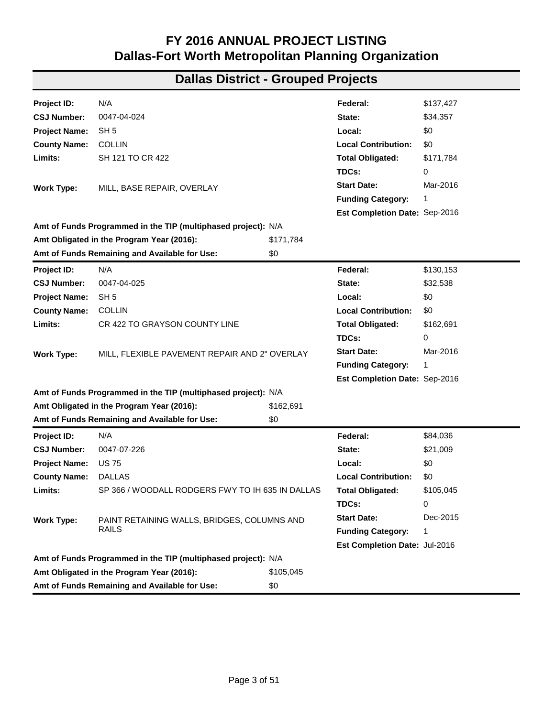| Project ID:          | N/A                                                           |             | Federal:                      | \$226,367   |
|----------------------|---------------------------------------------------------------|-------------|-------------------------------|-------------|
| <b>CSJ Number:</b>   | 0008-08-075                                                   |             | State:                        | \$56,592    |
| <b>Project Name:</b> | <b>SH 180</b>                                                 |             | Local:                        | \$0         |
| <b>County Name:</b>  | <b>DALLAS</b>                                                 |             | <b>Local Contribution:</b>    | \$0         |
| Limits:              | TARRANT COUNTY LINE TO SL 12                                  |             | <b>Total Obligated:</b>       | \$282,959   |
|                      |                                                               |             | TDCs:                         | 0           |
| <b>Work Type:</b>    | SEAL COAT OF SHOULDERS                                        |             | <b>Start Date:</b>            | Oct-2016    |
|                      |                                                               |             | <b>Funding Category:</b>      | 1           |
|                      |                                                               |             | Est Completion Date: Sep-2017 |             |
|                      | Amt of Funds Programmed in the TIP (multiphased project): N/A |             |                               |             |
|                      | Amt Obligated in the Program Year (2016):                     | \$282,959   |                               |             |
|                      | Amt of Funds Remaining and Available for Use:                 | \$0         |                               |             |
| Project ID:          | N/A                                                           |             | Federal:                      | \$7,438,749 |
| <b>CSJ Number:</b>   | 0009-04-061                                                   |             | State:                        | \$1,419,687 |
| <b>Project Name:</b> | <b>SH 66</b>                                                  |             | Local:                        | \$0         |
| <b>County Name:</b>  | <b>ROCKWALL</b>                                               |             | <b>Local Contribution:</b>    | \$0         |
| Limits:              | 0.1 MILE WEST OF FM 1141 TO COLLIN COUNTY LINE                |             | <b>Total Obligated:</b>       | \$8,858,436 |
|                      |                                                               |             | TDCs:                         | 0           |
| <b>Work Type:</b>    | PROVIDE ADDITIONAL PAVED SURFACE WIDTH                        |             | <b>Start Date:</b>            | Mar-2016    |
|                      |                                                               |             | <b>Funding Category:</b>      | 1,8         |
|                      |                                                               |             | Est Completion Date: May-2019 |             |
|                      | Amt of Funds Programmed in the TIP (multiphased project): N/A |             |                               |             |
|                      | Amt Obligated in the Program Year (2016):                     | \$8,858,436 |                               |             |
|                      | Amt of Funds Remaining and Available for Use:                 | \$0         |                               |             |
| <b>Project ID:</b>   | N/A                                                           |             | Federal:                      | \$2,981,010 |
| <b>CSJ Number:</b>   | 0009-05-011                                                   |             | State:                        | \$745,252   |
| <b>Project Name:</b> | SH 66                                                         |             | Local:                        | \$0         |
| <b>County Name:</b>  | <b>COLLIN</b>                                                 |             | <b>Local Contribution:</b>    | \$0         |
| Limits:              | ROCKWALL COUNTY LINE TO HUNT COUNTY LINE                      |             | <b>Total Obligated:</b>       | \$3,726,262 |
|                      |                                                               |             | TDCs:                         | 0           |
| <b>Work Type:</b>    | PROVIDE ADDITIONAL PAVED SURFACE WIDTH                        |             | <b>Start Date:</b>            | Mar-2016    |
|                      |                                                               |             | <b>Funding Category:</b>      | 1           |
|                      |                                                               |             | Est Completion Date: May-2019 |             |
|                      | Amt of Funds Programmed in the TIP (multiphased project): N/A |             |                               |             |
|                      | Amt Obligated in the Program Year (2016):                     | \$3,726,262 |                               |             |
|                      | Amt of Funds Remaining and Available for Use:                 | \$0         |                               |             |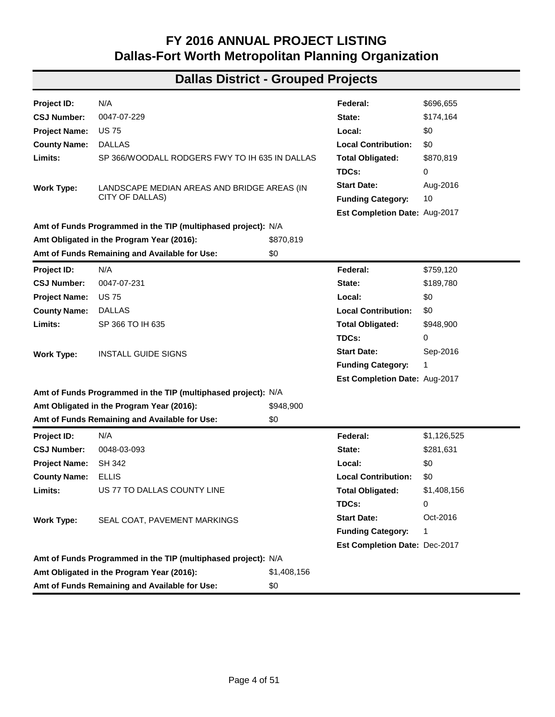| Project ID:          | N/A                                                           |             | Federal:                      | \$2,213,806 |
|----------------------|---------------------------------------------------------------|-------------|-------------------------------|-------------|
| <b>CSJ Number:</b>   | 0009-11-233                                                   |             | State:                        | \$245,978   |
| <b>Project Name:</b> | <b>IH 30</b>                                                  |             | Local:                        | \$0         |
| <b>County Name:</b>  | <b>DALLAS</b>                                                 |             | <b>Local Contribution:</b>    | \$0         |
| Limits:              | AT ST FRANCIS                                                 |             | <b>Total Obligated:</b>       | \$2,459,784 |
|                      |                                                               |             | TDCs:                         | 0           |
| <b>Work Type:</b>    | CONSTRUCT PREFAB PEDESTRIAN BRIDGE                            |             | <b>Start Date:</b>            | Jul-2016    |
|                      |                                                               |             | <b>Funding Category:</b>      | 8           |
|                      |                                                               |             | Est Completion Date: Nov-2017 |             |
|                      | Amt of Funds Programmed in the TIP (multiphased project): N/A |             |                               |             |
|                      | Amt Obligated in the Program Year (2016):                     | \$2,459,784 |                               |             |
|                      | Amt of Funds Remaining and Available for Use:                 | \$0         |                               |             |
| Project ID:          | N/A                                                           |             | Federal:                      | \$44,452    |
| <b>CSJ Number:</b>   | 0009-11-240                                                   |             | State:                        | \$11,113    |
| <b>Project Name:</b> | IH 30                                                         |             | Local:                        | \$0         |
| <b>County Name:</b>  | <b>DALLAS</b>                                                 |             | <b>Local Contribution:</b>    | \$0         |
| Limits:              | SL 12 TO IH 635                                               |             | <b>Total Obligated:</b>       | \$55,565    |
|                      |                                                               |             | TDCs:                         | 0           |
| <b>Work Type:</b>    | SEAL COAT OF SHOULDERS                                        |             | <b>Start Date:</b>            | Oct-2016    |
|                      |                                                               |             | <b>Funding Category:</b>      | 1           |
|                      |                                                               |             | Est Completion Date: Sep-2017 |             |
|                      | Amt of Funds Programmed in the TIP (multiphased project): N/A |             |                               |             |
|                      | Amt Obligated in the Program Year (2016):                     | \$55,565    |                               |             |
|                      | Amt of Funds Remaining and Available for Use:                 | \$0         |                               |             |
| <b>Project ID:</b>   | N/A                                                           |             | Federal:                      | \$1,990,864 |
| <b>CSJ Number:</b>   | 0009-12-218                                                   |             | State:                        | \$221,207   |
| <b>Project Name:</b> | <b>IH 30</b>                                                  |             | Local:                        | \$0         |
| <b>County Name:</b>  | <b>ROCKWALL</b>                                               |             | <b>Local Contribution:</b>    | \$0         |
| Limits:              | FM 35 TO HUNT COUNTY LINE                                     |             | <b>Total Obligated:</b>       | \$2,212,071 |
|                      |                                                               |             | TDCs:                         | 0           |
| <b>Work Type:</b>    | CONVERT FRONTAGE ROADS TO ONE WAY                             |             | <b>Start Date:</b>            | Aug-2016    |
|                      |                                                               |             | <b>Funding Category:</b>      | 1           |
|                      |                                                               |             | Est Completion Date: Aug-2017 |             |
|                      | Amt of Funds Programmed in the TIP (multiphased project): N/A |             |                               |             |
|                      | Amt Obligated in the Program Year (2016):                     | \$2,212,071 |                               |             |
|                      | Amt of Funds Remaining and Available for Use:                 | \$0         |                               |             |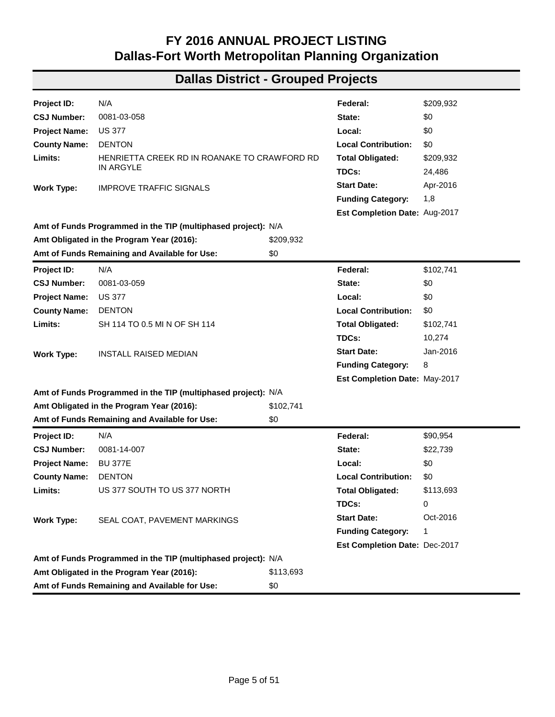| Project ID:          | N/A                                                           |           | Federal:                      | \$137,427 |
|----------------------|---------------------------------------------------------------|-----------|-------------------------------|-----------|
| <b>CSJ Number:</b>   | 0047-04-024                                                   |           | State:                        | \$34,357  |
| <b>Project Name:</b> | SH <sub>5</sub>                                               |           | Local:                        | \$0       |
| <b>County Name:</b>  | <b>COLLIN</b>                                                 |           | <b>Local Contribution:</b>    | \$0       |
| Limits:              | SH 121 TO CR 422                                              |           | <b>Total Obligated:</b>       | \$171,784 |
|                      |                                                               |           | TDCs:                         | 0         |
| <b>Work Type:</b>    | MILL, BASE REPAIR, OVERLAY                                    |           | <b>Start Date:</b>            | Mar-2016  |
|                      |                                                               |           | <b>Funding Category:</b>      | 1         |
|                      |                                                               |           | Est Completion Date: Sep-2016 |           |
|                      | Amt of Funds Programmed in the TIP (multiphased project): N/A |           |                               |           |
|                      | Amt Obligated in the Program Year (2016):                     | \$171,784 |                               |           |
|                      | Amt of Funds Remaining and Available for Use:                 | \$0       |                               |           |
| Project ID:          | N/A                                                           |           | Federal:                      | \$130,153 |
| <b>CSJ Number:</b>   | 0047-04-025                                                   |           | State:                        | \$32,538  |
| <b>Project Name:</b> | SH <sub>5</sub>                                               |           | Local:                        | \$0       |
| <b>County Name:</b>  | <b>COLLIN</b>                                                 |           | <b>Local Contribution:</b>    | \$0       |
| Limits:              | CR 422 TO GRAYSON COUNTY LINE                                 |           | <b>Total Obligated:</b>       | \$162,691 |
|                      |                                                               |           | TDCs:                         | 0         |
| <b>Work Type:</b>    | MILL, FLEXIBLE PAVEMENT REPAIR AND 2" OVERLAY                 |           | <b>Start Date:</b>            | Mar-2016  |
|                      |                                                               |           | <b>Funding Category:</b>      | 1         |
|                      |                                                               |           | Est Completion Date: Sep-2016 |           |
|                      | Amt of Funds Programmed in the TIP (multiphased project): N/A |           |                               |           |
|                      | Amt Obligated in the Program Year (2016):                     | \$162,691 |                               |           |
|                      | Amt of Funds Remaining and Available for Use:                 | \$0       |                               |           |
| Project ID:          | N/A                                                           |           | Federal:                      | \$84,036  |
| <b>CSJ Number:</b>   | 0047-07-226                                                   |           | State:                        | \$21,009  |
| <b>Project Name:</b> | <b>US75</b>                                                   |           | Local:                        | \$0       |
| <b>County Name:</b>  | <b>DALLAS</b>                                                 |           | <b>Local Contribution:</b>    | \$0       |
| Limits:              | SP 366 / WOODALL RODGERS FWY TO IH 635 IN DALLAS              |           | <b>Total Obligated:</b>       | \$105,045 |
|                      |                                                               |           | TDCs:                         | 0         |
| <b>Work Type:</b>    | PAINT RETAINING WALLS, BRIDGES, COLUMNS AND                   |           | <b>Start Date:</b>            | Dec-2015  |
|                      | <b>RAILS</b>                                                  |           | <b>Funding Category:</b>      | 1         |
|                      |                                                               |           | Est Completion Date: Jul-2016 |           |
|                      | Amt of Funds Programmed in the TIP (multiphased project): N/A |           |                               |           |
|                      | Amt Obligated in the Program Year (2016):                     | \$105,045 |                               |           |
|                      | Amt of Funds Remaining and Available for Use:                 | \$0       |                               |           |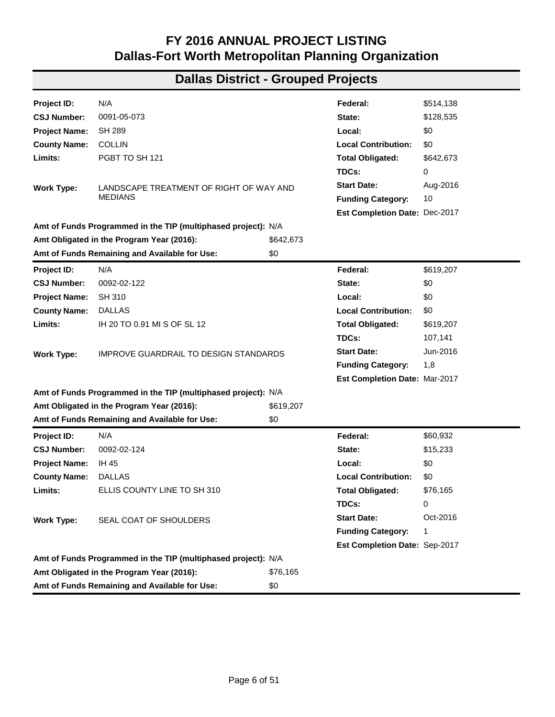| Project ID:          | N/A                                                           |             | Federal:                      | \$696,655   |
|----------------------|---------------------------------------------------------------|-------------|-------------------------------|-------------|
| <b>CSJ Number:</b>   | 0047-07-229                                                   |             | State:                        | \$174,164   |
| <b>Project Name:</b> | <b>US75</b>                                                   |             | Local:                        | \$0         |
| <b>County Name:</b>  | <b>DALLAS</b>                                                 |             | <b>Local Contribution:</b>    | \$0         |
| Limits:              | SP 366/WOODALL RODGERS FWY TO IH 635 IN DALLAS                |             | <b>Total Obligated:</b>       | \$870,819   |
|                      |                                                               |             | TDCs:                         | 0           |
| <b>Work Type:</b>    | LANDSCAPE MEDIAN AREAS AND BRIDGE AREAS (IN                   |             | <b>Start Date:</b>            | Aug-2016    |
|                      | CITY OF DALLAS)                                               |             | <b>Funding Category:</b>      | 10          |
|                      |                                                               |             | Est Completion Date: Aug-2017 |             |
|                      | Amt of Funds Programmed in the TIP (multiphased project): N/A |             |                               |             |
|                      | Amt Obligated in the Program Year (2016):                     | \$870,819   |                               |             |
|                      | Amt of Funds Remaining and Available for Use:                 | \$0         |                               |             |
| Project ID:          | N/A                                                           |             | Federal:                      | \$759,120   |
| <b>CSJ Number:</b>   | 0047-07-231                                                   |             | State:                        | \$189,780   |
| <b>Project Name:</b> | <b>US75</b>                                                   |             | Local:                        | \$0         |
| <b>County Name:</b>  | <b>DALLAS</b>                                                 |             | <b>Local Contribution:</b>    | \$0         |
| Limits:              | SP 366 TO IH 635                                              |             | <b>Total Obligated:</b>       | \$948,900   |
|                      |                                                               |             | TDCs:                         | 0           |
| <b>Work Type:</b>    | <b>INSTALL GUIDE SIGNS</b>                                    |             | <b>Start Date:</b>            | Sep-2016    |
|                      |                                                               |             | <b>Funding Category:</b>      | 1           |
|                      |                                                               |             | Est Completion Date: Aug-2017 |             |
|                      | Amt of Funds Programmed in the TIP (multiphased project): N/A |             |                               |             |
|                      | Amt Obligated in the Program Year (2016):                     | \$948,900   |                               |             |
|                      | Amt of Funds Remaining and Available for Use:                 | \$0         |                               |             |
| Project ID:          | N/A                                                           |             | Federal:                      | \$1,126,525 |
| <b>CSJ Number:</b>   | 0048-03-093                                                   |             | State:                        | \$281,631   |
| <b>Project Name:</b> | <b>SH 342</b>                                                 |             | Local:                        | \$0         |
| <b>County Name:</b>  | <b>ELLIS</b>                                                  |             | <b>Local Contribution:</b>    | \$0         |
| Limits:              | US 77 TO DALLAS COUNTY LINE                                   |             | <b>Total Obligated:</b>       | \$1,408,156 |
|                      |                                                               |             | TDCs:                         | 0           |
| <b>Work Type:</b>    | SEAL COAT, PAVEMENT MARKINGS                                  |             | <b>Start Date:</b>            | Oct-2016    |
|                      |                                                               |             | <b>Funding Category:</b>      | 1           |
|                      |                                                               |             | Est Completion Date: Dec-2017 |             |
|                      | Amt of Funds Programmed in the TIP (multiphased project): N/A |             |                               |             |
|                      | Amt Obligated in the Program Year (2016):                     | \$1,408,156 |                               |             |
|                      | Amt of Funds Remaining and Available for Use:                 | \$0         |                               |             |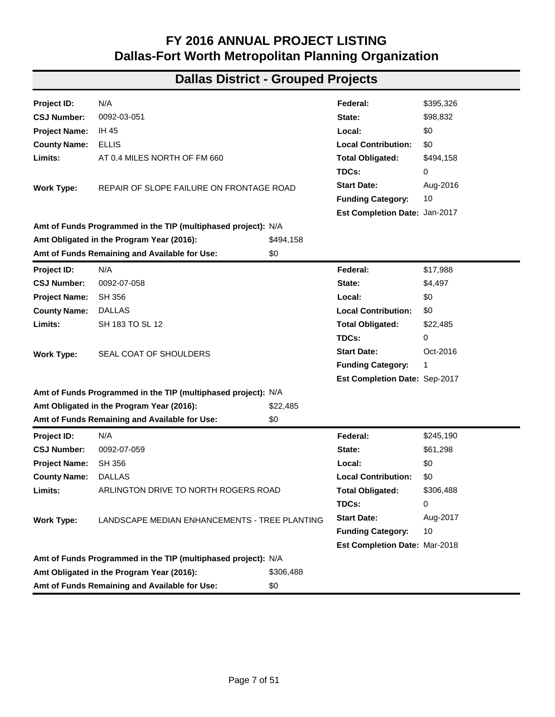| <b>Project ID:</b>   | N/A                                                           |           | Federal:                      | \$209,932 |
|----------------------|---------------------------------------------------------------|-----------|-------------------------------|-----------|
| <b>CSJ Number:</b>   | 0081-03-058                                                   |           | State:                        | \$0       |
| <b>Project Name:</b> | <b>US 377</b>                                                 |           | Local:                        | \$0       |
| <b>County Name:</b>  | <b>DENTON</b>                                                 |           | <b>Local Contribution:</b>    | \$0       |
| Limits:              | HENRIETTA CREEK RD IN ROANAKE TO CRAWFORD RD                  |           | <b>Total Obligated:</b>       | \$209,932 |
|                      | IN ARGYLE                                                     |           | TDCs:                         | 24,486    |
| <b>Work Type:</b>    | <b>IMPROVE TRAFFIC SIGNALS</b>                                |           | <b>Start Date:</b>            | Apr-2016  |
|                      |                                                               |           | <b>Funding Category:</b>      | 1,8       |
|                      |                                                               |           | Est Completion Date: Aug-2017 |           |
|                      | Amt of Funds Programmed in the TIP (multiphased project): N/A |           |                               |           |
|                      | Amt Obligated in the Program Year (2016):                     | \$209,932 |                               |           |
|                      | Amt of Funds Remaining and Available for Use:                 | \$0       |                               |           |
| Project ID:          | N/A                                                           |           | Federal:                      | \$102,741 |
| <b>CSJ Number:</b>   | 0081-03-059                                                   |           | State:                        | \$0       |
| <b>Project Name:</b> | <b>US 377</b>                                                 |           | Local:                        | \$0       |
| <b>County Name:</b>  | <b>DENTON</b>                                                 |           | <b>Local Contribution:</b>    | \$0       |
| Limits:              | SH 114 TO 0.5 MI N OF SH 114                                  |           | <b>Total Obligated:</b>       | \$102,741 |
|                      |                                                               |           | TDCs:                         | 10,274    |
| <b>Work Type:</b>    | <b>INSTALL RAISED MEDIAN</b>                                  |           | <b>Start Date:</b>            | Jan-2016  |
|                      |                                                               |           | <b>Funding Category:</b>      | 8         |
|                      |                                                               |           | Est Completion Date: May-2017 |           |
|                      | Amt of Funds Programmed in the TIP (multiphased project): N/A |           |                               |           |
|                      | Amt Obligated in the Program Year (2016):                     | \$102,741 |                               |           |
|                      | Amt of Funds Remaining and Available for Use:                 | \$0       |                               |           |
| Project ID:          | N/A                                                           |           | Federal:                      | \$90,954  |
| <b>CSJ Number:</b>   | 0081-14-007                                                   |           | State:                        | \$22,739  |
| <b>Project Name:</b> | <b>BU 377E</b>                                                |           | Local:                        | \$0       |
| <b>County Name:</b>  | <b>DENTON</b>                                                 |           | <b>Local Contribution:</b>    | \$0       |
| Limits:              | US 377 SOUTH TO US 377 NORTH                                  |           | <b>Total Obligated:</b>       | \$113,693 |
|                      |                                                               |           | TDCs:                         | 0         |
| <b>Work Type:</b>    | SEAL COAT, PAVEMENT MARKINGS                                  |           | <b>Start Date:</b>            | Oct-2016  |
|                      |                                                               |           | <b>Funding Category:</b>      | 1         |
|                      |                                                               |           | Est Completion Date: Dec-2017 |           |
|                      | Amt of Funds Programmed in the TIP (multiphased project): N/A |           |                               |           |
|                      | Amt Obligated in the Program Year (2016):                     | \$113,693 |                               |           |
|                      | Amt of Funds Remaining and Available for Use:                 | \$0       |                               |           |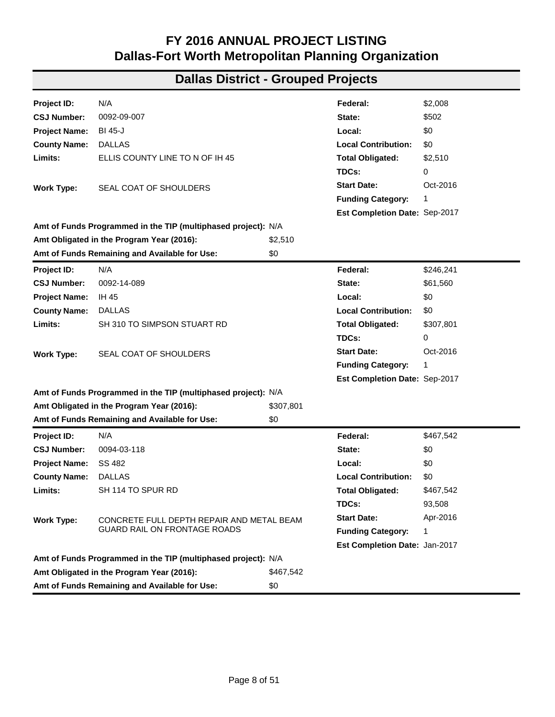| Project ID:          | N/A                                                           |           | Federal:                      | \$514,138 |
|----------------------|---------------------------------------------------------------|-----------|-------------------------------|-----------|
| <b>CSJ Number:</b>   | 0091-05-073                                                   |           | State:                        | \$128,535 |
| <b>Project Name:</b> | <b>SH 289</b>                                                 |           | Local:                        | \$0       |
| <b>County Name:</b>  | <b>COLLIN</b>                                                 |           | <b>Local Contribution:</b>    | \$0       |
| Limits:              | PGBT TO SH 121                                                |           | <b>Total Obligated:</b>       | \$642,673 |
|                      |                                                               |           | TDCs:                         | 0         |
| <b>Work Type:</b>    | LANDSCAPE TREATMENT OF RIGHT OF WAY AND                       |           | <b>Start Date:</b>            | Aug-2016  |
|                      | <b>MEDIANS</b>                                                |           | <b>Funding Category:</b>      | 10        |
|                      |                                                               |           | Est Completion Date: Dec-2017 |           |
|                      | Amt of Funds Programmed in the TIP (multiphased project): N/A |           |                               |           |
|                      | Amt Obligated in the Program Year (2016):                     | \$642,673 |                               |           |
|                      | Amt of Funds Remaining and Available for Use:                 | \$0       |                               |           |
| Project ID:          | N/A                                                           |           | Federal:                      | \$619,207 |
| <b>CSJ Number:</b>   | 0092-02-122                                                   |           | State:                        | \$0       |
| <b>Project Name:</b> | <b>SH 310</b>                                                 |           | Local:                        | \$0       |
| <b>County Name:</b>  | <b>DALLAS</b>                                                 |           | <b>Local Contribution:</b>    | \$0       |
| Limits:              | IH 20 TO 0.91 MI S OF SL 12                                   |           | <b>Total Obligated:</b>       | \$619,207 |
|                      |                                                               |           | TDCs:                         | 107,141   |
| <b>Work Type:</b>    | IMPROVE GUARDRAIL TO DESIGN STANDARDS                         |           | <b>Start Date:</b>            | Jun-2016  |
|                      |                                                               |           | <b>Funding Category:</b>      | 1,8       |
|                      |                                                               |           | Est Completion Date: Mar-2017 |           |
|                      | Amt of Funds Programmed in the TIP (multiphased project): N/A |           |                               |           |
|                      | Amt Obligated in the Program Year (2016):                     | \$619,207 |                               |           |
|                      | Amt of Funds Remaining and Available for Use:                 | \$0       |                               |           |
| Project ID:          | N/A                                                           |           | Federal:                      | \$60,932  |
| <b>CSJ Number:</b>   | 0092-02-124                                                   |           | State:                        | \$15,233  |
| <b>Project Name:</b> | IH 45                                                         |           | Local:                        | \$0       |
| <b>County Name:</b>  | <b>DALLAS</b>                                                 |           | <b>Local Contribution:</b>    | \$0       |
| Limits:              | ELLIS COUNTY LINE TO SH 310                                   |           | <b>Total Obligated:</b>       | \$76,165  |
|                      |                                                               |           | TDCs:                         | 0         |
| <b>Work Type:</b>    | SEAL COAT OF SHOULDERS                                        |           | <b>Start Date:</b>            | Oct-2016  |
|                      |                                                               |           | <b>Funding Category:</b>      | 1         |
|                      |                                                               |           | Est Completion Date: Sep-2017 |           |
|                      | Amt of Funds Programmed in the TIP (multiphased project): N/A |           |                               |           |
|                      | Amt Obligated in the Program Year (2016):                     | \$76,165  |                               |           |
|                      | Amt of Funds Remaining and Available for Use:                 | \$0       |                               |           |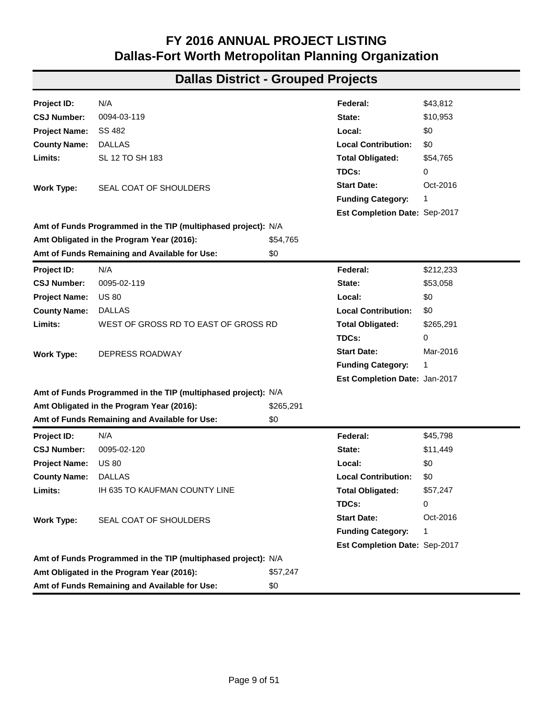| Project ID:          | N/A                                                           |           | Federal:                      | \$395,326 |
|----------------------|---------------------------------------------------------------|-----------|-------------------------------|-----------|
| <b>CSJ Number:</b>   | 0092-03-051                                                   |           | State:                        | \$98,832  |
| <b>Project Name:</b> | IH 45                                                         |           | Local:                        | \$0       |
| <b>County Name:</b>  | <b>ELLIS</b>                                                  |           | <b>Local Contribution:</b>    | \$0       |
| Limits:              | AT 0.4 MILES NORTH OF FM 660                                  |           | <b>Total Obligated:</b>       | \$494,158 |
|                      |                                                               |           | TDCs:                         | 0         |
| <b>Work Type:</b>    | REPAIR OF SLOPE FAILURE ON FRONTAGE ROAD                      |           | <b>Start Date:</b>            | Aug-2016  |
|                      |                                                               |           | <b>Funding Category:</b>      | 10        |
|                      |                                                               |           | Est Completion Date: Jan-2017 |           |
|                      | Amt of Funds Programmed in the TIP (multiphased project): N/A |           |                               |           |
|                      | Amt Obligated in the Program Year (2016):                     | \$494,158 |                               |           |
|                      | Amt of Funds Remaining and Available for Use:                 | \$0       |                               |           |
| Project ID:          | N/A                                                           |           | Federal:                      | \$17,988  |
| <b>CSJ Number:</b>   | 0092-07-058                                                   |           | State:                        | \$4,497   |
| <b>Project Name:</b> | <b>SH 356</b>                                                 |           | Local:                        | \$0       |
| <b>County Name:</b>  | <b>DALLAS</b>                                                 |           | <b>Local Contribution:</b>    | \$0       |
| Limits:              | SH 183 TO SL 12                                               |           | <b>Total Obligated:</b>       | \$22,485  |
|                      |                                                               |           | TDCs:                         | 0         |
| <b>Work Type:</b>    | SEAL COAT OF SHOULDERS                                        |           | <b>Start Date:</b>            | Oct-2016  |
|                      |                                                               |           | <b>Funding Category:</b>      | 1         |
|                      |                                                               |           | Est Completion Date: Sep-2017 |           |
|                      | Amt of Funds Programmed in the TIP (multiphased project): N/A |           |                               |           |
|                      | Amt Obligated in the Program Year (2016):                     | \$22,485  |                               |           |
|                      | Amt of Funds Remaining and Available for Use:                 | \$0       |                               |           |
| Project ID:          | N/A                                                           |           | Federal:                      | \$245,190 |
| <b>CSJ Number:</b>   | 0092-07-059                                                   |           | State:                        | \$61,298  |
| <b>Project Name:</b> | <b>SH 356</b>                                                 |           | Local:                        | \$0       |
| <b>County Name:</b>  | <b>DALLAS</b>                                                 |           | <b>Local Contribution:</b>    | \$0       |
| Limits:              | ARLINGTON DRIVE TO NORTH ROGERS ROAD                          |           | <b>Total Obligated:</b>       | \$306,488 |
|                      |                                                               |           | TDCs:                         | 0         |
| <b>Work Type:</b>    | LANDSCAPE MEDIAN ENHANCEMENTS - TREE PLANTING                 |           | <b>Start Date:</b>            | Aug-2017  |
|                      |                                                               |           | <b>Funding Category:</b>      | 10        |
|                      |                                                               |           | Est Completion Date: Mar-2018 |           |
|                      | Amt of Funds Programmed in the TIP (multiphased project): N/A |           |                               |           |
|                      | Amt Obligated in the Program Year (2016):                     | \$306,488 |                               |           |
|                      | Amt of Funds Remaining and Available for Use:                 | \$0       |                               |           |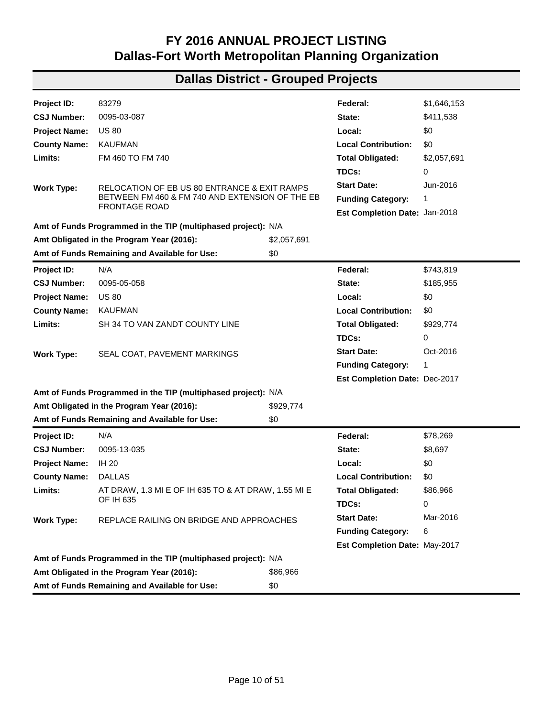| Project ID:          | N/A                                                           |           | Federal:                      | \$2,008   |
|----------------------|---------------------------------------------------------------|-----------|-------------------------------|-----------|
| <b>CSJ Number:</b>   | 0092-09-007                                                   |           | State:                        | \$502     |
| <b>Project Name:</b> | BI 45-J                                                       |           | Local:                        | \$0       |
| <b>County Name:</b>  | <b>DALLAS</b>                                                 |           | <b>Local Contribution:</b>    | \$0       |
| Limits:              | ELLIS COUNTY LINE TO N OF IH 45                               |           | <b>Total Obligated:</b>       | \$2,510   |
|                      |                                                               |           | TDCs:                         | 0         |
| <b>Work Type:</b>    | SEAL COAT OF SHOULDERS                                        |           | <b>Start Date:</b>            | Oct-2016  |
|                      |                                                               |           | <b>Funding Category:</b>      | 1         |
|                      |                                                               |           | Est Completion Date: Sep-2017 |           |
|                      | Amt of Funds Programmed in the TIP (multiphased project): N/A |           |                               |           |
|                      | Amt Obligated in the Program Year (2016):                     | \$2,510   |                               |           |
|                      | Amt of Funds Remaining and Available for Use:                 | \$0       |                               |           |
| Project ID:          | N/A                                                           |           | Federal:                      | \$246,241 |
| <b>CSJ Number:</b>   | 0092-14-089                                                   |           | State:                        | \$61,560  |
| <b>Project Name:</b> | IH 45                                                         |           | Local:                        | \$0       |
| <b>County Name:</b>  | <b>DALLAS</b>                                                 |           | <b>Local Contribution:</b>    | \$0       |
| Limits:              | SH 310 TO SIMPSON STUART RD                                   |           | <b>Total Obligated:</b>       | \$307,801 |
|                      |                                                               |           | TDCs:                         | 0         |
| <b>Work Type:</b>    | SEAL COAT OF SHOULDERS                                        |           | <b>Start Date:</b>            | Oct-2016  |
|                      |                                                               |           | <b>Funding Category:</b>      | 1         |
|                      |                                                               |           | Est Completion Date: Sep-2017 |           |
|                      | Amt of Funds Programmed in the TIP (multiphased project): N/A |           |                               |           |
|                      | Amt Obligated in the Program Year (2016):                     | \$307,801 |                               |           |
|                      | Amt of Funds Remaining and Available for Use:                 | \$0       |                               |           |
| Project ID:          | N/A                                                           |           | Federal:                      | \$467,542 |
| <b>CSJ Number:</b>   | 0094-03-118                                                   |           | State:                        | \$0       |
| <b>Project Name:</b> | SS 482                                                        |           | Local:                        | \$0       |
| <b>County Name:</b>  | <b>DALLAS</b>                                                 |           | <b>Local Contribution:</b>    | \$0       |
| Limits:              | SH 114 TO SPUR RD                                             |           | <b>Total Obligated:</b>       | \$467,542 |
|                      |                                                               |           | TDCs:                         | 93,508    |
| Work Type:           | CONCRETE FULL DEPTH REPAIR AND METAL BEAM                     |           | <b>Start Date:</b>            | Apr-2016  |
|                      | GUARD RAIL ON FRONTAGE ROADS                                  |           | <b>Funding Category:</b>      | 1         |
|                      |                                                               |           | Est Completion Date: Jan-2017 |           |
|                      | Amt of Funds Programmed in the TIP (multiphased project): N/A |           |                               |           |
|                      | Amt Obligated in the Program Year (2016):                     | \$467,542 |                               |           |
|                      | Amt of Funds Remaining and Available for Use:                 | \$0       |                               |           |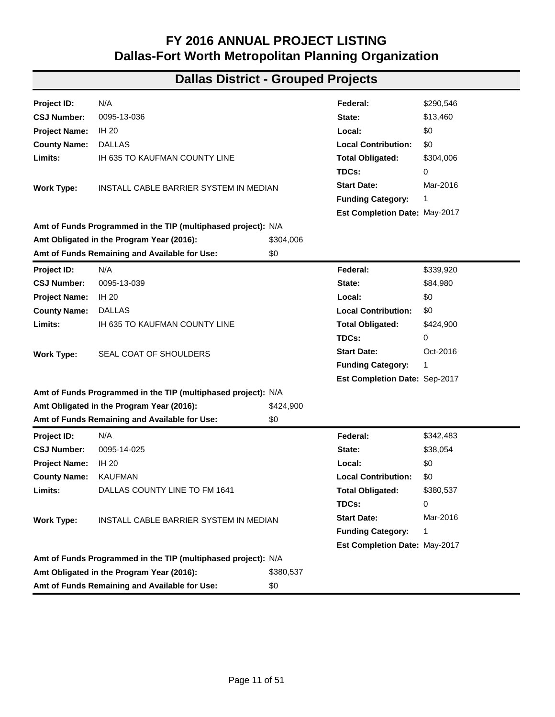| Project ID:          | N/A                                                           |           | Federal:                      | \$43,812  |
|----------------------|---------------------------------------------------------------|-----------|-------------------------------|-----------|
| <b>CSJ Number:</b>   | 0094-03-119                                                   |           | State:                        | \$10,953  |
| <b>Project Name:</b> | SS 482                                                        |           | Local:                        | \$0       |
| <b>County Name:</b>  | <b>DALLAS</b>                                                 |           | <b>Local Contribution:</b>    | \$0       |
| Limits:              | SL 12 TO SH 183                                               |           | <b>Total Obligated:</b>       | \$54,765  |
|                      |                                                               |           | TDCs:                         | 0         |
| <b>Work Type:</b>    | SEAL COAT OF SHOULDERS                                        |           | <b>Start Date:</b>            | Oct-2016  |
|                      |                                                               |           | <b>Funding Category:</b>      | 1         |
|                      |                                                               |           | Est Completion Date: Sep-2017 |           |
|                      | Amt of Funds Programmed in the TIP (multiphased project): N/A |           |                               |           |
|                      | Amt Obligated in the Program Year (2016):                     | \$54,765  |                               |           |
|                      | Amt of Funds Remaining and Available for Use:                 | \$0       |                               |           |
| Project ID:          | N/A                                                           |           | Federal:                      | \$212,233 |
| <b>CSJ Number:</b>   | 0095-02-119                                                   |           | State:                        | \$53,058  |
| <b>Project Name:</b> | <b>US 80</b>                                                  |           | Local:                        | \$0       |
| <b>County Name:</b>  | <b>DALLAS</b>                                                 |           | <b>Local Contribution:</b>    | \$0       |
| Limits:              | WEST OF GROSS RD TO EAST OF GROSS RD                          |           | <b>Total Obligated:</b>       | \$265,291 |
|                      |                                                               |           | TDCs:                         | 0         |
| <b>Work Type:</b>    | DEPRESS ROADWAY                                               |           | <b>Start Date:</b>            | Mar-2016  |
|                      |                                                               |           | <b>Funding Category:</b>      | 1         |
|                      |                                                               |           | Est Completion Date: Jan-2017 |           |
|                      | Amt of Funds Programmed in the TIP (multiphased project): N/A |           |                               |           |
|                      | Amt Obligated in the Program Year (2016):                     | \$265,291 |                               |           |
|                      | Amt of Funds Remaining and Available for Use:                 | \$0       |                               |           |
| Project ID:          | N/A                                                           |           | Federal:                      | \$45,798  |
| <b>CSJ Number:</b>   | 0095-02-120                                                   |           | State:                        | \$11,449  |
| <b>Project Name:</b> | <b>US 80</b>                                                  |           | Local:                        | \$0       |
| <b>County Name:</b>  | <b>DALLAS</b>                                                 |           | <b>Local Contribution:</b>    | \$0       |
| Limits:              | IH 635 TO KAUFMAN COUNTY LINE                                 |           | <b>Total Obligated:</b>       | \$57,247  |
|                      |                                                               |           | TDCs:                         | 0         |
| <b>Work Type:</b>    | SEAL COAT OF SHOULDERS                                        |           | <b>Start Date:</b>            | Oct-2016  |
|                      |                                                               |           | <b>Funding Category:</b>      | 1         |
|                      |                                                               |           | Est Completion Date: Sep-2017 |           |
|                      | Amt of Funds Programmed in the TIP (multiphased project): N/A |           |                               |           |
|                      | Amt Obligated in the Program Year (2016):                     | \$57,247  |                               |           |
|                      | Amt of Funds Remaining and Available for Use:                 | \$0       |                               |           |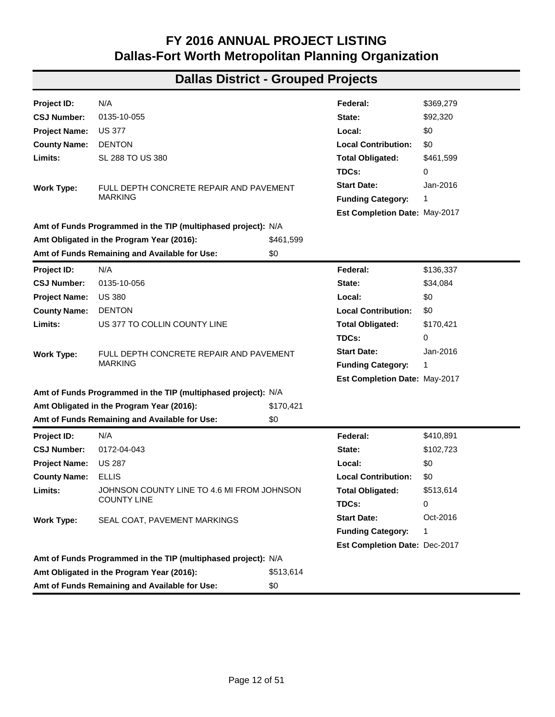| Project ID:          | 83279                                                         |             | Federal:                      | \$1,646,153 |
|----------------------|---------------------------------------------------------------|-------------|-------------------------------|-------------|
| <b>CSJ Number:</b>   | 0095-03-087                                                   |             | State:                        | \$411,538   |
| <b>Project Name:</b> | <b>US 80</b>                                                  |             | Local:                        | \$0         |
| <b>County Name:</b>  | <b>KAUFMAN</b>                                                |             | <b>Local Contribution:</b>    | \$0         |
| Limits:              | FM 460 TO FM 740                                              |             | <b>Total Obligated:</b>       | \$2,057,691 |
|                      |                                                               |             | TDCs:                         | 0           |
| <b>Work Type:</b>    | RELOCATION OF EB US 80 ENTRANCE & EXIT RAMPS                  |             | <b>Start Date:</b>            | Jun-2016    |
|                      | BETWEEN FM 460 & FM 740 AND EXTENSION OF THE EB               |             | <b>Funding Category:</b>      | 1           |
|                      | <b>FRONTAGE ROAD</b>                                          |             | Est Completion Date: Jan-2018 |             |
|                      | Amt of Funds Programmed in the TIP (multiphased project): N/A |             |                               |             |
|                      | Amt Obligated in the Program Year (2016):                     | \$2,057,691 |                               |             |
|                      | Amt of Funds Remaining and Available for Use:                 | \$0         |                               |             |
| Project ID:          | N/A                                                           |             | Federal:                      | \$743,819   |
| <b>CSJ Number:</b>   | 0095-05-058                                                   |             | State:                        | \$185,955   |
| <b>Project Name:</b> | <b>US 80</b>                                                  |             | Local:                        | \$0         |
| <b>County Name:</b>  | <b>KAUFMAN</b>                                                |             | <b>Local Contribution:</b>    | \$0         |
| Limits:              | SH 34 TO VAN ZANDT COUNTY LINE                                |             | <b>Total Obligated:</b>       | \$929,774   |
|                      |                                                               |             | TDCs:                         | 0           |
| <b>Work Type:</b>    | SEAL COAT, PAVEMENT MARKINGS                                  |             | <b>Start Date:</b>            | Oct-2016    |
|                      |                                                               |             | <b>Funding Category:</b>      | 1           |
|                      |                                                               |             | Est Completion Date: Dec-2017 |             |
|                      | Amt of Funds Programmed in the TIP (multiphased project): N/A |             |                               |             |
|                      | Amt Obligated in the Program Year (2016):                     | \$929,774   |                               |             |
|                      | Amt of Funds Remaining and Available for Use:                 | \$0         |                               |             |
| Project ID:          | N/A                                                           |             | Federal:                      | \$78,269    |
| <b>CSJ Number:</b>   | 0095-13-035                                                   |             | State:                        | \$8,697     |
| <b>Project Name:</b> | IH 20                                                         |             | Local:                        | \$0         |
| <b>County Name:</b>  | <b>DALLAS</b>                                                 |             | <b>Local Contribution:</b>    | \$0         |
| Limits:              | AT DRAW, 1.3 MI E OF IH 635 TO & AT DRAW, 1.55 MI E           |             | <b>Total Obligated:</b>       | \$86,966    |
|                      | OF IH 635                                                     |             | TDCs:                         | 0           |
| <b>Work Type:</b>    | REPLACE RAILING ON BRIDGE AND APPROACHES                      |             | <b>Start Date:</b>            | Mar-2016    |
|                      |                                                               |             | <b>Funding Category:</b>      | 6           |
|                      |                                                               |             | Est Completion Date: May-2017 |             |
|                      | Amt of Funds Programmed in the TIP (multiphased project): N/A |             |                               |             |
|                      | Amt Obligated in the Program Year (2016):                     | \$86,966    |                               |             |
|                      | Amt of Funds Remaining and Available for Use:                 | \$0         |                               |             |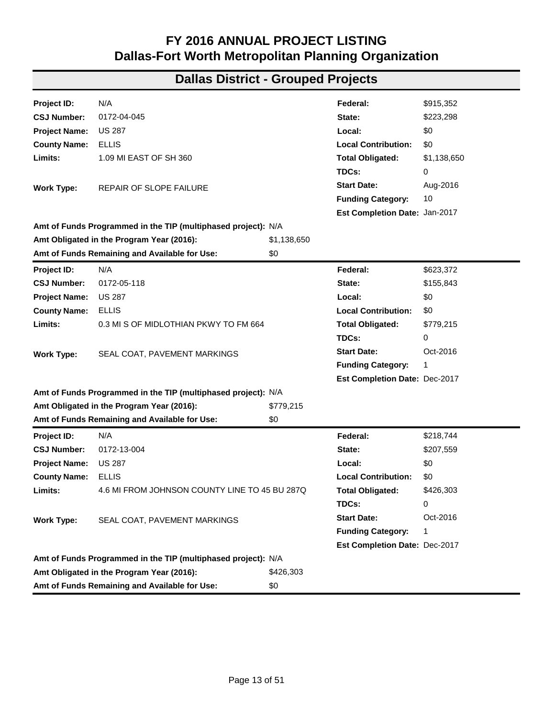| Project ID:          | N/A                                                           |           | Federal:                      | \$290,546 |
|----------------------|---------------------------------------------------------------|-----------|-------------------------------|-----------|
| <b>CSJ Number:</b>   | 0095-13-036                                                   |           | State:                        | \$13,460  |
| <b>Project Name:</b> | <b>IH 20</b>                                                  |           | Local:                        | \$0       |
| <b>County Name:</b>  | <b>DALLAS</b>                                                 |           | <b>Local Contribution:</b>    | \$0       |
| Limits:              | IH 635 TO KAUFMAN COUNTY LINE                                 |           | <b>Total Obligated:</b>       | \$304,006 |
|                      |                                                               |           | TDCs:                         | 0         |
| <b>Work Type:</b>    | INSTALL CABLE BARRIER SYSTEM IN MEDIAN                        |           | <b>Start Date:</b>            | Mar-2016  |
|                      |                                                               |           | <b>Funding Category:</b>      | 1         |
|                      |                                                               |           | Est Completion Date: May-2017 |           |
|                      | Amt of Funds Programmed in the TIP (multiphased project): N/A |           |                               |           |
|                      | Amt Obligated in the Program Year (2016):                     | \$304,006 |                               |           |
|                      | Amt of Funds Remaining and Available for Use:                 | \$0       |                               |           |
| Project ID:          | N/A                                                           |           | Federal:                      | \$339,920 |
| <b>CSJ Number:</b>   | 0095-13-039                                                   |           | State:                        | \$84,980  |
| <b>Project Name:</b> | IH 20                                                         |           | Local:                        | \$0       |
| <b>County Name:</b>  | <b>DALLAS</b>                                                 |           | <b>Local Contribution:</b>    | \$0       |
| Limits:              | IH 635 TO KAUFMAN COUNTY LINE                                 |           | <b>Total Obligated:</b>       | \$424,900 |
|                      |                                                               |           | TDCs:                         | 0         |
| <b>Work Type:</b>    | SEAL COAT OF SHOULDERS                                        |           | <b>Start Date:</b>            | Oct-2016  |
|                      |                                                               |           | <b>Funding Category:</b>      | 1         |
|                      |                                                               |           | Est Completion Date: Sep-2017 |           |
|                      | Amt of Funds Programmed in the TIP (multiphased project): N/A |           |                               |           |
|                      | Amt Obligated in the Program Year (2016):                     | \$424,900 |                               |           |
|                      | Amt of Funds Remaining and Available for Use:                 | \$0       |                               |           |
| Project ID:          | N/A                                                           |           | Federal:                      | \$342,483 |
| <b>CSJ Number:</b>   | 0095-14-025                                                   |           | State:                        | \$38,054  |
| <b>Project Name:</b> | <b>IH 20</b>                                                  |           | Local:                        | \$0       |
| <b>County Name:</b>  | <b>KAUFMAN</b>                                                |           | <b>Local Contribution:</b>    | \$0       |
| Limits:              | DALLAS COUNTY LINE TO FM 1641                                 |           | <b>Total Obligated:</b>       | \$380,537 |
|                      |                                                               |           | TDCs:                         | 0         |
| Work Type:           | INSTALL CABLE BARRIER SYSTEM IN MEDIAN                        |           | <b>Start Date:</b>            | Mar-2016  |
|                      |                                                               |           | <b>Funding Category:</b>      | 1         |
|                      |                                                               |           | Est Completion Date: May-2017 |           |
|                      | Amt of Funds Programmed in the TIP (multiphased project): N/A |           |                               |           |
|                      | Amt Obligated in the Program Year (2016):                     | \$380,537 |                               |           |
|                      | Amt of Funds Remaining and Available for Use:                 | \$0       |                               |           |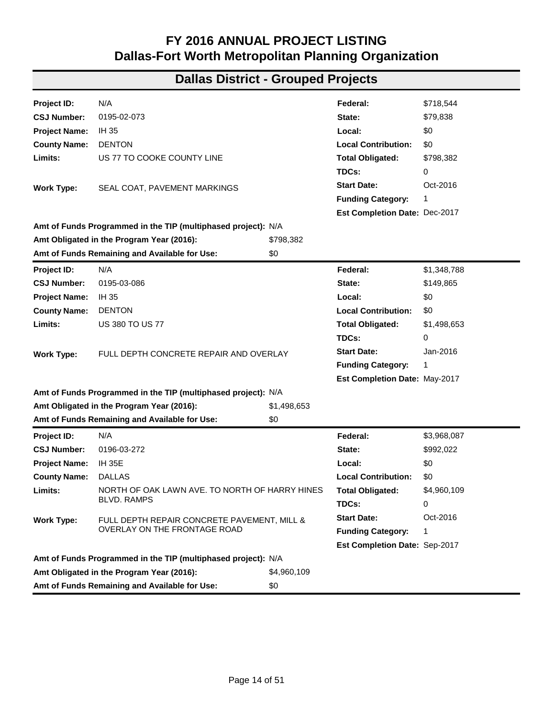| Project ID:          | N/A                                                           |           | Federal:                      | \$369,279 |
|----------------------|---------------------------------------------------------------|-----------|-------------------------------|-----------|
| <b>CSJ Number:</b>   | 0135-10-055                                                   |           | State:                        | \$92,320  |
| <b>Project Name:</b> | <b>US 377</b>                                                 |           | Local:                        | \$0       |
| <b>County Name:</b>  | <b>DENTON</b>                                                 |           | <b>Local Contribution:</b>    | \$0       |
| Limits:              | SL 288 TO US 380                                              |           | <b>Total Obligated:</b>       | \$461,599 |
|                      |                                                               |           | TDCs:                         | 0         |
| <b>Work Type:</b>    | FULL DEPTH CONCRETE REPAIR AND PAVEMENT                       |           | <b>Start Date:</b>            | Jan-2016  |
|                      | <b>MARKING</b>                                                |           |                               | 1         |
|                      |                                                               |           | Est Completion Date: May-2017 |           |
|                      | Amt of Funds Programmed in the TIP (multiphased project): N/A |           |                               |           |
|                      | Amt Obligated in the Program Year (2016):                     | \$461,599 |                               |           |
|                      | Amt of Funds Remaining and Available for Use:                 | \$0       |                               |           |
| Project ID:          | N/A                                                           |           | Federal:                      | \$136,337 |
| <b>CSJ Number:</b>   | 0135-10-056                                                   |           | State:                        | \$34,084  |
| <b>Project Name:</b> | <b>US 380</b>                                                 |           | Local:                        | \$0       |
| <b>County Name:</b>  | <b>DENTON</b>                                                 |           | <b>Local Contribution:</b>    | \$0       |
| Limits:              | US 377 TO COLLIN COUNTY LINE                                  |           | <b>Total Obligated:</b>       | \$170,421 |
|                      |                                                               |           | TDCs:                         | 0         |
| <b>Work Type:</b>    | FULL DEPTH CONCRETE REPAIR AND PAVEMENT                       |           | <b>Start Date:</b>            | Jan-2016  |
|                      | <b>MARKING</b>                                                |           | <b>Funding Category:</b>      | 1         |
|                      |                                                               |           | Est Completion Date: May-2017 |           |
|                      | Amt of Funds Programmed in the TIP (multiphased project): N/A |           |                               |           |
|                      | Amt Obligated in the Program Year (2016):                     | \$170,421 |                               |           |
|                      | Amt of Funds Remaining and Available for Use:                 | \$0       |                               |           |
| Project ID:          | N/A                                                           |           | Federal:                      | \$410,891 |
| <b>CSJ Number:</b>   | 0172-04-043                                                   |           | State:                        | \$102,723 |
| <b>Project Name:</b> | <b>US 287</b>                                                 |           | Local:                        | \$0       |
| <b>County Name:</b>  | <b>ELLIS</b>                                                  |           | <b>Local Contribution:</b>    | \$0       |
| Limits:              | JOHNSON COUNTY LINE TO 4.6 MI FROM JOHNSON                    |           | <b>Total Obligated:</b>       | \$513,614 |
|                      | <b>COUNTY LINE</b>                                            |           | TDCs:                         | 0         |
| <b>Work Type:</b>    | SEAL COAT, PAVEMENT MARKINGS                                  |           | <b>Start Date:</b>            | Oct-2016  |
|                      |                                                               |           | <b>Funding Category:</b>      | 1         |
|                      |                                                               |           | Est Completion Date: Dec-2017 |           |
|                      | Amt of Funds Programmed in the TIP (multiphased project): N/A |           |                               |           |
|                      | Amt Obligated in the Program Year (2016):                     | \$513,614 |                               |           |
|                      | Amt of Funds Remaining and Available for Use:                 | \$0       |                               |           |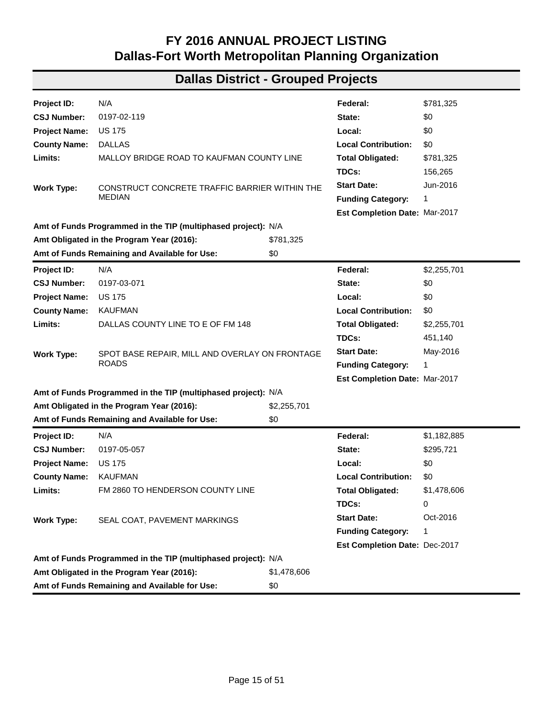| Project ID:          | N/A                                                           |             | Federal:                             | \$915,352   |
|----------------------|---------------------------------------------------------------|-------------|--------------------------------------|-------------|
| <b>CSJ Number:</b>   | 0172-04-045                                                   |             | State:                               | \$223,298   |
| <b>Project Name:</b> | <b>US 287</b>                                                 |             | Local:                               | \$0         |
| <b>County Name:</b>  | <b>ELLIS</b>                                                  |             | <b>Local Contribution:</b>           | \$0         |
| Limits:              | 1.09 MI EAST OF SH 360                                        |             | <b>Total Obligated:</b>              | \$1,138,650 |
|                      |                                                               |             | TDCs:                                | 0           |
| <b>Work Type:</b>    | REPAIR OF SLOPE FAILURE                                       |             | <b>Start Date:</b>                   | Aug-2016    |
|                      |                                                               |             | <b>Funding Category:</b>             | 10          |
|                      |                                                               |             | Est Completion Date: Jan-2017        |             |
|                      | Amt of Funds Programmed in the TIP (multiphased project): N/A |             |                                      |             |
|                      | Amt Obligated in the Program Year (2016):                     | \$1,138,650 |                                      |             |
|                      | Amt of Funds Remaining and Available for Use:                 | \$0         |                                      |             |
| Project ID:          | N/A                                                           |             | Federal:                             | \$623,372   |
| <b>CSJ Number:</b>   | 0172-05-118                                                   |             | State:                               | \$155,843   |
| <b>Project Name:</b> | <b>US 287</b>                                                 |             | Local:                               | \$0         |
| <b>County Name:</b>  | <b>ELLIS</b>                                                  |             | <b>Local Contribution:</b>           | \$0         |
| Limits:              | 0.3 MI S OF MIDLOTHIAN PKWY TO FM 664                         |             | <b>Total Obligated:</b>              | \$779,215   |
|                      |                                                               |             | TDCs:                                | 0           |
| <b>Work Type:</b>    | SEAL COAT, PAVEMENT MARKINGS                                  |             | <b>Start Date:</b>                   | Oct-2016    |
|                      |                                                               |             | <b>Funding Category:</b>             | 1           |
|                      |                                                               |             | Est Completion Date: Dec-2017        |             |
|                      | Amt of Funds Programmed in the TIP (multiphased project): N/A |             |                                      |             |
|                      | Amt Obligated in the Program Year (2016):                     | \$779,215   |                                      |             |
|                      | Amt of Funds Remaining and Available for Use:                 | \$0         |                                      |             |
| Project ID:          | N/A                                                           |             | Federal:                             | \$218,744   |
| <b>CSJ Number:</b>   | 0172-13-004                                                   |             | State:                               | \$207,559   |
| <b>Project Name:</b> | <b>US 287</b>                                                 |             | Local:                               | \$0         |
| <b>County Name:</b>  | <b>ELLIS</b>                                                  |             | <b>Local Contribution:</b>           | \$0         |
| Limits:              | 4.6 MI FROM JOHNSON COUNTY LINE TO 45 BU 287Q                 |             | <b>Total Obligated:</b>              | \$426,303   |
|                      |                                                               |             | TDCs:                                | 0           |
| Work Type:           | SEAL COAT, PAVEMENT MARKINGS                                  |             | <b>Start Date:</b>                   | Oct-2016    |
|                      |                                                               |             | <b>Funding Category:</b>             | 1           |
|                      |                                                               |             | <b>Est Completion Date: Dec-2017</b> |             |
|                      | Amt of Funds Programmed in the TIP (multiphased project): N/A |             |                                      |             |
|                      | Amt Obligated in the Program Year (2016):                     | \$426,303   |                                      |             |
|                      | Amt of Funds Remaining and Available for Use:                 | \$0         |                                      |             |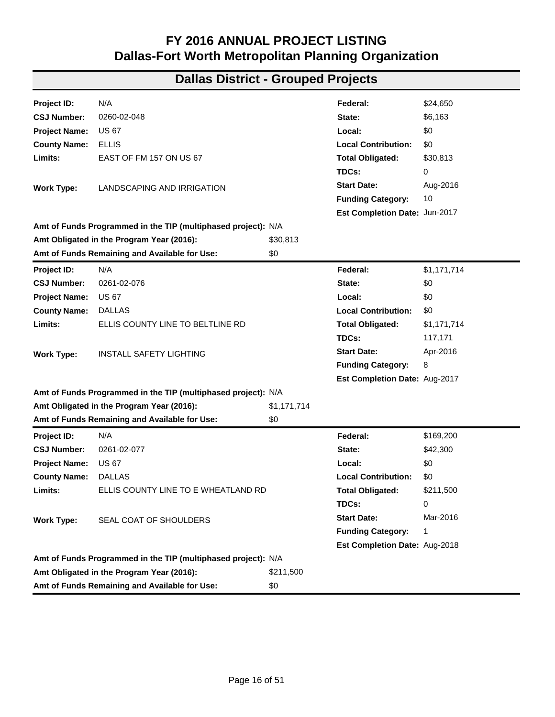| Project ID:                                          | N/A                                                           |             | Federal:                      | \$718,544   |
|------------------------------------------------------|---------------------------------------------------------------|-------------|-------------------------------|-------------|
| <b>CSJ Number:</b>                                   | 0195-02-073                                                   |             | State:                        | \$79,838    |
| <b>Project Name:</b>                                 | IH 35                                                         |             | Local:                        | \$0         |
| <b>County Name:</b>                                  | <b>DENTON</b>                                                 |             | <b>Local Contribution:</b>    | \$0         |
| Limits:                                              | US 77 TO COOKE COUNTY LINE                                    |             | <b>Total Obligated:</b>       | \$798,382   |
|                                                      |                                                               |             | TDCs:                         | 0           |
| <b>Work Type:</b>                                    | SEAL COAT, PAVEMENT MARKINGS                                  |             | <b>Start Date:</b>            | Oct-2016    |
|                                                      |                                                               |             | <b>Funding Category:</b>      | 1           |
|                                                      |                                                               |             | Est Completion Date: Dec-2017 |             |
|                                                      | Amt of Funds Programmed in the TIP (multiphased project): N/A |             |                               |             |
|                                                      | Amt Obligated in the Program Year (2016):                     | \$798,382   |                               |             |
|                                                      | Amt of Funds Remaining and Available for Use:                 | \$0         |                               |             |
| Project ID:                                          | N/A                                                           |             | Federal:                      | \$1,348,788 |
| <b>CSJ Number:</b>                                   | 0195-03-086                                                   |             | State:                        | \$149,865   |
| <b>Project Name:</b>                                 | IH 35                                                         |             | Local:                        | \$0         |
| <b>County Name:</b>                                  | <b>DENTON</b>                                                 |             | <b>Local Contribution:</b>    | \$0         |
| Limits:                                              | <b>US 380 TO US 77</b>                                        |             | <b>Total Obligated:</b>       | \$1,498,653 |
|                                                      |                                                               |             | TDCs:                         | 0           |
| <b>Work Type:</b>                                    | FULL DEPTH CONCRETE REPAIR AND OVERLAY                        |             | <b>Start Date:</b>            | Jan-2016    |
|                                                      |                                                               |             | <b>Funding Category:</b>      | 1           |
|                                                      |                                                               |             | Est Completion Date: May-2017 |             |
|                                                      | Amt of Funds Programmed in the TIP (multiphased project): N/A |             |                               |             |
|                                                      | Amt Obligated in the Program Year (2016):                     | \$1,498,653 |                               |             |
|                                                      | Amt of Funds Remaining and Available for Use:                 | \$0         |                               |             |
| Project ID:                                          | N/A                                                           |             | Federal:                      | \$3,968,087 |
| <b>CSJ Number:</b>                                   | 0196-03-272                                                   |             | State:                        | \$992,022   |
| <b>Project Name:</b>                                 | <b>IH 35E</b>                                                 |             | Local:                        | \$0         |
| <b>County Name:</b>                                  | <b>DALLAS</b>                                                 |             | <b>Local Contribution:</b>    | \$0         |
| Limits:                                              | NORTH OF OAK LAWN AVE. TO NORTH OF HARRY HINES                |             | <b>Total Obligated:</b>       | \$4,960,109 |
|                                                      | BLVD. RAMPS                                                   |             | TDCs:                         | 0           |
| Work Type:                                           | FULL DEPTH REPAIR CONCRETE PAVEMENT, MILL &                   |             | <b>Start Date:</b>            | Oct-2016    |
|                                                      | OVERLAY ON THE FRONTAGE ROAD                                  |             | <b>Funding Category:</b>      | 1           |
|                                                      |                                                               |             | Est Completion Date: Sep-2017 |             |
|                                                      | Amt of Funds Programmed in the TIP (multiphased project): N/A |             |                               |             |
|                                                      | Amt Obligated in the Program Year (2016):                     | \$4,960,109 |                               |             |
| Amt of Funds Remaining and Available for Use:<br>\$0 |                                                               |             |                               |             |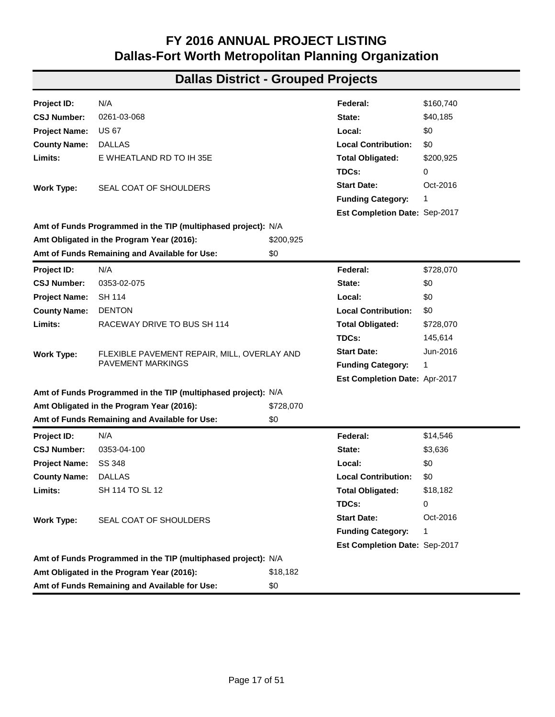| Project ID:          | N/A                                                           |             | Federal:                      | \$781,325   |
|----------------------|---------------------------------------------------------------|-------------|-------------------------------|-------------|
| <b>CSJ Number:</b>   | 0197-02-119                                                   |             | State:                        | \$0         |
| <b>Project Name:</b> | <b>US 175</b>                                                 |             | Local:                        | \$0         |
| <b>County Name:</b>  | <b>DALLAS</b>                                                 |             | <b>Local Contribution:</b>    | \$0         |
| Limits:              | MALLOY BRIDGE ROAD TO KAUFMAN COUNTY LINE                     |             | <b>Total Obligated:</b>       | \$781,325   |
|                      |                                                               |             | TDCs:                         | 156,265     |
| <b>Work Type:</b>    | CONSTRUCT CONCRETE TRAFFIC BARRIER WITHIN THE                 |             | <b>Start Date:</b>            | Jun-2016    |
|                      | <b>MEDIAN</b>                                                 |             | <b>Funding Category:</b>      | 1           |
|                      |                                                               |             | Est Completion Date: Mar-2017 |             |
|                      | Amt of Funds Programmed in the TIP (multiphased project): N/A |             |                               |             |
|                      | Amt Obligated in the Program Year (2016):                     | \$781,325   |                               |             |
|                      | Amt of Funds Remaining and Available for Use:                 | \$0         |                               |             |
| Project ID:          | N/A                                                           |             | Federal:                      | \$2,255,701 |
| <b>CSJ Number:</b>   | 0197-03-071                                                   |             | State:                        | \$0         |
| <b>Project Name:</b> | <b>US 175</b>                                                 |             | Local:                        | \$0         |
| <b>County Name:</b>  | <b>KAUFMAN</b>                                                |             | <b>Local Contribution:</b>    | \$0         |
| Limits:              | DALLAS COUNTY LINE TO E OF FM 148                             |             | <b>Total Obligated:</b>       | \$2,255,701 |
|                      |                                                               |             | TDCs:                         | 451,140     |
| <b>Work Type:</b>    | SPOT BASE REPAIR, MILL AND OVERLAY ON FRONTAGE                |             | <b>Start Date:</b>            | May-2016    |
|                      | <b>ROADS</b>                                                  |             | <b>Funding Category:</b>      | 1           |
|                      |                                                               |             | Est Completion Date: Mar-2017 |             |
|                      | Amt of Funds Programmed in the TIP (multiphased project): N/A |             |                               |             |
|                      | Amt Obligated in the Program Year (2016):                     | \$2,255,701 |                               |             |
|                      | Amt of Funds Remaining and Available for Use:                 | \$0         |                               |             |
| Project ID:          | N/A                                                           |             | Federal:                      | \$1,182,885 |
| <b>CSJ Number:</b>   | 0197-05-057                                                   |             | State:                        | \$295,721   |
| <b>Project Name:</b> | <b>US 175</b>                                                 |             | Local:                        | \$0         |
| <b>County Name:</b>  | <b>KAUFMAN</b>                                                |             | <b>Local Contribution:</b>    | \$0         |
| Limits:              | FM 2860 TO HENDERSON COUNTY LINE                              |             | <b>Total Obligated:</b>       | \$1,478,606 |
|                      |                                                               |             | TDCs:                         | 0           |
| <b>Work Type:</b>    | SEAL COAT, PAVEMENT MARKINGS                                  |             | <b>Start Date:</b>            | Oct-2016    |
|                      |                                                               |             | <b>Funding Category:</b>      | 1           |
|                      |                                                               |             | Est Completion Date: Dec-2017 |             |
|                      | Amt of Funds Programmed in the TIP (multiphased project): N/A |             |                               |             |
|                      | Amt Obligated in the Program Year (2016):                     | \$1,478,606 |                               |             |
|                      | Amt of Funds Remaining and Available for Use:                 | \$0         |                               |             |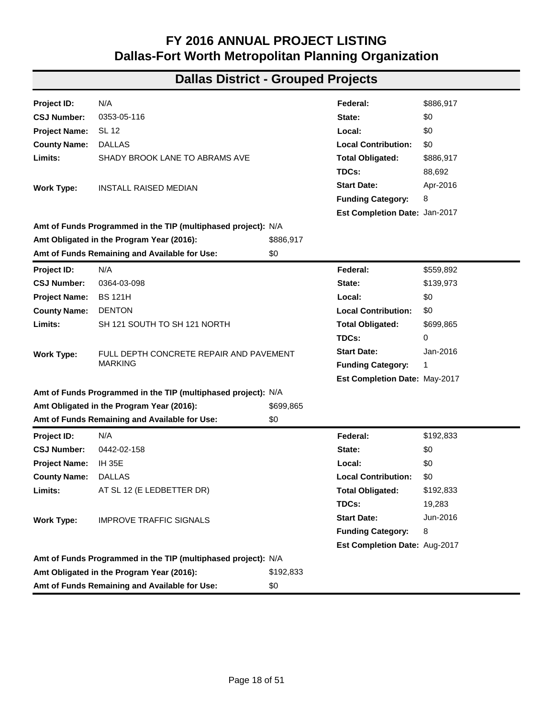| Project ID:                    | N/A                                                           |             | Federal:                      | \$24,650    |
|--------------------------------|---------------------------------------------------------------|-------------|-------------------------------|-------------|
| <b>CSJ Number:</b>             | 0260-02-048                                                   |             | State:                        | \$6,163     |
| <b>Project Name:</b>           | <b>US 67</b>                                                  |             | Local:                        | \$0         |
|                                | <b>ELLIS</b>                                                  |             | <b>Local Contribution:</b>    | \$0         |
| <b>County Name:</b><br>Limits: | EAST OF FM 157 ON US 67                                       |             |                               |             |
|                                |                                                               |             | <b>Total Obligated:</b>       | \$30,813    |
|                                |                                                               |             | TDCs:                         | 0           |
| <b>Work Type:</b>              | LANDSCAPING AND IRRIGATION                                    |             | <b>Start Date:</b>            | Aug-2016    |
|                                |                                                               |             | <b>Funding Category:</b>      | 10          |
|                                | Amt of Funds Programmed in the TIP (multiphased project): N/A |             | Est Completion Date: Jun-2017 |             |
|                                | Amt Obligated in the Program Year (2016):                     | \$30,813    |                               |             |
|                                |                                                               | \$0         |                               |             |
|                                | Amt of Funds Remaining and Available for Use:                 |             |                               |             |
| Project ID:                    | N/A                                                           |             | Federal:                      | \$1,171,714 |
| <b>CSJ Number:</b>             | 0261-02-076                                                   |             | State:                        | \$0         |
| <b>Project Name:</b>           | <b>US 67</b>                                                  |             | Local:                        | \$0         |
| <b>County Name:</b>            | <b>DALLAS</b>                                                 |             | <b>Local Contribution:</b>    | \$0         |
| Limits:                        | ELLIS COUNTY LINE TO BELTLINE RD                              |             | <b>Total Obligated:</b>       | \$1,171,714 |
|                                |                                                               |             | TDCs:                         | 117,171     |
| <b>Work Type:</b>              | <b>INSTALL SAFETY LIGHTING</b>                                |             | <b>Start Date:</b>            | Apr-2016    |
|                                |                                                               |             | <b>Funding Category:</b>      | 8           |
|                                |                                                               |             | Est Completion Date: Aug-2017 |             |
|                                | Amt of Funds Programmed in the TIP (multiphased project): N/A |             |                               |             |
|                                | Amt Obligated in the Program Year (2016):                     | \$1,171,714 |                               |             |
|                                | Amt of Funds Remaining and Available for Use:                 | \$0         |                               |             |
| Project ID:                    | N/A                                                           |             | Federal:                      | \$169,200   |
| <b>CSJ Number:</b>             | 0261-02-077                                                   |             | State:                        | \$42,300    |
| <b>Project Name:</b>           | <b>US 67</b>                                                  |             | Local:                        | \$0         |
| <b>County Name:</b>            | <b>DALLAS</b>                                                 |             | <b>Local Contribution:</b>    | \$0         |
| Limits:                        | ELLIS COUNTY LINE TO E WHEATLAND RD                           |             | <b>Total Obligated:</b>       | \$211,500   |
|                                |                                                               |             | TDCs:                         | 0           |
| <b>Work Type:</b>              | SEAL COAT OF SHOULDERS                                        |             | <b>Start Date:</b>            | Mar-2016    |
|                                |                                                               |             | <b>Funding Category:</b>      | 1           |
|                                |                                                               |             | Est Completion Date: Aug-2018 |             |
|                                | Amt of Funds Programmed in the TIP (multiphased project): N/A |             |                               |             |
|                                | Amt Obligated in the Program Year (2016):                     | \$211,500   |                               |             |
|                                | Amt of Funds Remaining and Available for Use:                 | \$0         |                               |             |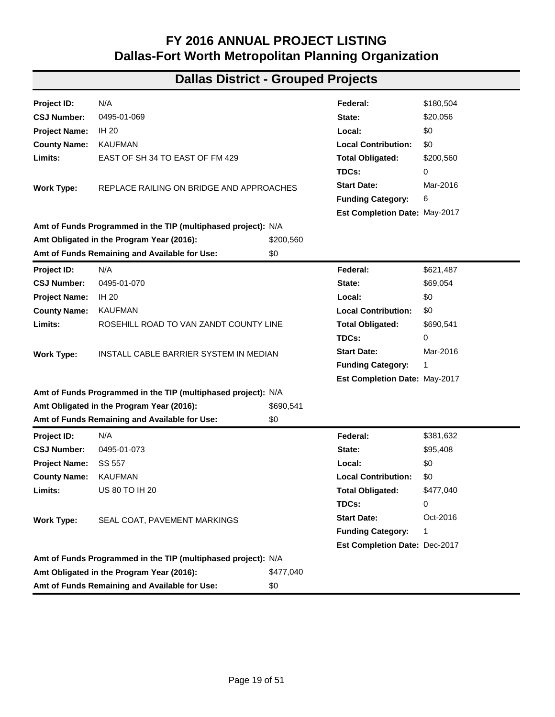| Project ID:          | N/A                                                           |           | Federal:                      | \$160,740 |
|----------------------|---------------------------------------------------------------|-----------|-------------------------------|-----------|
| <b>CSJ Number:</b>   | 0261-03-068                                                   |           | State:                        | \$40,185  |
| <b>Project Name:</b> | <b>US 67</b>                                                  |           | Local:                        | \$0       |
| <b>County Name:</b>  | <b>DALLAS</b>                                                 |           | <b>Local Contribution:</b>    | \$0       |
| Limits:              | E WHEATLAND RD TO IH 35E                                      |           | <b>Total Obligated:</b>       | \$200,925 |
|                      |                                                               |           | TDCs:                         | 0         |
| Work Type:           | SEAL COAT OF SHOULDERS                                        |           | <b>Start Date:</b>            | Oct-2016  |
|                      |                                                               |           | <b>Funding Category:</b>      | 1         |
|                      |                                                               |           | Est Completion Date: Sep-2017 |           |
|                      | Amt of Funds Programmed in the TIP (multiphased project): N/A |           |                               |           |
|                      | Amt Obligated in the Program Year (2016):                     | \$200,925 |                               |           |
|                      | Amt of Funds Remaining and Available for Use:                 | \$0       |                               |           |
| Project ID:          | N/A                                                           |           | Federal:                      | \$728,070 |
| <b>CSJ Number:</b>   | 0353-02-075                                                   |           | State:                        | \$0       |
| <b>Project Name:</b> | <b>SH 114</b>                                                 |           | Local:                        | \$0       |
| <b>County Name:</b>  | <b>DENTON</b>                                                 |           | <b>Local Contribution:</b>    | \$0       |
| Limits:              | RACEWAY DRIVE TO BUS SH 114                                   |           | <b>Total Obligated:</b>       | \$728,070 |
|                      |                                                               |           | TDCs:                         | 145,614   |
| <b>Work Type:</b>    | FLEXIBLE PAVEMENT REPAIR, MILL, OVERLAY AND                   |           | <b>Start Date:</b>            | Jun-2016  |
|                      | <b>PAVEMENT MARKINGS</b>                                      |           | <b>Funding Category:</b>      | 1         |
|                      |                                                               |           | Est Completion Date: Apr-2017 |           |
|                      | Amt of Funds Programmed in the TIP (multiphased project): N/A |           |                               |           |
|                      | Amt Obligated in the Program Year (2016):                     | \$728,070 |                               |           |
|                      | Amt of Funds Remaining and Available for Use:                 | \$0       |                               |           |
| Project ID:          | N/A                                                           |           | Federal:                      | \$14,546  |
| <b>CSJ Number:</b>   | 0353-04-100                                                   |           | State:                        | \$3,636   |
| <b>Project Name:</b> | SS 348                                                        |           | Local:                        | \$0       |
| <b>County Name:</b>  | <b>DALLAS</b>                                                 |           | <b>Local Contribution:</b>    | \$0       |
| Limits:              | SH 114 TO SL 12                                               |           | <b>Total Obligated:</b>       | \$18,182  |
|                      |                                                               |           | TDCs:                         | 0         |
| <b>Work Type:</b>    | SEAL COAT OF SHOULDERS                                        |           | <b>Start Date:</b>            | Oct-2016  |
|                      |                                                               |           | <b>Funding Category:</b>      | 1         |
|                      |                                                               |           | Est Completion Date: Sep-2017 |           |
|                      | Amt of Funds Programmed in the TIP (multiphased project): N/A |           |                               |           |
|                      | Amt Obligated in the Program Year (2016):                     | \$18,182  |                               |           |
|                      | Amt of Funds Remaining and Available for Use:                 | \$0       |                               |           |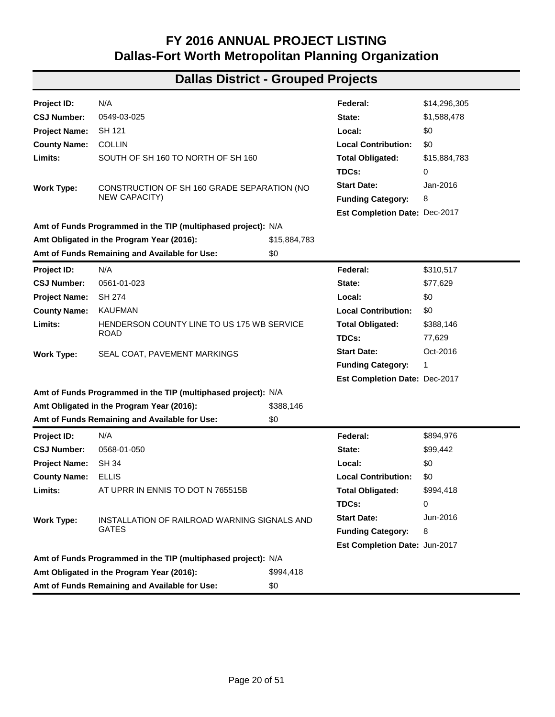| Project ID:          | N/A                                                           |           | Federal:                      | \$886,917 |
|----------------------|---------------------------------------------------------------|-----------|-------------------------------|-----------|
| <b>CSJ Number:</b>   | 0353-05-116                                                   |           | State:                        | \$0       |
| <b>Project Name:</b> | SL 12                                                         |           | Local:                        | \$0       |
| <b>County Name:</b>  | <b>DALLAS</b>                                                 |           | <b>Local Contribution:</b>    | \$0       |
| Limits:              | SHADY BROOK LANE TO ABRAMS AVE                                |           | <b>Total Obligated:</b>       | \$886,917 |
|                      |                                                               |           | TDCs:                         | 88,692    |
| <b>Work Type:</b>    | <b>INSTALL RAISED MEDIAN</b>                                  |           | <b>Start Date:</b>            | Apr-2016  |
|                      |                                                               |           | <b>Funding Category:</b>      | 8         |
|                      |                                                               |           | Est Completion Date: Jan-2017 |           |
|                      | Amt of Funds Programmed in the TIP (multiphased project): N/A |           |                               |           |
|                      | Amt Obligated in the Program Year (2016):                     | \$886,917 |                               |           |
|                      | Amt of Funds Remaining and Available for Use:                 | \$0       |                               |           |
| Project ID:          | N/A                                                           |           | Federal:                      | \$559,892 |
| <b>CSJ Number:</b>   | 0364-03-098                                                   |           | State:                        | \$139,973 |
| <b>Project Name:</b> | <b>BS 121H</b>                                                |           | Local:                        | \$0       |
| <b>County Name:</b>  | <b>DENTON</b>                                                 |           | <b>Local Contribution:</b>    | \$0       |
| Limits:              | SH 121 SOUTH TO SH 121 NORTH                                  |           | <b>Total Obligated:</b>       | \$699,865 |
|                      |                                                               |           | TDCs:                         | 0         |
| <b>Work Type:</b>    | FULL DEPTH CONCRETE REPAIR AND PAVEMENT                       |           | <b>Start Date:</b>            | Jan-2016  |
|                      | <b>MARKING</b>                                                |           | <b>Funding Category:</b>      | 1         |
|                      |                                                               |           | Est Completion Date: May-2017 |           |
|                      | Amt of Funds Programmed in the TIP (multiphased project): N/A |           |                               |           |
|                      | Amt Obligated in the Program Year (2016):                     | \$699,865 |                               |           |
|                      | Amt of Funds Remaining and Available for Use:                 | \$0       |                               |           |
| Project ID:          | N/A                                                           |           | Federal:                      | \$192,833 |
| <b>CSJ Number:</b>   | 0442-02-158                                                   |           | State:                        | \$0       |
| <b>Project Name:</b> | <b>IH 35E</b>                                                 |           | Local:                        | \$0       |
| <b>County Name:</b>  | <b>DALLAS</b>                                                 |           | <b>Local Contribution:</b>    | \$0       |
| Limits:              | AT SL 12 (E LEDBETTER DR)                                     |           | <b>Total Obligated:</b>       | \$192,833 |
|                      |                                                               |           | TDCs:                         | 19,283    |
| <b>Work Type:</b>    | <b>IMPROVE TRAFFIC SIGNALS</b>                                |           | <b>Start Date:</b>            | Jun-2016  |
|                      |                                                               |           | <b>Funding Category:</b>      | 8         |
|                      |                                                               |           | Est Completion Date: Aug-2017 |           |
|                      | Amt of Funds Programmed in the TIP (multiphased project): N/A |           |                               |           |
|                      | Amt Obligated in the Program Year (2016):                     | \$192,833 |                               |           |
|                      | Amt of Funds Remaining and Available for Use:                 | \$0       |                               |           |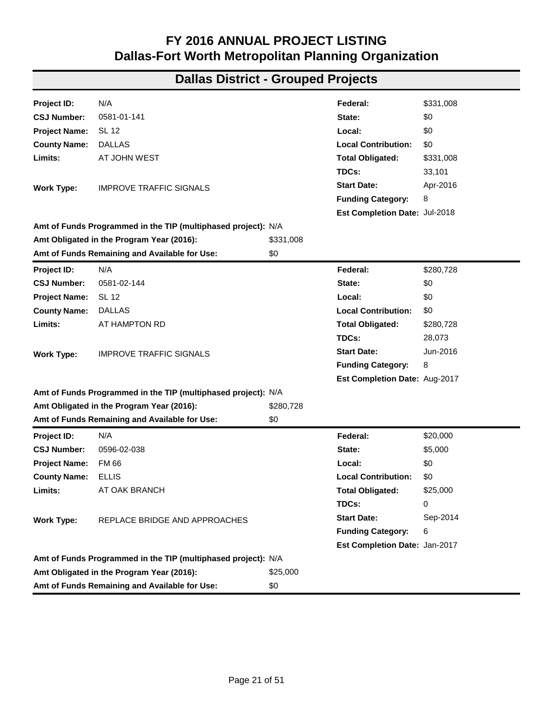| Project ID:                    | N/A                                                           |           | Federal:                         | \$180,504      |
|--------------------------------|---------------------------------------------------------------|-----------|----------------------------------|----------------|
| <b>CSJ Number:</b>             | 0495-01-069                                                   |           | State:                           | \$20,056       |
| <b>Project Name:</b>           | <b>IH 20</b>                                                  |           | Local:                           | \$0            |
|                                | <b>KAUFMAN</b>                                                |           | <b>Local Contribution:</b>       | \$0            |
| <b>County Name:</b><br>Limits: | EAST OF SH 34 TO EAST OF FM 429                               |           |                                  |                |
|                                |                                                               |           | <b>Total Obligated:</b><br>TDCs: | \$200,560<br>0 |
|                                |                                                               |           | <b>Start Date:</b>               | Mar-2016       |
| <b>Work Type:</b>              | REPLACE RAILING ON BRIDGE AND APPROACHES                      |           |                                  |                |
|                                |                                                               |           | <b>Funding Category:</b>         | 6              |
|                                | Amt of Funds Programmed in the TIP (multiphased project): N/A |           | Est Completion Date: May-2017    |                |
|                                | Amt Obligated in the Program Year (2016):                     | \$200,560 |                                  |                |
|                                | Amt of Funds Remaining and Available for Use:                 | \$0       |                                  |                |
|                                |                                                               |           |                                  |                |
| Project ID:                    | N/A                                                           |           | Federal:                         | \$621,487      |
| <b>CSJ Number:</b>             | 0495-01-070                                                   |           | State:                           | \$69,054       |
| <b>Project Name:</b>           | IH 20                                                         |           | Local:                           | \$0            |
| <b>County Name:</b>            | <b>KAUFMAN</b>                                                |           | <b>Local Contribution:</b>       | \$0            |
| Limits:                        | ROSEHILL ROAD TO VAN ZANDT COUNTY LINE                        |           | <b>Total Obligated:</b>          | \$690,541      |
|                                |                                                               |           | TDCs:                            | 0              |
| <b>Work Type:</b>              | INSTALL CABLE BARRIER SYSTEM IN MEDIAN                        |           | <b>Start Date:</b>               | Mar-2016       |
|                                |                                                               |           | <b>Funding Category:</b>         | 1              |
|                                |                                                               |           | Est Completion Date: May-2017    |                |
|                                | Amt of Funds Programmed in the TIP (multiphased project): N/A |           |                                  |                |
|                                | Amt Obligated in the Program Year (2016):                     | \$690,541 |                                  |                |
|                                | Amt of Funds Remaining and Available for Use:                 | \$0       |                                  |                |
| Project ID:                    | N/A                                                           |           | Federal:                         | \$381,632      |
| <b>CSJ Number:</b>             | 0495-01-073                                                   |           | State:                           | \$95,408       |
| <b>Project Name:</b>           | SS 557                                                        |           | Local:                           | \$0            |
| <b>County Name:</b>            | <b>KAUFMAN</b>                                                |           | <b>Local Contribution:</b>       | \$0            |
| Limits:                        | <b>US 80 TO IH 20</b>                                         |           | <b>Total Obligated:</b>          | \$477,040      |
|                                |                                                               |           | TDCs:                            | 0              |
| <b>Work Type:</b>              | SEAL COAT, PAVEMENT MARKINGS                                  |           | <b>Start Date:</b>               | Oct-2016       |
|                                |                                                               |           | <b>Funding Category:</b>         | 1              |
|                                |                                                               |           | Est Completion Date: Dec-2017    |                |
|                                | Amt of Funds Programmed in the TIP (multiphased project): N/A |           |                                  |                |
|                                | Amt Obligated in the Program Year (2016):                     | \$477,040 |                                  |                |
|                                | Amt of Funds Remaining and Available for Use:                 | \$0       |                                  |                |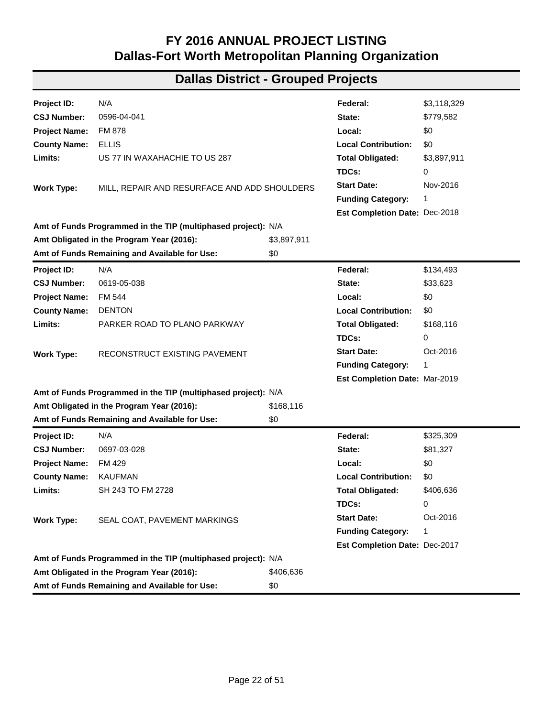| Project ID:          | N/A                                                           |              | Federal:                      | \$14,296,305 |
|----------------------|---------------------------------------------------------------|--------------|-------------------------------|--------------|
| <b>CSJ Number:</b>   | 0549-03-025                                                   |              | State:                        | \$1,588,478  |
| <b>Project Name:</b> | SH 121                                                        |              | Local:                        | \$0          |
| <b>County Name:</b>  | <b>COLLIN</b>                                                 |              | <b>Local Contribution:</b>    | \$0          |
| Limits:              | SOUTH OF SH 160 TO NORTH OF SH 160                            |              | <b>Total Obligated:</b>       | \$15,884,783 |
|                      |                                                               |              | TDCs:                         | 0            |
| <b>Work Type:</b>    | CONSTRUCTION OF SH 160 GRADE SEPARATION (NO                   |              | <b>Start Date:</b>            | Jan-2016     |
|                      | NEW CAPACITY)                                                 |              | <b>Funding Category:</b>      | 8            |
|                      |                                                               |              | Est Completion Date: Dec-2017 |              |
|                      | Amt of Funds Programmed in the TIP (multiphased project): N/A |              |                               |              |
|                      | Amt Obligated in the Program Year (2016):                     | \$15,884,783 |                               |              |
|                      | Amt of Funds Remaining and Available for Use:                 | \$0          |                               |              |
| Project ID:          | N/A                                                           |              | Federal:                      | \$310,517    |
| <b>CSJ Number:</b>   | 0561-01-023                                                   |              | State:                        | \$77,629     |
| <b>Project Name:</b> | <b>SH 274</b>                                                 |              | Local:                        | \$0          |
| <b>County Name:</b>  | <b>KAUFMAN</b>                                                |              | <b>Local Contribution:</b>    | \$0          |
| Limits:              | HENDERSON COUNTY LINE TO US 175 WB SERVICE                    |              | <b>Total Obligated:</b>       | \$388,146    |
|                      | <b>ROAD</b>                                                   |              | TDCs:                         | 77,629       |
| <b>Work Type:</b>    | SEAL COAT, PAVEMENT MARKINGS                                  |              | <b>Start Date:</b>            | Oct-2016     |
|                      |                                                               |              | <b>Funding Category:</b>      | 1            |
|                      |                                                               |              | Est Completion Date: Dec-2017 |              |
|                      | Amt of Funds Programmed in the TIP (multiphased project): N/A |              |                               |              |
|                      | Amt Obligated in the Program Year (2016):                     | \$388,146    |                               |              |
|                      | Amt of Funds Remaining and Available for Use:                 | \$0          |                               |              |
| Project ID:          | N/A                                                           |              | Federal:                      | \$894,976    |
| <b>CSJ Number:</b>   | 0568-01-050                                                   |              | State:                        | \$99,442     |
| <b>Project Name:</b> | <b>SH 34</b>                                                  |              | Local:                        | \$0          |
| <b>County Name:</b>  | <b>ELLIS</b>                                                  |              | <b>Local Contribution:</b>    | \$0          |
| Limits:              | AT UPRR IN ENNIS TO DOT N 765515B                             |              | <b>Total Obligated:</b>       | \$994,418    |
|                      |                                                               |              | TDCs:                         | 0            |
| <b>Work Type:</b>    | INSTALLATION OF RAILROAD WARNING SIGNALS AND                  |              | <b>Start Date:</b>            | Jun-2016     |
|                      | <b>GATES</b>                                                  |              | <b>Funding Category:</b>      | 8            |
|                      |                                                               |              | Est Completion Date: Jun-2017 |              |
|                      | Amt of Funds Programmed in the TIP (multiphased project): N/A |              |                               |              |
|                      | Amt Obligated in the Program Year (2016):                     | \$994,418    |                               |              |
|                      | Amt of Funds Remaining and Available for Use:                 | \$0          |                               |              |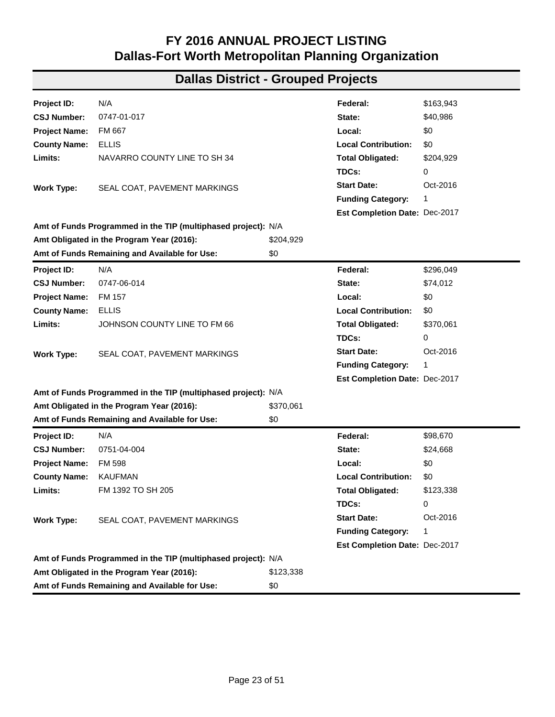| <b>Project ID:</b>   | N/A                                                           |           | Federal:                      | \$331,008 |
|----------------------|---------------------------------------------------------------|-----------|-------------------------------|-----------|
| <b>CSJ Number:</b>   | 0581-01-141                                                   |           | State:                        | \$0       |
| <b>Project Name:</b> | SL 12                                                         |           | Local:                        | \$0       |
| <b>County Name:</b>  | <b>DALLAS</b>                                                 |           | <b>Local Contribution:</b>    | \$0       |
| Limits:              | AT JOHN WEST                                                  |           | <b>Total Obligated:</b>       | \$331,008 |
|                      |                                                               |           | TDCs:                         | 33,101    |
| <b>Work Type:</b>    | <b>IMPROVE TRAFFIC SIGNALS</b>                                |           | <b>Start Date:</b>            | Apr-2016  |
|                      |                                                               |           | <b>Funding Category:</b>      | 8         |
|                      |                                                               |           | Est Completion Date: Jul-2018 |           |
|                      | Amt of Funds Programmed in the TIP (multiphased project): N/A |           |                               |           |
|                      | Amt Obligated in the Program Year (2016):                     | \$331,008 |                               |           |
|                      | Amt of Funds Remaining and Available for Use:                 | \$0       |                               |           |
| Project ID:          | N/A                                                           |           | Federal:                      | \$280,728 |
| <b>CSJ Number:</b>   | 0581-02-144                                                   |           | State:                        | \$0       |
| <b>Project Name:</b> | <b>SL 12</b>                                                  |           | Local:                        | \$0       |
| <b>County Name:</b>  | <b>DALLAS</b>                                                 |           | <b>Local Contribution:</b>    | \$0       |
| Limits:              | AT HAMPTON RD                                                 |           | <b>Total Obligated:</b>       | \$280,728 |
|                      |                                                               |           | TDCs:                         | 28,073    |
| <b>Work Type:</b>    | <b>IMPROVE TRAFFIC SIGNALS</b>                                |           | <b>Start Date:</b>            | Jun-2016  |
|                      |                                                               |           | <b>Funding Category:</b>      | 8         |
|                      |                                                               |           | Est Completion Date: Aug-2017 |           |
|                      | Amt of Funds Programmed in the TIP (multiphased project): N/A |           |                               |           |
|                      | Amt Obligated in the Program Year (2016):                     | \$280,728 |                               |           |
|                      | Amt of Funds Remaining and Available for Use:                 | \$0       |                               |           |
| <b>Project ID:</b>   | N/A                                                           |           | Federal:                      | \$20,000  |
| <b>CSJ Number:</b>   | 0596-02-038                                                   |           | State:                        | \$5,000   |
| <b>Project Name:</b> | <b>FM 66</b>                                                  |           | Local:                        | \$0       |
| <b>County Name:</b>  | <b>ELLIS</b>                                                  |           | <b>Local Contribution:</b>    | \$0       |
| Limits:              | AT OAK BRANCH                                                 |           | <b>Total Obligated:</b>       | \$25,000  |
|                      |                                                               |           | TDCs:                         | 0         |
| <b>Work Type:</b>    | REPLACE BRIDGE AND APPROACHES                                 |           | <b>Start Date:</b>            | Sep-2014  |
|                      |                                                               |           | <b>Funding Category:</b>      | 6         |
|                      |                                                               |           | Est Completion Date: Jan-2017 |           |
|                      | Amt of Funds Programmed in the TIP (multiphased project): N/A |           |                               |           |
|                      | Amt Obligated in the Program Year (2016):                     | \$25,000  |                               |           |
|                      | Amt of Funds Remaining and Available for Use:                 | \$0       |                               |           |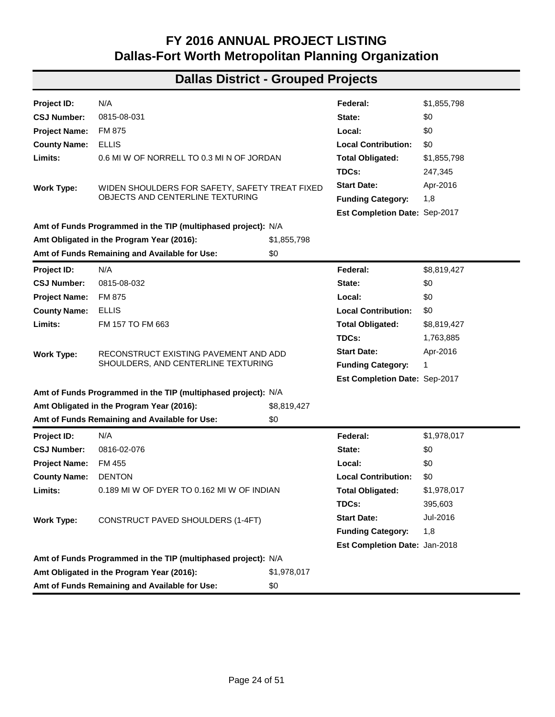| Project ID:          | N/A                                                           |             | Federal:                      | \$3,118,329 |
|----------------------|---------------------------------------------------------------|-------------|-------------------------------|-------------|
| <b>CSJ Number:</b>   | 0596-04-041                                                   |             | State:                        | \$779,582   |
| <b>Project Name:</b> | <b>FM 878</b>                                                 |             | Local:                        | \$0         |
| <b>County Name:</b>  | <b>ELLIS</b>                                                  |             | <b>Local Contribution:</b>    | \$0         |
| Limits:              | US 77 IN WAXAHACHIE TO US 287                                 |             | <b>Total Obligated:</b>       | \$3,897,911 |
|                      |                                                               |             | TDCs:                         | 0           |
| <b>Work Type:</b>    | MILL, REPAIR AND RESURFACE AND ADD SHOULDERS                  |             | <b>Start Date:</b>            | Nov-2016    |
|                      |                                                               |             | <b>Funding Category:</b>      | 1           |
|                      |                                                               |             | Est Completion Date: Dec-2018 |             |
|                      | Amt of Funds Programmed in the TIP (multiphased project): N/A |             |                               |             |
|                      | Amt Obligated in the Program Year (2016):                     | \$3,897,911 |                               |             |
|                      | Amt of Funds Remaining and Available for Use:                 | \$0         |                               |             |
| Project ID:          | N/A                                                           |             | Federal:                      | \$134,493   |
| <b>CSJ Number:</b>   | 0619-05-038                                                   |             | State:                        | \$33,623    |
| <b>Project Name:</b> | FM 544                                                        |             | Local:                        | \$0         |
| <b>County Name:</b>  | <b>DENTON</b>                                                 |             | <b>Local Contribution:</b>    | \$0         |
| Limits:              | PARKER ROAD TO PLANO PARKWAY                                  |             | <b>Total Obligated:</b>       | \$168,116   |
|                      |                                                               |             | TDCs:                         | 0           |
| <b>Work Type:</b>    | RECONSTRUCT EXISTING PAVEMENT                                 |             | <b>Start Date:</b>            | Oct-2016    |
|                      |                                                               |             | <b>Funding Category:</b>      | 1           |
|                      |                                                               |             | Est Completion Date: Mar-2019 |             |
|                      | Amt of Funds Programmed in the TIP (multiphased project): N/A |             |                               |             |
|                      | Amt Obligated in the Program Year (2016):                     | \$168,116   |                               |             |
|                      | Amt of Funds Remaining and Available for Use:                 | \$0         |                               |             |
| Project ID:          | N/A                                                           |             | Federal:                      | \$325,309   |
| <b>CSJ Number:</b>   | 0697-03-028                                                   |             | State:                        | \$81,327    |
| <b>Project Name:</b> | FM 429                                                        |             | Local:                        | \$0         |
| <b>County Name:</b>  | <b>KAUFMAN</b>                                                |             | <b>Local Contribution:</b>    | \$0         |
| Limits:              | SH 243 TO FM 2728                                             |             | <b>Total Obligated:</b>       | \$406,636   |
|                      |                                                               |             | TDCs:                         | 0           |
| <b>Work Type:</b>    | SEAL COAT, PAVEMENT MARKINGS                                  |             | <b>Start Date:</b>            | Oct-2016    |
|                      |                                                               |             | <b>Funding Category:</b>      | 1           |
|                      |                                                               |             | Est Completion Date: Dec-2017 |             |
|                      | Amt of Funds Programmed in the TIP (multiphased project): N/A |             |                               |             |
|                      | Amt Obligated in the Program Year (2016):                     | \$406,636   |                               |             |
|                      | Amt of Funds Remaining and Available for Use:                 | \$0         |                               |             |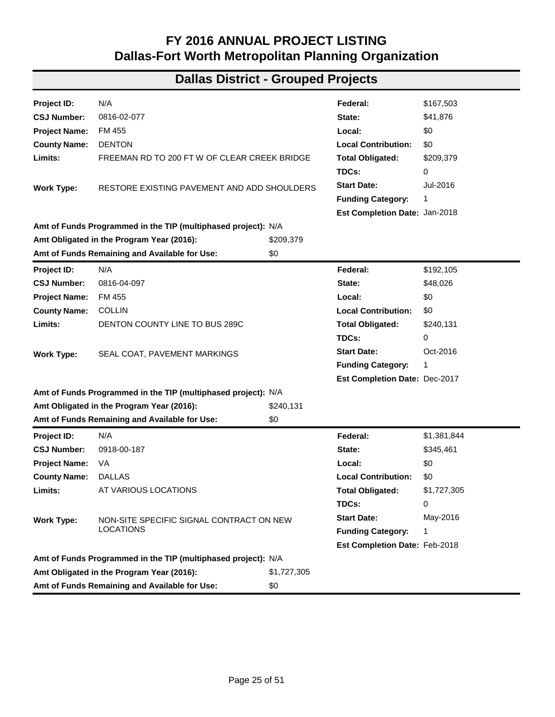| Project ID:          | N/A                                                           |           | Federal:                             | \$163,943 |
|----------------------|---------------------------------------------------------------|-----------|--------------------------------------|-----------|
| <b>CSJ Number:</b>   | 0747-01-017                                                   |           | State:                               | \$40,986  |
| <b>Project Name:</b> | FM 667                                                        |           | Local:                               | \$0       |
| <b>County Name:</b>  | <b>ELLIS</b>                                                  |           | <b>Local Contribution:</b>           | \$0       |
| Limits:              | NAVARRO COUNTY LINE TO SH 34                                  |           | <b>Total Obligated:</b>              | \$204,929 |
|                      |                                                               |           | TDCs:                                | 0         |
| Work Type:           | SEAL COAT, PAVEMENT MARKINGS                                  |           | <b>Start Date:</b>                   | Oct-2016  |
|                      |                                                               |           | <b>Funding Category:</b>             | 1         |
|                      |                                                               |           | Est Completion Date: Dec-2017        |           |
|                      | Amt of Funds Programmed in the TIP (multiphased project): N/A |           |                                      |           |
|                      | Amt Obligated in the Program Year (2016):                     | \$204,929 |                                      |           |
|                      | Amt of Funds Remaining and Available for Use:                 | \$0       |                                      |           |
| Project ID:          | N/A                                                           |           | Federal:                             | \$296,049 |
| <b>CSJ Number:</b>   | 0747-06-014                                                   |           | State:                               | \$74,012  |
| <b>Project Name:</b> | <b>FM 157</b>                                                 |           | Local:                               | \$0       |
| <b>County Name:</b>  | <b>ELLIS</b>                                                  |           | <b>Local Contribution:</b>           | \$0       |
| Limits:              | JOHNSON COUNTY LINE TO FM 66                                  |           | <b>Total Obligated:</b>              | \$370,061 |
|                      |                                                               |           | TDCs:                                | 0         |
| <b>Work Type:</b>    | SEAL COAT, PAVEMENT MARKINGS                                  |           | <b>Start Date:</b>                   | Oct-2016  |
|                      |                                                               |           | <b>Funding Category:</b>             | 1         |
|                      |                                                               |           | Est Completion Date: Dec-2017        |           |
|                      | Amt of Funds Programmed in the TIP (multiphased project): N/A |           |                                      |           |
|                      | Amt Obligated in the Program Year (2016):                     | \$370,061 |                                      |           |
|                      | Amt of Funds Remaining and Available for Use:                 | \$0       |                                      |           |
| Project ID:          | N/A                                                           |           | Federal:                             | \$98,670  |
| <b>CSJ Number:</b>   | 0751-04-004                                                   |           | State:                               | \$24,668  |
| <b>Project Name:</b> | <b>FM 598</b>                                                 |           | Local:                               | \$0       |
| <b>County Name:</b>  | <b>KAUFMAN</b>                                                |           | <b>Local Contribution:</b>           | \$0       |
| Limits:              | FM 1392 TO SH 205                                             |           | <b>Total Obligated:</b>              | \$123,338 |
|                      |                                                               |           | TDCs:                                | 0         |
| Work Type:           | SEAL COAT, PAVEMENT MARKINGS                                  |           | <b>Start Date:</b>                   | Oct-2016  |
|                      |                                                               |           | <b>Funding Category:</b>             | 1         |
|                      |                                                               |           | <b>Est Completion Date: Dec-2017</b> |           |
|                      | Amt of Funds Programmed in the TIP (multiphased project): N/A |           |                                      |           |
|                      | Amt Obligated in the Program Year (2016):                     | \$123,338 |                                      |           |
|                      | Amt of Funds Remaining and Available for Use:                 | \$0       |                                      |           |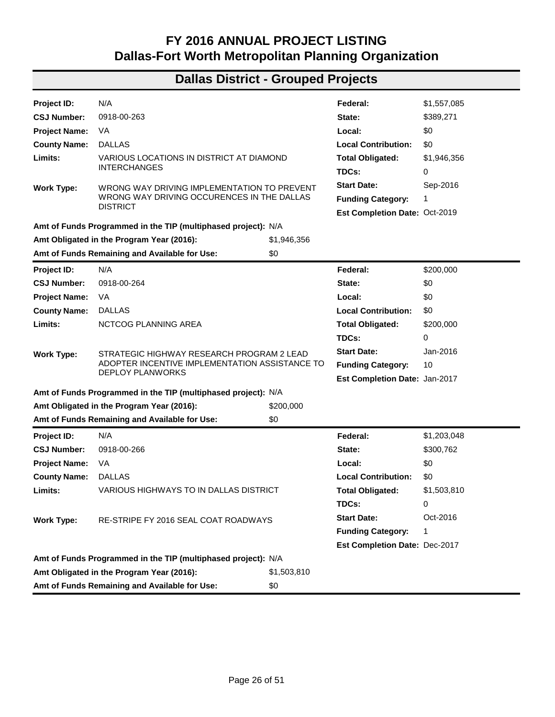| Project ID:          | N/A                                                           |             | Federal:                      | \$1,855,798 |
|----------------------|---------------------------------------------------------------|-------------|-------------------------------|-------------|
| <b>CSJ Number:</b>   | 0815-08-031                                                   |             | State:                        | \$0         |
| <b>Project Name:</b> | <b>FM 875</b>                                                 |             | Local:                        | \$0         |
| <b>County Name:</b>  | <b>ELLIS</b>                                                  |             | <b>Local Contribution:</b>    | \$0         |
| Limits:              | 0.6 MI W OF NORRELL TO 0.3 MI N OF JORDAN                     |             | <b>Total Obligated:</b>       | \$1,855,798 |
|                      |                                                               |             | TDCs:                         | 247,345     |
| <b>Work Type:</b>    | WIDEN SHOULDERS FOR SAFETY, SAFETY TREAT FIXED                |             | <b>Start Date:</b>            | Apr-2016    |
|                      | OBJECTS AND CENTERLINE TEXTURING                              |             | <b>Funding Category:</b>      | 1,8         |
|                      |                                                               |             | Est Completion Date: Sep-2017 |             |
|                      | Amt of Funds Programmed in the TIP (multiphased project): N/A |             |                               |             |
|                      | Amt Obligated in the Program Year (2016):                     | \$1,855,798 |                               |             |
|                      | Amt of Funds Remaining and Available for Use:                 | \$0         |                               |             |
| Project ID:          | N/A                                                           |             | Federal:                      | \$8,819,427 |
| <b>CSJ Number:</b>   | 0815-08-032                                                   |             | State:                        | \$0         |
| <b>Project Name:</b> | FM 875                                                        |             | Local:                        | \$0         |
| <b>County Name:</b>  | <b>ELLIS</b>                                                  |             | <b>Local Contribution:</b>    | \$0         |
| Limits:              | FM 157 TO FM 663                                              |             | <b>Total Obligated:</b>       | \$8,819,427 |
|                      |                                                               |             | TDCs:                         | 1,763,885   |
| <b>Work Type:</b>    | RECONSTRUCT EXISTING PAVEMENT AND ADD                         |             | <b>Start Date:</b>            | Apr-2016    |
|                      | SHOULDERS, AND CENTERLINE TEXTURING                           |             | <b>Funding Category:</b>      | 1           |
|                      |                                                               |             | Est Completion Date: Sep-2017 |             |
|                      | Amt of Funds Programmed in the TIP (multiphased project): N/A |             |                               |             |
|                      | Amt Obligated in the Program Year (2016):                     | \$8,819,427 |                               |             |
|                      | Amt of Funds Remaining and Available for Use:                 | \$0         |                               |             |
| Project ID:          | N/A                                                           |             | Federal:                      | \$1,978,017 |
| <b>CSJ Number:</b>   | 0816-02-076                                                   |             | State:                        | \$0         |
| <b>Project Name:</b> | FM 455                                                        |             | Local:                        | \$0         |
| <b>County Name:</b>  | <b>DENTON</b>                                                 |             | <b>Local Contribution:</b>    | \$0         |
| Limits:              | 0.189 MI W OF DYER TO 0.162 MI W OF INDIAN                    |             | <b>Total Obligated:</b>       | \$1,978,017 |
|                      |                                                               |             | TDCs:                         | 395,603     |
| <b>Work Type:</b>    | CONSTRUCT PAVED SHOULDERS (1-4FT)                             |             | <b>Start Date:</b>            | Jul-2016    |
|                      |                                                               |             | <b>Funding Category:</b>      | 1,8         |
|                      |                                                               |             | Est Completion Date: Jan-2018 |             |
|                      | Amt of Funds Programmed in the TIP (multiphased project): N/A |             |                               |             |
|                      | Amt Obligated in the Program Year (2016):                     | \$1,978,017 |                               |             |
|                      | Amt of Funds Remaining and Available for Use:                 | \$0         |                               |             |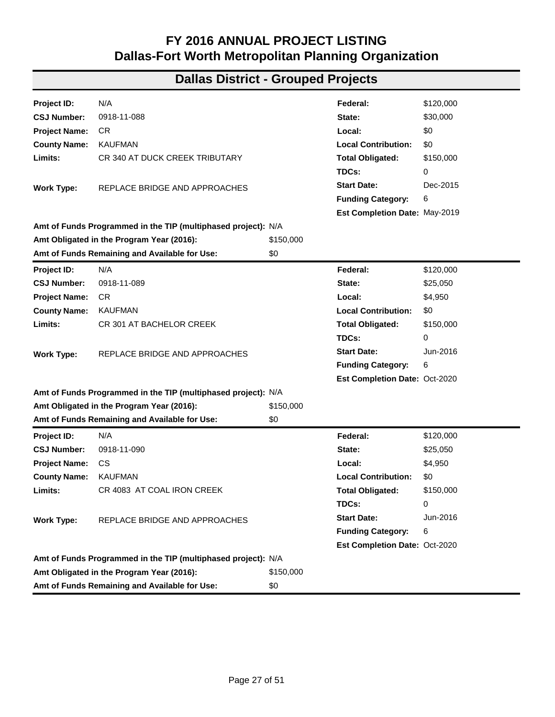| Project ID:          | N/A                                                           |             | Federal:                      | \$167,503   |
|----------------------|---------------------------------------------------------------|-------------|-------------------------------|-------------|
| <b>CSJ Number:</b>   | 0816-02-077                                                   |             | State:                        | \$41,876    |
| <b>Project Name:</b> | FM 455                                                        |             | Local:                        | \$0         |
| <b>County Name:</b>  | <b>DENTON</b>                                                 |             | <b>Local Contribution:</b>    | \$0         |
| Limits:              | FREEMAN RD TO 200 FT W OF CLEAR CREEK BRIDGE                  |             | <b>Total Obligated:</b>       | \$209,379   |
|                      |                                                               |             | TDCs:                         | 0           |
| <b>Work Type:</b>    | RESTORE EXISTING PAVEMENT AND ADD SHOULDERS                   |             | <b>Start Date:</b>            | Jul-2016    |
|                      |                                                               |             | <b>Funding Category:</b>      | 1           |
|                      |                                                               |             | Est Completion Date: Jan-2018 |             |
|                      | Amt of Funds Programmed in the TIP (multiphased project): N/A |             |                               |             |
|                      | Amt Obligated in the Program Year (2016):                     | \$209,379   |                               |             |
|                      | Amt of Funds Remaining and Available for Use:                 | \$0         |                               |             |
| Project ID:          | N/A                                                           |             | Federal:                      | \$192,105   |
| <b>CSJ Number:</b>   | 0816-04-097                                                   |             | State:                        | \$48,026    |
| <b>Project Name:</b> | FM 455                                                        |             | Local:                        | \$0         |
| <b>County Name:</b>  | <b>COLLIN</b>                                                 |             | <b>Local Contribution:</b>    | \$0         |
| Limits:              | DENTON COUNTY LINE TO BUS 289C                                |             | <b>Total Obligated:</b>       | \$240,131   |
|                      |                                                               |             | TDCs:                         | 0           |
| <b>Work Type:</b>    | SEAL COAT, PAVEMENT MARKINGS                                  |             | <b>Start Date:</b>            | Oct-2016    |
|                      |                                                               |             | <b>Funding Category:</b>      | 1           |
|                      |                                                               |             | Est Completion Date: Dec-2017 |             |
|                      | Amt of Funds Programmed in the TIP (multiphased project): N/A |             |                               |             |
|                      | Amt Obligated in the Program Year (2016):                     | \$240,131   |                               |             |
|                      | Amt of Funds Remaining and Available for Use:                 | \$0         |                               |             |
| Project ID:          | N/A                                                           |             | Federal:                      | \$1,381,844 |
| <b>CSJ Number:</b>   | 0918-00-187                                                   |             | State:                        | \$345,461   |
| <b>Project Name:</b> | VA                                                            |             | Local:                        | \$0         |
| <b>County Name:</b>  | <b>DALLAS</b>                                                 |             | <b>Local Contribution:</b>    | \$0         |
| Limits:              | AT VARIOUS LOCATIONS                                          |             | <b>Total Obligated:</b>       | \$1,727,305 |
|                      |                                                               |             | TDCs:                         | 0           |
| <b>Work Type:</b>    | NON-SITE SPECIFIC SIGNAL CONTRACT ON NEW                      |             | <b>Start Date:</b>            | May-2016    |
|                      | <b>LOCATIONS</b>                                              |             | <b>Funding Category:</b>      | 1           |
|                      |                                                               |             | Est Completion Date: Feb-2018 |             |
|                      | Amt of Funds Programmed in the TIP (multiphased project): N/A |             |                               |             |
|                      | Amt Obligated in the Program Year (2016):                     | \$1,727,305 |                               |             |
|                      | Amt of Funds Remaining and Available for Use:                 | \$0         |                               |             |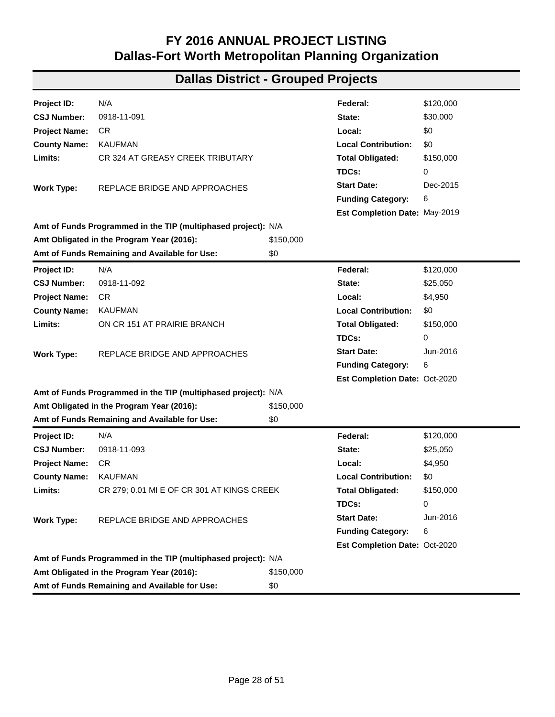| Project ID:                                          | N/A                                                           |             | Federal:                      | \$1,557,085 |
|------------------------------------------------------|---------------------------------------------------------------|-------------|-------------------------------|-------------|
| <b>CSJ Number:</b>                                   | 0918-00-263                                                   |             | State:                        | \$389,271   |
| <b>Project Name:</b>                                 | VA                                                            |             | Local:                        | \$0         |
| <b>County Name:</b>                                  | <b>DALLAS</b>                                                 |             | <b>Local Contribution:</b>    | \$0         |
| Limits:                                              | VARIOUS LOCATIONS IN DISTRICT AT DIAMOND                      |             | <b>Total Obligated:</b>       | \$1,946,356 |
|                                                      | <b>INTERCHANGES</b>                                           |             | TDCs:                         | 0           |
| <b>Work Type:</b>                                    | WRONG WAY DRIVING IMPLEMENTATION TO PREVENT                   |             | <b>Start Date:</b>            | Sep-2016    |
|                                                      | WRONG WAY DRIVING OCCURENCES IN THE DALLAS<br><b>DISTRICT</b> |             | <b>Funding Category:</b>      | 1           |
|                                                      |                                                               |             | Est Completion Date: Oct-2019 |             |
|                                                      | Amt of Funds Programmed in the TIP (multiphased project): N/A |             |                               |             |
|                                                      | Amt Obligated in the Program Year (2016):                     | \$1,946,356 |                               |             |
|                                                      | Amt of Funds Remaining and Available for Use:                 | \$0         |                               |             |
| Project ID:                                          | N/A                                                           |             | Federal:                      | \$200,000   |
| <b>CSJ Number:</b>                                   | 0918-00-264                                                   |             | State:                        | \$0         |
| <b>Project Name:</b>                                 | VA.                                                           |             | Local:                        | \$0         |
| <b>County Name:</b>                                  | <b>DALLAS</b>                                                 |             | <b>Local Contribution:</b>    | \$0         |
| Limits:                                              | NCTCOG PLANNING AREA                                          |             | <b>Total Obligated:</b>       | \$200,000   |
|                                                      |                                                               |             | TDCs:                         | 0           |
| <b>Work Type:</b>                                    | STRATEGIC HIGHWAY RESEARCH PROGRAM 2 LEAD                     |             | <b>Start Date:</b>            | Jan-2016    |
|                                                      | ADOPTER INCENTIVE IMPLEMENTATION ASSISTANCE TO                |             | <b>Funding Category:</b>      | 10          |
|                                                      | <b>DEPLOY PLANWORKS</b>                                       |             | Est Completion Date: Jan-2017 |             |
|                                                      | Amt of Funds Programmed in the TIP (multiphased project): N/A |             |                               |             |
|                                                      | Amt Obligated in the Program Year (2016):                     | \$200,000   |                               |             |
|                                                      | Amt of Funds Remaining and Available for Use:                 | \$0         |                               |             |
| Project ID:                                          | N/A                                                           |             | Federal:                      | \$1,203,048 |
| <b>CSJ Number:</b>                                   | 0918-00-266                                                   |             | State:                        | \$300,762   |
| <b>Project Name:</b>                                 | VA                                                            |             | Local:                        | \$0         |
| <b>County Name:</b>                                  | <b>DALLAS</b>                                                 |             | <b>Local Contribution:</b>    | \$0         |
| Limits:                                              | VARIOUS HIGHWAYS TO IN DALLAS DISTRICT                        |             | <b>Total Obligated:</b>       | \$1,503,810 |
|                                                      |                                                               |             | TDCs:                         | 0           |
| <b>Work Type:</b>                                    | RE-STRIPE FY 2016 SEAL COAT ROADWAYS                          |             | <b>Start Date:</b>            | Oct-2016    |
|                                                      |                                                               |             | <b>Funding Category:</b>      | 1           |
|                                                      |                                                               |             | Est Completion Date: Dec-2017 |             |
|                                                      | Amt of Funds Programmed in the TIP (multiphased project): N/A |             |                               |             |
|                                                      | Amt Obligated in the Program Year (2016):                     | \$1,503,810 |                               |             |
| Amt of Funds Remaining and Available for Use:<br>\$0 |                                                               |             |                               |             |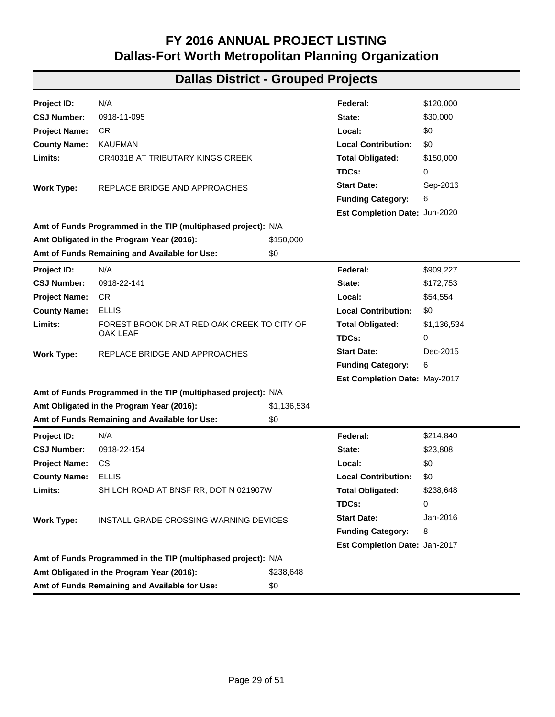| Project ID:          | N/A                                                           |           | Federal:                      | \$120,000 |
|----------------------|---------------------------------------------------------------|-----------|-------------------------------|-----------|
| <b>CSJ Number:</b>   | 0918-11-088                                                   |           | State:                        | \$30,000  |
| <b>Project Name:</b> | CR                                                            |           | Local:                        | \$0       |
| <b>County Name:</b>  | <b>KAUFMAN</b>                                                |           | <b>Local Contribution:</b>    | \$0       |
| Limits:              | CR 340 AT DUCK CREEK TRIBUTARY                                |           | <b>Total Obligated:</b>       | \$150,000 |
|                      |                                                               |           | TDCs:                         | 0         |
| Work Type:           | REPLACE BRIDGE AND APPROACHES                                 |           | <b>Start Date:</b>            | Dec-2015  |
|                      |                                                               |           | <b>Funding Category:</b>      | 6         |
|                      |                                                               |           | Est Completion Date: May-2019 |           |
|                      | Amt of Funds Programmed in the TIP (multiphased project): N/A |           |                               |           |
|                      | Amt Obligated in the Program Year (2016):                     | \$150,000 |                               |           |
|                      | Amt of Funds Remaining and Available for Use:                 | \$0       |                               |           |
| Project ID:          | N/A                                                           |           | Federal:                      | \$120,000 |
| <b>CSJ Number:</b>   | 0918-11-089                                                   |           | State:                        | \$25,050  |
| <b>Project Name:</b> | CR.                                                           |           | Local:                        | \$4,950   |
| <b>County Name:</b>  | <b>KAUFMAN</b>                                                |           | <b>Local Contribution:</b>    | \$0       |
| Limits:              | CR 301 AT BACHELOR CREEK                                      |           | <b>Total Obligated:</b>       | \$150,000 |
|                      |                                                               |           | TDCs:                         | 0         |
| <b>Work Type:</b>    | REPLACE BRIDGE AND APPROACHES                                 |           | <b>Start Date:</b>            | Jun-2016  |
|                      |                                                               |           | <b>Funding Category:</b>      | 6         |
|                      |                                                               |           | Est Completion Date: Oct-2020 |           |
|                      | Amt of Funds Programmed in the TIP (multiphased project): N/A |           |                               |           |
|                      | Amt Obligated in the Program Year (2016):                     | \$150,000 |                               |           |
|                      | Amt of Funds Remaining and Available for Use:                 | \$0       |                               |           |
| Project ID:          | N/A                                                           |           | Federal:                      | \$120,000 |
| <b>CSJ Number:</b>   | 0918-11-090                                                   |           | State:                        | \$25,050  |
| <b>Project Name:</b> | CS                                                            |           | Local:                        | \$4,950   |
| <b>County Name:</b>  | <b>KAUFMAN</b>                                                |           | <b>Local Contribution:</b>    | \$0       |
| Limits:              | CR 4083 AT COAL IRON CREEK                                    |           | <b>Total Obligated:</b>       | \$150,000 |
|                      |                                                               |           | TDCs:                         | 0         |
| Work Type:           | REPLACE BRIDGE AND APPROACHES                                 |           | <b>Start Date:</b>            | Jun-2016  |
|                      |                                                               |           | <b>Funding Category:</b>      | 6         |
|                      |                                                               |           | Est Completion Date: Oct-2020 |           |
|                      | Amt of Funds Programmed in the TIP (multiphased project): N/A |           |                               |           |
|                      | Amt Obligated in the Program Year (2016):                     | \$150,000 |                               |           |
|                      | Amt of Funds Remaining and Available for Use:                 | \$0       |                               |           |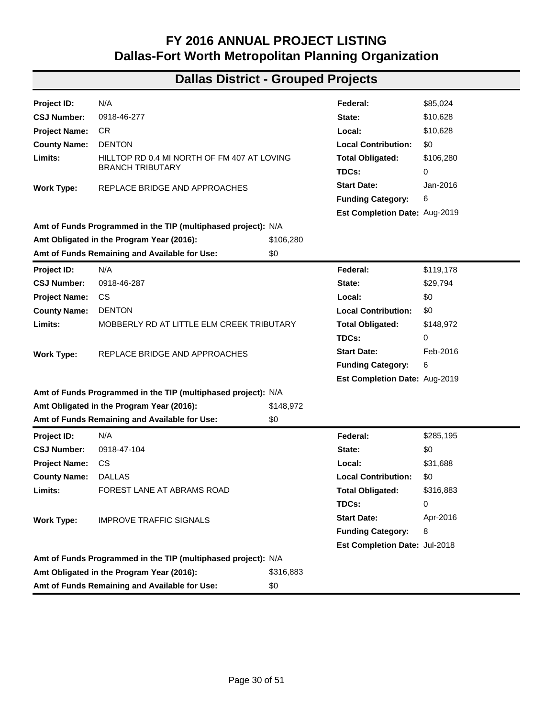| Project ID:          | N/A                                                           |           | Federal:                             | \$120,000 |
|----------------------|---------------------------------------------------------------|-----------|--------------------------------------|-----------|
| <b>CSJ Number:</b>   | 0918-11-091                                                   |           | State:                               | \$30,000  |
| <b>Project Name:</b> | CR                                                            |           | Local:                               | \$0       |
| <b>County Name:</b>  | <b>KAUFMAN</b>                                                |           | <b>Local Contribution:</b>           | \$0       |
| Limits:              | CR 324 AT GREASY CREEK TRIBUTARY                              |           | <b>Total Obligated:</b>              | \$150,000 |
|                      |                                                               |           | TDCs:                                | 0         |
|                      | REPLACE BRIDGE AND APPROACHES                                 |           | <b>Start Date:</b>                   | Dec-2015  |
| <b>Work Type:</b>    |                                                               |           | <b>Funding Category:</b>             | 6         |
|                      |                                                               |           | Est Completion Date: May-2019        |           |
|                      | Amt of Funds Programmed in the TIP (multiphased project): N/A |           |                                      |           |
|                      | Amt Obligated in the Program Year (2016):                     | \$150,000 |                                      |           |
|                      | Amt of Funds Remaining and Available for Use:                 | \$0       |                                      |           |
| Project ID:          | N/A                                                           |           | Federal:                             | \$120,000 |
| <b>CSJ Number:</b>   | 0918-11-092                                                   |           | State:                               | \$25,050  |
| <b>Project Name:</b> | CR.                                                           |           | Local:                               | \$4,950   |
| <b>County Name:</b>  | <b>KAUFMAN</b>                                                |           | <b>Local Contribution:</b>           | \$0       |
| Limits:              | ON CR 151 AT PRAIRIE BRANCH                                   |           | <b>Total Obligated:</b>              | \$150,000 |
|                      |                                                               |           | TDCs:                                | 0         |
| <b>Work Type:</b>    | REPLACE BRIDGE AND APPROACHES                                 |           | <b>Start Date:</b>                   | Jun-2016  |
|                      |                                                               |           | <b>Funding Category:</b>             | 6         |
|                      |                                                               |           | Est Completion Date: Oct-2020        |           |
|                      | Amt of Funds Programmed in the TIP (multiphased project): N/A |           |                                      |           |
|                      | Amt Obligated in the Program Year (2016):                     | \$150,000 |                                      |           |
|                      | Amt of Funds Remaining and Available for Use:                 | \$0       |                                      |           |
| Project ID:          | N/A                                                           |           | Federal:                             | \$120,000 |
| <b>CSJ Number:</b>   | 0918-11-093                                                   |           | State:                               | \$25,050  |
| <b>Project Name:</b> | CR                                                            |           | Local:                               | \$4,950   |
| <b>County Name:</b>  | <b>KAUFMAN</b>                                                |           | <b>Local Contribution:</b>           | \$0       |
| Limits:              | CR 279; 0.01 MI E OF CR 301 AT KINGS CREEK                    |           | <b>Total Obligated:</b>              | \$150,000 |
|                      |                                                               |           | TDCs:                                | 0         |
| <b>Work Type:</b>    | REPLACE BRIDGE AND APPROACHES                                 |           | <b>Start Date:</b>                   | Jun-2016  |
|                      |                                                               |           | <b>Funding Category:</b>             | 6         |
|                      |                                                               |           | <b>Est Completion Date: Oct-2020</b> |           |
|                      | Amt of Funds Programmed in the TIP (multiphased project): N/A |           |                                      |           |
|                      | Amt Obligated in the Program Year (2016):                     | \$150,000 |                                      |           |
|                      | Amt of Funds Remaining and Available for Use:                 | \$0       |                                      |           |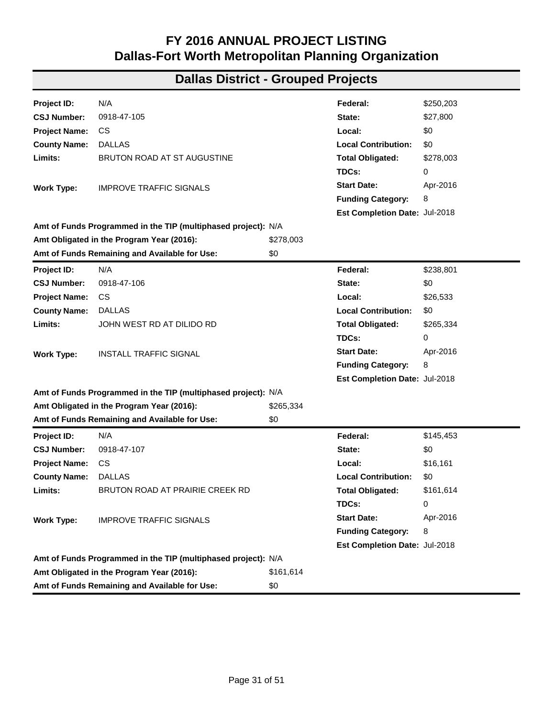| Project ID:          | N/A                                                           |             | Federal:                      | \$120,000   |
|----------------------|---------------------------------------------------------------|-------------|-------------------------------|-------------|
| <b>CSJ Number:</b>   | 0918-11-095                                                   |             | State:                        | \$30,000    |
| <b>Project Name:</b> | CR.                                                           |             | Local:                        | \$0         |
| <b>County Name:</b>  | <b>KAUFMAN</b>                                                |             | <b>Local Contribution:</b>    | \$0         |
| Limits:              | <b>CR4031B AT TRIBUTARY KINGS CREEK</b>                       |             | <b>Total Obligated:</b>       | \$150,000   |
|                      |                                                               |             | TDCs:                         | 0           |
| Work Type:           | REPLACE BRIDGE AND APPROACHES                                 |             | <b>Start Date:</b>            | Sep-2016    |
|                      |                                                               |             | <b>Funding Category:</b>      | 6           |
|                      |                                                               |             | Est Completion Date: Jun-2020 |             |
|                      | Amt of Funds Programmed in the TIP (multiphased project): N/A |             |                               |             |
|                      | Amt Obligated in the Program Year (2016):                     | \$150,000   |                               |             |
|                      | Amt of Funds Remaining and Available for Use:                 | \$0         |                               |             |
| Project ID:          | N/A                                                           |             | Federal:                      | \$909,227   |
| <b>CSJ Number:</b>   | 0918-22-141                                                   |             | State:                        | \$172,753   |
| <b>Project Name:</b> | CR.                                                           |             | Local:                        | \$54,554    |
| <b>County Name:</b>  | <b>ELLIS</b>                                                  |             | <b>Local Contribution:</b>    | \$0         |
| Limits:              | FOREST BROOK DR AT RED OAK CREEK TO CITY OF                   |             | <b>Total Obligated:</b>       | \$1,136,534 |
|                      | <b>OAK LEAF</b>                                               |             | TDCs:                         | 0           |
| <b>Work Type:</b>    | REPLACE BRIDGE AND APPROACHES                                 |             | <b>Start Date:</b>            | Dec-2015    |
|                      |                                                               |             | <b>Funding Category:</b>      | 6           |
|                      |                                                               |             | Est Completion Date: May-2017 |             |
|                      | Amt of Funds Programmed in the TIP (multiphased project): N/A |             |                               |             |
|                      | Amt Obligated in the Program Year (2016):                     | \$1,136,534 |                               |             |
|                      | Amt of Funds Remaining and Available for Use:                 | \$0         |                               |             |
| Project ID:          | N/A                                                           |             | Federal:                      | \$214,840   |
| <b>CSJ Number:</b>   | 0918-22-154                                                   |             | State:                        | \$23,808    |
| <b>Project Name:</b> | <b>CS</b>                                                     |             | Local:                        | \$0         |
| <b>County Name:</b>  | ELLIS                                                         |             | <b>Local Contribution:</b>    | \$0         |
| Limits:              | SHILOH ROAD AT BNSF RR; DOT N 021907W                         |             | <b>Total Obligated:</b>       | \$238,648   |
|                      |                                                               |             | TDCs:                         | 0           |
| Work Type:           | INSTALL GRADE CROSSING WARNING DEVICES                        |             | <b>Start Date:</b>            | Jan-2016    |
|                      |                                                               |             | <b>Funding Category:</b>      | 8           |
|                      |                                                               |             | Est Completion Date: Jan-2017 |             |
|                      | Amt of Funds Programmed in the TIP (multiphased project): N/A |             |                               |             |
|                      | Amt Obligated in the Program Year (2016):                     | \$238,648   |                               |             |
|                      | Amt of Funds Remaining and Available for Use:                 | \$0         |                               |             |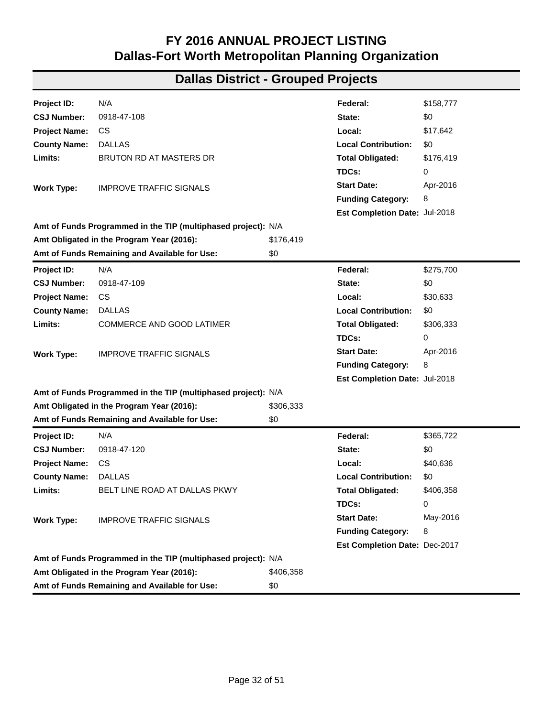| Project ID:          | N/A                                                                    |           | Federal:                      | \$85,024  |  |  |
|----------------------|------------------------------------------------------------------------|-----------|-------------------------------|-----------|--|--|
| <b>CSJ Number:</b>   | 0918-46-277                                                            |           | State:                        | \$10,628  |  |  |
| <b>Project Name:</b> | CR                                                                     |           | Local:                        | \$10,628  |  |  |
| <b>County Name:</b>  | <b>DENTON</b>                                                          |           | <b>Local Contribution:</b>    | \$0       |  |  |
| Limits:              | HILLTOP RD 0.4 MI NORTH OF FM 407 AT LOVING<br><b>BRANCH TRIBUTARY</b> |           | <b>Total Obligated:</b>       | \$106,280 |  |  |
|                      |                                                                        |           | TDCs:                         | 0         |  |  |
| <b>Work Type:</b>    | REPLACE BRIDGE AND APPROACHES                                          |           | <b>Start Date:</b>            | Jan-2016  |  |  |
|                      |                                                                        |           | <b>Funding Category:</b>      | 6         |  |  |
|                      |                                                                        |           | Est Completion Date: Aug-2019 |           |  |  |
|                      | Amt of Funds Programmed in the TIP (multiphased project): N/A          |           |                               |           |  |  |
|                      | Amt Obligated in the Program Year (2016):                              | \$106,280 |                               |           |  |  |
|                      | Amt of Funds Remaining and Available for Use:                          | \$0       |                               |           |  |  |
| Project ID:          | N/A                                                                    |           | Federal:                      | \$119,178 |  |  |
| <b>CSJ Number:</b>   | 0918-46-287                                                            |           | State:                        | \$29,794  |  |  |
| <b>Project Name:</b> | CS                                                                     |           | Local:                        | \$0       |  |  |
| <b>County Name:</b>  | <b>DENTON</b>                                                          |           | <b>Local Contribution:</b>    | \$0       |  |  |
| Limits:              | MOBBERLY RD AT LITTLE ELM CREEK TRIBUTARY                              |           | <b>Total Obligated:</b>       | \$148,972 |  |  |
|                      |                                                                        |           | TDCs:                         | 0         |  |  |
| <b>Work Type:</b>    | REPLACE BRIDGE AND APPROACHES                                          |           | <b>Start Date:</b>            | Feb-2016  |  |  |
|                      |                                                                        |           | <b>Funding Category:</b>      | 6         |  |  |
|                      |                                                                        |           | Est Completion Date: Aug-2019 |           |  |  |
|                      | Amt of Funds Programmed in the TIP (multiphased project): N/A          |           |                               |           |  |  |
|                      | Amt Obligated in the Program Year (2016):                              | \$148,972 |                               |           |  |  |
|                      | Amt of Funds Remaining and Available for Use:                          | \$0       |                               |           |  |  |
| Project ID:          | N/A                                                                    |           | Federal:                      | \$285,195 |  |  |
| <b>CSJ Number:</b>   | 0918-47-104                                                            |           | State:                        | \$0       |  |  |
| <b>Project Name:</b> | CS                                                                     |           | Local:                        | \$31,688  |  |  |
| <b>County Name:</b>  | <b>DALLAS</b>                                                          |           | <b>Local Contribution:</b>    | \$0       |  |  |
| Limits:              | FOREST LANE AT ABRAMS ROAD                                             |           | <b>Total Obligated:</b>       | \$316,883 |  |  |
|                      |                                                                        |           | TDCs:                         | 0         |  |  |
| <b>Work Type:</b>    | <b>IMPROVE TRAFFIC SIGNALS</b>                                         |           | <b>Start Date:</b>            | Apr-2016  |  |  |
|                      |                                                                        |           | <b>Funding Category:</b>      | 8         |  |  |
|                      |                                                                        |           | Est Completion Date: Jul-2018 |           |  |  |
|                      | Amt of Funds Programmed in the TIP (multiphased project): N/A          |           |                               |           |  |  |
|                      | Amt Obligated in the Program Year (2016):                              | \$316,883 |                               |           |  |  |
|                      | Amt of Funds Remaining and Available for Use:                          | \$0       |                               |           |  |  |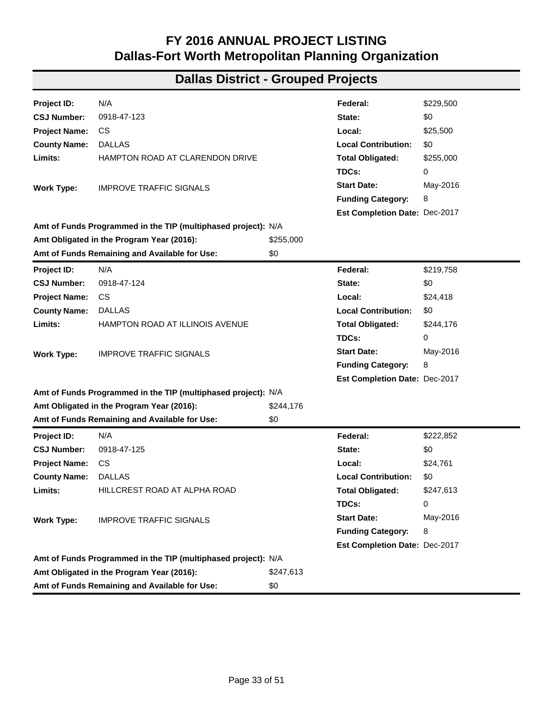| Project ID:          | N/A                                                           |           | Federal:                      | \$250,203 |
|----------------------|---------------------------------------------------------------|-----------|-------------------------------|-----------|
| <b>CSJ Number:</b>   | 0918-47-105                                                   |           | State:                        | \$27,800  |
| <b>Project Name:</b> | CS.                                                           |           | Local:                        | \$0       |
| <b>County Name:</b>  | <b>DALLAS</b>                                                 |           | <b>Local Contribution:</b>    | \$0       |
| Limits:              | BRUTON ROAD AT ST AUGUSTINE                                   |           | <b>Total Obligated:</b>       | \$278,003 |
|                      |                                                               |           | TDCs:                         | 0         |
| <b>Work Type:</b>    | <b>IMPROVE TRAFFIC SIGNALS</b>                                |           | <b>Start Date:</b>            | Apr-2016  |
|                      |                                                               |           | <b>Funding Category:</b>      | 8         |
|                      |                                                               |           | Est Completion Date: Jul-2018 |           |
|                      | Amt of Funds Programmed in the TIP (multiphased project): N/A |           |                               |           |
|                      | Amt Obligated in the Program Year (2016):                     | \$278,003 |                               |           |
|                      | Amt of Funds Remaining and Available for Use:                 | \$0       |                               |           |
| Project ID:          | N/A                                                           |           | Federal:                      | \$238,801 |
| <b>CSJ Number:</b>   | 0918-47-106                                                   |           | State:                        | \$0       |
| <b>Project Name:</b> | CS.                                                           |           | Local:                        | \$26,533  |
| <b>County Name:</b>  | <b>DALLAS</b>                                                 |           | <b>Local Contribution:</b>    | \$0       |
| Limits:              | JOHN WEST RD AT DILIDO RD                                     |           | <b>Total Obligated:</b>       | \$265,334 |
|                      |                                                               |           | TDCs:                         | 0         |
| <b>Work Type:</b>    | <b>INSTALL TRAFFIC SIGNAL</b>                                 |           | <b>Start Date:</b>            | Apr-2016  |
|                      |                                                               |           | <b>Funding Category:</b>      | 8         |
|                      |                                                               |           | Est Completion Date: Jul-2018 |           |
|                      | Amt of Funds Programmed in the TIP (multiphased project): N/A |           |                               |           |
|                      | Amt Obligated in the Program Year (2016):                     | \$265,334 |                               |           |
|                      | Amt of Funds Remaining and Available for Use:                 | \$0       |                               |           |
| Project ID:          | N/A                                                           |           | Federal:                      | \$145,453 |
| <b>CSJ Number:</b>   | 0918-47-107                                                   |           | State:                        | \$0       |
| <b>Project Name:</b> | CS.                                                           |           | Local:                        | \$16,161  |
| <b>County Name:</b>  | <b>DALLAS</b>                                                 |           | <b>Local Contribution:</b>    | \$0       |
| Limits:              | BRUTON ROAD AT PRAIRIE CREEK RD                               |           | <b>Total Obligated:</b>       | \$161,614 |
|                      |                                                               |           | TDCs:                         | 0         |
| Work Type:           | <b>IMPROVE TRAFFIC SIGNALS</b>                                |           | <b>Start Date:</b>            | Apr-2016  |
|                      |                                                               |           | <b>Funding Category:</b>      | 8         |
|                      |                                                               |           | Est Completion Date: Jul-2018 |           |
|                      | Amt of Funds Programmed in the TIP (multiphased project): N/A |           |                               |           |
|                      | Amt Obligated in the Program Year (2016):                     | \$161,614 |                               |           |
|                      | Amt of Funds Remaining and Available for Use:                 | \$0       |                               |           |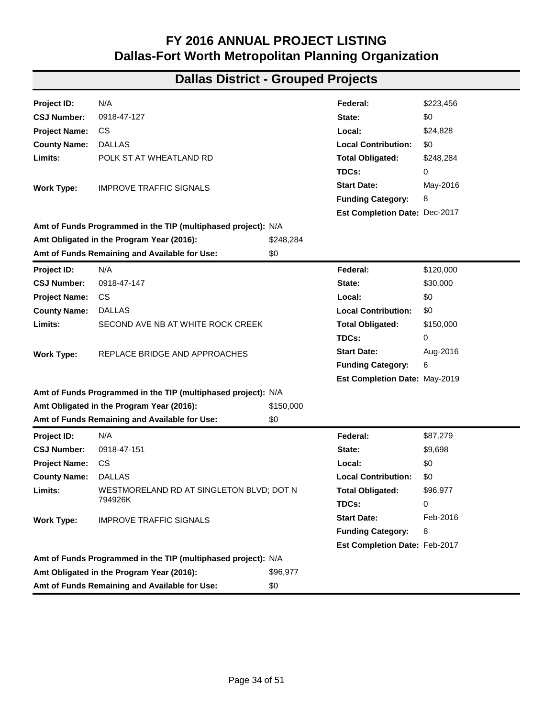| Project ID:          | N/A                                                           |           | Federal:                      | \$158,777 |
|----------------------|---------------------------------------------------------------|-----------|-------------------------------|-----------|
| <b>CSJ Number:</b>   | 0918-47-108                                                   |           | State:                        | \$0       |
| <b>Project Name:</b> | CS.                                                           |           | Local:                        | \$17,642  |
| <b>County Name:</b>  | <b>DALLAS</b>                                                 |           | <b>Local Contribution:</b>    | \$0       |
| Limits:              | <b>BRUTON RD AT MASTERS DR</b>                                |           | <b>Total Obligated:</b>       | \$176,419 |
|                      |                                                               |           | TDCs:                         | 0         |
| <b>Work Type:</b>    | <b>IMPROVE TRAFFIC SIGNALS</b>                                |           | <b>Start Date:</b>            | Apr-2016  |
|                      |                                                               |           | <b>Funding Category:</b>      | 8         |
|                      |                                                               |           | Est Completion Date: Jul-2018 |           |
|                      | Amt of Funds Programmed in the TIP (multiphased project): N/A |           |                               |           |
|                      | Amt Obligated in the Program Year (2016):                     | \$176,419 |                               |           |
|                      | Amt of Funds Remaining and Available for Use:                 | \$0       |                               |           |
| Project ID:          | N/A                                                           |           | Federal:                      | \$275,700 |
| <b>CSJ Number:</b>   | 0918-47-109                                                   |           | State:                        | \$0       |
| <b>Project Name:</b> | CS.                                                           |           | Local:                        | \$30,633  |
| <b>County Name:</b>  | <b>DALLAS</b>                                                 |           | <b>Local Contribution:</b>    | \$0       |
| Limits:              | <b>COMMERCE AND GOOD LATIMER</b>                              |           | <b>Total Obligated:</b>       | \$306,333 |
|                      |                                                               |           | TDCs:                         | 0         |
| <b>Work Type:</b>    | <b>IMPROVE TRAFFIC SIGNALS</b>                                |           | <b>Start Date:</b>            | Apr-2016  |
|                      |                                                               |           | <b>Funding Category:</b>      | 8         |
|                      |                                                               |           | Est Completion Date: Jul-2018 |           |
|                      | Amt of Funds Programmed in the TIP (multiphased project): N/A |           |                               |           |
|                      | Amt Obligated in the Program Year (2016):                     | \$306,333 |                               |           |
|                      | Amt of Funds Remaining and Available for Use:                 | \$0       |                               |           |
| Project ID:          | N/A                                                           |           | Federal:                      | \$365,722 |
| <b>CSJ Number:</b>   | 0918-47-120                                                   |           | State:                        | \$0       |
| <b>Project Name:</b> | CS                                                            |           | Local:                        | \$40,636  |
| <b>County Name:</b>  | <b>DALLAS</b>                                                 |           | <b>Local Contribution:</b>    | \$0       |
| Limits:              | BELT LINE ROAD AT DALLAS PKWY                                 |           | <b>Total Obligated:</b>       | \$406,358 |
|                      |                                                               |           | TDCs:                         | 0         |
| <b>Work Type:</b>    | <b>IMPROVE TRAFFIC SIGNALS</b>                                |           | <b>Start Date:</b>            | May-2016  |
|                      |                                                               |           | <b>Funding Category:</b>      | 8         |
|                      |                                                               |           | Est Completion Date: Dec-2017 |           |
|                      | Amt of Funds Programmed in the TIP (multiphased project): N/A |           |                               |           |
|                      | Amt Obligated in the Program Year (2016):                     | \$406,358 |                               |           |
|                      | Amt of Funds Remaining and Available for Use:                 | \$0       |                               |           |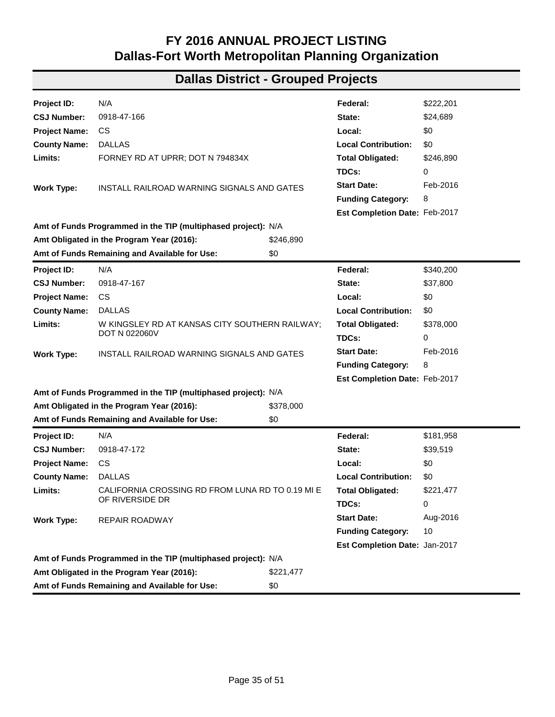| Project ID:                                   | N/A                                                           |           | Federal:                      | \$229,500 |
|-----------------------------------------------|---------------------------------------------------------------|-----------|-------------------------------|-----------|
| <b>CSJ Number:</b>                            | 0918-47-123                                                   |           | State:                        | \$0       |
| <b>Project Name:</b>                          | CS.                                                           |           | Local:                        | \$25,500  |
| <b>County Name:</b>                           | <b>DALLAS</b>                                                 |           | <b>Local Contribution:</b>    | \$0       |
| Limits:                                       | HAMPTON ROAD AT CLARENDON DRIVE                               |           | <b>Total Obligated:</b>       | \$255,000 |
|                                               |                                                               |           | TDCs:                         | 0         |
| <b>Work Type:</b>                             | <b>IMPROVE TRAFFIC SIGNALS</b>                                |           | <b>Start Date:</b>            | May-2016  |
|                                               |                                                               |           | <b>Funding Category:</b>      | 8         |
|                                               |                                                               |           | Est Completion Date: Dec-2017 |           |
|                                               | Amt of Funds Programmed in the TIP (multiphased project): N/A |           |                               |           |
|                                               | Amt Obligated in the Program Year (2016):                     | \$255,000 |                               |           |
|                                               | Amt of Funds Remaining and Available for Use:                 | \$0       |                               |           |
| Project ID:                                   | N/A                                                           |           | Federal:                      | \$219,758 |
| <b>CSJ Number:</b>                            | 0918-47-124                                                   |           | State:                        | \$0       |
| <b>Project Name:</b>                          | CS.                                                           |           | Local:                        | \$24,418  |
| <b>County Name:</b>                           | <b>DALLAS</b>                                                 |           | <b>Local Contribution:</b>    | \$0       |
| Limits:                                       | HAMPTON ROAD AT ILLINOIS AVENUE                               |           | <b>Total Obligated:</b>       | \$244,176 |
|                                               |                                                               |           | TDCs:                         | 0         |
| <b>Work Type:</b>                             | <b>IMPROVE TRAFFIC SIGNALS</b>                                |           | <b>Start Date:</b>            | May-2016  |
|                                               |                                                               |           | <b>Funding Category:</b>      | 8         |
|                                               |                                                               |           | Est Completion Date: Dec-2017 |           |
|                                               | Amt of Funds Programmed in the TIP (multiphased project): N/A |           |                               |           |
|                                               | Amt Obligated in the Program Year (2016):                     | \$244,176 |                               |           |
|                                               | Amt of Funds Remaining and Available for Use:                 | \$0       |                               |           |
| Project ID:                                   | N/A                                                           |           | Federal:                      | \$222,852 |
| <b>CSJ Number:</b>                            | 0918-47-125                                                   |           | State:                        | \$0       |
| <b>Project Name:</b>                          | CS.                                                           |           | Local:                        | \$24,761  |
| <b>County Name:</b>                           | <b>DALLAS</b>                                                 |           | <b>Local Contribution:</b>    | \$0       |
| Limits:                                       | HILLCREST ROAD AT ALPHA ROAD                                  |           | <b>Total Obligated:</b>       | \$247,613 |
|                                               |                                                               |           | TDCs:                         | 0         |
| <b>Work Type:</b>                             | <b>IMPROVE TRAFFIC SIGNALS</b>                                |           | <b>Start Date:</b>            | May-2016  |
|                                               |                                                               |           | <b>Funding Category:</b>      | 8         |
|                                               |                                                               |           | Est Completion Date: Dec-2017 |           |
|                                               | Amt of Funds Programmed in the TIP (multiphased project): N/A |           |                               |           |
|                                               | Amt Obligated in the Program Year (2016):                     | \$247,613 |                               |           |
| Amt of Funds Remaining and Available for Use: |                                                               |           |                               |           |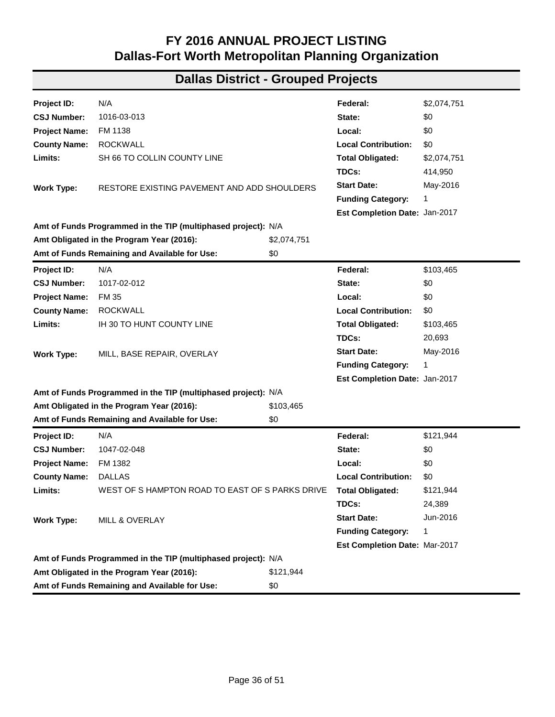| Project ID:          | N/A                                                           |           | Federal:                      | \$223,456 |  |  |  |
|----------------------|---------------------------------------------------------------|-----------|-------------------------------|-----------|--|--|--|
| <b>CSJ Number:</b>   | 0918-47-127                                                   |           | State:                        | \$0       |  |  |  |
| <b>Project Name:</b> | <b>CS</b>                                                     |           | Local:                        | \$24,828  |  |  |  |
| <b>County Name:</b>  | <b>DALLAS</b>                                                 |           | <b>Local Contribution:</b>    | \$0       |  |  |  |
| Limits:              | POLK ST AT WHEATLAND RD                                       |           | <b>Total Obligated:</b>       | \$248,284 |  |  |  |
|                      |                                                               |           | TDCs:                         | 0         |  |  |  |
| <b>Work Type:</b>    | <b>IMPROVE TRAFFIC SIGNALS</b>                                |           | <b>Start Date:</b>            | May-2016  |  |  |  |
|                      |                                                               |           | <b>Funding Category:</b>      | 8         |  |  |  |
|                      |                                                               |           | Est Completion Date: Dec-2017 |           |  |  |  |
|                      | Amt of Funds Programmed in the TIP (multiphased project): N/A |           |                               |           |  |  |  |
|                      | Amt Obligated in the Program Year (2016):                     | \$248,284 |                               |           |  |  |  |
|                      | Amt of Funds Remaining and Available for Use:                 | \$0       |                               |           |  |  |  |
| Project ID:          | N/A                                                           |           | Federal:                      | \$120,000 |  |  |  |
| <b>CSJ Number:</b>   | 0918-47-147                                                   |           | State:                        | \$30,000  |  |  |  |
| <b>Project Name:</b> | <b>CS</b>                                                     |           | Local:                        | \$0       |  |  |  |
| <b>County Name:</b>  | <b>DALLAS</b>                                                 |           | <b>Local Contribution:</b>    | \$0       |  |  |  |
| Limits:              | SECOND AVE NB AT WHITE ROCK CREEK                             |           | <b>Total Obligated:</b>       | \$150,000 |  |  |  |
|                      |                                                               |           | TDCs:                         | 0         |  |  |  |
| <b>Work Type:</b>    | REPLACE BRIDGE AND APPROACHES                                 |           | <b>Start Date:</b>            | Aug-2016  |  |  |  |
|                      |                                                               |           | <b>Funding Category:</b>      | 6         |  |  |  |
|                      |                                                               |           | Est Completion Date: May-2019 |           |  |  |  |
|                      | Amt of Funds Programmed in the TIP (multiphased project): N/A |           |                               |           |  |  |  |
|                      | Amt Obligated in the Program Year (2016):                     | \$150,000 |                               |           |  |  |  |
|                      | Amt of Funds Remaining and Available for Use:                 | \$0       |                               |           |  |  |  |
| <b>Project ID:</b>   | N/A                                                           |           | Federal:                      | \$87,279  |  |  |  |
| <b>CSJ Number:</b>   | 0918-47-151                                                   |           | State:                        | \$9,698   |  |  |  |
| <b>Project Name:</b> | <b>CS</b>                                                     |           | Local:                        | \$0       |  |  |  |
| <b>County Name:</b>  | <b>DALLAS</b>                                                 |           | <b>Local Contribution:</b>    | \$0       |  |  |  |
| Limits:              | WESTMORELAND RD AT SINGLETON BLVD; DOT N                      |           | <b>Total Obligated:</b>       | \$96,977  |  |  |  |
|                      | 794926K                                                       |           | TDCs:                         | 0         |  |  |  |
| <b>Work Type:</b>    | <b>IMPROVE TRAFFIC SIGNALS</b>                                |           | <b>Start Date:</b>            | Feb-2016  |  |  |  |
|                      |                                                               |           | <b>Funding Category:</b>      | 8         |  |  |  |
|                      |                                                               |           | Est Completion Date: Feb-2017 |           |  |  |  |
|                      | Amt of Funds Programmed in the TIP (multiphased project): N/A |           |                               |           |  |  |  |
|                      | Amt Obligated in the Program Year (2016):                     | \$96,977  |                               |           |  |  |  |
|                      | Amt of Funds Remaining and Available for Use:                 | \$0       |                               |           |  |  |  |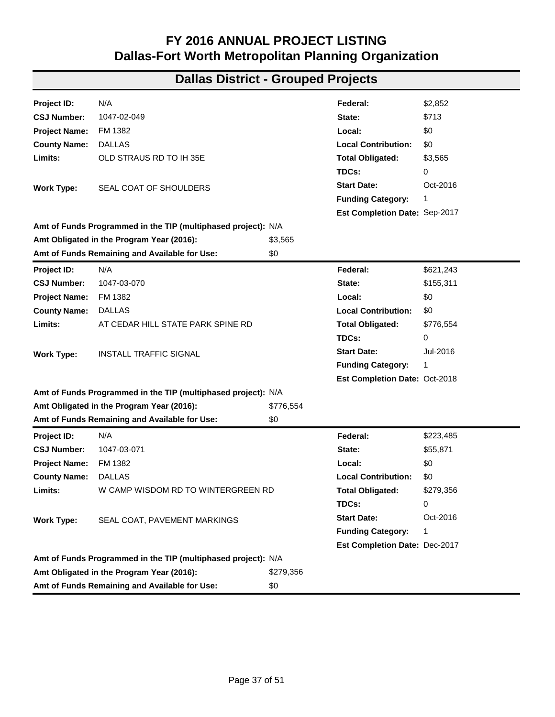| Project ID:                                          | N/A                                                           |           | Federal:                      | \$222,201 |
|------------------------------------------------------|---------------------------------------------------------------|-----------|-------------------------------|-----------|
| <b>CSJ Number:</b>                                   | 0918-47-166                                                   |           | State:                        | \$24,689  |
| <b>Project Name:</b>                                 | CS.                                                           |           | Local:                        | \$0       |
| <b>County Name:</b>                                  | <b>DALLAS</b>                                                 |           | <b>Local Contribution:</b>    | \$0       |
| Limits:                                              | FORNEY RD AT UPRR; DOT N 794834X                              |           | <b>Total Obligated:</b>       | \$246,890 |
|                                                      |                                                               |           | TDCs:                         | 0         |
| <b>Work Type:</b>                                    | INSTALL RAILROAD WARNING SIGNALS AND GATES                    |           | <b>Start Date:</b>            | Feb-2016  |
|                                                      |                                                               |           | <b>Funding Category:</b>      | 8         |
|                                                      |                                                               |           | Est Completion Date: Feb-2017 |           |
|                                                      | Amt of Funds Programmed in the TIP (multiphased project): N/A |           |                               |           |
|                                                      | Amt Obligated in the Program Year (2016):                     | \$246,890 |                               |           |
|                                                      | Amt of Funds Remaining and Available for Use:                 | \$0       |                               |           |
| Project ID:                                          | N/A                                                           |           | Federal:                      | \$340,200 |
| <b>CSJ Number:</b>                                   | 0918-47-167                                                   |           | State:                        | \$37,800  |
| <b>Project Name:</b>                                 | CS.                                                           |           | Local:                        | \$0       |
| <b>County Name:</b>                                  | <b>DALLAS</b>                                                 |           | <b>Local Contribution:</b>    | \$0       |
| Limits:                                              | W KINGSLEY RD AT KANSAS CITY SOUTHERN RAILWAY;                |           | <b>Total Obligated:</b>       | \$378,000 |
|                                                      | DOT N 022060V                                                 |           | TDCs:                         | 0         |
| <b>Work Type:</b>                                    | INSTALL RAILROAD WARNING SIGNALS AND GATES                    |           | <b>Start Date:</b>            | Feb-2016  |
|                                                      |                                                               |           | <b>Funding Category:</b>      | 8         |
|                                                      |                                                               |           | Est Completion Date: Feb-2017 |           |
|                                                      | Amt of Funds Programmed in the TIP (multiphased project): N/A |           |                               |           |
|                                                      | Amt Obligated in the Program Year (2016):                     | \$378,000 |                               |           |
|                                                      | Amt of Funds Remaining and Available for Use:                 | \$0       |                               |           |
| Project ID:                                          | N/A                                                           |           | Federal:                      | \$181,958 |
| <b>CSJ Number:</b>                                   | 0918-47-172                                                   |           | State:                        | \$39,519  |
| <b>Project Name:</b>                                 | CS                                                            |           | Local:                        | \$0       |
| <b>County Name:</b>                                  | <b>DALLAS</b>                                                 |           | <b>Local Contribution:</b>    | \$0       |
| Limits:                                              | CALIFORNIA CROSSING RD FROM LUNA RD TO 0.19 MI E              |           | <b>Total Obligated:</b>       | \$221,477 |
|                                                      | OF RIVERSIDE DR                                               |           | TDCs:                         | 0         |
| <b>Work Type:</b>                                    | REPAIR ROADWAY                                                |           | <b>Start Date:</b>            | Aug-2016  |
|                                                      |                                                               |           | <b>Funding Category:</b>      | 10        |
|                                                      |                                                               |           | Est Completion Date: Jan-2017 |           |
|                                                      | Amt of Funds Programmed in the TIP (multiphased project): N/A |           |                               |           |
|                                                      | Amt Obligated in the Program Year (2016):                     | \$221,477 |                               |           |
| Amt of Funds Remaining and Available for Use:<br>\$0 |                                                               |           |                               |           |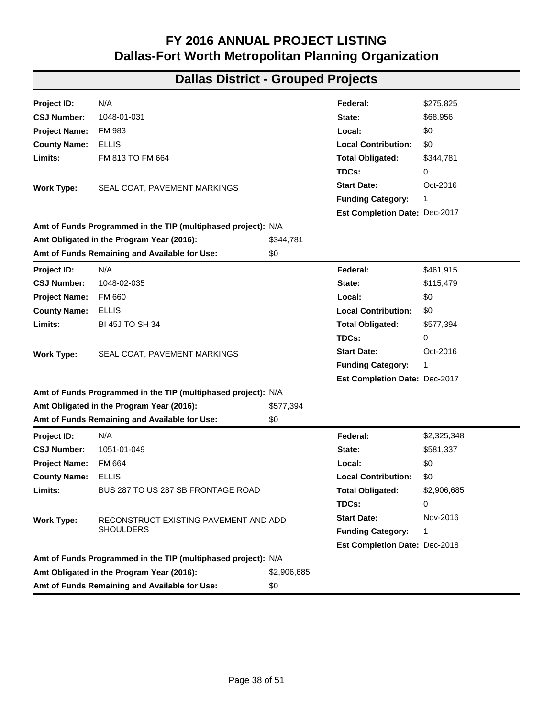| Project ID:          | N/A                                                           |             | Federal:                      | \$2,074,751 |
|----------------------|---------------------------------------------------------------|-------------|-------------------------------|-------------|
| <b>CSJ Number:</b>   | 1016-03-013                                                   |             | State:                        | \$0         |
| <b>Project Name:</b> | FM 1138                                                       |             | Local:                        | \$0         |
| <b>County Name:</b>  | <b>ROCKWALL</b>                                               |             | <b>Local Contribution:</b>    | \$0         |
| Limits:              | SH 66 TO COLLIN COUNTY LINE                                   |             | <b>Total Obligated:</b>       | \$2,074,751 |
|                      |                                                               |             | TDCs:                         | 414,950     |
| <b>Work Type:</b>    | RESTORE EXISTING PAVEMENT AND ADD SHOULDERS                   |             | <b>Start Date:</b>            | May-2016    |
|                      |                                                               |             | <b>Funding Category:</b>      | 1           |
|                      |                                                               |             | Est Completion Date: Jan-2017 |             |
|                      | Amt of Funds Programmed in the TIP (multiphased project): N/A |             |                               |             |
|                      | Amt Obligated in the Program Year (2016):                     | \$2,074,751 |                               |             |
|                      | Amt of Funds Remaining and Available for Use:                 | \$0         |                               |             |
| Project ID:          | N/A                                                           |             | Federal:                      | \$103,465   |
| <b>CSJ Number:</b>   | 1017-02-012                                                   |             | State:                        | \$0         |
| <b>Project Name:</b> | <b>FM 35</b>                                                  |             | Local:                        | \$0         |
| <b>County Name:</b>  | <b>ROCKWALL</b>                                               |             | <b>Local Contribution:</b>    | \$0         |
| Limits:              | IH 30 TO HUNT COUNTY LINE                                     |             | <b>Total Obligated:</b>       | \$103,465   |
|                      |                                                               |             | TDCs:                         | 20,693      |
| <b>Work Type:</b>    | MILL, BASE REPAIR, OVERLAY                                    |             | <b>Start Date:</b>            | May-2016    |
|                      |                                                               |             | <b>Funding Category:</b>      | 1           |
|                      |                                                               |             | Est Completion Date: Jan-2017 |             |
|                      | Amt of Funds Programmed in the TIP (multiphased project): N/A |             |                               |             |
|                      | Amt Obligated in the Program Year (2016):                     | \$103,465   |                               |             |
|                      | Amt of Funds Remaining and Available for Use:                 | \$0         |                               |             |
| Project ID:          | N/A                                                           |             | Federal:                      | \$121,944   |
| <b>CSJ Number:</b>   | 1047-02-048                                                   |             | State:                        | \$0         |
| <b>Project Name:</b> | FM 1382                                                       |             | Local:                        | \$0         |
| <b>County Name:</b>  | <b>DALLAS</b>                                                 |             | <b>Local Contribution:</b>    | \$0         |
| Limits:              | WEST OF S HAMPTON ROAD TO EAST OF S PARKS DRIVE               |             | <b>Total Obligated:</b>       | \$121,944   |
|                      |                                                               |             | TDCs:                         | 24,389      |
| <b>Work Type:</b>    | <b>MILL &amp; OVERLAY</b>                                     |             | <b>Start Date:</b>            | Jun-2016    |
|                      |                                                               |             | <b>Funding Category:</b>      | 1           |
|                      |                                                               |             | Est Completion Date: Mar-2017 |             |
|                      | Amt of Funds Programmed in the TIP (multiphased project): N/A |             |                               |             |
|                      | Amt Obligated in the Program Year (2016):                     | \$121,944   |                               |             |
|                      | Amt of Funds Remaining and Available for Use:                 | \$0         |                               |             |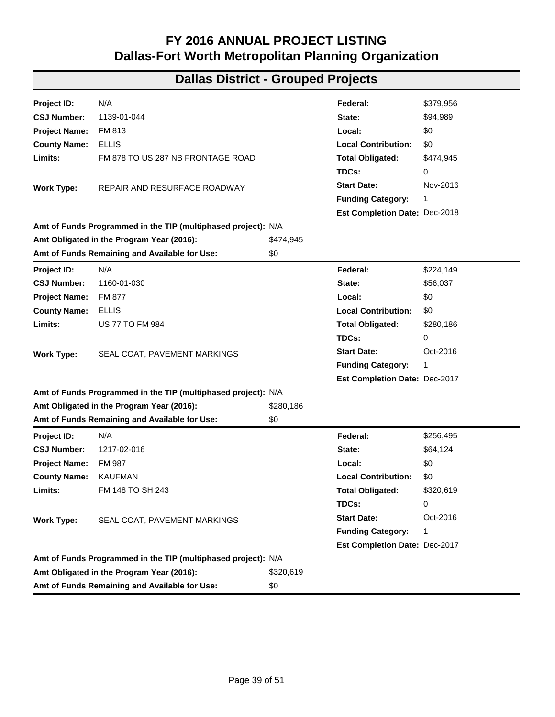| Project ID:          | N/A                                                           |           | Federal:                      | \$2,852   |
|----------------------|---------------------------------------------------------------|-----------|-------------------------------|-----------|
| <b>CSJ Number:</b>   | 1047-02-049                                                   |           | State:                        | \$713     |
| <b>Project Name:</b> | FM 1382                                                       |           | Local:                        | \$0       |
| <b>County Name:</b>  | <b>DALLAS</b>                                                 |           | <b>Local Contribution:</b>    | \$0       |
| Limits:              | OLD STRAUS RD TO IH 35E                                       |           | <b>Total Obligated:</b>       | \$3,565   |
|                      |                                                               |           | TDCs:                         | 0         |
| <b>Work Type:</b>    | SEAL COAT OF SHOULDERS                                        |           | <b>Start Date:</b>            | Oct-2016  |
|                      |                                                               |           | <b>Funding Category:</b>      | 1         |
|                      |                                                               |           | Est Completion Date: Sep-2017 |           |
|                      | Amt of Funds Programmed in the TIP (multiphased project): N/A |           |                               |           |
|                      | Amt Obligated in the Program Year (2016):                     | \$3,565   |                               |           |
|                      | Amt of Funds Remaining and Available for Use:                 | \$0       |                               |           |
| Project ID:          | N/A                                                           |           | Federal:                      | \$621,243 |
| <b>CSJ Number:</b>   | 1047-03-070                                                   |           | State:                        | \$155,311 |
| <b>Project Name:</b> | FM 1382                                                       |           | Local:                        | \$0       |
| <b>County Name:</b>  | <b>DALLAS</b>                                                 |           | <b>Local Contribution:</b>    | \$0       |
| Limits:              | AT CEDAR HILL STATE PARK SPINE RD                             |           | <b>Total Obligated:</b>       | \$776,554 |
|                      |                                                               |           | TDCs:                         | 0         |
| <b>Work Type:</b>    | <b>INSTALL TRAFFIC SIGNAL</b>                                 |           | <b>Start Date:</b>            | Jul-2016  |
|                      |                                                               |           | <b>Funding Category:</b>      | 1         |
|                      |                                                               |           | Est Completion Date: Oct-2018 |           |
|                      | Amt of Funds Programmed in the TIP (multiphased project): N/A |           |                               |           |
|                      | Amt Obligated in the Program Year (2016):                     | \$776,554 |                               |           |
|                      | Amt of Funds Remaining and Available for Use:                 | \$0       |                               |           |
| Project ID:          | N/A                                                           |           | Federal:                      | \$223,485 |
| <b>CSJ Number:</b>   | 1047-03-071                                                   |           | State:                        | \$55,871  |
| <b>Project Name:</b> | FM 1382                                                       |           | Local:                        | \$0       |
| <b>County Name:</b>  | <b>DALLAS</b>                                                 |           | <b>Local Contribution:</b>    | \$0       |
| Limits:              | W CAMP WISDOM RD TO WINTERGREEN RD                            |           | <b>Total Obligated:</b>       | \$279,356 |
|                      |                                                               |           | TDCs:                         | 0         |
| <b>Work Type:</b>    | SEAL COAT, PAVEMENT MARKINGS                                  |           | <b>Start Date:</b>            | Oct-2016  |
|                      |                                                               |           | <b>Funding Category:</b>      | 1         |
|                      |                                                               |           | Est Completion Date: Dec-2017 |           |
|                      | Amt of Funds Programmed in the TIP (multiphased project): N/A |           |                               |           |
|                      | Amt Obligated in the Program Year (2016):                     | \$279,356 |                               |           |
|                      | Amt of Funds Remaining and Available for Use:                 | \$0       |                               |           |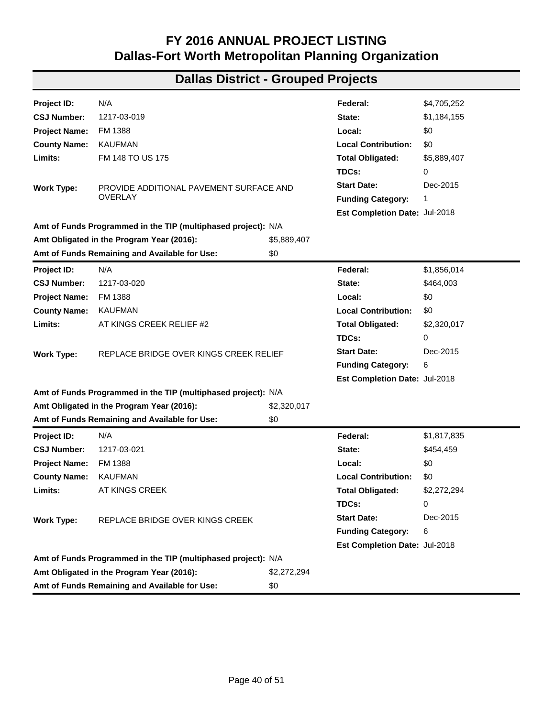| Project ID:          | N/A                                                           |             | Federal:                      | \$275,825   |  |  |
|----------------------|---------------------------------------------------------------|-------------|-------------------------------|-------------|--|--|
| <b>CSJ Number:</b>   | 1048-01-031                                                   |             | State:                        | \$68,956    |  |  |
| <b>Project Name:</b> | FM 983                                                        |             | Local:                        | \$0         |  |  |
| <b>County Name:</b>  | <b>ELLIS</b>                                                  |             | <b>Local Contribution:</b>    | \$0         |  |  |
| Limits:              | FM 813 TO FM 664                                              |             | <b>Total Obligated:</b>       | \$344,781   |  |  |
|                      |                                                               |             | TDCs:                         | 0           |  |  |
| <b>Work Type:</b>    | SEAL COAT, PAVEMENT MARKINGS                                  |             | <b>Start Date:</b>            | Oct-2016    |  |  |
|                      |                                                               |             | <b>Funding Category:</b>      | 1           |  |  |
|                      |                                                               |             | Est Completion Date: Dec-2017 |             |  |  |
|                      | Amt of Funds Programmed in the TIP (multiphased project): N/A |             |                               |             |  |  |
|                      | Amt Obligated in the Program Year (2016):                     | \$344,781   |                               |             |  |  |
|                      | Amt of Funds Remaining and Available for Use:                 | \$0         |                               |             |  |  |
| Project ID:          | N/A                                                           |             | Federal:                      | \$461,915   |  |  |
| <b>CSJ Number:</b>   | 1048-02-035                                                   |             | State:                        | \$115,479   |  |  |
| <b>Project Name:</b> | FM 660                                                        |             | Local:                        | \$0         |  |  |
| <b>County Name:</b>  | <b>ELLIS</b>                                                  |             | <b>Local Contribution:</b>    | \$0         |  |  |
| Limits:              | <b>BI 45J TO SH 34</b>                                        |             | <b>Total Obligated:</b>       | \$577,394   |  |  |
|                      |                                                               |             | TDCs:                         | 0           |  |  |
| <b>Work Type:</b>    | SEAL COAT, PAVEMENT MARKINGS                                  |             | <b>Start Date:</b>            | Oct-2016    |  |  |
|                      |                                                               |             | <b>Funding Category:</b>      | 1           |  |  |
|                      |                                                               |             | Est Completion Date: Dec-2017 |             |  |  |
|                      | Amt of Funds Programmed in the TIP (multiphased project): N/A |             |                               |             |  |  |
|                      | Amt Obligated in the Program Year (2016):                     | \$577,394   |                               |             |  |  |
|                      | Amt of Funds Remaining and Available for Use:                 | \$0         |                               |             |  |  |
| Project ID:          | N/A                                                           |             | Federal:                      | \$2,325,348 |  |  |
| <b>CSJ Number:</b>   | 1051-01-049                                                   |             | State:                        | \$581,337   |  |  |
| <b>Project Name:</b> | FM 664                                                        |             | Local:                        | \$0         |  |  |
| <b>County Name:</b>  | ELLIS                                                         |             | <b>Local Contribution:</b>    | \$0         |  |  |
| Limits:              | BUS 287 TO US 287 SB FRONTAGE ROAD                            |             | <b>Total Obligated:</b>       | \$2,906,685 |  |  |
|                      |                                                               |             | TDCs:                         | 0           |  |  |
| <b>Work Type:</b>    | RECONSTRUCT EXISTING PAVEMENT AND ADD                         |             | <b>Start Date:</b>            | Nov-2016    |  |  |
|                      | <b>SHOULDERS</b>                                              |             | <b>Funding Category:</b>      | 1           |  |  |
|                      |                                                               |             | Est Completion Date: Dec-2018 |             |  |  |
|                      | Amt of Funds Programmed in the TIP (multiphased project): N/A |             |                               |             |  |  |
|                      | Amt Obligated in the Program Year (2016):                     | \$2,906,685 |                               |             |  |  |
|                      | Amt of Funds Remaining and Available for Use:                 | \$0         |                               |             |  |  |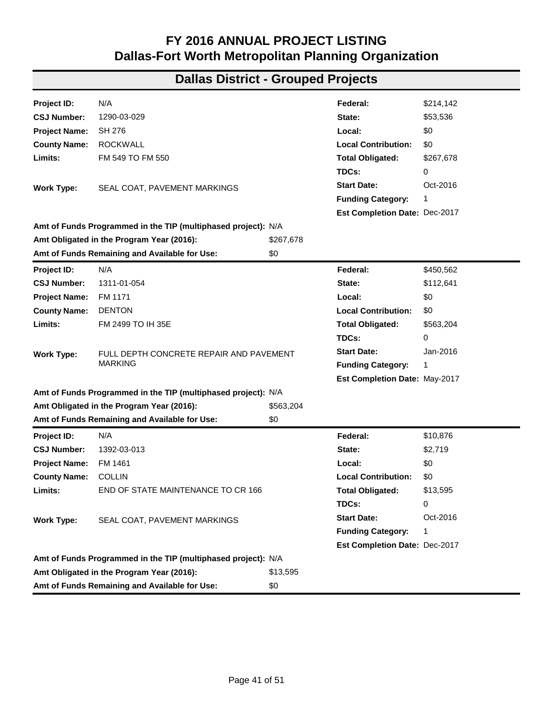| Project ID:          | N/A                                                           |           | Federal:                             | \$379,956 |  |  |
|----------------------|---------------------------------------------------------------|-----------|--------------------------------------|-----------|--|--|
| <b>CSJ Number:</b>   | 1139-01-044                                                   |           | State:                               | \$94,989  |  |  |
| <b>Project Name:</b> | FM 813                                                        |           | Local:                               | \$0       |  |  |
| <b>County Name:</b>  | <b>ELLIS</b>                                                  |           | <b>Local Contribution:</b>           | \$0       |  |  |
| Limits:              | FM 878 TO US 287 NB FRONTAGE ROAD                             |           | <b>Total Obligated:</b>              | \$474,945 |  |  |
|                      |                                                               |           | TDCs:                                | 0         |  |  |
| <b>Work Type:</b>    | REPAIR AND RESURFACE ROADWAY                                  |           | <b>Start Date:</b>                   | Nov-2016  |  |  |
|                      |                                                               |           | <b>Funding Category:</b>             | 1         |  |  |
|                      |                                                               |           | Est Completion Date: Dec-2018        |           |  |  |
|                      | Amt of Funds Programmed in the TIP (multiphased project): N/A |           |                                      |           |  |  |
|                      | Amt Obligated in the Program Year (2016):                     | \$474,945 |                                      |           |  |  |
|                      | Amt of Funds Remaining and Available for Use:                 | \$0       |                                      |           |  |  |
| Project ID:          | N/A                                                           |           | Federal:                             | \$224,149 |  |  |
| <b>CSJ Number:</b>   | 1160-01-030                                                   |           | State:                               | \$56,037  |  |  |
| <b>Project Name:</b> | FM 877                                                        |           | Local:                               | \$0       |  |  |
| <b>County Name:</b>  | <b>ELLIS</b>                                                  |           | <b>Local Contribution:</b>           | \$0       |  |  |
| Limits:              | <b>US 77 TO FM 984</b>                                        |           | <b>Total Obligated:</b>              | \$280,186 |  |  |
|                      |                                                               |           | TDCs:                                | 0         |  |  |
| <b>Work Type:</b>    | SEAL COAT, PAVEMENT MARKINGS                                  |           | <b>Start Date:</b>                   | Oct-2016  |  |  |
|                      |                                                               |           | <b>Funding Category:</b>             | 1         |  |  |
|                      |                                                               |           | Est Completion Date: Dec-2017        |           |  |  |
|                      | Amt of Funds Programmed in the TIP (multiphased project): N/A |           |                                      |           |  |  |
|                      | Amt Obligated in the Program Year (2016):                     | \$280,186 |                                      |           |  |  |
|                      | Amt of Funds Remaining and Available for Use:                 | \$0       |                                      |           |  |  |
| Project ID:          | N/A                                                           |           | Federal:                             | \$256,495 |  |  |
| <b>CSJ Number:</b>   | 1217-02-016                                                   |           | State:                               | \$64,124  |  |  |
| <b>Project Name:</b> | <b>FM 987</b>                                                 |           | Local:                               | \$0       |  |  |
| <b>County Name:</b>  | <b>KAUFMAN</b>                                                |           | <b>Local Contribution:</b>           | \$0       |  |  |
| Limits:              | FM 148 TO SH 243                                              |           | <b>Total Obligated:</b>              | \$320,619 |  |  |
|                      |                                                               |           | TDCs:                                | 0         |  |  |
| <b>Work Type:</b>    | SEAL COAT, PAVEMENT MARKINGS                                  |           | <b>Start Date:</b>                   | Oct-2016  |  |  |
|                      |                                                               |           | <b>Funding Category:</b>             | 1         |  |  |
|                      |                                                               |           | <b>Est Completion Date: Dec-2017</b> |           |  |  |
|                      | Amt of Funds Programmed in the TIP (multiphased project): N/A |           |                                      |           |  |  |
|                      | Amt Obligated in the Program Year (2016):                     | \$320,619 |                                      |           |  |  |
|                      | Amt of Funds Remaining and Available for Use:                 | \$0       |                                      |           |  |  |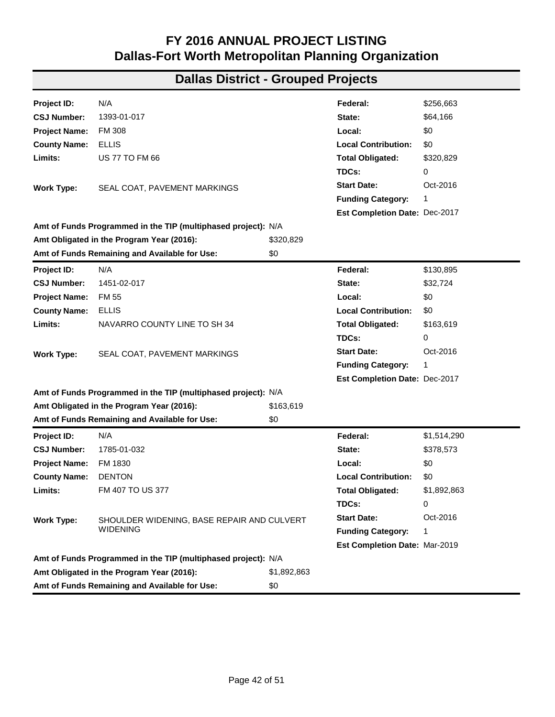| Project ID:          | N/A                                                           |             | Federal:                      | \$4,705,252 |  |  |
|----------------------|---------------------------------------------------------------|-------------|-------------------------------|-------------|--|--|
| <b>CSJ Number:</b>   | 1217-03-019                                                   |             | State:                        | \$1,184,155 |  |  |
| <b>Project Name:</b> | FM 1388                                                       |             | Local:                        | \$0         |  |  |
| <b>County Name:</b>  | <b>KAUFMAN</b>                                                |             | <b>Local Contribution:</b>    | \$0         |  |  |
| Limits:              | FM 148 TO US 175                                              |             | <b>Total Obligated:</b>       | \$5,889,407 |  |  |
|                      |                                                               |             | TDCs:                         | 0           |  |  |
| <b>Work Type:</b>    | PROVIDE ADDITIONAL PAVEMENT SURFACE AND                       |             | <b>Start Date:</b>            | Dec-2015    |  |  |
|                      | <b>OVERLAY</b>                                                |             | <b>Funding Category:</b>      | 1           |  |  |
|                      |                                                               |             | Est Completion Date: Jul-2018 |             |  |  |
|                      | Amt of Funds Programmed in the TIP (multiphased project): N/A |             |                               |             |  |  |
|                      | Amt Obligated in the Program Year (2016):                     | \$5,889,407 |                               |             |  |  |
|                      | Amt of Funds Remaining and Available for Use:                 | \$0         |                               |             |  |  |
| Project ID:          | N/A                                                           |             | Federal:                      | \$1,856,014 |  |  |
| <b>CSJ Number:</b>   | 1217-03-020                                                   |             | State:                        | \$464,003   |  |  |
| <b>Project Name:</b> | FM 1388                                                       |             | Local:                        | \$0         |  |  |
| <b>County Name:</b>  | <b>KAUFMAN</b>                                                |             | <b>Local Contribution:</b>    | \$0         |  |  |
| Limits:              | AT KINGS CREEK RELIEF #2                                      |             | <b>Total Obligated:</b>       | \$2,320,017 |  |  |
|                      |                                                               |             | TDCs:                         | 0           |  |  |
| <b>Work Type:</b>    | REPLACE BRIDGE OVER KINGS CREEK RELIEF                        |             | <b>Start Date:</b>            | Dec-2015    |  |  |
|                      |                                                               |             | <b>Funding Category:</b>      | 6           |  |  |
|                      |                                                               |             | Est Completion Date: Jul-2018 |             |  |  |
|                      | Amt of Funds Programmed in the TIP (multiphased project): N/A |             |                               |             |  |  |
|                      | Amt Obligated in the Program Year (2016):                     | \$2,320,017 |                               |             |  |  |
|                      | Amt of Funds Remaining and Available for Use:                 | \$0         |                               |             |  |  |
| Project ID:          | N/A                                                           |             | Federal:                      | \$1,817,835 |  |  |
| <b>CSJ Number:</b>   | 1217-03-021                                                   |             | State:                        | \$454,459   |  |  |
| <b>Project Name:</b> | FM 1388                                                       |             | Local:                        | \$0         |  |  |
| <b>County Name:</b>  | <b>KAUFMAN</b>                                                |             | <b>Local Contribution:</b>    | \$0         |  |  |
| Limits:              | AT KINGS CREEK                                                |             | <b>Total Obligated:</b>       | \$2,272,294 |  |  |
|                      |                                                               |             | TDCs:                         | 0           |  |  |
| <b>Work Type:</b>    | REPLACE BRIDGE OVER KINGS CREEK                               |             | <b>Start Date:</b>            | Dec-2015    |  |  |
|                      |                                                               |             | <b>Funding Category:</b>      | 6           |  |  |
|                      |                                                               |             | Est Completion Date: Jul-2018 |             |  |  |
|                      | Amt of Funds Programmed in the TIP (multiphased project): N/A |             |                               |             |  |  |
|                      | Amt Obligated in the Program Year (2016):                     | \$2,272,294 |                               |             |  |  |
|                      | Amt of Funds Remaining and Available for Use:                 | \$0         |                               |             |  |  |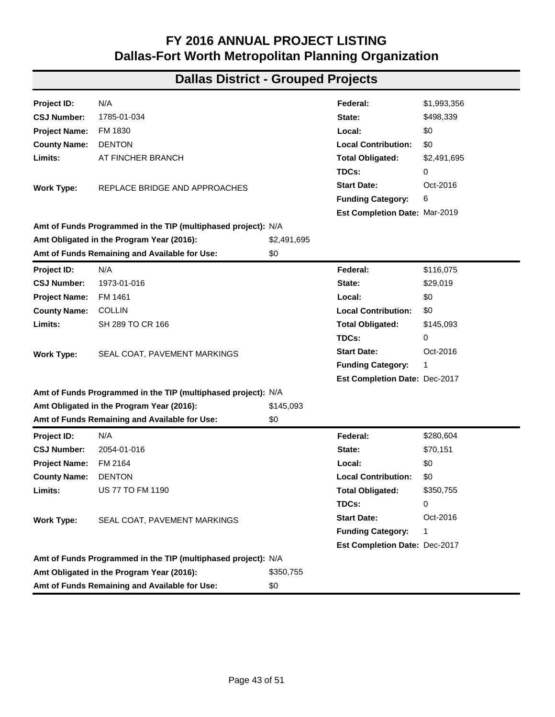| Project ID:          | N/A                                                           |           | Federal:                      | \$214,142 |
|----------------------|---------------------------------------------------------------|-----------|-------------------------------|-----------|
| <b>CSJ Number:</b>   | 1290-03-029                                                   |           | State:                        | \$53,536  |
| <b>Project Name:</b> | SH 276                                                        |           | Local:                        | \$0       |
| <b>County Name:</b>  | <b>ROCKWALL</b>                                               |           | <b>Local Contribution:</b>    | \$0       |
| Limits:              | FM 549 TO FM 550                                              |           | <b>Total Obligated:</b>       | \$267,678 |
|                      |                                                               |           | TDCs:                         | 0         |
| <b>Work Type:</b>    | SEAL COAT, PAVEMENT MARKINGS                                  |           | <b>Start Date:</b>            | Oct-2016  |
|                      |                                                               |           | <b>Funding Category:</b>      | 1         |
|                      |                                                               |           | Est Completion Date: Dec-2017 |           |
|                      | Amt of Funds Programmed in the TIP (multiphased project): N/A |           |                               |           |
|                      | Amt Obligated in the Program Year (2016):                     | \$267,678 |                               |           |
|                      | Amt of Funds Remaining and Available for Use:                 | \$0       |                               |           |
| Project ID:          | N/A                                                           |           | Federal:                      | \$450,562 |
| <b>CSJ Number:</b>   | 1311-01-054                                                   |           | State:                        | \$112,641 |
| <b>Project Name:</b> | FM 1171                                                       |           | Local:                        | \$0       |
| <b>County Name:</b>  | <b>DENTON</b>                                                 |           | <b>Local Contribution:</b>    | \$0       |
| Limits:              | FM 2499 TO IH 35E                                             |           | <b>Total Obligated:</b>       | \$563,204 |
|                      |                                                               |           | TDCs:                         | 0         |
| <b>Work Type:</b>    | FULL DEPTH CONCRETE REPAIR AND PAVEMENT                       |           | <b>Start Date:</b>            | Jan-2016  |
|                      | <b>MARKING</b>                                                |           | <b>Funding Category:</b>      | 1         |
|                      |                                                               |           | Est Completion Date: May-2017 |           |
|                      | Amt of Funds Programmed in the TIP (multiphased project): N/A |           |                               |           |
|                      | Amt Obligated in the Program Year (2016):                     | \$563,204 |                               |           |
|                      | Amt of Funds Remaining and Available for Use:                 | \$0       |                               |           |
| Project ID:          | N/A                                                           |           | Federal:                      | \$10,876  |
| <b>CSJ Number:</b>   | 1392-03-013                                                   |           | State:                        | \$2,719   |
| <b>Project Name:</b> | FM 1461                                                       |           | Local:                        | \$0       |
| <b>County Name:</b>  | <b>COLLIN</b>                                                 |           | <b>Local Contribution:</b>    | \$0       |
| Limits:              | END OF STATE MAINTENANCE TO CR 166                            |           | <b>Total Obligated:</b>       | \$13,595  |
|                      |                                                               |           | TDCs:                         | 0         |
| <b>Work Type:</b>    | SEAL COAT, PAVEMENT MARKINGS                                  |           | <b>Start Date:</b>            | Oct-2016  |
|                      |                                                               |           | <b>Funding Category:</b>      | 1         |
|                      |                                                               |           | Est Completion Date: Dec-2017 |           |
|                      | Amt of Funds Programmed in the TIP (multiphased project): N/A |           |                               |           |
|                      | Amt Obligated in the Program Year (2016):                     | \$13,595  |                               |           |
|                      | Amt of Funds Remaining and Available for Use:                 | \$0       |                               |           |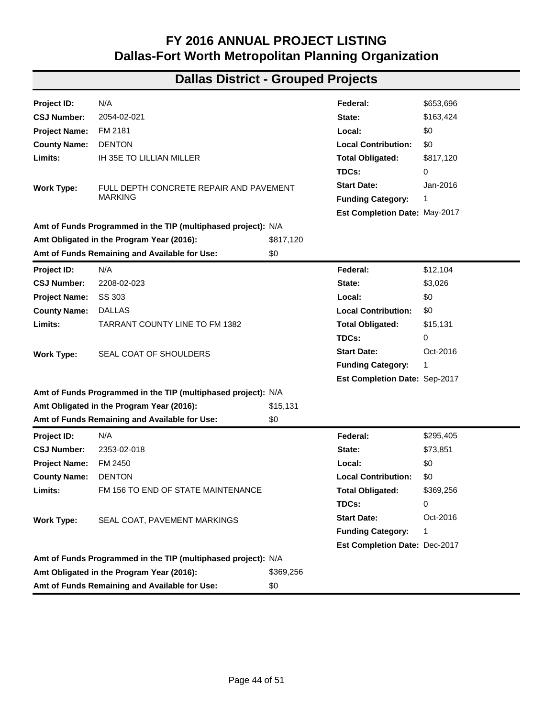| Project ID:          | N/A                                                           |             | Federal:                      | \$256,663   |
|----------------------|---------------------------------------------------------------|-------------|-------------------------------|-------------|
| <b>CSJ Number:</b>   | 1393-01-017                                                   |             | State:                        | \$64,166    |
| <b>Project Name:</b> | <b>FM 308</b>                                                 |             | Local:                        | \$0         |
| <b>County Name:</b>  | ELLIS                                                         |             | <b>Local Contribution:</b>    | \$0         |
| Limits:              | <b>US 77 TO FM 66</b>                                         |             | <b>Total Obligated:</b>       | \$320,829   |
|                      |                                                               |             | TDCs:                         | 0           |
| <b>Work Type:</b>    | SEAL COAT, PAVEMENT MARKINGS                                  |             | <b>Start Date:</b>            | Oct-2016    |
|                      |                                                               |             | <b>Funding Category:</b>      | 1           |
|                      |                                                               |             | Est Completion Date: Dec-2017 |             |
|                      | Amt of Funds Programmed in the TIP (multiphased project): N/A |             |                               |             |
|                      | Amt Obligated in the Program Year (2016):                     | \$320,829   |                               |             |
|                      | Amt of Funds Remaining and Available for Use:                 | \$0         |                               |             |
| Project ID:          | N/A                                                           |             | Federal:                      | \$130,895   |
| <b>CSJ Number:</b>   | 1451-02-017                                                   |             | State:                        | \$32,724    |
| <b>Project Name:</b> | <b>FM 55</b>                                                  |             | Local:                        | \$0         |
| <b>County Name:</b>  | <b>ELLIS</b>                                                  |             | <b>Local Contribution:</b>    | \$0         |
| Limits:              | NAVARRO COUNTY LINE TO SH 34                                  |             | <b>Total Obligated:</b>       | \$163,619   |
|                      |                                                               |             | TDCs:                         | 0           |
| <b>Work Type:</b>    | SEAL COAT, PAVEMENT MARKINGS                                  |             | <b>Start Date:</b>            | Oct-2016    |
|                      |                                                               |             | <b>Funding Category:</b>      | 1           |
|                      |                                                               |             | Est Completion Date: Dec-2017 |             |
|                      | Amt of Funds Programmed in the TIP (multiphased project): N/A |             |                               |             |
|                      | Amt Obligated in the Program Year (2016):                     | \$163,619   |                               |             |
|                      | Amt of Funds Remaining and Available for Use:                 | \$0         |                               |             |
| Project ID:          | N/A                                                           |             | Federal:                      | \$1,514,290 |
| <b>CSJ Number:</b>   | 1785-01-032                                                   |             | State:                        | \$378,573   |
| <b>Project Name:</b> | FM 1830                                                       |             | Local:                        | \$0         |
| <b>County Name:</b>  | <b>DENTON</b>                                                 |             | <b>Local Contribution:</b>    | \$0         |
| Limits:              | FM 407 TO US 377                                              |             | <b>Total Obligated:</b>       | \$1,892,863 |
|                      |                                                               |             | TDCs:                         | 0           |
| <b>Work Type:</b>    | SHOULDER WIDENING, BASE REPAIR AND CULVERT                    |             | <b>Start Date:</b>            | Oct-2016    |
|                      | <b>WIDENING</b>                                               |             | <b>Funding Category:</b>      | 1           |
|                      |                                                               |             | Est Completion Date: Mar-2019 |             |
|                      | Amt of Funds Programmed in the TIP (multiphased project): N/A |             |                               |             |
|                      | Amt Obligated in the Program Year (2016):                     | \$1,892,863 |                               |             |
|                      | Amt of Funds Remaining and Available for Use:                 | \$0         |                               |             |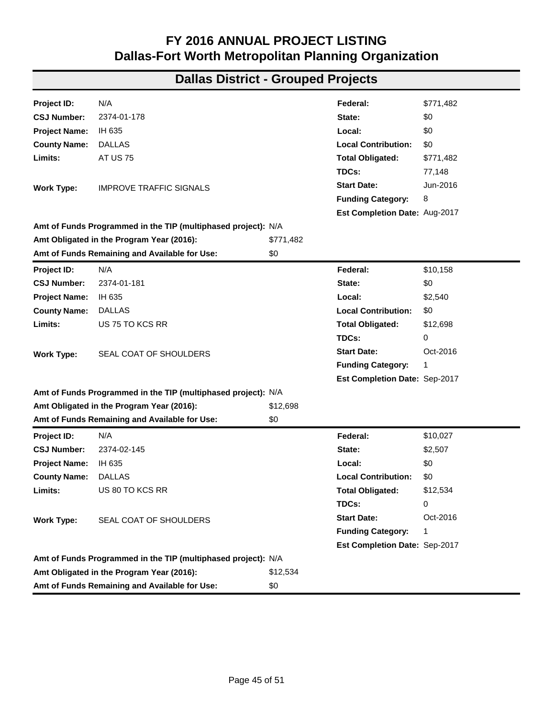| Project ID:          | N/A                                                           |             | Federal:                      | \$1,993,356 |
|----------------------|---------------------------------------------------------------|-------------|-------------------------------|-------------|
| <b>CSJ Number:</b>   | 1785-01-034                                                   |             | State:                        | \$498,339   |
| <b>Project Name:</b> | FM 1830                                                       |             | Local:                        | \$0         |
| <b>County Name:</b>  | <b>DENTON</b>                                                 |             | <b>Local Contribution:</b>    | \$0         |
| Limits:              | AT FINCHER BRANCH                                             |             | <b>Total Obligated:</b>       | \$2,491,695 |
|                      |                                                               |             | TDCs:                         | 0           |
| <b>Work Type:</b>    | REPLACE BRIDGE AND APPROACHES                                 |             | <b>Start Date:</b>            | Oct-2016    |
|                      |                                                               |             | <b>Funding Category:</b>      | 6           |
|                      |                                                               |             | Est Completion Date: Mar-2019 |             |
|                      | Amt of Funds Programmed in the TIP (multiphased project): N/A |             |                               |             |
|                      | Amt Obligated in the Program Year (2016):                     | \$2,491,695 |                               |             |
|                      | Amt of Funds Remaining and Available for Use:                 | \$0         |                               |             |
| Project ID:          | N/A                                                           |             | Federal:                      | \$116,075   |
| <b>CSJ Number:</b>   | 1973-01-016                                                   |             | State:                        | \$29,019    |
| <b>Project Name:</b> | FM 1461                                                       |             | Local:                        | \$0         |
| <b>County Name:</b>  | <b>COLLIN</b>                                                 |             | <b>Local Contribution:</b>    | \$0         |
| Limits:              | SH 289 TO CR 166                                              |             | <b>Total Obligated:</b>       | \$145,093   |
|                      |                                                               |             | TDCs:                         | 0           |
| <b>Work Type:</b>    | SEAL COAT, PAVEMENT MARKINGS                                  |             | <b>Start Date:</b>            | Oct-2016    |
|                      |                                                               |             | <b>Funding Category:</b>      | 1           |
|                      |                                                               |             | Est Completion Date: Dec-2017 |             |
|                      | Amt of Funds Programmed in the TIP (multiphased project): N/A |             |                               |             |
|                      | Amt Obligated in the Program Year (2016):                     | \$145,093   |                               |             |
|                      | Amt of Funds Remaining and Available for Use:                 | \$0         |                               |             |
| Project ID:          | N/A                                                           |             | Federal:                      | \$280,604   |
| <b>CSJ Number:</b>   | 2054-01-016                                                   |             | State:                        | \$70,151    |
| <b>Project Name:</b> | FM 2164                                                       |             | Local:                        | \$0         |
| <b>County Name:</b>  | <b>DENTON</b>                                                 |             | <b>Local Contribution:</b>    | \$0         |
| Limits:              | <b>US 77 TO FM 1190</b>                                       |             | <b>Total Obligated:</b>       | \$350,755   |
|                      |                                                               |             | TDCs:                         | 0           |
| <b>Work Type:</b>    | SEAL COAT, PAVEMENT MARKINGS                                  |             | <b>Start Date:</b>            | Oct-2016    |
|                      |                                                               |             | <b>Funding Category:</b>      | 1           |
|                      |                                                               |             | Est Completion Date: Dec-2017 |             |
|                      | Amt of Funds Programmed in the TIP (multiphased project): N/A |             |                               |             |
|                      | Amt Obligated in the Program Year (2016):                     | \$350,755   |                               |             |
|                      | Amt of Funds Remaining and Available for Use:                 | \$0         |                               |             |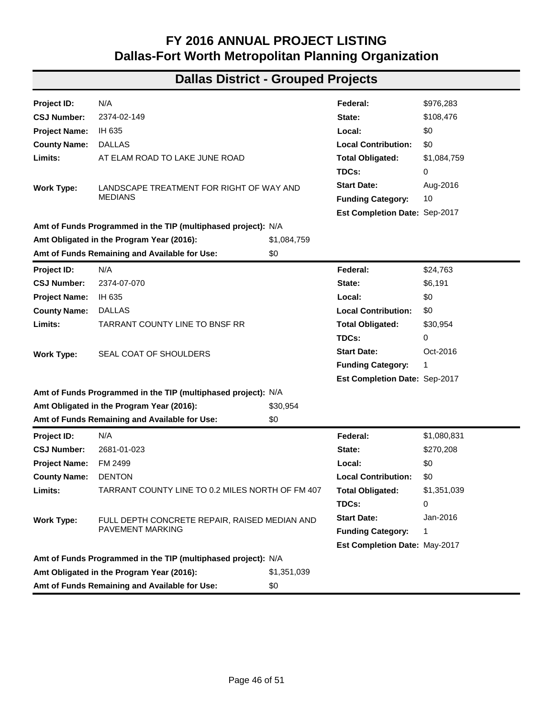| Project ID:          | N/A                                                           |           | Federal:                      | \$653,696 |
|----------------------|---------------------------------------------------------------|-----------|-------------------------------|-----------|
| <b>CSJ Number:</b>   | 2054-02-021                                                   |           | State:                        | \$163,424 |
| <b>Project Name:</b> | FM 2181                                                       |           | Local:                        | \$0       |
| <b>County Name:</b>  | <b>DENTON</b>                                                 |           | <b>Local Contribution:</b>    | \$0       |
| Limits:              | IH 35E TO LILLIAN MILLER                                      |           | <b>Total Obligated:</b>       | \$817,120 |
|                      |                                                               |           | TDCs:                         | 0         |
| <b>Work Type:</b>    | FULL DEPTH CONCRETE REPAIR AND PAVEMENT                       |           | <b>Start Date:</b>            | Jan-2016  |
|                      | <b>MARKING</b>                                                |           | <b>Funding Category:</b>      | 1         |
|                      |                                                               |           | Est Completion Date: May-2017 |           |
|                      | Amt of Funds Programmed in the TIP (multiphased project): N/A |           |                               |           |
|                      | Amt Obligated in the Program Year (2016):                     | \$817,120 |                               |           |
|                      | Amt of Funds Remaining and Available for Use:                 | \$0       |                               |           |
| Project ID:          | N/A                                                           |           | Federal:                      | \$12,104  |
| <b>CSJ Number:</b>   | 2208-02-023                                                   |           | State:                        | \$3,026   |
| <b>Project Name:</b> | SS 303                                                        |           | Local:                        | \$0       |
| <b>County Name:</b>  | <b>DALLAS</b>                                                 |           | <b>Local Contribution:</b>    | \$0       |
| Limits:              | <b>TARRANT COUNTY LINE TO FM 1382</b>                         |           | <b>Total Obligated:</b>       | \$15,131  |
|                      |                                                               |           | TDCs:                         | 0         |
| <b>Work Type:</b>    | SEAL COAT OF SHOULDERS                                        |           | <b>Start Date:</b>            | Oct-2016  |
|                      |                                                               |           | <b>Funding Category:</b>      | 1         |
|                      |                                                               |           | Est Completion Date: Sep-2017 |           |
|                      | Amt of Funds Programmed in the TIP (multiphased project): N/A |           |                               |           |
|                      | Amt Obligated in the Program Year (2016):                     | \$15,131  |                               |           |
|                      | Amt of Funds Remaining and Available for Use:                 | \$0       |                               |           |
| Project ID:          | N/A                                                           |           | Federal:                      | \$295,405 |
| <b>CSJ Number:</b>   | 2353-02-018                                                   |           | State:                        | \$73,851  |
| <b>Project Name:</b> | FM 2450                                                       |           | Local:                        | \$0       |
| <b>County Name:</b>  | <b>DENTON</b>                                                 |           | <b>Local Contribution:</b>    | \$0       |
| Limits:              | FM 156 TO END OF STATE MAINTENANCE                            |           | <b>Total Obligated:</b>       | \$369,256 |
|                      |                                                               |           | TDCs:                         | 0         |
| <b>Work Type:</b>    | SEAL COAT, PAVEMENT MARKINGS                                  |           | <b>Start Date:</b>            | Oct-2016  |
|                      |                                                               |           | <b>Funding Category:</b>      | 1         |
|                      |                                                               |           | Est Completion Date: Dec-2017 |           |
|                      | Amt of Funds Programmed in the TIP (multiphased project): N/A |           |                               |           |
|                      | Amt Obligated in the Program Year (2016):                     | \$369,256 |                               |           |
|                      | Amt of Funds Remaining and Available for Use:                 | \$0       |                               |           |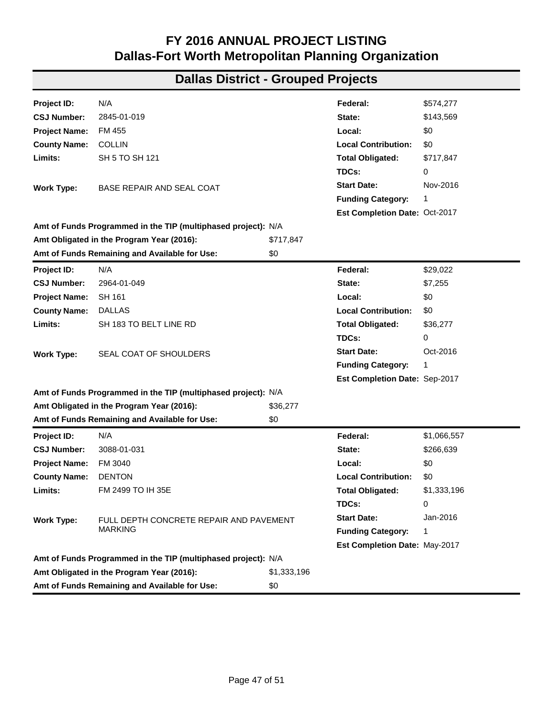| Project ID:          | N/A                                                           |           | Federal:                      | \$771,482 |
|----------------------|---------------------------------------------------------------|-----------|-------------------------------|-----------|
| <b>CSJ Number:</b>   | 2374-01-178                                                   |           | State:                        | \$0       |
| <b>Project Name:</b> | IH 635                                                        |           | Local:                        | \$0       |
| <b>County Name:</b>  | <b>DALLAS</b>                                                 |           | <b>Local Contribution:</b>    | \$0       |
| Limits:              | <b>AT US 75</b>                                               |           | <b>Total Obligated:</b>       | \$771,482 |
|                      |                                                               |           | TDCs:                         | 77,148    |
| <b>Work Type:</b>    | <b>IMPROVE TRAFFIC SIGNALS</b>                                |           | <b>Start Date:</b>            | Jun-2016  |
|                      |                                                               |           | <b>Funding Category:</b>      | 8         |
|                      |                                                               |           | Est Completion Date: Aug-2017 |           |
|                      | Amt of Funds Programmed in the TIP (multiphased project): N/A |           |                               |           |
|                      | Amt Obligated in the Program Year (2016):                     | \$771,482 |                               |           |
|                      | Amt of Funds Remaining and Available for Use:                 | \$0       |                               |           |
| Project ID:          | N/A                                                           |           | Federal:                      | \$10,158  |
| <b>CSJ Number:</b>   | 2374-01-181                                                   |           | State:                        | \$0       |
| <b>Project Name:</b> | IH 635                                                        |           | Local:                        | \$2,540   |
| <b>County Name:</b>  | <b>DALLAS</b>                                                 |           | <b>Local Contribution:</b>    | \$0       |
| Limits:              | US 75 TO KCS RR                                               |           | <b>Total Obligated:</b>       | \$12,698  |
|                      |                                                               |           | TDCs:                         | 0         |
| <b>Work Type:</b>    | SEAL COAT OF SHOULDERS                                        |           | <b>Start Date:</b>            | Oct-2016  |
|                      |                                                               |           | <b>Funding Category:</b>      | 1         |
|                      |                                                               |           | Est Completion Date: Sep-2017 |           |
|                      | Amt of Funds Programmed in the TIP (multiphased project): N/A |           |                               |           |
|                      | Amt Obligated in the Program Year (2016):                     | \$12,698  |                               |           |
|                      | Amt of Funds Remaining and Available for Use:                 | \$0       |                               |           |
| <b>Project ID:</b>   | N/A                                                           |           | Federal:                      | \$10,027  |
| <b>CSJ Number:</b>   | 2374-02-145                                                   |           | State:                        | \$2,507   |
| <b>Project Name:</b> | IH 635                                                        |           | Local:                        | \$0       |
| <b>County Name:</b>  | <b>DALLAS</b>                                                 |           | <b>Local Contribution:</b>    | \$0       |
| Limits:              | US 80 TO KCS RR                                               |           | <b>Total Obligated:</b>       | \$12,534  |
|                      |                                                               |           | TDCs:                         | 0         |
| <b>Work Type:</b>    | SEAL COAT OF SHOULDERS                                        |           | <b>Start Date:</b>            | Oct-2016  |
|                      |                                                               |           | <b>Funding Category:</b>      | 1         |
|                      |                                                               |           | Est Completion Date: Sep-2017 |           |
|                      | Amt of Funds Programmed in the TIP (multiphased project): N/A |           |                               |           |
|                      | Amt Obligated in the Program Year (2016):                     | \$12,534  |                               |           |
|                      | Amt of Funds Remaining and Available for Use:                 | \$0       |                               |           |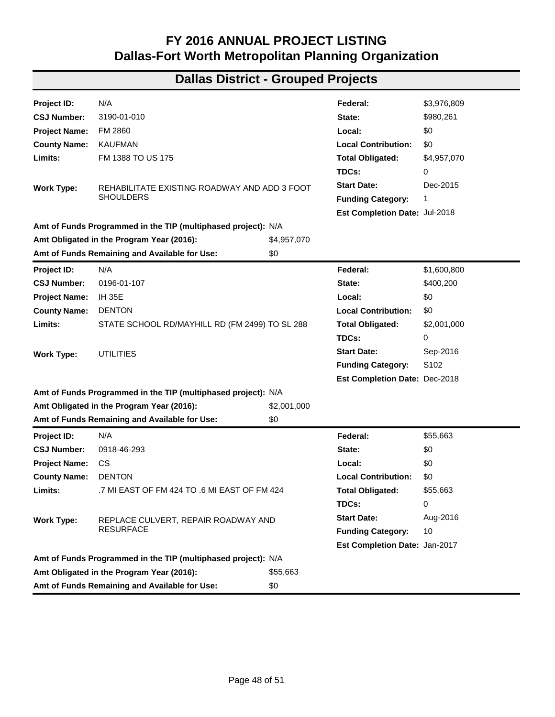| Project ID:          | N/A                                                           |             | Federal:                      | \$976,283   |  |  |
|----------------------|---------------------------------------------------------------|-------------|-------------------------------|-------------|--|--|
| <b>CSJ Number:</b>   | 2374-02-149                                                   |             | State:                        | \$108,476   |  |  |
| <b>Project Name:</b> | IH 635                                                        |             | Local:                        | \$0         |  |  |
| <b>County Name:</b>  | <b>DALLAS</b>                                                 |             | <b>Local Contribution:</b>    | \$0         |  |  |
| Limits:              | AT ELAM ROAD TO LAKE JUNE ROAD                                |             | <b>Total Obligated:</b>       | \$1,084,759 |  |  |
|                      |                                                               |             | TDCs:                         | 0           |  |  |
| <b>Work Type:</b>    | LANDSCAPE TREATMENT FOR RIGHT OF WAY AND                      |             | <b>Start Date:</b>            | Aug-2016    |  |  |
|                      | <b>MEDIANS</b>                                                |             | <b>Funding Category:</b>      | 10          |  |  |
|                      |                                                               |             | Est Completion Date: Sep-2017 |             |  |  |
|                      | Amt of Funds Programmed in the TIP (multiphased project): N/A |             |                               |             |  |  |
|                      | Amt Obligated in the Program Year (2016):                     | \$1,084,759 |                               |             |  |  |
|                      | Amt of Funds Remaining and Available for Use:                 | \$0         |                               |             |  |  |
| Project ID:          | N/A                                                           |             | Federal:                      | \$24,763    |  |  |
| <b>CSJ Number:</b>   | 2374-07-070                                                   |             | State:                        | \$6,191     |  |  |
| <b>Project Name:</b> | <b>IH 635</b>                                                 |             | Local:                        | \$0         |  |  |
| <b>County Name:</b>  | <b>DALLAS</b>                                                 |             | <b>Local Contribution:</b>    | \$0         |  |  |
| Limits:              | TARRANT COUNTY LINE TO BNSF RR                                |             | <b>Total Obligated:</b>       | \$30,954    |  |  |
|                      |                                                               |             | TDCs:                         | 0           |  |  |
| <b>Work Type:</b>    | SEAL COAT OF SHOULDERS                                        |             | <b>Start Date:</b>            | Oct-2016    |  |  |
|                      |                                                               |             | <b>Funding Category:</b>      | 1           |  |  |
|                      |                                                               |             | Est Completion Date: Sep-2017 |             |  |  |
|                      | Amt of Funds Programmed in the TIP (multiphased project): N/A |             |                               |             |  |  |
|                      | Amt Obligated in the Program Year (2016):                     | \$30,954    |                               |             |  |  |
|                      | Amt of Funds Remaining and Available for Use:                 | \$0         |                               |             |  |  |
| Project ID:          | N/A                                                           |             | Federal:                      | \$1,080,831 |  |  |
| <b>CSJ Number:</b>   | 2681-01-023                                                   |             | State:                        | \$270,208   |  |  |
| <b>Project Name:</b> | FM 2499                                                       |             | Local:                        | \$0         |  |  |
| <b>County Name:</b>  | <b>DENTON</b>                                                 |             | <b>Local Contribution:</b>    | \$0         |  |  |
| Limits:              | TARRANT COUNTY LINE TO 0.2 MILES NORTH OF FM 407              |             | <b>Total Obligated:</b>       | \$1,351,039 |  |  |
|                      |                                                               |             | TDCs:                         | 0           |  |  |
| <b>Work Type:</b>    | FULL DEPTH CONCRETE REPAIR, RAISED MEDIAN AND                 |             | <b>Start Date:</b>            | Jan-2016    |  |  |
|                      | <b>PAVEMENT MARKING</b>                                       |             | <b>Funding Category:</b>      | 1           |  |  |
|                      |                                                               |             | Est Completion Date: May-2017 |             |  |  |
|                      | Amt of Funds Programmed in the TIP (multiphased project): N/A |             |                               |             |  |  |
|                      | Amt Obligated in the Program Year (2016):                     | \$1,351,039 |                               |             |  |  |
|                      | Amt of Funds Remaining and Available for Use:                 | \$0         |                               |             |  |  |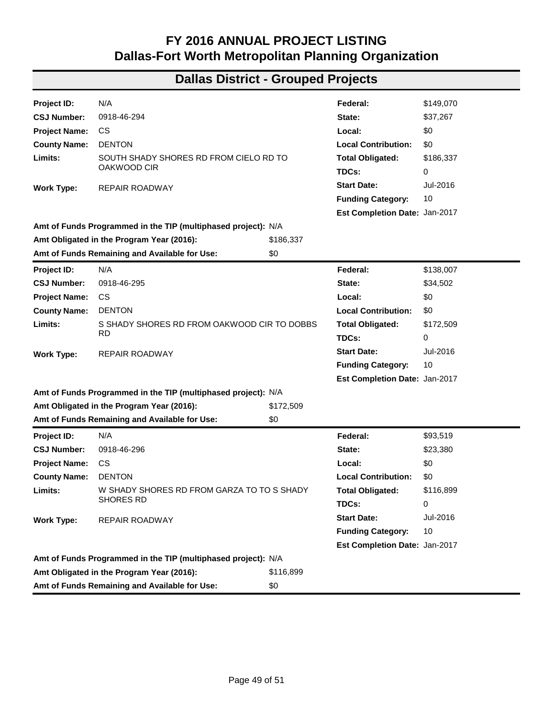| Project ID:          | N/A                                                           |             | Federal:                      | \$574,277   |
|----------------------|---------------------------------------------------------------|-------------|-------------------------------|-------------|
| <b>CSJ Number:</b>   | 2845-01-019                                                   |             | State:                        | \$143,569   |
| <b>Project Name:</b> | FM 455                                                        |             | Local:                        | \$0         |
| <b>County Name:</b>  | <b>COLLIN</b>                                                 |             | <b>Local Contribution:</b>    | \$0         |
| Limits:              | SH 5 TO SH 121                                                |             | <b>Total Obligated:</b>       | \$717,847   |
|                      |                                                               |             | TDCs:                         | 0           |
| <b>Work Type:</b>    | BASE REPAIR AND SEAL COAT                                     |             | <b>Start Date:</b>            | Nov-2016    |
|                      |                                                               |             | <b>Funding Category:</b>      | 1           |
|                      |                                                               |             | Est Completion Date: Oct-2017 |             |
|                      | Amt of Funds Programmed in the TIP (multiphased project): N/A |             |                               |             |
|                      | Amt Obligated in the Program Year (2016):                     | \$717,847   |                               |             |
|                      | Amt of Funds Remaining and Available for Use:                 | \$0         |                               |             |
| Project ID:          | N/A                                                           |             | Federal:                      | \$29,022    |
| <b>CSJ Number:</b>   | 2964-01-049                                                   |             | State:                        | \$7,255     |
| <b>Project Name:</b> | SH 161                                                        |             | Local:                        | \$0         |
| <b>County Name:</b>  | <b>DALLAS</b>                                                 |             | <b>Local Contribution:</b>    | \$0         |
| Limits:              | SH 183 TO BELT LINE RD                                        |             | <b>Total Obligated:</b>       | \$36,277    |
|                      |                                                               |             | TDCs:                         | 0           |
| <b>Work Type:</b>    | SEAL COAT OF SHOULDERS                                        |             | <b>Start Date:</b>            | Oct-2016    |
|                      |                                                               |             | <b>Funding Category:</b>      | 1           |
|                      |                                                               |             | Est Completion Date: Sep-2017 |             |
|                      | Amt of Funds Programmed in the TIP (multiphased project): N/A |             |                               |             |
|                      | Amt Obligated in the Program Year (2016):                     | \$36,277    |                               |             |
|                      | Amt of Funds Remaining and Available for Use:                 | \$0         |                               |             |
| <b>Project ID:</b>   | N/A                                                           |             | Federal:                      | \$1,066,557 |
| <b>CSJ Number:</b>   | 3088-01-031                                                   |             | State:                        | \$266,639   |
| <b>Project Name:</b> | FM 3040                                                       |             | Local:                        | \$0         |
| <b>County Name:</b>  | <b>DENTON</b>                                                 |             | <b>Local Contribution:</b>    | \$0         |
| Limits:              | FM 2499 TO IH 35E                                             |             | <b>Total Obligated:</b>       | \$1,333,196 |
|                      |                                                               |             | TDCs:                         | 0           |
| <b>Work Type:</b>    | FULL DEPTH CONCRETE REPAIR AND PAVEMENT                       |             | <b>Start Date:</b>            | Jan-2016    |
|                      | <b>MARKING</b>                                                |             | <b>Funding Category:</b>      | 1           |
|                      |                                                               |             | Est Completion Date: May-2017 |             |
|                      | Amt of Funds Programmed in the TIP (multiphased project): N/A |             |                               |             |
|                      | Amt Obligated in the Program Year (2016):                     | \$1,333,196 |                               |             |
|                      | Amt of Funds Remaining and Available for Use:                 | \$0         |                               |             |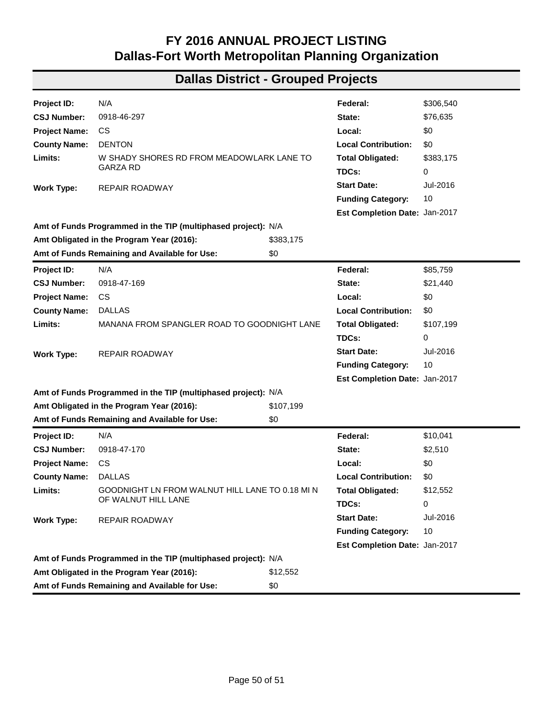| Project ID:          | N/A                                                           |                    | Federal:                      | \$3,976,809 |
|----------------------|---------------------------------------------------------------|--------------------|-------------------------------|-------------|
| <b>CSJ Number:</b>   | 3190-01-010                                                   |                    | State:                        | \$980,261   |
| <b>Project Name:</b> | FM 2860                                                       |                    | Local:                        | \$0         |
| <b>County Name:</b>  | <b>KAUFMAN</b>                                                |                    | <b>Local Contribution:</b>    | \$0         |
| Limits:              | FM 1388 TO US 175                                             |                    | <b>Total Obligated:</b>       | \$4,957,070 |
|                      |                                                               |                    | TDCs:                         | 0           |
| <b>Work Type:</b>    | REHABILITATE EXISTING ROADWAY AND ADD 3 FOOT                  |                    | <b>Start Date:</b>            | Dec-2015    |
|                      | <b>SHOULDERS</b>                                              |                    | <b>Funding Category:</b>      | 1           |
|                      |                                                               |                    | Est Completion Date: Jul-2018 |             |
|                      | Amt of Funds Programmed in the TIP (multiphased project): N/A |                    |                               |             |
|                      | Amt Obligated in the Program Year (2016):                     | \$4,957,070        |                               |             |
|                      | Amt of Funds Remaining and Available for Use:                 | \$0                |                               |             |
| Project ID:          | N/A                                                           |                    | Federal:                      | \$1,600,800 |
| <b>CSJ Number:</b>   | 0196-01-107                                                   |                    | State:                        | \$400,200   |
| <b>Project Name:</b> | <b>IH 35E</b>                                                 |                    | Local:                        | \$0         |
| <b>County Name:</b>  | <b>DENTON</b>                                                 |                    | <b>Local Contribution:</b>    | \$0         |
| Limits:              | STATE SCHOOL RD/MAYHILL RD (FM 2499) TO SL 288                |                    | <b>Total Obligated:</b>       | \$2,001,000 |
|                      |                                                               |                    | TDCs:                         | 0           |
| <b>Work Type:</b>    | <b>UTILITIES</b>                                              | <b>Start Date:</b> |                               | Sep-2016    |
|                      |                                                               |                    | <b>Funding Category:</b>      | S102        |
|                      |                                                               |                    | Est Completion Date: Dec-2018 |             |
|                      | Amt of Funds Programmed in the TIP (multiphased project): N/A |                    |                               |             |
|                      | Amt Obligated in the Program Year (2016):                     | \$2,001,000        |                               |             |
|                      | Amt of Funds Remaining and Available for Use:                 | \$0                |                               |             |
| Project ID:          | N/A                                                           |                    | Federal:                      | \$55,663    |
| <b>CSJ Number:</b>   | 0918-46-293                                                   |                    | State:                        | \$0         |
| <b>Project Name:</b> | CS                                                            |                    | Local:                        | \$0         |
| <b>County Name:</b>  | <b>DENTON</b>                                                 |                    | <b>Local Contribution:</b>    | \$0         |
| Limits:              | .7 MI EAST OF FM 424 TO .6 MI EAST OF FM 424                  |                    | <b>Total Obligated:</b>       | \$55,663    |
|                      |                                                               |                    | TDCs:                         | 0           |
| <b>Work Type:</b>    | REPLACE CULVERT, REPAIR ROADWAY AND                           |                    | <b>Start Date:</b>            | Aug-2016    |
|                      | <b>RESURFACE</b>                                              |                    | <b>Funding Category:</b>      | 10          |
|                      |                                                               |                    | Est Completion Date: Jan-2017 |             |
|                      | Amt of Funds Programmed in the TIP (multiphased project): N/A |                    |                               |             |
|                      | Amt Obligated in the Program Year (2016):                     | \$55,663           |                               |             |
|                      | Amt of Funds Remaining and Available for Use:                 | \$0                |                               |             |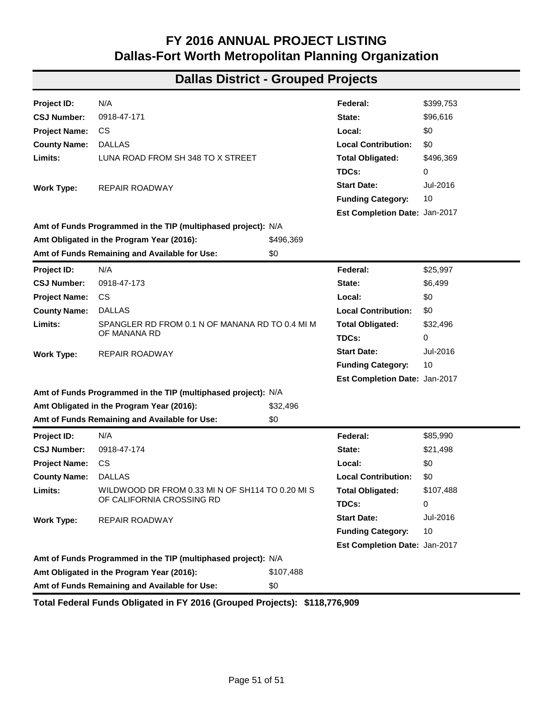| <b>Project ID:</b>   | N/A                                                           |           | Federal:                      | \$149,070 |  |
|----------------------|---------------------------------------------------------------|-----------|-------------------------------|-----------|--|
| <b>CSJ Number:</b>   | 0918-46-294                                                   |           | State:                        | \$37,267  |  |
| <b>Project Name:</b> | CS.                                                           |           | Local:                        | \$0       |  |
| <b>County Name:</b>  | <b>DENTON</b>                                                 |           | <b>Local Contribution:</b>    | \$0       |  |
| Limits:              | SOUTH SHADY SHORES RD FROM CIELO RD TO<br>OAKWOOD CIR         |           | <b>Total Obligated:</b>       | \$186,337 |  |
|                      |                                                               |           | TDCs:                         | 0         |  |
| <b>Work Type:</b>    | REPAIR ROADWAY                                                |           | <b>Start Date:</b>            | Jul-2016  |  |
|                      |                                                               |           | <b>Funding Category:</b>      | 10        |  |
|                      |                                                               |           | Est Completion Date: Jan-2017 |           |  |
|                      | Amt of Funds Programmed in the TIP (multiphased project): N/A |           |                               |           |  |
|                      | Amt Obligated in the Program Year (2016):                     | \$186,337 |                               |           |  |
|                      | Amt of Funds Remaining and Available for Use:                 | \$0       |                               |           |  |
| Project ID:          | N/A                                                           |           | Federal:                      | \$138,007 |  |
| <b>CSJ Number:</b>   | 0918-46-295                                                   |           | State:                        | \$34,502  |  |
| <b>Project Name:</b> | CS.                                                           |           | Local:                        | \$0       |  |
| <b>County Name:</b>  | <b>DENTON</b>                                                 |           | <b>Local Contribution:</b>    | \$0       |  |
| Limits:              | S SHADY SHORES RD FROM OAKWOOD CIR TO DOBBS                   |           | <b>Total Obligated:</b>       | \$172,509 |  |
|                      | RD                                                            |           | TDCs:                         | 0         |  |
| <b>Work Type:</b>    | <b>REPAIR ROADWAY</b>                                         |           | <b>Start Date:</b>            | Jul-2016  |  |
|                      |                                                               |           | <b>Funding Category:</b>      | 10        |  |
|                      |                                                               |           | Est Completion Date: Jan-2017 |           |  |
|                      | Amt of Funds Programmed in the TIP (multiphased project): N/A |           |                               |           |  |
|                      | Amt Obligated in the Program Year (2016):                     | \$172,509 |                               |           |  |
|                      | Amt of Funds Remaining and Available for Use:                 | \$0       |                               |           |  |
| Project ID:          | N/A                                                           |           | Federal:                      | \$93,519  |  |
| <b>CSJ Number:</b>   | 0918-46-296                                                   |           | State:                        | \$23,380  |  |
| <b>Project Name:</b> | CS                                                            |           | Local:                        | \$0       |  |
| <b>County Name:</b>  | <b>DENTON</b>                                                 |           | <b>Local Contribution:</b>    | \$0       |  |
| Limits:              | W SHADY SHORES RD FROM GARZA TO TO S SHADY                    |           | <b>Total Obligated:</b>       | \$116,899 |  |
|                      | <b>SHORES RD</b>                                              |           | TDCs:                         | 0         |  |
| <b>Work Type:</b>    | REPAIR ROADWAY                                                |           | <b>Start Date:</b>            | Jul-2016  |  |
|                      |                                                               |           | <b>Funding Category:</b>      | 10        |  |
|                      |                                                               |           | Est Completion Date: Jan-2017 |           |  |
|                      | Amt of Funds Programmed in the TIP (multiphased project): N/A |           |                               |           |  |
|                      | Amt Obligated in the Program Year (2016):                     | \$116,899 |                               |           |  |
|                      | Amt of Funds Remaining and Available for Use:                 | \$0       |                               |           |  |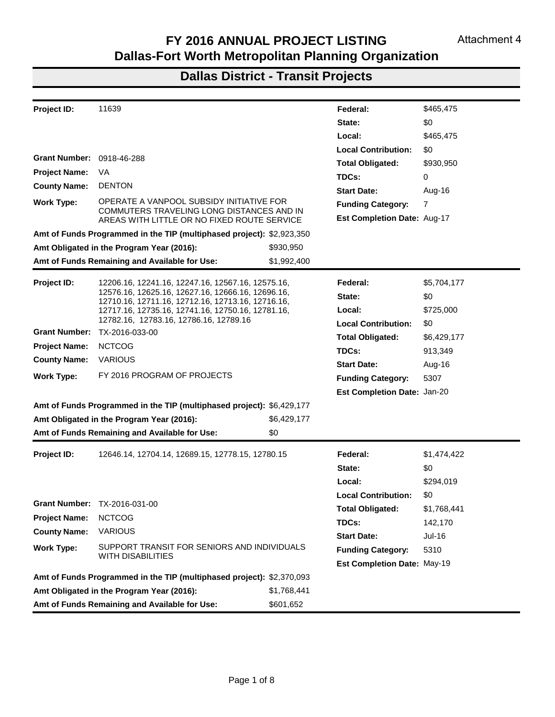| Project ID:          | N/A                                                           |           | Federal:                      | \$306,540 |
|----------------------|---------------------------------------------------------------|-----------|-------------------------------|-----------|
| <b>CSJ Number:</b>   | 0918-46-297                                                   |           | State:                        | \$76,635  |
| <b>Project Name:</b> | CS                                                            |           | Local:                        | \$0       |
| <b>County Name:</b>  | <b>DENTON</b>                                                 |           | <b>Local Contribution:</b>    | \$0       |
| Limits:              | W SHADY SHORES RD FROM MEADOWLARK LANE TO<br><b>GARZA RD</b>  |           | <b>Total Obligated:</b>       | \$383,175 |
|                      |                                                               |           | TDCs:                         | 0         |
| <b>Work Type:</b>    | REPAIR ROADWAY                                                |           | <b>Start Date:</b>            | Jul-2016  |
|                      |                                                               |           | <b>Funding Category:</b>      | 10        |
|                      |                                                               |           | Est Completion Date: Jan-2017 |           |
|                      | Amt of Funds Programmed in the TIP (multiphased project): N/A |           |                               |           |
|                      | Amt Obligated in the Program Year (2016):                     | \$383,175 |                               |           |
|                      | Amt of Funds Remaining and Available for Use:                 | \$0       |                               |           |
| Project ID:          | N/A                                                           |           | Federal:                      | \$85,759  |
| <b>CSJ Number:</b>   | 0918-47-169                                                   |           | State:                        | \$21,440  |
| <b>Project Name:</b> | CS                                                            |           | Local:                        | \$0       |
| <b>County Name:</b>  | <b>DALLAS</b>                                                 |           | <b>Local Contribution:</b>    | \$0       |
| Limits:              | MANANA FROM SPANGLER ROAD TO GOODNIGHT LANE                   |           | <b>Total Obligated:</b>       | \$107,199 |
|                      | <b>REPAIR ROADWAY</b>                                         |           | TDCs:                         | 0         |
| <b>Work Type:</b>    |                                                               |           | <b>Start Date:</b>            | Jul-2016  |
|                      |                                                               |           | <b>Funding Category:</b>      | 10        |
|                      |                                                               |           | Est Completion Date: Jan-2017 |           |
|                      | Amt of Funds Programmed in the TIP (multiphased project): N/A |           |                               |           |
|                      | Amt Obligated in the Program Year (2016):                     | \$107,199 |                               |           |
|                      | Amt of Funds Remaining and Available for Use:                 | \$0       |                               |           |
| Project ID:          | N/A                                                           |           | Federal:                      | \$10,041  |
| <b>CSJ Number:</b>   | 0918-47-170                                                   |           | State:                        | \$2,510   |
| <b>Project Name:</b> | CS                                                            |           | Local:                        | \$0       |
| <b>County Name:</b>  | <b>DALLAS</b>                                                 |           | <b>Local Contribution:</b>    | \$0       |
| Limits:              | GOODNIGHT LN FROM WALNUT HILL LANE TO 0.18 MI N               |           | <b>Total Obligated:</b>       | \$12,552  |
|                      | OF WALNUT HILL LANE                                           |           | TDCs:                         | 0         |
| <b>Work Type:</b>    | REPAIR ROADWAY                                                |           | <b>Start Date:</b>            | Jul-2016  |
|                      |                                                               |           | <b>Funding Category:</b>      | 10        |
|                      |                                                               |           | Est Completion Date: Jan-2017 |           |
|                      | Amt of Funds Programmed in the TIP (multiphased project): N/A |           |                               |           |
|                      | Amt Obligated in the Program Year (2016):                     | \$12,552  |                               |           |
|                      | Amt of Funds Remaining and Available for Use:                 | \$0       |                               |           |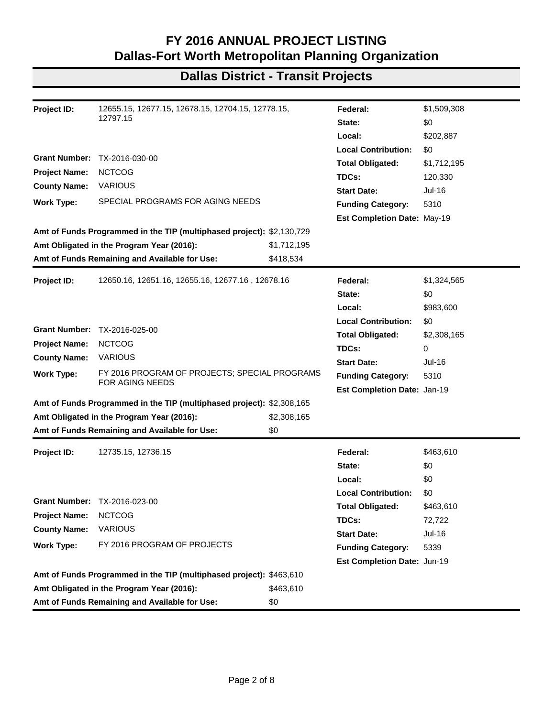### **Dallas District - Grouped Projects**

| Project ID:          | N/A                                                           |           | Federal:                      | \$399,753 |
|----------------------|---------------------------------------------------------------|-----------|-------------------------------|-----------|
| <b>CSJ Number:</b>   | 0918-47-171                                                   |           | State:                        | \$96,616  |
| <b>Project Name:</b> | CS.                                                           |           | Local:                        | \$0       |
| <b>County Name:</b>  | <b>DALLAS</b>                                                 |           | <b>Local Contribution:</b>    | \$0       |
| Limits:              | LUNA ROAD FROM SH 348 TO X STREET                             |           | <b>Total Obligated:</b>       | \$496,369 |
|                      |                                                               |           | TDCs:                         | 0         |
| <b>Work Type:</b>    | REPAIR ROADWAY                                                |           | <b>Start Date:</b>            | Jul-2016  |
|                      |                                                               |           | <b>Funding Category:</b>      | 10        |
|                      |                                                               |           | Est Completion Date: Jan-2017 |           |
|                      | Amt of Funds Programmed in the TIP (multiphased project): N/A |           |                               |           |
|                      | Amt Obligated in the Program Year (2016):                     | \$496,369 |                               |           |
|                      | Amt of Funds Remaining and Available for Use:                 | \$0       |                               |           |
| Project ID:          | N/A                                                           |           | Federal:                      | \$25,997  |
| <b>CSJ Number:</b>   | 0918-47-173                                                   |           | State:                        | \$6,499   |
| <b>Project Name:</b> | <b>CS</b>                                                     |           | Local:                        | \$0       |
| <b>County Name:</b>  | <b>DALLAS</b>                                                 |           | <b>Local Contribution:</b>    | \$0       |
| Limits:              | SPANGLER RD FROM 0.1 N OF MANANA RD TO 0.4 MI M               |           | <b>Total Obligated:</b>       | \$32,496  |
|                      | OF MANANA RD                                                  |           | TDCs:                         | 0         |
| <b>Work Type:</b>    | REPAIR ROADWAY                                                |           | <b>Start Date:</b>            | Jul-2016  |
|                      |                                                               |           | <b>Funding Category:</b>      | 10        |
|                      |                                                               |           | Est Completion Date: Jan-2017 |           |
|                      | Amt of Funds Programmed in the TIP (multiphased project): N/A |           |                               |           |
|                      | Amt Obligated in the Program Year (2016):                     | \$32,496  |                               |           |
|                      | Amt of Funds Remaining and Available for Use:                 | \$0       |                               |           |
| Project ID:          | N/A                                                           |           | Federal:                      | \$85,990  |
| <b>CSJ Number:</b>   | 0918-47-174                                                   |           | State:                        | \$21,498  |
| <b>Project Name:</b> | CS.                                                           |           | Local:                        | \$0       |
| <b>County Name:</b>  | <b>DALLAS</b>                                                 |           | <b>Local Contribution:</b>    | \$0       |
| Limits:              | WILDWOOD DR FROM 0.33 MIN OF SH114 TO 0.20 MIS                |           | <b>Total Obligated:</b>       | \$107,488 |
|                      | OF CALIFORNIA CROSSING RD                                     |           | TDCs:                         | 0         |
| Work Type:           | REPAIR ROADWAY                                                |           | <b>Start Date:</b>            | Jul-2016  |
|                      |                                                               |           | <b>Funding Category:</b>      | 10        |
|                      |                                                               |           | Est Completion Date: Jan-2017 |           |
|                      | Amt of Funds Programmed in the TIP (multiphased project): N/A |           |                               |           |
|                      | Amt Obligated in the Program Year (2016):                     | \$107,488 |                               |           |
|                      | Amt of Funds Remaining and Available for Use:                 | \$0       |                               |           |

**Total Federal Funds Obligated in FY 2016 (Grouped Projects): \$118,776,909**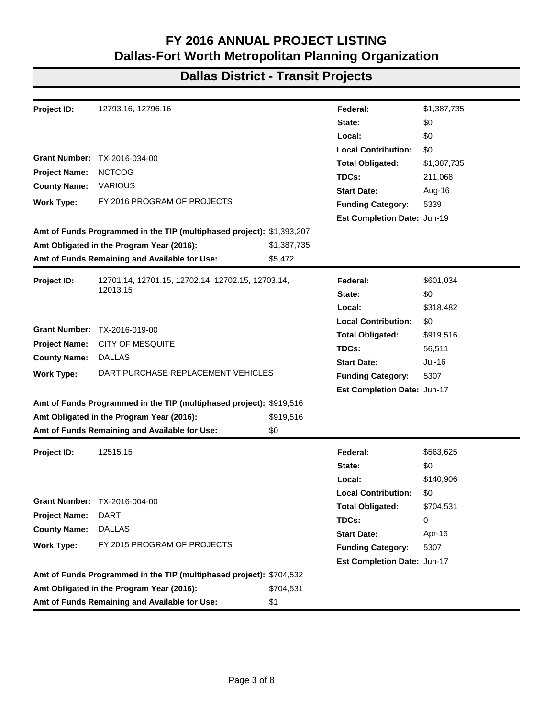| Project ID:               | 11639                                                                                                  |                         | Federal:                    | \$465,475   |
|---------------------------|--------------------------------------------------------------------------------------------------------|-------------------------|-----------------------------|-------------|
|                           |                                                                                                        |                         | State:                      | \$0         |
|                           |                                                                                                        |                         | Local:                      | \$465,475   |
|                           |                                                                                                        |                         | <b>Local Contribution:</b>  | \$0         |
| Grant Number: 0918-46-288 |                                                                                                        | <b>Total Obligated:</b> | \$930,950                   |             |
| <b>Project Name:</b>      | VA                                                                                                     |                         | TDCs:                       | 0           |
| <b>County Name:</b>       | <b>DENTON</b>                                                                                          |                         | <b>Start Date:</b>          | Aug-16      |
| <b>Work Type:</b>         | OPERATE A VANPOOL SUBSIDY INITIATIVE FOR<br>COMMUTERS TRAVELING LONG DISTANCES AND IN                  |                         | <b>Funding Category:</b>    | 7           |
|                           | AREAS WITH LITTLE OR NO FIXED ROUTE SERVICE                                                            |                         | Est Completion Date: Aug-17 |             |
|                           | Amt of Funds Programmed in the TIP (multiphased project): \$2,923,350                                  |                         |                             |             |
|                           | Amt Obligated in the Program Year (2016):                                                              | \$930,950               |                             |             |
|                           | Amt of Funds Remaining and Available for Use:                                                          | \$1,992,400             |                             |             |
| Project ID:               | 12206.16, 12241.16, 12247.16, 12567.16, 12575.16,                                                      |                         | Federal:                    | \$5,704,177 |
|                           | 12576.16, 12625.16, 12627.16, 12666.16, 12696.16,                                                      |                         | State:<br>Local:            | \$0         |
|                           | 12710.16, 12711.16, 12712.16, 12713.16, 12716.16,<br>12717.16, 12735.16, 12741.16, 12750.16, 12781.16, |                         |                             | \$725,000   |
|                           | 12782.16, 12783.16, 12786.16, 12789.16                                                                 |                         | <b>Local Contribution:</b>  | \$0         |
|                           | Grant Number: TX-2016-033-00                                                                           |                         | <b>Total Obligated:</b>     | \$6,429,177 |
| <b>Project Name:</b>      | <b>NCTCOG</b>                                                                                          |                         | TDCs:                       | 913,349     |
| <b>County Name:</b>       | <b>VARIOUS</b>                                                                                         |                         | <b>Start Date:</b>          | Aug-16      |
| <b>Work Type:</b>         | FY 2016 PROGRAM OF PROJECTS                                                                            |                         | <b>Funding Category:</b>    | 5307        |
|                           |                                                                                                        |                         | Est Completion Date: Jan-20 |             |
|                           | Amt of Funds Programmed in the TIP (multiphased project): \$6,429,177                                  |                         |                             |             |
|                           | Amt Obligated in the Program Year (2016):                                                              | \$6,429,177             |                             |             |
|                           | Amt of Funds Remaining and Available for Use:                                                          | \$0                     |                             |             |
| Project ID:               | 12646.14, 12704.14, 12689.15, 12778.15, 12780.15                                                       |                         | Federal:                    | \$1,474,422 |
|                           |                                                                                                        |                         | State:                      | \$0         |
|                           |                                                                                                        |                         | Local:                      | \$294,019   |
|                           |                                                                                                        |                         | <b>Local Contribution:</b>  | \$0         |
| <b>Grant Number:</b>      | TX-2016-031-00                                                                                         |                         | <b>Total Obligated:</b>     | \$1,768,441 |
| <b>Project Name:</b>      | <b>NCTCOG</b>                                                                                          |                         | TDCs:                       | 142,170     |
| <b>County Name:</b>       | <b>VARIOUS</b>                                                                                         |                         | <b>Start Date:</b>          | Jul-16      |
| <b>Work Type:</b>         | SUPPORT TRANSIT FOR SENIORS AND INDIVIDUALS                                                            |                         | <b>Funding Category:</b>    | 5310        |
|                           | WITH DISABILITIES                                                                                      |                         | Est Completion Date: May-19 |             |
|                           | Amt of Funds Programmed in the TIP (multiphased project): \$2,370,093                                  |                         |                             |             |
|                           | Amt Obligated in the Program Year (2016):                                                              | \$1,768,441             |                             |             |
|                           | Amt of Funds Remaining and Available for Use:                                                          | \$601,652               |                             |             |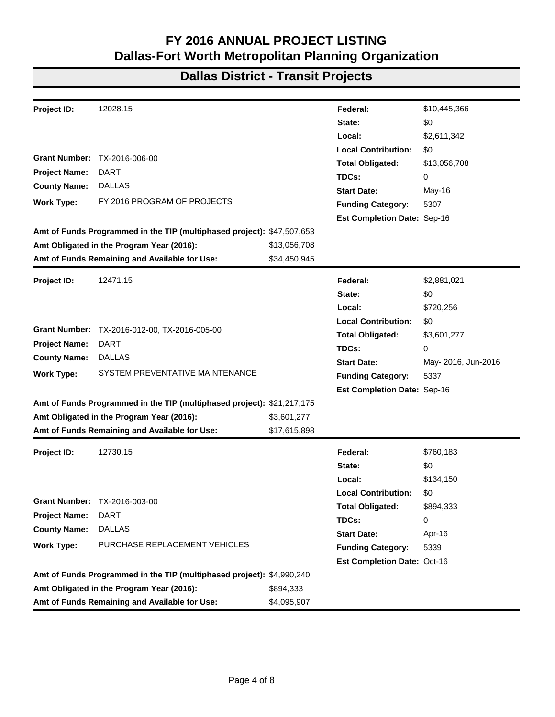| Project ID:          | 12655.15, 12677.15, 12678.15, 12704.15, 12778.15,                     |             | Federal:                    | \$1,509,308   |
|----------------------|-----------------------------------------------------------------------|-------------|-----------------------------|---------------|
|                      | 12797.15                                                              |             | State:                      | \$0           |
|                      |                                                                       |             | Local:                      | \$202,887     |
|                      |                                                                       |             | <b>Local Contribution:</b>  | \$0           |
| <b>Grant Number:</b> | TX-2016-030-00                                                        |             | <b>Total Obligated:</b>     | \$1,712,195   |
| <b>Project Name:</b> | <b>NCTCOG</b>                                                         |             | TDCs:                       | 120,330       |
| <b>County Name:</b>  | <b>VARIOUS</b>                                                        |             | <b>Start Date:</b>          | Jul-16        |
| <b>Work Type:</b>    | SPECIAL PROGRAMS FOR AGING NEEDS                                      |             | <b>Funding Category:</b>    | 5310          |
|                      |                                                                       |             | Est Completion Date: May-19 |               |
|                      | Amt of Funds Programmed in the TIP (multiphased project): \$2,130,729 |             |                             |               |
|                      | Amt Obligated in the Program Year (2016):                             | \$1,712,195 |                             |               |
|                      | Amt of Funds Remaining and Available for Use:                         | \$418,534   |                             |               |
| <b>Project ID:</b>   | 12650.16, 12651.16, 12655.16, 12677.16, 12678.16                      |             | Federal:                    | \$1,324,565   |
|                      |                                                                       |             | State:                      | \$0           |
|                      |                                                                       |             | Local:                      | \$983,600     |
|                      |                                                                       |             | <b>Local Contribution:</b>  | \$0           |
| <b>Grant Number:</b> | TX-2016-025-00                                                        |             | <b>Total Obligated:</b>     | \$2,308,165   |
| <b>Project Name:</b> | <b>NCTCOG</b>                                                         |             | TDCs:                       | 0             |
| <b>County Name:</b>  | <b>VARIOUS</b>                                                        |             | <b>Start Date:</b>          | Jul-16        |
| <b>Work Type:</b>    | FY 2016 PROGRAM OF PROJECTS; SPECIAL PROGRAMS                         |             | <b>Funding Category:</b>    | 5310          |
|                      | FOR AGING NEEDS                                                       |             | Est Completion Date: Jan-19 |               |
|                      | Amt of Funds Programmed in the TIP (multiphased project): \$2,308,165 |             |                             |               |
|                      | Amt Obligated in the Program Year (2016):                             | \$2,308,165 |                             |               |
|                      | Amt of Funds Remaining and Available for Use:                         | \$0         |                             |               |
| Project ID:          | 12735.15, 12736.15                                                    |             | Federal:                    | \$463,610     |
|                      |                                                                       |             | State:                      | \$0           |
|                      |                                                                       |             | Local:                      | \$0           |
|                      |                                                                       |             | <b>Local Contribution:</b>  | \$0           |
|                      | Grant Number: TX-2016-023-00                                          |             | <b>Total Obligated:</b>     | \$463,610     |
| <b>Project Name:</b> | <b>NCTCOG</b>                                                         |             | TDCs:                       | 72,722        |
| <b>County Name:</b>  | <b>VARIOUS</b>                                                        |             | <b>Start Date:</b>          | <b>Jul-16</b> |
| <b>Work Type:</b>    | FY 2016 PROGRAM OF PROJECTS                                           |             | <b>Funding Category:</b>    | 5339          |
|                      |                                                                       |             | Est Completion Date: Jun-19 |               |
|                      | Amt of Funds Programmed in the TIP (multiphased project): \$463,610   |             |                             |               |
|                      | Amt Obligated in the Program Year (2016):                             | \$463,610   |                             |               |
|                      | Amt of Funds Remaining and Available for Use:                         | \$0         |                             |               |
|                      |                                                                       |             |                             |               |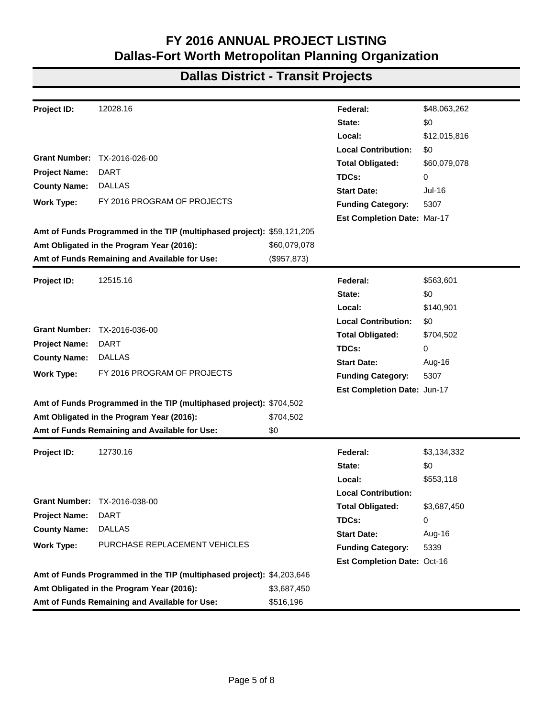| Project ID:          | 12793.16, 12796.16                                                    |             | Federal:                    | \$1,387,735 |
|----------------------|-----------------------------------------------------------------------|-------------|-----------------------------|-------------|
|                      |                                                                       |             | State:                      | \$0         |
|                      |                                                                       |             | Local:                      | \$0         |
|                      |                                                                       |             | <b>Local Contribution:</b>  | \$0         |
| <b>Grant Number:</b> | TX-2016-034-00                                                        |             | <b>Total Obligated:</b>     | \$1,387,735 |
| <b>Project Name:</b> | <b>NCTCOG</b>                                                         |             | TDCs:                       | 211,068     |
| <b>County Name:</b>  | <b>VARIOUS</b>                                                        |             | <b>Start Date:</b>          | Aug-16      |
| <b>Work Type:</b>    | FY 2016 PROGRAM OF PROJECTS                                           |             | <b>Funding Category:</b>    | 5339        |
|                      |                                                                       |             | Est Completion Date: Jun-19 |             |
|                      | Amt of Funds Programmed in the TIP (multiphased project): \$1,393,207 |             |                             |             |
|                      | Amt Obligated in the Program Year (2016):                             | \$1,387,735 |                             |             |
|                      | Amt of Funds Remaining and Available for Use:                         | \$5,472     |                             |             |
| Project ID:          | 12701.14, 12701.15, 12702.14, 12702.15, 12703.14,                     |             | Federal:                    | \$601,034   |
|                      | 12013.15                                                              |             | State:                      | \$0         |
|                      |                                                                       |             | Local:                      | \$318,482   |
|                      |                                                                       |             | <b>Local Contribution:</b>  | \$0         |
|                      | Grant Number: TX-2016-019-00                                          |             | <b>Total Obligated:</b>     | \$919,516   |
| <b>Project Name:</b> | <b>CITY OF MESQUITE</b>                                               |             | TDCs:                       | 56,511      |
| <b>County Name:</b>  | <b>DALLAS</b>                                                         |             | <b>Start Date:</b>          | Jul-16      |
| <b>Work Type:</b>    | DART PURCHASE REPLACEMENT VEHICLES                                    |             | <b>Funding Category:</b>    | 5307        |
|                      |                                                                       |             | Est Completion Date: Jun-17 |             |
|                      | Amt of Funds Programmed in the TIP (multiphased project): \$919,516   |             |                             |             |
|                      | Amt Obligated in the Program Year (2016):                             | \$919,516   |                             |             |
|                      | Amt of Funds Remaining and Available for Use:                         | \$0         |                             |             |
| Project ID:          | 12515.15                                                              |             | Federal:                    | \$563,625   |
|                      |                                                                       |             | State:                      | \$0         |
|                      |                                                                       |             | Local:                      | \$140,906   |
|                      |                                                                       |             | <b>Local Contribution:</b>  | \$0         |
|                      | Grant Number: TX-2016-004-00                                          |             | <b>Total Obligated:</b>     | \$704,531   |
| <b>Project Name:</b> | <b>DART</b>                                                           |             | TDCs:                       | 0           |
| <b>County Name:</b>  | <b>DALLAS</b>                                                         |             | <b>Start Date:</b>          | Apr-16      |
| <b>Work Type:</b>    | FY 2015 PROGRAM OF PROJECTS                                           |             | <b>Funding Category:</b>    | 5307        |
|                      |                                                                       |             | Est Completion Date: Jun-17 |             |
|                      | Amt of Funds Programmed in the TIP (multiphased project): \$704,532   |             |                             |             |
|                      | Amt Obligated in the Program Year (2016):                             | \$704,531   |                             |             |
|                      | Amt of Funds Remaining and Available for Use:                         | \$1         |                             |             |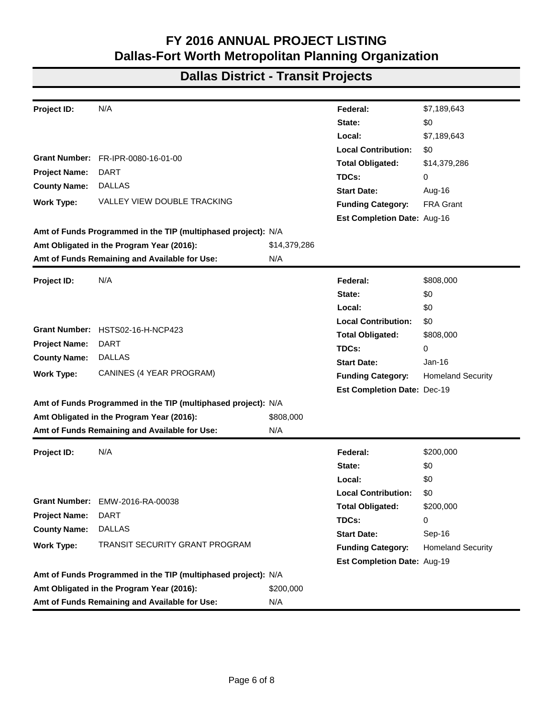| Project ID:          | 12028.15                                                               |              | Federal:                    | \$10,445,366        |
|----------------------|------------------------------------------------------------------------|--------------|-----------------------------|---------------------|
|                      |                                                                        |              | State:                      | \$0                 |
|                      |                                                                        |              | Local:                      | \$2,611,342         |
|                      |                                                                        |              | <b>Local Contribution:</b>  | \$0                 |
| <b>Grant Number:</b> | TX-2016-006-00                                                         |              | <b>Total Obligated:</b>     | \$13,056,708        |
| <b>Project Name:</b> | <b>DART</b>                                                            |              | TDCs:                       | 0                   |
| <b>County Name:</b>  | <b>DALLAS</b>                                                          |              | <b>Start Date:</b>          | May-16              |
| <b>Work Type:</b>    | FY 2016 PROGRAM OF PROJECTS                                            |              | <b>Funding Category:</b>    | 5307                |
|                      |                                                                        |              | Est Completion Date: Sep-16 |                     |
|                      | Amt of Funds Programmed in the TIP (multiphased project): \$47,507,653 |              |                             |                     |
|                      | Amt Obligated in the Program Year (2016):                              | \$13,056,708 |                             |                     |
|                      | Amt of Funds Remaining and Available for Use:                          | \$34,450,945 |                             |                     |
| Project ID:          | 12471.15                                                               |              | Federal:                    | \$2,881,021         |
|                      |                                                                        |              | State:                      | \$0                 |
|                      |                                                                        |              | Local:                      | \$720,256           |
|                      |                                                                        |              | <b>Local Contribution:</b>  | \$0                 |
|                      | Grant Number: TX-2016-012-00, TX-2016-005-00                           |              | <b>Total Obligated:</b>     | \$3,601,277         |
| <b>Project Name:</b> | <b>DART</b>                                                            |              | TDCs:                       | 0                   |
| <b>County Name:</b>  | <b>DALLAS</b>                                                          |              | <b>Start Date:</b>          | May- 2016, Jun-2016 |
| <b>Work Type:</b>    | SYSTEM PREVENTATIVE MAINTENANCE                                        |              | <b>Funding Category:</b>    | 5337                |
|                      |                                                                        |              | Est Completion Date: Sep-16 |                     |
|                      | Amt of Funds Programmed in the TIP (multiphased project): \$21,217,175 |              |                             |                     |
|                      | Amt Obligated in the Program Year (2016):                              | \$3,601,277  |                             |                     |
|                      | Amt of Funds Remaining and Available for Use:                          | \$17,615,898 |                             |                     |
| Project ID:          | 12730.15                                                               |              | Federal:                    | \$760,183           |
|                      |                                                                        |              | State:                      | \$0                 |
|                      |                                                                        |              | Local:                      | \$134,150           |
|                      |                                                                        |              | <b>Local Contribution:</b>  | \$0                 |
|                      | Grant Number: TX-2016-003-00                                           |              | <b>Total Obligated:</b>     | \$894,333           |
| <b>Project Name:</b> | <b>DART</b>                                                            |              | TDCs:                       | 0                   |
| <b>County Name:</b>  | <b>DALLAS</b>                                                          |              | <b>Start Date:</b>          | Apr-16              |
| <b>Work Type:</b>    | PURCHASE REPLACEMENT VEHICLES                                          |              | <b>Funding Category:</b>    | 5339                |
|                      |                                                                        |              | Est Completion Date: Oct-16 |                     |
|                      | Amt of Funds Programmed in the TIP (multiphased project): \$4,990,240  |              |                             |                     |
|                      | Amt Obligated in the Program Year (2016):                              | \$894,333    |                             |                     |
|                      | Amt of Funds Remaining and Available for Use:                          | \$4,095,907  |                             |                     |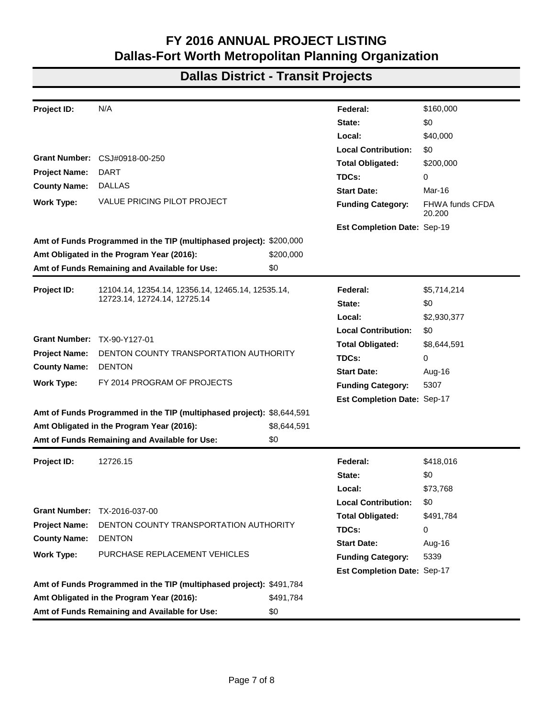|                      | 12028.16                                                               |              |                             | \$48,063,262 |
|----------------------|------------------------------------------------------------------------|--------------|-----------------------------|--------------|
| Project ID:          |                                                                        |              | Federal:<br>State:          | \$0          |
|                      |                                                                        |              |                             |              |
|                      |                                                                        |              | Local:                      | \$12,015,816 |
| <b>Grant Number:</b> | TX-2016-026-00                                                         |              | <b>Local Contribution:</b>  | \$0          |
| <b>Project Name:</b> | <b>DART</b>                                                            |              | <b>Total Obligated:</b>     | \$60,079,078 |
| <b>County Name:</b>  | <b>DALLAS</b>                                                          |              | TDCs:                       | 0            |
| <b>Work Type:</b>    | FY 2016 PROGRAM OF PROJECTS                                            |              | <b>Start Date:</b>          | Jul-16       |
|                      |                                                                        |              | <b>Funding Category:</b>    | 5307         |
|                      |                                                                        |              | Est Completion Date: Mar-17 |              |
|                      | Amt of Funds Programmed in the TIP (multiphased project): \$59,121,205 |              |                             |              |
|                      | Amt Obligated in the Program Year (2016):                              | \$60,079,078 |                             |              |
|                      | Amt of Funds Remaining and Available for Use:                          | (\$957,873)  |                             |              |
| Project ID:          | 12515.16                                                               |              | Federal:                    | \$563,601    |
|                      |                                                                        |              | State:                      | \$0          |
|                      |                                                                        |              | Local:                      | \$140,901    |
|                      |                                                                        |              | <b>Local Contribution:</b>  | \$0          |
|                      | <b>Grant Number: TX-2016-036-00</b>                                    |              | <b>Total Obligated:</b>     | \$704,502    |
| <b>Project Name:</b> | <b>DART</b>                                                            |              | TDCs:                       | 0            |
| <b>County Name:</b>  | <b>DALLAS</b>                                                          |              | <b>Start Date:</b>          | Aug-16       |
| <b>Work Type:</b>    | FY 2016 PROGRAM OF PROJECTS                                            |              | <b>Funding Category:</b>    | 5307         |
|                      |                                                                        |              | Est Completion Date: Jun-17 |              |
|                      | Amt of Funds Programmed in the TIP (multiphased project): \$704,502    |              |                             |              |
|                      | Amt Obligated in the Program Year (2016):                              | \$704,502    |                             |              |
|                      | Amt of Funds Remaining and Available for Use:                          | \$0          |                             |              |
| Project ID:          | 12730.16                                                               |              | Federal:                    | \$3,134,332  |
|                      |                                                                        |              | State:                      | \$0          |
|                      |                                                                        |              | Local:                      | \$553,118    |
|                      |                                                                        |              | <b>Local Contribution:</b>  |              |
|                      | <b>Grant Number: TX-2016-038-00</b>                                    |              | <b>Total Obligated:</b>     | \$3,687,450  |
| <b>Project Name:</b> | <b>DART</b>                                                            |              | TDCs:                       | 0            |
| <b>County Name:</b>  | <b>DALLAS</b>                                                          |              | <b>Start Date:</b>          | Aug-16       |
| <b>Work Type:</b>    | PURCHASE REPLACEMENT VEHICLES                                          |              | <b>Funding Category:</b>    | 5339         |
|                      |                                                                        |              | Est Completion Date: Oct-16 |              |
|                      | Amt of Funds Programmed in the TIP (multiphased project): \$4,203,646  |              |                             |              |
|                      | Amt Obligated in the Program Year (2016):                              | \$3,687,450  |                             |              |
|                      | Amt of Funds Remaining and Available for Use:                          | \$516,196    |                             |              |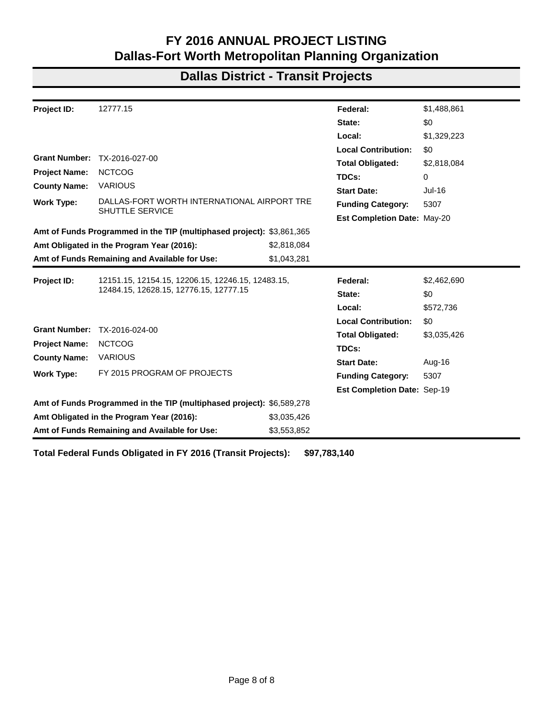| Project ID:          | N/A                                                           |              | Federal:                    | \$7,189,643              |
|----------------------|---------------------------------------------------------------|--------------|-----------------------------|--------------------------|
|                      |                                                               |              | State:                      | \$0                      |
|                      |                                                               |              | Local:                      | \$7,189,643              |
|                      |                                                               |              | <b>Local Contribution:</b>  | \$0                      |
|                      | Grant Number: FR-IPR-0080-16-01-00                            |              | <b>Total Obligated:</b>     | \$14,379,286             |
| <b>Project Name:</b> | <b>DART</b>                                                   |              | TDCs:                       | 0                        |
| <b>County Name:</b>  | <b>DALLAS</b>                                                 |              | <b>Start Date:</b>          | Aug-16                   |
| <b>Work Type:</b>    | <b>VALLEY VIEW DOUBLE TRACKING</b>                            |              | <b>Funding Category:</b>    | <b>FRA Grant</b>         |
|                      |                                                               |              | Est Completion Date: Aug-16 |                          |
|                      | Amt of Funds Programmed in the TIP (multiphased project): N/A |              |                             |                          |
|                      | Amt Obligated in the Program Year (2016):                     | \$14,379,286 |                             |                          |
|                      | Amt of Funds Remaining and Available for Use:                 | N/A          |                             |                          |
| Project ID:          | N/A                                                           |              | Federal:                    | \$808,000                |
|                      |                                                               |              | State:                      | \$0                      |
|                      |                                                               |              | Local:                      | \$0                      |
|                      |                                                               |              | <b>Local Contribution:</b>  | \$0                      |
|                      | Grant Number: HSTS02-16-H-NCP423                              |              | <b>Total Obligated:</b>     | \$808,000                |
| <b>Project Name:</b> | <b>DART</b>                                                   |              | TDCs:                       | 0                        |
| <b>County Name:</b>  | <b>DALLAS</b>                                                 |              | <b>Start Date:</b>          | Jan-16                   |
| <b>Work Type:</b>    | CANINES (4 YEAR PROGRAM)                                      |              | <b>Funding Category:</b>    | <b>Homeland Security</b> |
|                      |                                                               |              | Est Completion Date: Dec-19 |                          |
|                      | Amt of Funds Programmed in the TIP (multiphased project): N/A |              |                             |                          |
|                      | Amt Obligated in the Program Year (2016):                     | \$808,000    |                             |                          |
|                      | Amt of Funds Remaining and Available for Use:                 | N/A          |                             |                          |
| Project ID:          | N/A                                                           |              | Federal:                    | \$200,000                |
|                      |                                                               |              | State:                      | \$0                      |
|                      |                                                               |              | Local:                      | \$0                      |
|                      |                                                               |              | <b>Local Contribution:</b>  | \$0                      |
|                      | <b>Grant Number: EMW-2016-RA-00038</b>                        |              | <b>Total Obligated:</b>     | \$200,000                |
| <b>Project Name:</b> | <b>DART</b>                                                   |              | TDCs:                       | 0                        |
| <b>County Name:</b>  | <b>DALLAS</b>                                                 |              | <b>Start Date:</b>          | Sep-16                   |
| <b>Work Type:</b>    | TRANSIT SECURITY GRANT PROGRAM                                |              | <b>Funding Category:</b>    | <b>Homeland Security</b> |
|                      |                                                               |              | Est Completion Date: Aug-19 |                          |
|                      | Amt of Funds Programmed in the TIP (multiphased project): N/A |              |                             |                          |
|                      | Amt Obligated in the Program Year (2016):                     | \$200,000    |                             |                          |
|                      | Amt of Funds Remaining and Available for Use:                 | N/A          |                             |                          |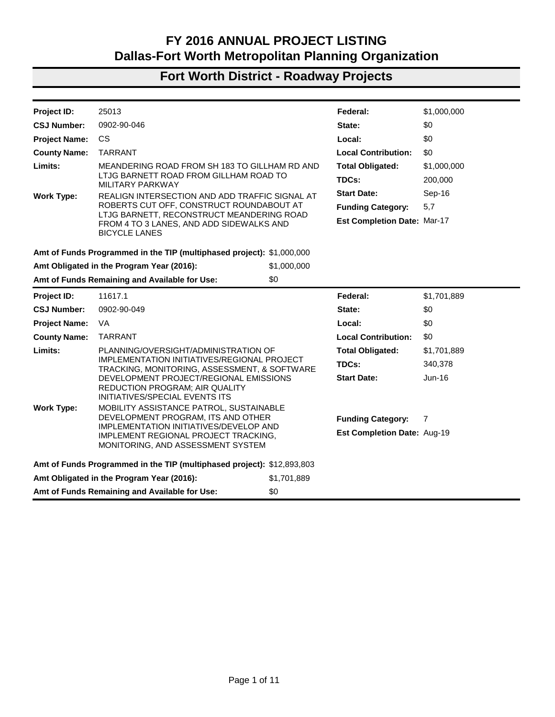| Project ID:                 | N/A                                                                   |             | Federal:                           | \$160,000                 |
|-----------------------------|-----------------------------------------------------------------------|-------------|------------------------------------|---------------------------|
|                             |                                                                       |             | State:                             | \$0                       |
|                             |                                                                       |             | Local:                             | \$40,000                  |
|                             |                                                                       |             | <b>Local Contribution:</b>         | \$0                       |
| <b>Grant Number:</b>        | CSJ#0918-00-250                                                       |             | <b>Total Obligated:</b>            | \$200,000                 |
| <b>Project Name:</b>        | <b>DART</b>                                                           |             | TDCs:                              | 0                         |
| <b>County Name:</b>         | <b>DALLAS</b>                                                         |             | <b>Start Date:</b>                 | Mar-16                    |
| <b>Work Type:</b>           | <b>VALUE PRICING PILOT PROJECT</b>                                    |             | <b>Funding Category:</b>           | FHWA funds CFDA<br>20,200 |
|                             |                                                                       |             | Est Completion Date: Sep-19        |                           |
|                             | Amt of Funds Programmed in the TIP (multiphased project): \$200,000   |             |                                    |                           |
|                             | Amt Obligated in the Program Year (2016):                             | \$200,000   |                                    |                           |
|                             | Amt of Funds Remaining and Available for Use:                         | \$0         |                                    |                           |
| Project ID:                 | 12104.14, 12354.14, 12356.14, 12465.14, 12535.14,                     |             | Federal:                           | \$5,714,214               |
|                             | 12723.14, 12724.14, 12725.14                                          |             | State:                             | \$0                       |
|                             |                                                                       |             | Local:                             | \$2,930,377               |
|                             |                                                                       |             | <b>Local Contribution:</b>         | \$0                       |
| Grant Number: TX-90-Y127-01 |                                                                       |             | <b>Total Obligated:</b>            | \$8,644,591               |
| <b>Project Name:</b>        | DENTON COUNTY TRANSPORTATION AUTHORITY                                |             | TDCs:                              | 0                         |
| <b>County Name:</b>         | <b>DENTON</b>                                                         |             | <b>Start Date:</b>                 | Aug-16                    |
| <b>Work Type:</b>           | FY 2014 PROGRAM OF PROJECTS                                           |             | <b>Funding Category:</b>           | 5307                      |
|                             |                                                                       |             | <b>Est Completion Date: Sep-17</b> |                           |
|                             | Amt of Funds Programmed in the TIP (multiphased project): \$8,644,591 |             |                                    |                           |
|                             | Amt Obligated in the Program Year (2016):                             | \$8,644,591 |                                    |                           |
|                             | Amt of Funds Remaining and Available for Use:                         | \$0         |                                    |                           |
|                             |                                                                       |             |                                    |                           |
| Project ID:                 | 12726.15                                                              |             | Federal:                           | \$418,016                 |
|                             |                                                                       |             | State:                             | \$0                       |
|                             |                                                                       |             | Local:                             | \$73,768                  |
| <b>Grant Number:</b>        | TX-2016-037-00                                                        |             | <b>Local Contribution:</b>         | \$0                       |
| <b>Project Name:</b>        | DENTON COUNTY TRANSPORTATION AUTHORITY                                |             | <b>Total Obligated:</b>            | \$491,784                 |
|                             | <b>DENTON</b>                                                         |             | TDCs:                              | 0                         |
|                             | <b>County Name:</b>                                                   |             | <b>Start Date:</b>                 | Aug-16                    |
| <b>Work Type:</b>           | PURCHASE REPLACEMENT VEHICLES                                         |             | <b>Funding Category:</b>           | 5339                      |
|                             |                                                                       |             | <b>Est Completion Date: Sep-17</b> |                           |
|                             | Amt of Funds Programmed in the TIP (multiphased project): \$491,784   |             |                                    |                           |
|                             | Amt Obligated in the Program Year (2016):                             | \$491,784   |                                    |                           |
|                             | Amt of Funds Remaining and Available for Use:                         | \$0         |                                    |                           |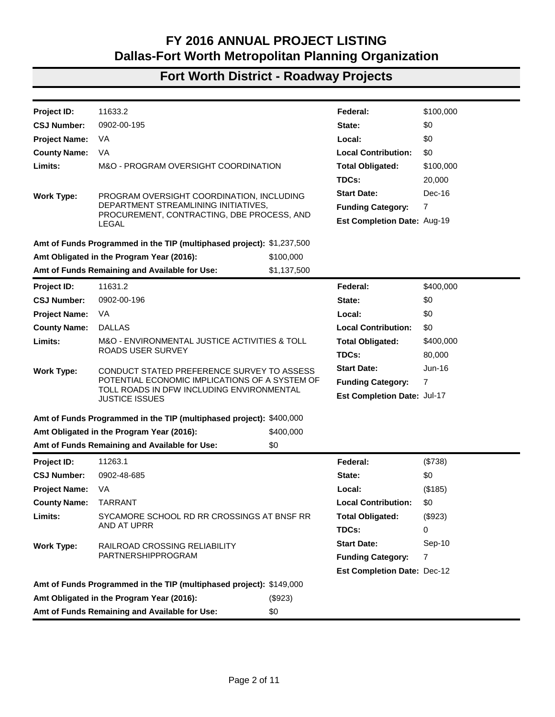#### **Dallas District - Transit Projects**

| <b>Project ID:</b>   | 12777.15                                                              |             | Federal:                           | \$1,488,861 |
|----------------------|-----------------------------------------------------------------------|-------------|------------------------------------|-------------|
|                      |                                                                       |             | State:                             | \$0         |
|                      |                                                                       |             | Local:                             | \$1,329,223 |
|                      |                                                                       |             | <b>Local Contribution:</b>         | \$0         |
| <b>Grant Number:</b> | TX-2016-027-00                                                        |             | <b>Total Obligated:</b>            | \$2,818,084 |
| <b>Project Name:</b> | <b>NCTCOG</b>                                                         |             | TDCs:                              | 0           |
| <b>County Name:</b>  | <b>VARIOUS</b>                                                        |             | <b>Start Date:</b>                 | Jul-16      |
| Work Type:           | DALLAS-FORT WORTH INTERNATIONAL AIRPORT TRE                           |             | <b>Funding Category:</b>           | 5307        |
|                      | <b>SHUTTLE SERVICE</b>                                                |             | Est Completion Date: May-20        |             |
|                      | Amt of Funds Programmed in the TIP (multiphased project): \$3,861,365 |             |                                    |             |
|                      | Amt Obligated in the Program Year (2016):                             | \$2,818,084 |                                    |             |
|                      | Amt of Funds Remaining and Available for Use:                         | \$1,043,281 |                                    |             |
| Project ID:          | 12151.15, 12154.15, 12206.15, 12246.15, 12483.15,                     |             | Federal:                           | \$2,462,690 |
|                      | 12484.15, 12628.15, 12776.15, 12777.15                                |             | State:                             | \$0         |
|                      |                                                                       |             | Local:                             | \$572,736   |
|                      |                                                                       |             | <b>Local Contribution:</b>         | \$0         |
| <b>Grant Number:</b> | TX-2016-024-00                                                        |             | <b>Total Obligated:</b>            | \$3,035,426 |
| <b>Project Name:</b> | <b>NCTCOG</b>                                                         |             | TDCs:                              |             |
| <b>County Name:</b>  | <b>VARIOUS</b>                                                        |             | <b>Start Date:</b>                 | Aug-16      |
| Work Type:           | FY 2015 PROGRAM OF PROJECTS                                           |             | <b>Funding Category:</b>           | 5307        |
|                      |                                                                       |             | <b>Est Completion Date: Sep-19</b> |             |
|                      | Amt of Funds Programmed in the TIP (multiphased project): \$6,589,278 |             |                                    |             |
|                      | Amt Obligated in the Program Year (2016):                             | \$3,035,426 |                                    |             |
|                      | Amt of Funds Remaining and Available for Use:                         | \$3,553,852 |                                    |             |
|                      |                                                                       |             |                                    |             |

**Total Federal Funds Obligated in FY 2016 (Transit Projects): \$97,783,140**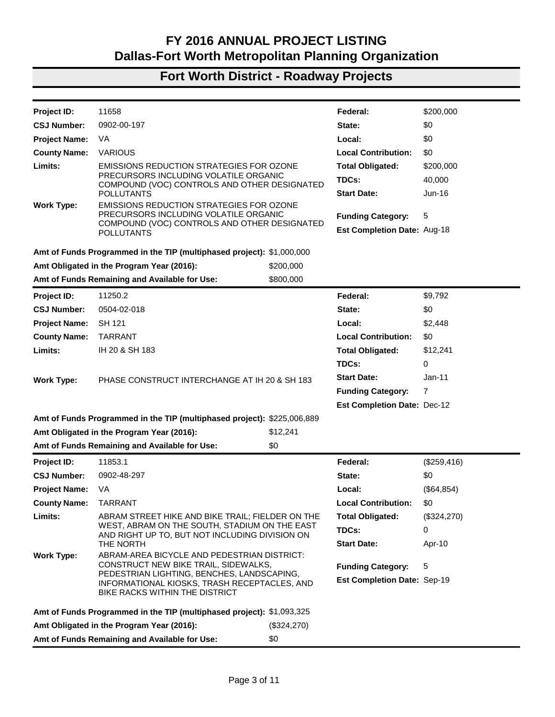| 25013                                         |                                                           | Federal:                                                                                                                                                                                                                                                                                                                                                                                                                                                                                                                                                                                                                                                                                                                                                                                                                   | \$1,000,000              |
|-----------------------------------------------|-----------------------------------------------------------|----------------------------------------------------------------------------------------------------------------------------------------------------------------------------------------------------------------------------------------------------------------------------------------------------------------------------------------------------------------------------------------------------------------------------------------------------------------------------------------------------------------------------------------------------------------------------------------------------------------------------------------------------------------------------------------------------------------------------------------------------------------------------------------------------------------------------|--------------------------|
| 0902-90-046                                   |                                                           | State:                                                                                                                                                                                                                                                                                                                                                                                                                                                                                                                                                                                                                                                                                                                                                                                                                     | \$0                      |
| <b>CS</b>                                     |                                                           | Local:                                                                                                                                                                                                                                                                                                                                                                                                                                                                                                                                                                                                                                                                                                                                                                                                                     | \$0                      |
| <b>TARRANT</b>                                |                                                           | <b>Local Contribution:</b>                                                                                                                                                                                                                                                                                                                                                                                                                                                                                                                                                                                                                                                                                                                                                                                                 | \$0                      |
|                                               |                                                           | <b>Total Obligated:</b>                                                                                                                                                                                                                                                                                                                                                                                                                                                                                                                                                                                                                                                                                                                                                                                                    | \$1,000,000              |
|                                               |                                                           | TDCs:                                                                                                                                                                                                                                                                                                                                                                                                                                                                                                                                                                                                                                                                                                                                                                                                                      | 200,000                  |
|                                               |                                                           | <b>Start Date:</b>                                                                                                                                                                                                                                                                                                                                                                                                                                                                                                                                                                                                                                                                                                                                                                                                         | Sep-16                   |
|                                               |                                                           | <b>Funding Category:</b>                                                                                                                                                                                                                                                                                                                                                                                                                                                                                                                                                                                                                                                                                                                                                                                                   | 5,7                      |
| <b>BICYCLE LANES</b>                          |                                                           | <b>Est Completion Date: Mar-17</b>                                                                                                                                                                                                                                                                                                                                                                                                                                                                                                                                                                                                                                                                                                                                                                                         |                          |
|                                               |                                                           |                                                                                                                                                                                                                                                                                                                                                                                                                                                                                                                                                                                                                                                                                                                                                                                                                            |                          |
| Amt Obligated in the Program Year (2016):     | \$1,000,000                                               |                                                                                                                                                                                                                                                                                                                                                                                                                                                                                                                                                                                                                                                                                                                                                                                                                            |                          |
| Amt of Funds Remaining and Available for Use: | \$0                                                       |                                                                                                                                                                                                                                                                                                                                                                                                                                                                                                                                                                                                                                                                                                                                                                                                                            |                          |
| 11617.1                                       |                                                           | Federal:                                                                                                                                                                                                                                                                                                                                                                                                                                                                                                                                                                                                                                                                                                                                                                                                                   | \$1,701,889              |
| 0902-90-049                                   |                                                           | State:                                                                                                                                                                                                                                                                                                                                                                                                                                                                                                                                                                                                                                                                                                                                                                                                                     | \$0                      |
| VA                                            |                                                           | Local:                                                                                                                                                                                                                                                                                                                                                                                                                                                                                                                                                                                                                                                                                                                                                                                                                     | \$0                      |
| <b>TARRANT</b>                                |                                                           | <b>Local Contribution:</b>                                                                                                                                                                                                                                                                                                                                                                                                                                                                                                                                                                                                                                                                                                                                                                                                 | \$0                      |
|                                               |                                                           | <b>Total Obligated:</b>                                                                                                                                                                                                                                                                                                                                                                                                                                                                                                                                                                                                                                                                                                                                                                                                    | \$1,701,889              |
|                                               |                                                           | TDCs:                                                                                                                                                                                                                                                                                                                                                                                                                                                                                                                                                                                                                                                                                                                                                                                                                      | 340,378                  |
|                                               |                                                           | <b>Start Date:</b>                                                                                                                                                                                                                                                                                                                                                                                                                                                                                                                                                                                                                                                                                                                                                                                                         | Jun-16                   |
| INITIATIVES/SPECIAL EVENTS ITS                |                                                           |                                                                                                                                                                                                                                                                                                                                                                                                                                                                                                                                                                                                                                                                                                                                                                                                                            |                          |
|                                               |                                                           |                                                                                                                                                                                                                                                                                                                                                                                                                                                                                                                                                                                                                                                                                                                                                                                                                            |                          |
|                                               |                                                           |                                                                                                                                                                                                                                                                                                                                                                                                                                                                                                                                                                                                                                                                                                                                                                                                                            | 7                        |
|                                               |                                                           | <b>Est Completion Date: Aug-19</b>                                                                                                                                                                                                                                                                                                                                                                                                                                                                                                                                                                                                                                                                                                                                                                                         |                          |
|                                               |                                                           |                                                                                                                                                                                                                                                                                                                                                                                                                                                                                                                                                                                                                                                                                                                                                                                                                            |                          |
| Amt Obligated in the Program Year (2016):     | \$1,701,889                                               |                                                                                                                                                                                                                                                                                                                                                                                                                                                                                                                                                                                                                                                                                                                                                                                                                            |                          |
| Amt of Funds Remaining and Available for Use: | \$0                                                       |                                                                                                                                                                                                                                                                                                                                                                                                                                                                                                                                                                                                                                                                                                                                                                                                                            |                          |
|                                               | MILITARY PARKWAY<br><b>REDUCTION PROGRAM; AIR QUALITY</b> | MEANDERING ROAD FROM SH 183 TO GILLHAM RD AND<br>LTJG BARNETT ROAD FROM GILLHAM ROAD TO<br>REALIGN INTERSECTION AND ADD TRAFFIC SIGNAL AT<br>ROBERTS CUT OFF, CONSTRUCT ROUNDABOUT AT<br>LTJG BARNETT, RECONSTRUCT MEANDERING ROAD<br>FROM 4 TO 3 LANES, AND ADD SIDEWALKS AND<br>Amt of Funds Programmed in the TIP (multiphased project): \$1,000,000<br>PLANNING/OVERSIGHT/ADMINISTRATION OF<br>IMPLEMENTATION INITIATIVES/REGIONAL PROJECT<br>TRACKING, MONITORING, ASSESSMENT, & SOFTWARE<br>DEVELOPMENT PROJECT/REGIONAL EMISSIONS<br>MOBILITY ASSISTANCE PATROL, SUSTAINABLE<br>DEVELOPMENT PROGRAM, ITS AND OTHER<br>IMPLEMENTATION INITIATIVES/DEVELOP AND<br>IMPLEMENT REGIONAL PROJECT TRACKING.<br>MONITORING, AND ASSESSMENT SYSTEM<br>Amt of Funds Programmed in the TIP (multiphased project): \$12,893,803 | <b>Funding Category:</b> |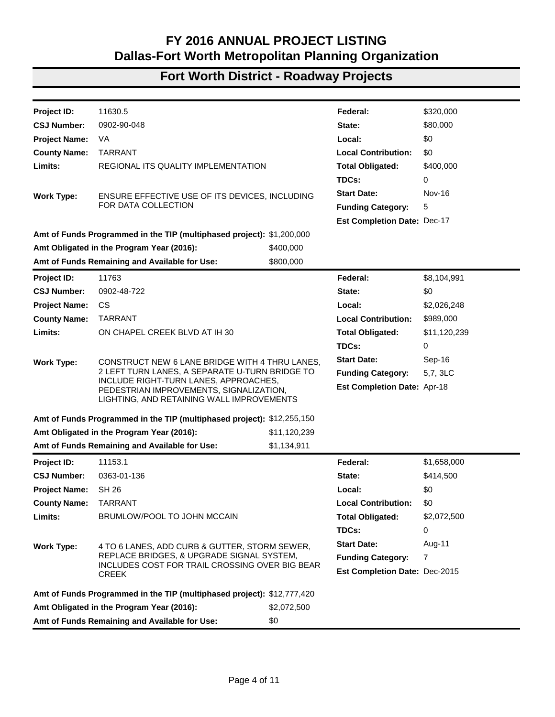| Project ID:          | 11633.2                                                                                     |             | Federal:                           | \$100,000 |
|----------------------|---------------------------------------------------------------------------------------------|-------------|------------------------------------|-----------|
| <b>CSJ Number:</b>   | 0902-00-195                                                                                 |             | State:                             | \$0       |
| <b>Project Name:</b> | VA                                                                                          |             | Local:                             | \$0       |
| <b>County Name:</b>  | VA                                                                                          |             | <b>Local Contribution:</b>         | \$0       |
| Limits:              | M&O - PROGRAM OVERSIGHT COORDINATION                                                        |             | <b>Total Obligated:</b>            | \$100,000 |
|                      |                                                                                             |             | TDCs:                              | 20,000    |
| <b>Work Type:</b>    | PROGRAM OVERSIGHT COORDINATION, INCLUDING                                                   |             | <b>Start Date:</b>                 | Dec-16    |
|                      | DEPARTMENT STREAMLINING INITIATIVES,                                                        |             | <b>Funding Category:</b>           | 7         |
|                      | PROCUREMENT, CONTRACTING, DBE PROCESS, AND<br>LEGAL                                         |             | Est Completion Date: Aug-19        |           |
|                      |                                                                                             |             |                                    |           |
|                      | Amt of Funds Programmed in the TIP (multiphased project): \$1,237,500                       |             |                                    |           |
|                      | Amt Obligated in the Program Year (2016):                                                   | \$100,000   |                                    |           |
|                      | Amt of Funds Remaining and Available for Use:                                               | \$1,137,500 |                                    |           |
| Project ID:          | 11631.2                                                                                     |             | Federal:                           | \$400,000 |
| <b>CSJ Number:</b>   | 0902-00-196                                                                                 |             | State:                             | \$0       |
| <b>Project Name:</b> | VA                                                                                          |             | Local:                             | \$0       |
| <b>County Name:</b>  | <b>DALLAS</b>                                                                               |             | <b>Local Contribution:</b>         | \$0       |
| Limits:              | M&O - ENVIRONMENTAL JUSTICE ACTIVITIES & TOLL                                               |             | <b>Total Obligated:</b>            | \$400,000 |
|                      | ROADS USER SURVEY                                                                           |             | TDCs:                              | 80,000    |
| <b>Work Type:</b>    | CONDUCT STATED PREFERENCE SURVEY TO ASSESS                                                  |             | <b>Start Date:</b>                 | Jun-16    |
|                      | POTENTIAL ECONOMIC IMPLICATIONS OF A SYSTEM OF<br>TOLL ROADS IN DFW INCLUDING ENVIRONMENTAL |             | <b>Funding Category:</b>           | 7         |
|                      | <b>JUSTICE ISSUES</b>                                                                       |             | Est Completion Date: Jul-17        |           |
|                      | Amt of Funds Programmed in the TIP (multiphased project): \$400,000                         |             |                                    |           |
|                      | Amt Obligated in the Program Year (2016):                                                   | \$400,000   |                                    |           |
|                      | Amt of Funds Remaining and Available for Use:                                               | \$0         |                                    |           |
| Project ID:          | 11263.1                                                                                     |             | Federal:                           | (\$738)   |
| <b>CSJ Number:</b>   | 0902-48-685                                                                                 |             | State:                             | \$0       |
| <b>Project Name:</b> | VA.                                                                                         |             | Local:                             | (\$185)   |
| <b>County Name:</b>  | <b>TARRANT</b>                                                                              |             | <b>Local Contribution:</b>         | \$0.      |
| Limits:              | SYCAMORE SCHOOL RD RR CROSSINGS AT BNSF RR                                                  |             | <b>Total Obligated:</b>            | (\$923)   |
|                      | AND AT UPRR                                                                                 |             | TDCs:                              | 0         |
| <b>Work Type:</b>    | <b>RAILROAD CROSSING RELIABILITY</b>                                                        |             | <b>Start Date:</b>                 | Sep-10    |
|                      | PARTNERSHIPPROGRAM                                                                          |             | <b>Funding Category:</b>           | 7         |
|                      |                                                                                             |             | <b>Est Completion Date: Dec-12</b> |           |
|                      | Amt of Funds Programmed in the TIP (multiphased project): \$149,000                         |             |                                    |           |
|                      | Amt Obligated in the Program Year (2016):                                                   | (\$923)     |                                    |           |
|                      | Amt of Funds Remaining and Available for Use:                                               | \$0         |                                    |           |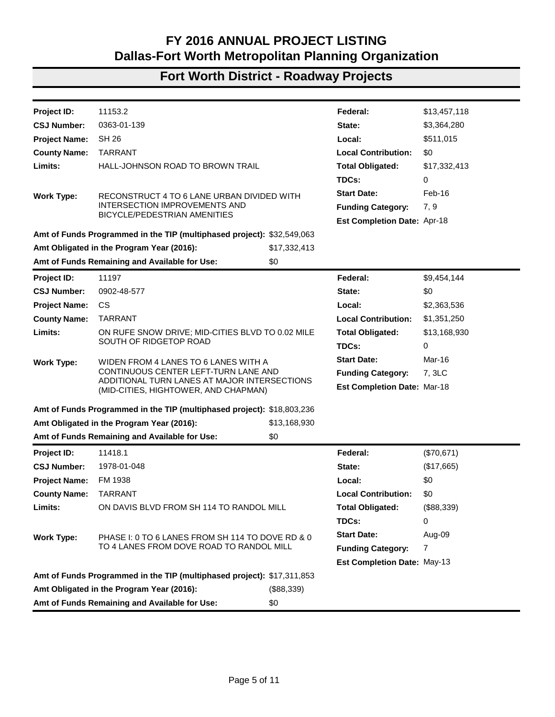| <b>Project ID:</b>                                                                 | 11658                                                                                           |             | Federal:                           | \$200,000   |
|------------------------------------------------------------------------------------|-------------------------------------------------------------------------------------------------|-------------|------------------------------------|-------------|
| <b>CSJ Number:</b>                                                                 | 0902-00-197                                                                                     |             | State:                             | \$0         |
| <b>Project Name:</b>                                                               | VA.                                                                                             |             | Local:                             | \$0         |
| <b>County Name:</b>                                                                | <b>VARIOUS</b>                                                                                  |             | <b>Local Contribution:</b>         | \$0         |
| Limits:                                                                            | <b>EMISSIONS REDUCTION STRATEGIES FOR OZONE</b>                                                 |             | <b>Total Obligated:</b>            | \$200,000   |
|                                                                                    | PRECURSORS INCLUDING VOLATILE ORGANIC<br>COMPOUND (VOC) CONTROLS AND OTHER DESIGNATED           |             | TDCs:                              | 40,000      |
|                                                                                    | <b>POLLUTANTS</b>                                                                               |             | <b>Start Date:</b>                 | $Jun-16$    |
| <b>Work Type:</b>                                                                  | <b>EMISSIONS REDUCTION STRATEGIES FOR OZONE</b>                                                 |             |                                    |             |
|                                                                                    | PRECURSORS INCLUDING VOLATILE ORGANIC<br>COMPOUND (VOC) CONTROLS AND OTHER DESIGNATED           |             | <b>Funding Category:</b>           | 5           |
|                                                                                    | <b>POLLUTANTS</b>                                                                               |             | <b>Est Completion Date: Aug-18</b> |             |
|                                                                                    | Amt of Funds Programmed in the TIP (multiphased project): \$1,000,000                           |             |                                    |             |
|                                                                                    | Amt Obligated in the Program Year (2016):                                                       | \$200,000   |                                    |             |
|                                                                                    | Amt of Funds Remaining and Available for Use:                                                   | \$800,000   |                                    |             |
| <b>Project ID:</b>                                                                 | 11250.2                                                                                         |             | Federal:                           | \$9,792     |
| <b>CSJ Number:</b>                                                                 | 0504-02-018                                                                                     |             | State:                             | \$0         |
| <b>Project Name:</b>                                                               | SH 121                                                                                          |             | Local:                             | \$2,448     |
| <b>County Name:</b>                                                                | <b>TARRANT</b>                                                                                  |             | <b>Local Contribution:</b>         | \$0         |
| Limits:                                                                            | IH 20 & SH 183                                                                                  |             | <b>Total Obligated:</b>            | \$12,241    |
|                                                                                    |                                                                                                 |             | TDCs:                              | 0           |
| <b>Work Type:</b>                                                                  | PHASE CONSTRUCT INTERCHANGE AT IH 20 & SH 183                                                   |             | <b>Start Date:</b>                 | $Jan-11$    |
|                                                                                    |                                                                                                 |             | <b>Funding Category:</b>           | 7           |
|                                                                                    |                                                                                                 |             | <b>Est Completion Date: Dec-12</b> |             |
|                                                                                    | Amt of Funds Programmed in the TIP (multiphased project): \$225,006,889                         |             |                                    |             |
|                                                                                    | Amt Obligated in the Program Year (2016):                                                       | \$12,241    |                                    |             |
|                                                                                    | Amt of Funds Remaining and Available for Use:                                                   | \$0         |                                    |             |
| <b>Project ID:</b>                                                                 | 11853.1                                                                                         |             | Federal:                           | (\$259,416) |
| <b>CSJ Number:</b>                                                                 | 0902-48-297                                                                                     |             | State:                             | \$0         |
| <b>Project Name:</b>                                                               | VA.                                                                                             |             | Local:                             | (\$64,854)  |
| <b>County Name:</b>                                                                | TARRANT                                                                                         |             | <b>Local Contribution:</b>         | \$0         |
| <b>Limits:</b>                                                                     | ABRAM STREET HIKE AND BIKE TRAIL; FIELDER ON THE                                                |             | <b>Total Obligated:</b>            | (\$324,270) |
|                                                                                    | WEST, ABRAM ON THE SOUTH, STADIUM ON THE EAST<br>AND RIGHT UP TO, BUT NOT INCLUDING DIVISION ON |             | TDCs:                              | 0           |
|                                                                                    | THE NORTH                                                                                       |             | <b>Start Date:</b>                 | Apr-10      |
| <b>Work Type:</b>                                                                  | ABRAM-AREA BICYCLE AND PEDESTRIAN DISTRICT:                                                     |             |                                    |             |
| CONSTRUCT NEW BIKE TRAIL, SIDEWALKS,<br>PEDESTRIAN LIGHTING, BENCHES, LANDSCAPING, |                                                                                                 |             | <b>Funding Category:</b>           | 5           |
|                                                                                    | INFORMATIONAL KIOSKS, TRASH RECEPTACLES, AND<br>BIKE RACKS WITHIN THE DISTRICT                  |             | Est Completion Date: Sep-19        |             |
|                                                                                    | Amt of Funds Programmed in the TIP (multiphased project): \$1,093,325                           |             |                                    |             |
|                                                                                    | Amt Obligated in the Program Year (2016):                                                       | (\$324,270) |                                    |             |
| Amt of Funds Remaining and Available for Use:<br>\$0                               |                                                                                                 |             |                                    |             |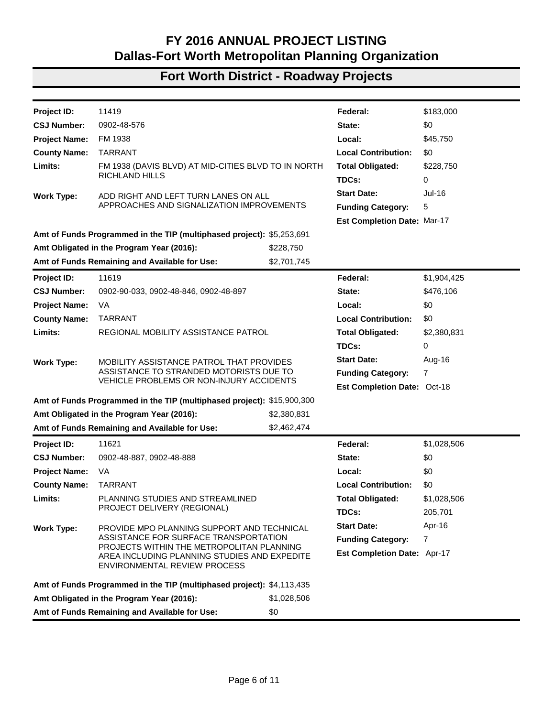| Project ID:          | 11630.5                                                                                                                       |              | Federal:                           | \$320,000     |
|----------------------|-------------------------------------------------------------------------------------------------------------------------------|--------------|------------------------------------|---------------|
| <b>CSJ Number:</b>   | 0902-90-048                                                                                                                   |              | State:                             | \$80,000      |
| <b>Project Name:</b> | VA                                                                                                                            |              | Local:                             | \$0           |
| <b>County Name:</b>  | <b>TARRANT</b>                                                                                                                |              | <b>Local Contribution:</b>         | \$0           |
| Limits:              | REGIONAL ITS QUALITY IMPLEMENTATION                                                                                           |              | <b>Total Obligated:</b>            | \$400,000     |
|                      |                                                                                                                               |              | TDCs:                              | 0             |
| <b>Work Type:</b>    | ENSURE EFFECTIVE USE OF ITS DEVICES, INCLUDING                                                                                |              | <b>Start Date:</b>                 | <b>Nov-16</b> |
|                      | FOR DATA COLLECTION                                                                                                           |              | <b>Funding Category:</b>           | 5             |
|                      |                                                                                                                               |              | <b>Est Completion Date: Dec-17</b> |               |
|                      | Amt of Funds Programmed in the TIP (multiphased project): \$1,200,000                                                         |              |                                    |               |
|                      | Amt Obligated in the Program Year (2016):                                                                                     | \$400,000    |                                    |               |
|                      | Amt of Funds Remaining and Available for Use:                                                                                 | \$800,000    |                                    |               |
| <b>Project ID:</b>   | 11763                                                                                                                         |              | Federal:                           | \$8,104,991   |
| <b>CSJ Number:</b>   | 0902-48-722                                                                                                                   |              | State:                             | \$0           |
| <b>Project Name:</b> | CS.                                                                                                                           |              | Local:                             | \$2,026,248   |
| <b>County Name:</b>  | <b>TARRANT</b>                                                                                                                |              | <b>Local Contribution:</b>         | \$989,000     |
| Limits:              | ON CHAPEL CREEK BLVD AT IH 30                                                                                                 |              | <b>Total Obligated:</b>            | \$11,120,239  |
|                      |                                                                                                                               |              | TDCs:                              | 0             |
| <b>Work Type:</b>    | CONSTRUCT NEW 6 LANE BRIDGE WITH 4 THRU LANES,                                                                                |              | <b>Start Date:</b>                 | Sep-16        |
|                      | 2 LEFT TURN LANES, A SEPARATE U-TURN BRIDGE TO                                                                                |              | <b>Funding Category:</b>           | 5,7, 3LC      |
|                      | INCLUDE RIGHT-TURN LANES, APPROACHES,<br>PEDESTRIAN IMPROVEMENTS, SIGNALIZATION,<br>LIGHTING, AND RETAINING WALL IMPROVEMENTS |              | Est Completion Date: Apr-18        |               |
|                      | Amt of Funds Programmed in the TIP (multiphased project): \$12,255,150                                                        |              |                                    |               |
|                      | Amt Obligated in the Program Year (2016):                                                                                     | \$11,120,239 |                                    |               |
|                      | Amt of Funds Remaining and Available for Use:                                                                                 | \$1,134,911  |                                    |               |
| <b>Project ID:</b>   | 11153.1                                                                                                                       |              | Federal:                           | \$1,658,000   |
| <b>CSJ Number:</b>   | 0363-01-136                                                                                                                   |              | State:                             | \$414,500     |
| <b>Project Name:</b> | <b>SH 26</b>                                                                                                                  |              | Local:                             | \$0           |
| <b>County Name:</b>  | <b>TARRANT</b>                                                                                                                |              | <b>Local Contribution:</b>         | \$0           |
| Limits:              | BRUMLOW/POOL TO JOHN MCCAIN                                                                                                   |              | <b>Total Obligated:</b>            | \$2,072,500   |
|                      |                                                                                                                               |              | TDCs:                              | 0             |
| <b>Work Type:</b>    | 4 TO 6 LANES, ADD CURB & GUTTER, STORM SEWER,                                                                                 |              | <b>Start Date:</b>                 | Aug-11        |
|                      | REPLACE BRIDGES, & UPGRADE SIGNAL SYSTEM,                                                                                     |              | <b>Funding Category:</b>           | 7             |
|                      | INCLUDES COST FOR TRAIL CROSSING OVER BIG BEAR<br><b>CREEK</b>                                                                |              | Est Completion Date: Dec-2015      |               |
|                      | Amt of Funds Programmed in the TIP (multiphased project): \$12,777,420                                                        |              |                                    |               |
|                      | Amt Obligated in the Program Year (2016):                                                                                     | \$2,072,500  |                                    |               |
|                      | Amt of Funds Remaining and Available for Use:                                                                                 | \$0          |                                    |               |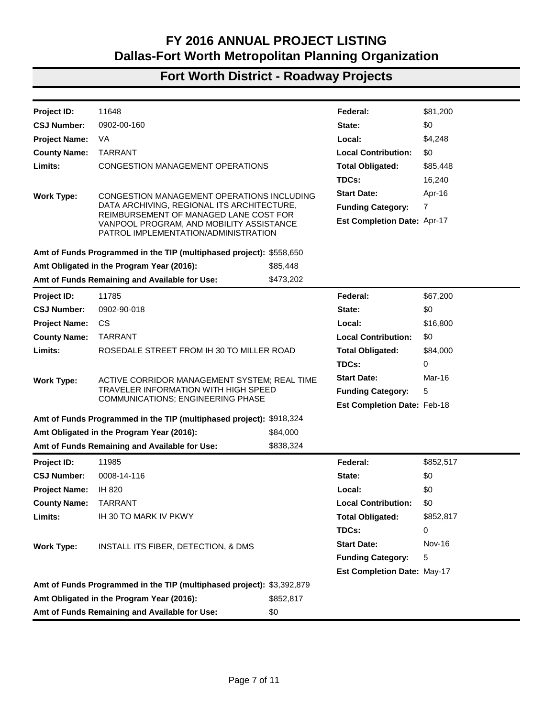| Project ID:          | 11153.2                                                                              |              | Federal:                           | \$13,457,118 |
|----------------------|--------------------------------------------------------------------------------------|--------------|------------------------------------|--------------|
| <b>CSJ Number:</b>   | 0363-01-139                                                                          |              | State:                             | \$3,364,280  |
| <b>Project Name:</b> | <b>SH 26</b>                                                                         |              | Local:                             | \$511,015    |
| <b>County Name:</b>  | <b>TARRANT</b>                                                                       |              | <b>Local Contribution:</b>         | \$0          |
| Limits:              | HALL-JOHNSON ROAD TO BROWN TRAIL                                                     |              | <b>Total Obligated:</b>            | \$17,332,413 |
|                      |                                                                                      |              | TDCs:                              | 0            |
| <b>Work Type:</b>    | RECONSTRUCT 4 TO 6 LANE URBAN DIVIDED WITH                                           |              | <b>Start Date:</b>                 | Feb-16       |
|                      | <b>INTERSECTION IMPROVEMENTS AND</b>                                                 |              | <b>Funding Category:</b>           | 7, 9         |
|                      | <b>BICYCLE/PEDESTRIAN AMENITIES</b>                                                  |              | <b>Est Completion Date: Apr-18</b> |              |
|                      | Amt of Funds Programmed in the TIP (multiphased project): \$32,549,063               |              |                                    |              |
|                      | Amt Obligated in the Program Year (2016):                                            | \$17,332,413 |                                    |              |
|                      | Amt of Funds Remaining and Available for Use:                                        | \$0          |                                    |              |
| Project ID:          | 11197                                                                                |              | Federal:                           | \$9,454,144  |
| <b>CSJ Number:</b>   | 0902-48-577                                                                          |              | State:                             | \$0          |
| <b>Project Name:</b> | CS                                                                                   |              | Local:                             | \$2,363,536  |
| <b>County Name:</b>  | <b>TARRANT</b>                                                                       |              | <b>Local Contribution:</b>         | \$1,351,250  |
| Limits:              | ON RUFE SNOW DRIVE; MID-CITIES BLVD TO 0.02 MILE                                     |              | <b>Total Obligated:</b>            | \$13,168,930 |
|                      | SOUTH OF RIDGETOP ROAD                                                               |              | TDCs:                              | 0            |
| <b>Work Type:</b>    | WIDEN FROM 4 LANES TO 6 LANES WITH A                                                 |              | <b>Start Date:</b>                 | Mar-16       |
|                      | CONTINUOUS CENTER LEFT-TURN LANE AND                                                 |              | <b>Funding Category:</b>           | 7, 3LC       |
|                      | ADDITIONAL TURN LANES AT MAJOR INTERSECTIONS<br>(MID-CITIES, HIGHTOWER, AND CHAPMAN) |              | <b>Est Completion Date: Mar-18</b> |              |
|                      | Amt of Funds Programmed in the TIP (multiphased project): \$18,803,236               |              |                                    |              |
|                      | Amt Obligated in the Program Year (2016):                                            | \$13,168,930 |                                    |              |
|                      | Amt of Funds Remaining and Available for Use:                                        | \$0          |                                    |              |
| Project ID:          | 11418.1                                                                              |              | Federal:                           | (\$70,671)   |
| <b>CSJ Number:</b>   | 1978-01-048                                                                          |              | State:                             | (\$17,665)   |
| <b>Project Name:</b> | FM 1938                                                                              |              | Local:                             | \$0          |
| <b>County Name:</b>  | <b>TARRANT</b>                                                                       |              | <b>Local Contribution:</b>         | \$0          |
| Limits:              | ON DAVIS BLVD FROM SH 114 TO RANDOL MILL                                             |              | <b>Total Obligated:</b>            | (\$88,339)   |
|                      |                                                                                      |              | TDCs:                              | 0            |
| <b>Work Type:</b>    | PHASE I: 0 TO 6 LANES FROM SH 114 TO DOVE RD & 0                                     |              | <b>Start Date:</b>                 | Aug-09       |
|                      | TO 4 LANES FROM DOVE ROAD TO RANDOL MILL                                             |              | <b>Funding Category:</b>           | 7            |
|                      |                                                                                      |              | Est Completion Date: May-13        |              |
|                      | Amt of Funds Programmed in the TIP (multiphased project): \$17,311,853               |              |                                    |              |
|                      | Amt Obligated in the Program Year (2016):                                            | (\$88,339)   |                                    |              |
|                      | Amt of Funds Remaining and Available for Use:                                        | \$0          |                                    |              |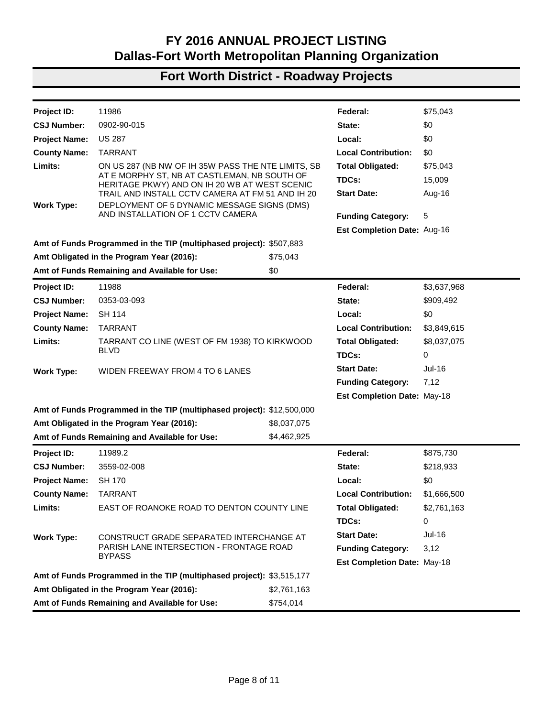| Project ID:          | 11419                                                                                                                     |             | Federal:                           | \$183,000   |
|----------------------|---------------------------------------------------------------------------------------------------------------------------|-------------|------------------------------------|-------------|
| <b>CSJ Number:</b>   | 0902-48-576                                                                                                               |             | State:                             | \$0         |
| <b>Project Name:</b> | FM 1938                                                                                                                   |             | Local:                             | \$45,750    |
| <b>County Name:</b>  | <b>TARRANT</b>                                                                                                            |             | <b>Local Contribution:</b>         | \$0         |
| Limits:              | FM 1938 (DAVIS BLVD) AT MID-CITIES BLVD TO IN NORTH                                                                       |             | <b>Total Obligated:</b>            | \$228,750   |
|                      | RICHLAND HILLS                                                                                                            |             | TDCs:                              | 0           |
| <b>Work Type:</b>    | ADD RIGHT AND LEFT TURN LANES ON ALL                                                                                      |             | <b>Start Date:</b>                 | Jul-16      |
|                      | APPROACHES AND SIGNALIZATION IMPROVEMENTS                                                                                 |             | <b>Funding Category:</b>           | 5           |
|                      |                                                                                                                           |             | <b>Est Completion Date: Mar-17</b> |             |
|                      | Amt of Funds Programmed in the TIP (multiphased project): \$5,253,691                                                     |             |                                    |             |
|                      | Amt Obligated in the Program Year (2016):                                                                                 | \$228,750   |                                    |             |
|                      | Amt of Funds Remaining and Available for Use:                                                                             | \$2,701,745 |                                    |             |
| <b>Project ID:</b>   | 11619                                                                                                                     |             | Federal:                           | \$1,904,425 |
| <b>CSJ Number:</b>   | 0902-90-033, 0902-48-846, 0902-48-897                                                                                     |             | State:                             | \$476,106   |
| <b>Project Name:</b> | VA                                                                                                                        |             | Local:                             | \$0         |
| <b>County Name:</b>  | <b>TARRANT</b>                                                                                                            |             | <b>Local Contribution:</b>         | \$0         |
| Limits:              | REGIONAL MOBILITY ASSISTANCE PATROL                                                                                       |             | <b>Total Obligated:</b>            | \$2,380,831 |
|                      |                                                                                                                           |             | TDCs:                              | 0           |
| <b>Work Type:</b>    | MOBILITY ASSISTANCE PATROL THAT PROVIDES                                                                                  |             | <b>Start Date:</b>                 | Aug-16      |
|                      | ASSISTANCE TO STRANDED MOTORISTS DUE TO                                                                                   |             | <b>Funding Category:</b>           | 7           |
|                      | VEHICLE PROBLEMS OR NON-INJURY ACCIDENTS                                                                                  |             | <b>Est Completion Date: Oct-18</b> |             |
|                      | Amt of Funds Programmed in the TIP (multiphased project): \$15,900,300                                                    |             |                                    |             |
|                      | Amt Obligated in the Program Year (2016):                                                                                 | \$2,380,831 |                                    |             |
|                      | Amt of Funds Remaining and Available for Use:                                                                             | \$2,462,474 |                                    |             |
| Project ID:          | 11621                                                                                                                     |             | Federal:                           | \$1,028,506 |
| <b>CSJ Number:</b>   | 0902-48-887, 0902-48-888                                                                                                  |             | State:                             | \$0         |
| <b>Project Name:</b> | VA                                                                                                                        |             | Local:                             | \$0         |
| <b>County Name:</b>  | <b>TARRANT</b>                                                                                                            |             | <b>Local Contribution:</b>         | \$0         |
| Limits:              | PLANNING STUDIES AND STREAMLINED                                                                                          |             | <b>Total Obligated:</b>            | \$1,028,506 |
|                      | PROJECT DELIVERY (REGIONAL)                                                                                               |             | TDCs:                              | 205,701     |
| <b>Work Type:</b>    | PROVIDE MPO PLANNING SUPPORT AND TECHNICAL                                                                                |             | <b>Start Date:</b>                 | Apr-16      |
|                      | ASSISTANCE FOR SURFACE TRANSPORTATION                                                                                     |             | <b>Funding Category:</b>           | 7           |
|                      | PROJECTS WITHIN THE METROPOLITAN PLANNING<br>AREA INCLUDING PLANNING STUDIES AND EXPEDITE<br>ENVIRONMENTAL REVIEW PROCESS |             | Est Completion Date: Apr-17        |             |
|                      | Amt of Funds Programmed in the TIP (multiphased project): \$4,113,435                                                     |             |                                    |             |
|                      | Amt Obligated in the Program Year (2016):                                                                                 | \$1,028,506 |                                    |             |
|                      | Amt of Funds Remaining and Available for Use:                                                                             | \$0         |                                    |             |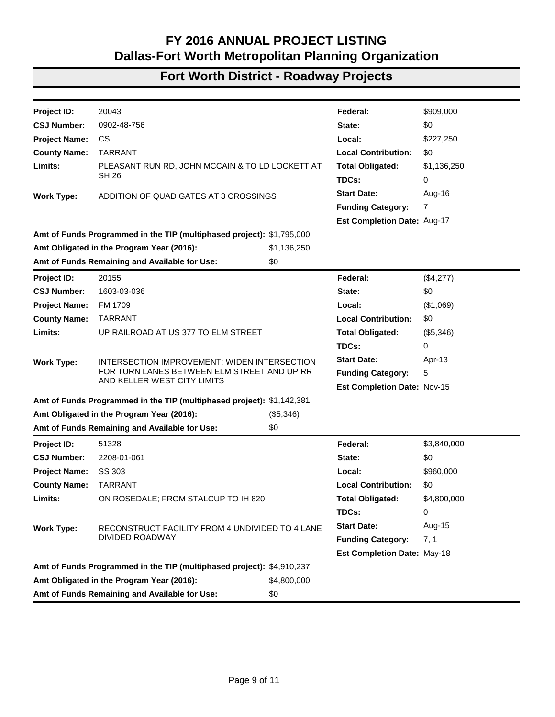| Project ID:          | 11648                                                                                                                      |           | Federal:                    | \$81,200      |
|----------------------|----------------------------------------------------------------------------------------------------------------------------|-----------|-----------------------------|---------------|
| <b>CSJ Number:</b>   | 0902-00-160                                                                                                                |           | State:                      | \$0           |
| <b>Project Name:</b> | VA                                                                                                                         |           | Local:                      | \$4,248       |
| <b>County Name:</b>  | <b>TARRANT</b>                                                                                                             |           | <b>Local Contribution:</b>  | \$0           |
| Limits:              | CONGESTION MANAGEMENT OPERATIONS                                                                                           |           | <b>Total Obligated:</b>     | \$85,448      |
|                      |                                                                                                                            |           | TDCs:                       | 16,240        |
| <b>Work Type:</b>    | CONGESTION MANAGEMENT OPERATIONS INCLUDING                                                                                 |           | <b>Start Date:</b>          | Apr-16        |
|                      | DATA ARCHIVING, REGIONAL ITS ARCHITECTURE,                                                                                 |           | <b>Funding Category:</b>    | 7             |
|                      | REIMBURSEMENT OF MANAGED LANE COST FOR<br>VANPOOL PROGRAM, AND MOBILITY ASSISTANCE<br>PATROL IMPLEMENTATION/ADMINISTRATION |           | Est Completion Date: Apr-17 |               |
|                      | Amt of Funds Programmed in the TIP (multiphased project): \$558,650                                                        |           |                             |               |
|                      | Amt Obligated in the Program Year (2016):                                                                                  | \$85,448  |                             |               |
|                      | Amt of Funds Remaining and Available for Use:                                                                              | \$473,202 |                             |               |
| Project ID:          | 11785                                                                                                                      |           | Federal:                    | \$67,200      |
| <b>CSJ Number:</b>   | 0902-90-018                                                                                                                |           | State:                      | \$0           |
| <b>Project Name:</b> | <b>CS</b>                                                                                                                  |           | Local:                      | \$16,800      |
| <b>County Name:</b>  | <b>TARRANT</b>                                                                                                             |           | <b>Local Contribution:</b>  | \$0           |
| Limits:              | ROSEDALE STREET FROM IH 30 TO MILLER ROAD                                                                                  |           | <b>Total Obligated:</b>     | \$84,000      |
|                      |                                                                                                                            |           | TDCs:                       | 0             |
| <b>Work Type:</b>    | ACTIVE CORRIDOR MANAGEMENT SYSTEM; REAL TIME                                                                               |           | <b>Start Date:</b>          | Mar-16        |
|                      | <b>TRAVELER INFORMATION WITH HIGH SPEED</b><br>COMMUNICATIONS; ENGINEERING PHASE                                           |           | <b>Funding Category:</b>    | 5             |
|                      |                                                                                                                            |           | Est Completion Date: Feb-18 |               |
|                      | Amt of Funds Programmed in the TIP (multiphased project): \$918,324                                                        |           |                             |               |
|                      | Amt Obligated in the Program Year (2016):                                                                                  | \$84,000  |                             |               |
|                      | Amt of Funds Remaining and Available for Use:                                                                              | \$838,324 |                             |               |
| <b>Project ID:</b>   | 11985                                                                                                                      |           | Federal:                    | \$852,517     |
| <b>CSJ Number:</b>   | 0008-14-116                                                                                                                |           | State:                      | \$0           |
| <b>Project Name:</b> | IH 820                                                                                                                     |           | Local:                      | \$0           |
| <b>County Name:</b>  | <b>TARRANT</b>                                                                                                             |           | <b>Local Contribution:</b>  | \$0           |
| Limits:              | IH 30 TO MARK IV PKWY                                                                                                      |           | <b>Total Obligated:</b>     | \$852,817     |
|                      |                                                                                                                            |           | TDCs:                       | 0             |
| <b>Work Type:</b>    | INSTALL ITS FIBER, DETECTION, & DMS                                                                                        |           | <b>Start Date:</b>          | <b>Nov-16</b> |
|                      |                                                                                                                            |           | <b>Funding Category:</b>    | 5             |
|                      |                                                                                                                            |           | Est Completion Date: May-17 |               |
|                      | Amt of Funds Programmed in the TIP (multiphased project): \$3,392,879                                                      |           |                             |               |
|                      | Amt Obligated in the Program Year (2016):                                                                                  | \$852,817 |                             |               |
|                      | Amt of Funds Remaining and Available for Use:                                                                              | \$0       |                             |               |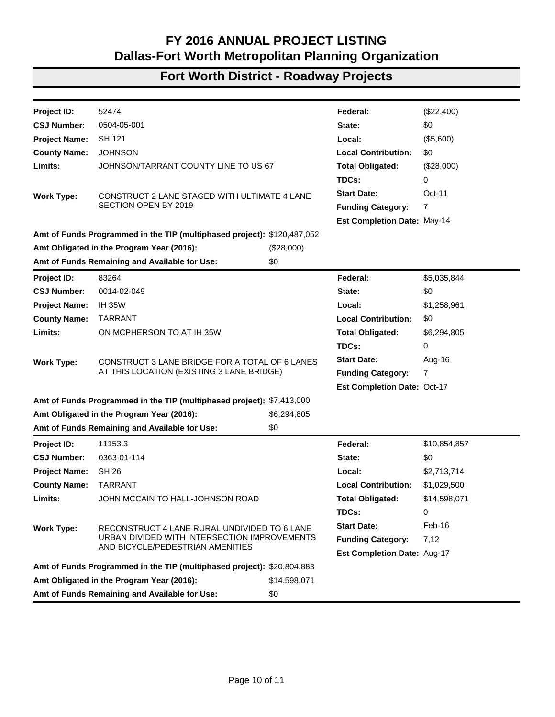| Project ID:          | 11986                                                                                         |                 | Federal:                    | \$75,043    |
|----------------------|-----------------------------------------------------------------------------------------------|-----------------|-----------------------------|-------------|
| <b>CSJ Number:</b>   | 0902-90-015                                                                                   |                 | State:                      | \$0         |
| <b>Project Name:</b> | <b>US 287</b>                                                                                 |                 | Local:                      | \$0         |
| <b>County Name:</b>  | <b>TARRANT</b>                                                                                |                 | <b>Local Contribution:</b>  | \$0         |
| Limits:              | ON US 287 (NB NW OF IH 35W PASS THE NTE LIMITS, SB                                            |                 | <b>Total Obligated:</b>     | \$75,043    |
|                      | AT E MORPHY ST, NB AT CASTLEMAN, NB SOUTH OF<br>HERITAGE PKWY) AND ON IH 20 WB AT WEST SCENIC |                 | TDCs:                       | 15,009      |
|                      | TRAIL AND INSTALL CCTV CAMERA AT FM 51 AND IH 20                                              |                 | <b>Start Date:</b>          | Aug-16      |
| <b>Work Type:</b>    | DEPLOYMENT OF 5 DYNAMIC MESSAGE SIGNS (DMS)<br>AND INSTALLATION OF 1 CCTV CAMERA              |                 |                             |             |
|                      |                                                                                               |                 | <b>Funding Category:</b>    | 5           |
|                      |                                                                                               |                 | Est Completion Date: Aug-16 |             |
|                      | Amt of Funds Programmed in the TIP (multiphased project): \$507,883                           |                 |                             |             |
|                      | Amt Obligated in the Program Year (2016):<br>Amt of Funds Remaining and Available for Use:    | \$75,043<br>\$0 |                             |             |
|                      |                                                                                               |                 |                             |             |
| Project ID:          | 11988                                                                                         |                 | Federal:                    | \$3,637,968 |
| <b>CSJ Number:</b>   | 0353-03-093                                                                                   |                 | State:                      | \$909,492   |
| <b>Project Name:</b> | <b>SH 114</b>                                                                                 |                 | Local:                      | \$0         |
| <b>County Name:</b>  | <b>TARRANT</b>                                                                                |                 | <b>Local Contribution:</b>  | \$3,849,615 |
| Limits:              | TARRANT CO LINE (WEST OF FM 1938) TO KIRKWOOD<br><b>BLVD</b>                                  |                 | <b>Total Obligated:</b>     | \$8,037,075 |
|                      |                                                                                               |                 | TDCs:                       | 0           |
| <b>Work Type:</b>    | WIDEN FREEWAY FROM 4 TO 6 LANES                                                               |                 | <b>Start Date:</b>          | Jul-16      |
|                      |                                                                                               |                 | <b>Funding Category:</b>    | 7,12        |
|                      |                                                                                               |                 | Est Completion Date: May-18 |             |
|                      | Amt of Funds Programmed in the TIP (multiphased project): \$12,500,000                        |                 |                             |             |
|                      | Amt Obligated in the Program Year (2016):                                                     | \$8,037,075     |                             |             |
|                      | Amt of Funds Remaining and Available for Use:                                                 | \$4,462,925     |                             |             |
| <b>Project ID:</b>   | 11989.2                                                                                       |                 | Federal:                    | \$875,730   |
| <b>CSJ Number:</b>   | 3559-02-008                                                                                   |                 | State:                      | \$218,933   |
| <b>Project Name:</b> | <b>SH 170</b>                                                                                 |                 | Local:                      | \$0         |
| <b>County Name:</b>  | <b>TARRANT</b>                                                                                |                 | <b>Local Contribution:</b>  | \$1,666,500 |
| Limits:              | EAST OF ROANOKE ROAD TO DENTON COUNTY LINE                                                    |                 | <b>Total Obligated:</b>     | \$2,761,163 |
|                      |                                                                                               |                 | TDCs:                       | 0           |
| <b>Work Type:</b>    | CONSTRUCT GRADE SEPARATED INTERCHANGE AT                                                      |                 | <b>Start Date:</b>          | Jul-16      |
|                      | PARISH LANE INTERSECTION - FRONTAGE ROAD<br><b>BYPASS</b>                                     |                 | <b>Funding Category:</b>    | 3,12        |
|                      |                                                                                               |                 | Est Completion Date: May-18 |             |
|                      | Amt of Funds Programmed in the TIP (multiphased project): \$3,515,177                         |                 |                             |             |
|                      | Amt Obligated in the Program Year (2016):                                                     | \$2,761,163     |                             |             |
|                      | Amt of Funds Remaining and Available for Use:<br>\$754,014                                    |                 |                             |             |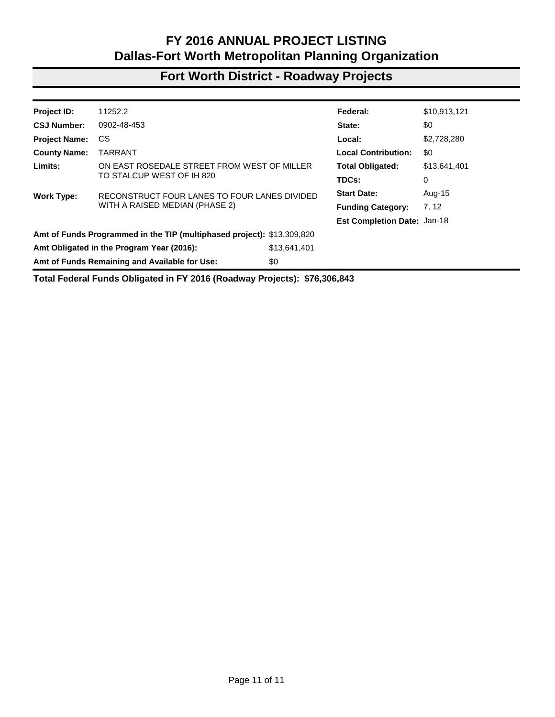| Federal:                                                                                                                       |                                        |
|--------------------------------------------------------------------------------------------------------------------------------|----------------------------------------|
|                                                                                                                                | \$909,000                              |
| State:                                                                                                                         | \$0                                    |
| Local:                                                                                                                         | \$227,250                              |
|                                                                                                                                | <b>Local Contribution:</b><br>\$0      |
| PLEASANT RUN RD, JOHN MCCAIN & TO LD LOCKETT AT                                                                                | <b>Total Obligated:</b><br>\$1,136,250 |
| TDCs:                                                                                                                          | 0                                      |
| <b>Start Date:</b><br>ADDITION OF QUAD GATES AT 3 CROSSINGS                                                                    | Aug-16                                 |
|                                                                                                                                | 7<br><b>Funding Category:</b>          |
|                                                                                                                                | Est Completion Date: Aug-17            |
| Amt of Funds Programmed in the TIP (multiphased project): \$1,795,000                                                          |                                        |
| Amt Obligated in the Program Year (2016):<br>\$1,136,250                                                                       |                                        |
| \$0<br>Amt of Funds Remaining and Available for Use:                                                                           |                                        |
| Federal:                                                                                                                       | (\$4,277)                              |
| State:                                                                                                                         | \$0                                    |
| Local:                                                                                                                         | (\$1,069)                              |
|                                                                                                                                | <b>Local Contribution:</b><br>\$0      |
| UP RAILROAD AT US 377 TO ELM STREET                                                                                            | <b>Total Obligated:</b><br>(\$5,346)   |
| TDCs:                                                                                                                          | 0                                      |
| <b>Start Date:</b>                                                                                                             | Apr-13                                 |
| FOR TURN LANES BETWEEN ELM STREET AND UP RR                                                                                    | 5<br><b>Funding Category:</b>          |
|                                                                                                                                | Est Completion Date: Nov-15            |
| Amt of Funds Programmed in the TIP (multiphased project): \$1,142,381                                                          |                                        |
| Amt Obligated in the Program Year (2016):<br>(\$5,346)                                                                         |                                        |
| Amt of Funds Remaining and Available for Use:<br>\$0                                                                           |                                        |
| Federal:                                                                                                                       | \$3,840,000                            |
| State:                                                                                                                         | \$0                                    |
| Local:                                                                                                                         | \$960,000                              |
|                                                                                                                                | <b>Local Contribution:</b><br>\$0      |
| ON ROSEDALE; FROM STALCUP TO IH 820                                                                                            | <b>Total Obligated:</b><br>\$4,800,000 |
| TDCs:                                                                                                                          | 0                                      |
| <b>Start Date:</b>                                                                                                             | Aug-15                                 |
| DIVIDED ROADWAY                                                                                                                | <b>Funding Category:</b><br>7, 1       |
|                                                                                                                                | Est Completion Date: May-18            |
| Amt of Funds Programmed in the TIP (multiphased project): \$4,910,237                                                          |                                        |
| Amt Obligated in the Program Year (2016):<br>\$4,800,000                                                                       |                                        |
| Amt of Funds Remaining and Available for Use:<br>\$0                                                                           |                                        |
| INTERSECTION IMPROVEMENT; WIDEN INTERSECTION<br>AND KELLER WEST CITY LIMITS<br>RECONSTRUCT FACILITY FROM 4 UNDIVIDED TO 4 LANE |                                        |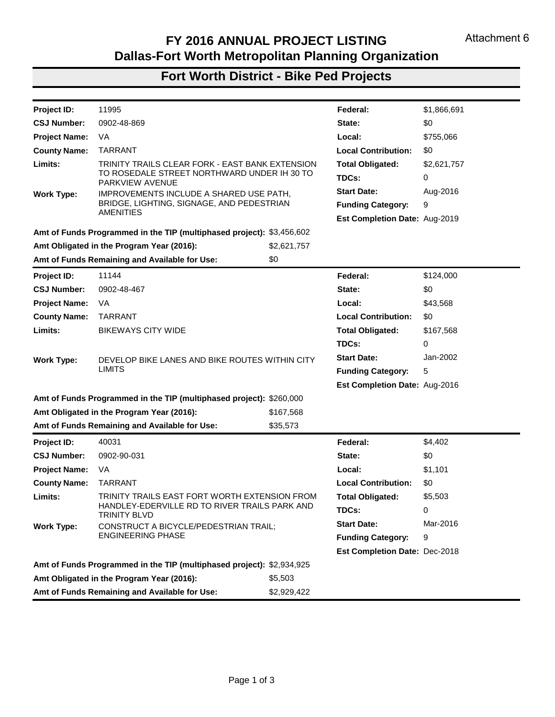| Project ID:          | 52474                                                                   |              | Federal:                           | (\$22,400)   |
|----------------------|-------------------------------------------------------------------------|--------------|------------------------------------|--------------|
| <b>CSJ Number:</b>   | 0504-05-001                                                             |              | State:                             | \$0          |
| <b>Project Name:</b> | SH 121                                                                  |              | Local:                             | (\$5,600)    |
| <b>County Name:</b>  | <b>JOHNSON</b>                                                          |              | <b>Local Contribution:</b>         | \$0          |
| Limits:              | JOHNSON/TARRANT COUNTY LINE TO US 67                                    |              | <b>Total Obligated:</b>            | (\$28,000)   |
|                      |                                                                         |              | TDCs:                              | 0            |
| <b>Work Type:</b>    | CONSTRUCT 2 LANE STAGED WITH ULTIMATE 4 LANE                            |              | <b>Start Date:</b>                 | Oct-11       |
|                      | SECTION OPEN BY 2019                                                    |              | <b>Funding Category:</b>           | 7            |
|                      |                                                                         |              | Est Completion Date: May-14        |              |
|                      | Amt of Funds Programmed in the TIP (multiphased project): \$120,487,052 |              |                                    |              |
|                      | Amt Obligated in the Program Year (2016):                               | (\$28,000)   |                                    |              |
|                      | Amt of Funds Remaining and Available for Use:                           | \$0          |                                    |              |
| Project ID:          | 83264                                                                   |              | Federal:                           | \$5,035,844  |
| <b>CSJ Number:</b>   | 0014-02-049                                                             |              | State:                             | \$0          |
| <b>Project Name:</b> | <b>IH 35W</b>                                                           |              | Local:                             | \$1,258,961  |
| <b>County Name:</b>  | <b>TARRANT</b>                                                          |              | <b>Local Contribution:</b>         | \$0          |
| Limits:              | ON MCPHERSON TO AT IH 35W                                               |              | <b>Total Obligated:</b>            | \$6,294,805  |
|                      |                                                                         |              | TDCs:                              | 0            |
| <b>Work Type:</b>    | CONSTRUCT 3 LANE BRIDGE FOR A TOTAL OF 6 LANES                          |              | <b>Start Date:</b>                 | Aug-16       |
|                      | AT THIS LOCATION (EXISTING 3 LANE BRIDGE)                               |              | <b>Funding Category:</b>           | 7            |
|                      |                                                                         |              | <b>Est Completion Date: Oct-17</b> |              |
|                      | Amt of Funds Programmed in the TIP (multiphased project): \$7,413,000   |              |                                    |              |
|                      | Amt Obligated in the Program Year (2016):                               | \$6,294,805  |                                    |              |
|                      | Amt of Funds Remaining and Available for Use:                           | \$0          |                                    |              |
| Project ID:          | 11153.3                                                                 |              | Federal:                           | \$10,854,857 |
| <b>CSJ Number:</b>   | 0363-01-114                                                             |              | State:                             | \$0          |
| <b>Project Name:</b> | SH 26                                                                   |              | Local:                             | \$2,713,714  |
| <b>County Name:</b>  | <b>TARRANT</b>                                                          |              | <b>Local Contribution:</b>         | \$1,029,500  |
| Limits:              | JOHN MCCAIN TO HALL-JOHNSON ROAD                                        |              | <b>Total Obligated:</b>            | \$14,598,071 |
|                      |                                                                         |              | TDCs:                              | 0            |
| <b>Work Type:</b>    | RECONSTRUCT 4 LANE RURAL UNDIVIDED TO 6 LANE                            |              | <b>Start Date:</b>                 | Feb-16       |
|                      | URBAN DIVIDED WITH INTERSECTION IMPROVEMENTS                            |              | <b>Funding Category:</b>           | 7,12         |
|                      | AND BICYCLE/PEDESTRIAN AMENITIES                                        |              | Est Completion Date: Aug-17        |              |
|                      | Amt of Funds Programmed in the TIP (multiphased project): \$20,804,883  |              |                                    |              |
|                      | Amt Obligated in the Program Year (2016):                               | \$14.598.071 |                                    |              |
|                      | Amt of Funds Remaining and Available for Use:                           | \$0          |                                    |              |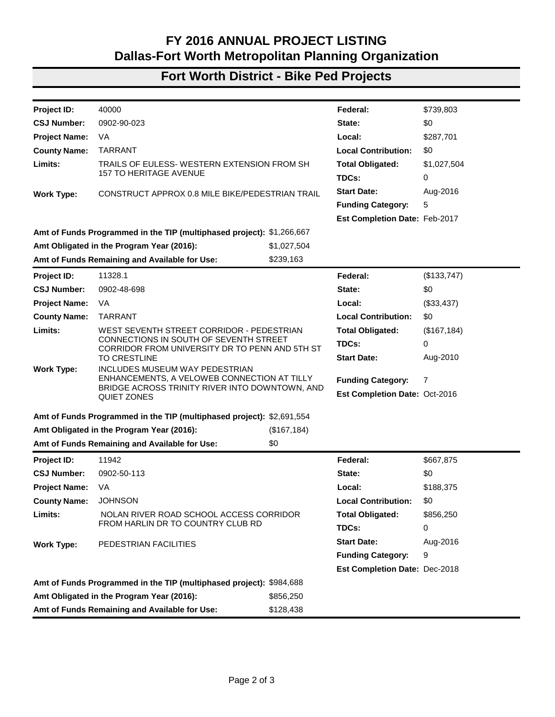#### **Fort Worth District - Roadway Projects**

| Project ID:                                               | 11252.2                                                                |     | Federal:                           | \$10,913,121 |
|-----------------------------------------------------------|------------------------------------------------------------------------|-----|------------------------------------|--------------|
| <b>CSJ Number:</b>                                        | 0902-48-453                                                            |     | State:                             | \$0          |
| <b>Project Name:</b>                                      | CS.                                                                    |     | Local:                             | \$2,728,280  |
| <b>County Name:</b>                                       | <b>TARRANT</b>                                                         |     | <b>Local Contribution:</b>         | \$0          |
| Limits:                                                   | ON EAST ROSEDALE STREET FROM WEST OF MILLER                            |     | <b>Total Obligated:</b>            | \$13,641,401 |
|                                                           | TO STALCUP WEST OF IH 820                                              |     | TDCs:                              | 0            |
| <b>Work Type:</b>                                         | RECONSTRUCT FOUR LANES TO FOUR LANES DIVIDED                           |     | <b>Start Date:</b>                 | Aug-15       |
|                                                           | WITH A RAISED MEDIAN (PHASE 2)                                         |     | <b>Funding Category:</b>           | 7, 12        |
|                                                           |                                                                        |     | <b>Est Completion Date: Jan-18</b> |              |
|                                                           | Amt of Funds Programmed in the TIP (multiphased project): \$13,309,820 |     |                                    |              |
| \$13,641,401<br>Amt Obligated in the Program Year (2016): |                                                                        |     |                                    |              |
|                                                           | Amt of Funds Remaining and Available for Use:                          | \$0 |                                    |              |

**Total Federal Funds Obligated in FY 2016 (Roadway Projects): \$76,306,843**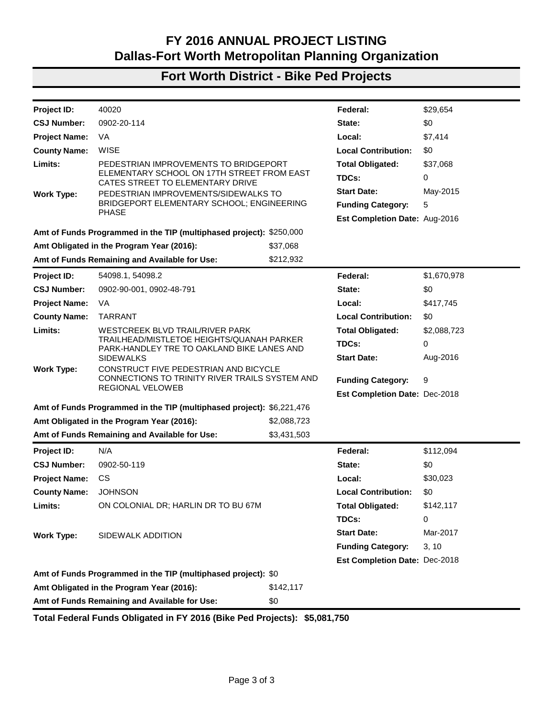## **Fort Worth District - Bike Ped Projects**

| Project ID:          | 11995                                                                 |             | Federal:                             | \$1,866,691 |
|----------------------|-----------------------------------------------------------------------|-------------|--------------------------------------|-------------|
| <b>CSJ Number:</b>   | 0902-48-869                                                           |             | State:                               | \$0         |
| <b>Project Name:</b> | VA                                                                    |             | Local:                               | \$755,066   |
| <b>County Name:</b>  | <b>TARRANT</b>                                                        |             | <b>Local Contribution:</b>           | \$0         |
| Limits:              | TRINITY TRAILS CLEAR FORK - EAST BANK EXTENSION                       |             | <b>Total Obligated:</b>              | \$2,621,757 |
|                      | TO ROSEDALE STREET NORTHWARD UNDER IH 30 TO<br>PARKVIEW AVENUE        |             | TDCs:                                | 0           |
| <b>Work Type:</b>    | IMPROVEMENTS INCLUDE A SHARED USE PATH,                               |             | <b>Start Date:</b>                   | Aug-2016    |
|                      | BRIDGE, LIGHTING, SIGNAGE, AND PEDESTRIAN                             |             | <b>Funding Category:</b>             | 9           |
|                      | <b>AMENITIES</b>                                                      |             | Est Completion Date: Aug-2019        |             |
|                      | Amt of Funds Programmed in the TIP (multiphased project): \$3,456,602 |             |                                      |             |
|                      | Amt Obligated in the Program Year (2016):                             | \$2,621,757 |                                      |             |
|                      | Amt of Funds Remaining and Available for Use:                         | \$0         |                                      |             |
| <b>Project ID:</b>   | 11144                                                                 |             | Federal:                             | \$124,000   |
| <b>CSJ Number:</b>   | 0902-48-467                                                           |             | State:                               | \$0         |
| <b>Project Name:</b> | VA.                                                                   |             | Local:                               | \$43,568    |
| <b>County Name:</b>  | <b>TARRANT</b>                                                        |             | <b>Local Contribution:</b>           | \$0         |
| Limits:              | <b>BIKEWAYS CITY WIDE</b>                                             |             | <b>Total Obligated:</b>              | \$167,568   |
|                      |                                                                       |             | TDCs:                                | 0           |
| <b>Work Type:</b>    | DEVELOP BIKE LANES AND BIKE ROUTES WITHIN CITY                        |             | <b>Start Date:</b>                   | Jan-2002    |
|                      | <b>LIMITS</b>                                                         |             | <b>Funding Category:</b>             | 5           |
|                      |                                                                       |             | <b>Est Completion Date: Aug-2016</b> |             |
|                      | Amt of Funds Programmed in the TIP (multiphased project): \$260,000   |             |                                      |             |
|                      | Amt Obligated in the Program Year (2016):                             | \$167,568   |                                      |             |
|                      | Amt of Funds Remaining and Available for Use:                         | \$35,573    |                                      |             |
| Project ID:          | 40031                                                                 |             | Federal:                             | \$4,402     |
| <b>CSJ Number:</b>   | 0902-90-031                                                           |             | State:                               | \$0         |
| <b>Project Name:</b> | VA                                                                    |             | Local:                               | \$1,101     |
| <b>County Name:</b>  | <b>TARRANT</b>                                                        |             | <b>Local Contribution:</b>           | \$0         |
| Limits:              | TRINITY TRAILS EAST FORT WORTH EXTENSION FROM                         |             | <b>Total Obligated:</b>              | \$5,503     |
|                      | HANDLEY-EDERVILLE RD TO RIVER TRAILS PARK AND<br><b>TRINITY BLVD</b>  |             | TDCs:                                | 0           |
| <b>Work Type:</b>    | CONSTRUCT A BICYCLE/PEDESTRIAN TRAIL;                                 |             | <b>Start Date:</b>                   | Mar-2016    |
|                      | <b>ENGINEERING PHASE</b>                                              |             | <b>Funding Category:</b>             | 9           |
|                      |                                                                       |             | <b>Est Completion Date: Dec-2018</b> |             |
|                      | Amt of Funds Programmed in the TIP (multiphased project): \$2,934,925 |             |                                      |             |
|                      | Amt Obligated in the Program Year (2016):                             | \$5,503     |                                      |             |
|                      | Amt of Funds Remaining and Available for Use:                         | \$2,929,422 |                                      |             |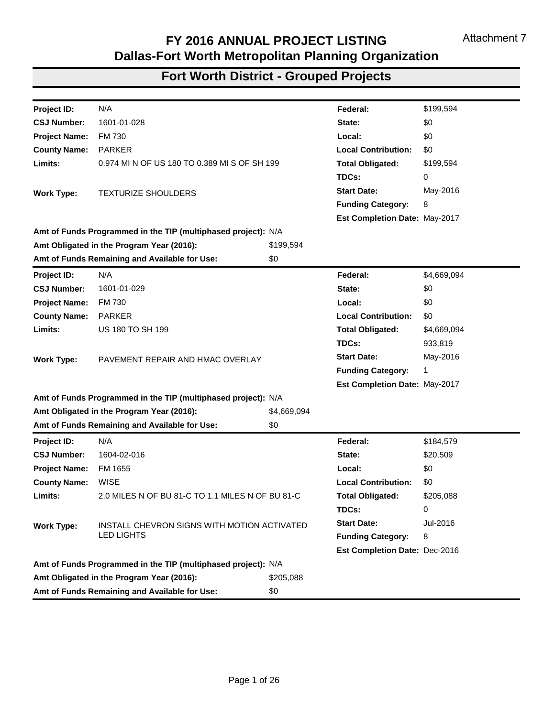# **Fort Worth District - Bike Ped Projects**

| Project ID:          | 40000                                                                                    |              | Federal:                      | \$739,803    |
|----------------------|------------------------------------------------------------------------------------------|--------------|-------------------------------|--------------|
| <b>CSJ Number:</b>   | 0902-90-023                                                                              |              | State:                        | \$0          |
| <b>Project Name:</b> | VA                                                                                       |              | Local:                        | \$287,701    |
| <b>County Name:</b>  | <b>TARRANT</b>                                                                           |              | <b>Local Contribution:</b>    | \$0          |
| Limits:              | TRAILS OF EULESS- WESTERN EXTENSION FROM SH                                              |              | <b>Total Obligated:</b>       | \$1,027,504  |
|                      | <b>157 TO HERITAGE AVENUE</b>                                                            |              | TDCs:                         | 0            |
| <b>Work Type:</b>    | CONSTRUCT APPROX 0.8 MILE BIKE/PEDESTRIAN TRAIL                                          |              | <b>Start Date:</b>            | Aug-2016     |
|                      |                                                                                          |              | <b>Funding Category:</b>      | 5            |
|                      |                                                                                          |              | Est Completion Date: Feb-2017 |              |
|                      | Amt of Funds Programmed in the TIP (multiphased project): \$1,266,667                    |              |                               |              |
|                      | Amt Obligated in the Program Year (2016):                                                | \$1,027,504  |                               |              |
|                      | Amt of Funds Remaining and Available for Use:                                            | \$239,163    |                               |              |
| Project ID:          | 11328.1                                                                                  |              | Federal:                      | (\$133,747)  |
| <b>CSJ Number:</b>   | 0902-48-698                                                                              |              | State:                        | \$0          |
| <b>Project Name:</b> | VA                                                                                       |              | Local:                        | (\$33,437)   |
| <b>County Name:</b>  | <b>TARRANT</b>                                                                           |              | <b>Local Contribution:</b>    | \$0          |
| Limits:              | WEST SEVENTH STREET CORRIDOR - PEDESTRIAN                                                |              | <b>Total Obligated:</b>       | (\$167, 184) |
|                      | CONNECTIONS IN SOUTH OF SEVENTH STREET<br>CORRIDOR FROM UNIVERSITY DR TO PENN AND 5TH ST |              | TDCs:                         | 0            |
|                      | <b>TO CRESTLINE</b>                                                                      |              | <b>Start Date:</b>            | Aug-2010     |
| <b>Work Type:</b>    | INCLUDES MUSEUM WAY PEDESTRIAN<br>ENHANCEMENTS, A VELOWEB CONNECTION AT TILLY            |              |                               |              |
|                      | BRIDGE ACROSS TRINITY RIVER INTO DOWNTOWN, AND                                           |              | <b>Funding Category:</b>      | 7            |
|                      | <b>QUIET ZONES</b>                                                                       |              | Est Completion Date: Oct-2016 |              |
|                      | Amt of Funds Programmed in the TIP (multiphased project): \$2,691,554                    |              |                               |              |
|                      | Amt Obligated in the Program Year (2016):                                                | (\$167, 184) |                               |              |
|                      | Amt of Funds Remaining and Available for Use:                                            | \$0          |                               |              |
| Project ID:          | 11942                                                                                    |              | Federal:                      | \$667,875    |
| <b>CSJ Number:</b>   | 0902-50-113                                                                              |              | State:                        | \$0          |
| <b>Project Name:</b> | VA                                                                                       |              | Local:                        | \$188,375    |
| County Name: JOHNSON |                                                                                          |              | <b>Local Contribution:</b>    | \$0          |
| Limits:              | NOLAN RIVER ROAD SCHOOL ACCESS CORRIDOR                                                  |              | <b>Total Obligated:</b>       | \$856,250    |
|                      | FROM HARLIN DR TO COUNTRY CLUB RD                                                        |              | TDCs:                         | 0            |
| <b>Work Type:</b>    | PEDESTRIAN FACILITIES                                                                    |              | <b>Start Date:</b>            | Aug-2016     |
|                      |                                                                                          |              | <b>Funding Category:</b>      | 9            |
|                      |                                                                                          |              | Est Completion Date: Dec-2018 |              |
|                      | Amt of Funds Programmed in the TIP (multiphased project): \$984,688                      |              |                               |              |
|                      | Amt Obligated in the Program Year (2016):                                                | \$856,250    |                               |              |
|                      | Amt of Funds Remaining and Available for Use:                                            | \$128,438    |                               |              |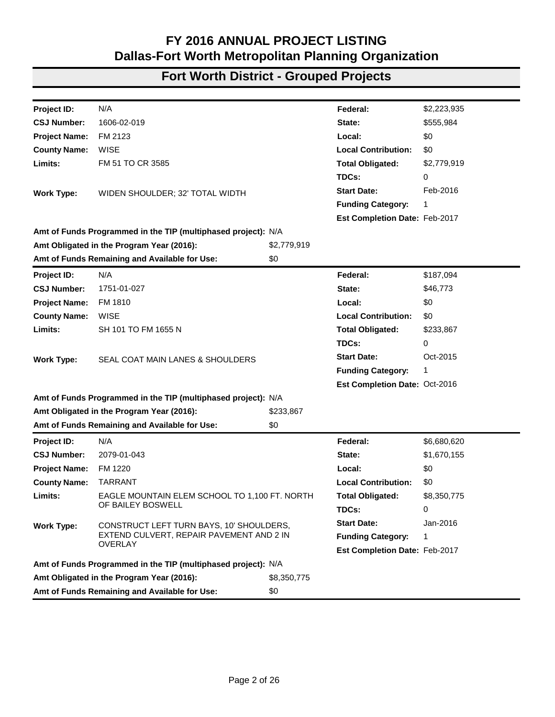#### **Fort Worth District - Bike Ped Projects**

| Project ID:          | 40020                                                                                                                           |             | Federal:                             | \$29,654    |
|----------------------|---------------------------------------------------------------------------------------------------------------------------------|-------------|--------------------------------------|-------------|
| <b>CSJ Number:</b>   | 0902-20-114                                                                                                                     |             | State:                               | \$0         |
| <b>Project Name:</b> | VA.                                                                                                                             |             | Local:                               | \$7,414     |
| <b>County Name:</b>  | <b>WISE</b>                                                                                                                     |             | <b>Local Contribution:</b>           | \$0         |
| Limits:              | PEDESTRIAN IMPROVEMENTS TO BRIDGEPORT                                                                                           |             | <b>Total Obligated:</b>              | \$37,068    |
|                      | ELEMENTARY SCHOOL ON 17TH STREET FROM EAST<br>CATES STREET TO ELEMENTARY DRIVE                                                  |             | TDCs:                                | 0           |
| <b>Work Type:</b>    | PEDESTRIAN IMPROVEMENTS/SIDEWALKS TO                                                                                            |             | <b>Start Date:</b>                   | May-2015    |
|                      | BRIDGEPORT ELEMENTARY SCHOOL; ENGINEERING                                                                                       |             | <b>Funding Category:</b>             | 5           |
|                      | <b>PHASE</b>                                                                                                                    |             | <b>Est Completion Date: Aug-2016</b> |             |
|                      | Amt of Funds Programmed in the TIP (multiphased project): \$250,000                                                             |             |                                      |             |
|                      | Amt Obligated in the Program Year (2016):                                                                                       | \$37,068    |                                      |             |
|                      | Amt of Funds Remaining and Available for Use:                                                                                   | \$212,932   |                                      |             |
| <b>Project ID:</b>   | 54098.1, 54098.2                                                                                                                |             | Federal:                             | \$1,670,978 |
| <b>CSJ Number:</b>   | 0902-90-001, 0902-48-791                                                                                                        |             | State:                               | \$0         |
| <b>Project Name:</b> | VA                                                                                                                              |             | Local:                               | \$417,745   |
| <b>County Name:</b>  | <b>TARRANT</b>                                                                                                                  |             | <b>Local Contribution:</b>           | \$0         |
| Limits:              | WESTCREEK BLVD TRAIL/RIVER PARK                                                                                                 |             | <b>Total Obligated:</b>              | \$2,088,723 |
|                      | TRAILHEAD/MISTLETOE HEIGHTS/QUANAH PARKER<br>PARK-HANDLEY TRE TO OAKLAND BIKE LANES AND                                         |             | TDCs:                                | 0           |
|                      | <b>SIDEWALKS</b><br>CONSTRUCT FIVE PEDESTRIAN AND BICYCLE<br>CONNECTIONS TO TRINITY RIVER TRAILS SYSTEM AND<br>REGIONAL VELOWEB |             | <b>Start Date:</b>                   | Aug-2016    |
| <b>Work Type:</b>    |                                                                                                                                 |             |                                      |             |
|                      |                                                                                                                                 |             | <b>Funding Category:</b>             | 9           |
|                      |                                                                                                                                 |             | Est Completion Date: Dec-2018        |             |
|                      | Amt of Funds Programmed in the TIP (multiphased project): \$6,221,476                                                           |             |                                      |             |
|                      | Amt Obligated in the Program Year (2016):                                                                                       | \$2,088,723 |                                      |             |
|                      | Amt of Funds Remaining and Available for Use:                                                                                   | \$3,431,503 |                                      |             |
| Project ID:          | N/A                                                                                                                             |             | Federal:                             | \$112,094   |
| <b>CSJ Number:</b>   | 0902-50-119                                                                                                                     |             | State:                               | \$0         |
| <b>Project Name:</b> | CS.                                                                                                                             |             | Local:                               | \$30,023    |
| <b>County Name:</b>  | <b>JOHNSON</b>                                                                                                                  |             | <b>Local Contribution:</b>           | \$0         |
| Limits:              | ON COLONIAL DR; HARLIN DR TO BU 67M                                                                                             |             | Total Obligated:                     | \$142,117   |
|                      |                                                                                                                                 |             | TDCs:                                | 0           |
| <b>Work Type:</b>    | SIDEWALK ADDITION                                                                                                               |             | <b>Start Date:</b>                   | Mar-2017    |
|                      |                                                                                                                                 |             | <b>Funding Category:</b>             | 3, 10       |
|                      |                                                                                                                                 |             | Est Completion Date: Dec-2018        |             |
|                      | Amt of Funds Programmed in the TIP (multiphased project): \$0                                                                   |             |                                      |             |
|                      | Amt Obligated in the Program Year (2016):                                                                                       | \$142,117   |                                      |             |
|                      | Amt of Funds Remaining and Available for Use:                                                                                   | \$0         |                                      |             |

**Total Federal Funds Obligated in FY 2016 (Bike Ped Projects): \$5,081,750**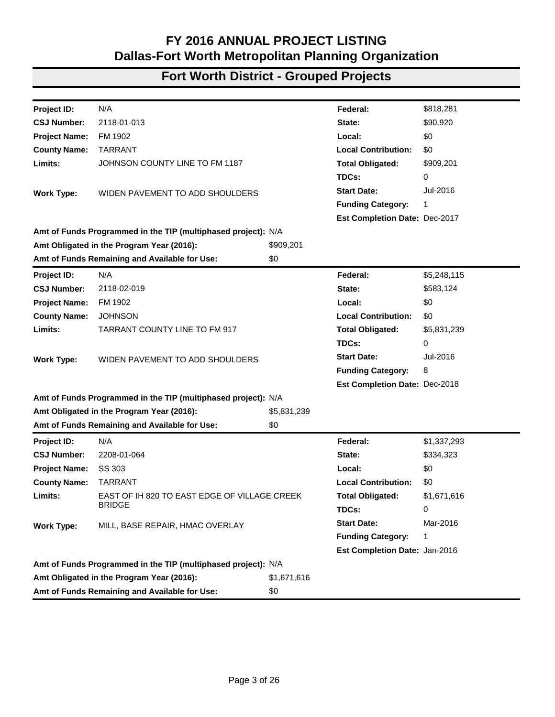| Project ID:          | N/A                                                           |             | Federal:                      | \$199,594   |
|----------------------|---------------------------------------------------------------|-------------|-------------------------------|-------------|
| <b>CSJ Number:</b>   | 1601-01-028                                                   |             | State:                        | \$0         |
| <b>Project Name:</b> | <b>FM 730</b>                                                 |             | Local:                        | \$0         |
| <b>County Name:</b>  | <b>PARKER</b>                                                 |             | <b>Local Contribution:</b>    | \$0         |
| Limits:              | 0.974 MI N OF US 180 TO 0.389 MI S OF SH 199                  |             | <b>Total Obligated:</b>       | \$199,594   |
|                      |                                                               |             | TDCs:                         | 0           |
| <b>Work Type:</b>    | <b>TEXTURIZE SHOULDERS</b>                                    |             | <b>Start Date:</b>            | May-2016    |
|                      |                                                               |             | <b>Funding Category:</b>      | 8           |
|                      |                                                               |             | Est Completion Date: May-2017 |             |
|                      | Amt of Funds Programmed in the TIP (multiphased project): N/A |             |                               |             |
|                      | Amt Obligated in the Program Year (2016):                     | \$199,594   |                               |             |
|                      | Amt of Funds Remaining and Available for Use:                 | \$0         |                               |             |
| Project ID:          | N/A                                                           |             | Federal:                      | \$4,669,094 |
| <b>CSJ Number:</b>   | 1601-01-029                                                   |             | State:                        | \$0         |
| <b>Project Name:</b> | <b>FM 730</b>                                                 |             | Local:                        | \$0         |
| <b>County Name:</b>  | <b>PARKER</b>                                                 |             | <b>Local Contribution:</b>    | \$0         |
| Limits:              | <b>US 180 TO SH 199</b>                                       |             | <b>Total Obligated:</b>       | \$4,669,094 |
|                      |                                                               |             | TDCs:                         | 933,819     |
| <b>Work Type:</b>    | PAVEMENT REPAIR AND HMAC OVERLAY                              |             | <b>Start Date:</b>            | May-2016    |
|                      |                                                               |             |                               | 1           |
|                      |                                                               |             | Est Completion Date: May-2017 |             |
|                      | Amt of Funds Programmed in the TIP (multiphased project): N/A |             |                               |             |
|                      | Amt Obligated in the Program Year (2016):                     | \$4,669,094 |                               |             |
|                      | Amt of Funds Remaining and Available for Use:                 | \$0         |                               |             |
| Project ID:          | N/A                                                           |             | Federal:                      | \$184,579   |
| <b>CSJ Number:</b>   | 1604-02-016                                                   |             | State:                        | \$20,509    |
| <b>Project Name:</b> | FM 1655                                                       |             | Local:                        | \$0         |
| <b>County Name:</b>  | <b>WISE</b>                                                   |             | <b>Local Contribution:</b>    | \$0         |
| Limits:              | 2.0 MILES N OF BU 81-C TO 1.1 MILES N OF BU 81-C              |             | <b>Total Obligated:</b>       | \$205,088   |
|                      |                                                               |             | TDCs:                         | 0           |
| <b>Work Type:</b>    | INSTALL CHEVRON SIGNS WITH MOTION ACTIVATED                   |             | <b>Start Date:</b>            | Jul-2016    |
|                      | <b>LED LIGHTS</b>                                             |             | <b>Funding Category:</b>      | 8           |
|                      |                                                               |             | Est Completion Date: Dec-2016 |             |
|                      | Amt of Funds Programmed in the TIP (multiphased project): N/A |             |                               |             |
|                      | Amt Obligated in the Program Year (2016):                     | \$205,088   |                               |             |
|                      | Amt of Funds Remaining and Available for Use:                 | \$0         |                               |             |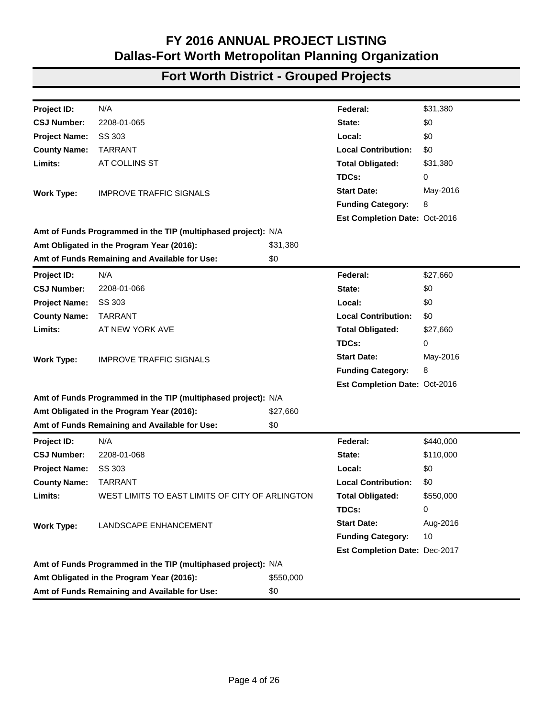| Project ID:          | N/A                                                           |             | Federal:                      | \$2,223,935 |
|----------------------|---------------------------------------------------------------|-------------|-------------------------------|-------------|
| <b>CSJ Number:</b>   | 1606-02-019                                                   |             | State:                        | \$555,984   |
| <b>Project Name:</b> | FM 2123                                                       |             | Local:                        | \$0         |
| <b>County Name:</b>  | <b>WISE</b>                                                   |             | <b>Local Contribution:</b>    | \$0         |
| Limits:              | FM 51 TO CR 3585                                              |             | <b>Total Obligated:</b>       | \$2,779,919 |
|                      |                                                               |             | TDCs:                         | 0           |
| <b>Work Type:</b>    | WIDEN SHOULDER; 32' TOTAL WIDTH                               |             | <b>Start Date:</b>            | Feb-2016    |
|                      |                                                               |             |                               | 1           |
|                      |                                                               |             | Est Completion Date: Feb-2017 |             |
|                      | Amt of Funds Programmed in the TIP (multiphased project): N/A |             |                               |             |
|                      | Amt Obligated in the Program Year (2016):                     | \$2,779,919 |                               |             |
|                      | Amt of Funds Remaining and Available for Use:                 | \$0         |                               |             |
| Project ID:          | N/A                                                           |             | Federal:                      | \$187,094   |
| <b>CSJ Number:</b>   | 1751-01-027                                                   |             | State:                        | \$46,773    |
| <b>Project Name:</b> | FM 1810                                                       |             | Local:                        | \$0         |
| <b>County Name:</b>  | <b>WISE</b>                                                   |             | <b>Local Contribution:</b>    | \$0         |
| Limits:              | SH 101 TO FM 1655 N                                           |             | <b>Total Obligated:</b>       | \$233,867   |
|                      |                                                               |             | TDCs:                         | 0           |
| <b>Work Type:</b>    | SEAL COAT MAIN LANES & SHOULDERS                              |             | <b>Start Date:</b>            | Oct-2015    |
|                      |                                                               |             | <b>Funding Category:</b>      | 1           |
|                      |                                                               |             | Est Completion Date: Oct-2016 |             |
|                      | Amt of Funds Programmed in the TIP (multiphased project): N/A |             |                               |             |
|                      | Amt Obligated in the Program Year (2016):                     | \$233,867   |                               |             |
|                      | Amt of Funds Remaining and Available for Use:                 | \$0         |                               |             |
| <b>Project ID:</b>   | N/A                                                           |             | Federal:                      | \$6,680,620 |
| <b>CSJ Number:</b>   | 2079-01-043                                                   |             | State:                        | \$1,670,155 |
| <b>Project Name:</b> | FM 1220                                                       |             | Local:                        | \$0         |
| <b>County Name:</b>  | <b>TARRANT</b>                                                |             | <b>Local Contribution:</b>    | \$0         |
| Limits:              | EAGLE MOUNTAIN ELEM SCHOOL TO 1,100 FT. NORTH                 |             | <b>Total Obligated:</b>       | \$8,350,775 |
|                      | OF BAILEY BOSWELL                                             |             | TDCs:                         | 0           |
| <b>Work Type:</b>    | CONSTRUCT LEFT TURN BAYS, 10' SHOULDERS,                      |             | <b>Start Date:</b>            | Jan-2016    |
|                      | EXTEND CULVERT, REPAIR PAVEMENT AND 2 IN                      |             | <b>Funding Category:</b>      | 1           |
|                      | <b>OVERLAY</b>                                                |             | Est Completion Date: Feb-2017 |             |
|                      | Amt of Funds Programmed in the TIP (multiphased project): N/A |             |                               |             |
|                      | Amt Obligated in the Program Year (2016):                     | \$8,350,775 |                               |             |
|                      | Amt of Funds Remaining and Available for Use:                 | \$0         |                               |             |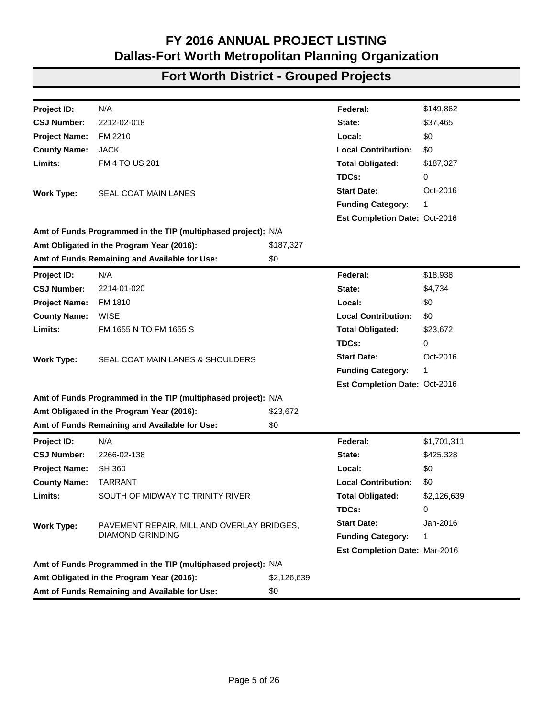| Project ID:                               | N/A                                                           |             | Federal:                      | \$818,281   |
|-------------------------------------------|---------------------------------------------------------------|-------------|-------------------------------|-------------|
| <b>CSJ Number:</b>                        | 2118-01-013                                                   |             | State:                        | \$90,920    |
| <b>Project Name:</b>                      | FM 1902                                                       |             | Local:                        | \$0         |
| <b>County Name:</b>                       | <b>TARRANT</b>                                                |             | <b>Local Contribution:</b>    | \$0         |
| Limits:                                   | JOHNSON COUNTY LINE TO FM 1187                                |             | <b>Total Obligated:</b>       | \$909,201   |
|                                           |                                                               |             | TDCs:                         | 0           |
| <b>Work Type:</b>                         | WIDEN PAVEMENT TO ADD SHOULDERS                               |             | <b>Start Date:</b>            | Jul-2016    |
|                                           |                                                               |             | <b>Funding Category:</b>      | 1           |
|                                           |                                                               |             | Est Completion Date: Dec-2017 |             |
|                                           | Amt of Funds Programmed in the TIP (multiphased project): N/A |             |                               |             |
| Amt Obligated in the Program Year (2016): |                                                               | \$909,201   |                               |             |
|                                           | Amt of Funds Remaining and Available for Use:                 | \$0         |                               |             |
| Project ID:                               | N/A                                                           |             | Federal:                      | \$5,248,115 |
| <b>CSJ Number:</b>                        | 2118-02-019                                                   |             | State:                        | \$583,124   |
| <b>Project Name:</b>                      | FM 1902                                                       |             | Local:                        | \$0         |
| <b>County Name:</b>                       | <b>JOHNSON</b>                                                |             | <b>Local Contribution:</b>    | \$0         |
| Limits:                                   | <b>TARRANT COUNTY LINE TO FM 917</b>                          |             | <b>Total Obligated:</b>       | \$5,831,239 |
|                                           |                                                               |             | TDCs:                         | 0           |
| <b>Work Type:</b>                         | WIDEN PAVEMENT TO ADD SHOULDERS                               |             | <b>Start Date:</b>            | Jul-2016    |
|                                           |                                                               |             | <b>Funding Category:</b>      | 8           |
|                                           |                                                               |             | Est Completion Date: Dec-2018 |             |
|                                           | Amt of Funds Programmed in the TIP (multiphased project): N/A |             |                               |             |
|                                           | Amt Obligated in the Program Year (2016):                     | \$5,831,239 |                               |             |
|                                           | Amt of Funds Remaining and Available for Use:                 | \$0         |                               |             |
| Project ID:                               | N/A                                                           |             | Federal:                      | \$1,337,293 |
| <b>CSJ Number:</b>                        | 2208-01-064                                                   |             | State:                        | \$334,323   |
| <b>Project Name:</b>                      | SS 303                                                        |             | Local:                        | \$0         |
| <b>County Name:</b>                       | <b>TARRANT</b>                                                |             | <b>Local Contribution:</b>    | \$0         |
| Limits:                                   | EAST OF IH 820 TO EAST EDGE OF VILLAGE CREEK                  |             | <b>Total Obligated:</b>       | \$1,671,616 |
|                                           | <b>BRIDGE</b>                                                 |             | TDCs:                         | 0           |
| <b>Work Type:</b>                         | MILL, BASE REPAIR, HMAC OVERLAY                               |             | <b>Start Date:</b>            | Mar-2016    |
|                                           |                                                               |             | <b>Funding Category:</b>      | 1           |
|                                           |                                                               |             | Est Completion Date: Jan-2016 |             |
|                                           | Amt of Funds Programmed in the TIP (multiphased project): N/A |             |                               |             |
|                                           | Amt Obligated in the Program Year (2016):                     | \$1,671,616 |                               |             |
|                                           | Amt of Funds Remaining and Available for Use:                 | \$0         |                               |             |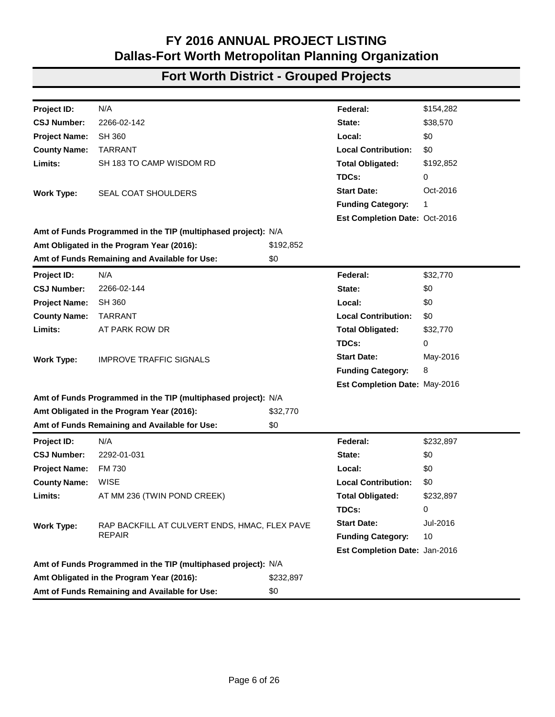| Project ID:          | N/A                                                           |           | Federal:                      | \$31,380  |
|----------------------|---------------------------------------------------------------|-----------|-------------------------------|-----------|
| <b>CSJ Number:</b>   | 2208-01-065                                                   |           | State:                        | \$0       |
| <b>Project Name:</b> | SS 303                                                        |           | Local:                        | \$0       |
| <b>County Name:</b>  | <b>TARRANT</b>                                                |           | <b>Local Contribution:</b>    | \$0       |
| Limits:              | AT COLLINS ST                                                 |           | <b>Total Obligated:</b>       | \$31,380  |
|                      |                                                               |           | TDCs:                         | 0         |
| <b>Work Type:</b>    | <b>IMPROVE TRAFFIC SIGNALS</b>                                |           | <b>Start Date:</b>            | May-2016  |
|                      |                                                               |           | <b>Funding Category:</b>      | 8         |
|                      |                                                               |           | Est Completion Date: Oct-2016 |           |
|                      | Amt of Funds Programmed in the TIP (multiphased project): N/A |           |                               |           |
|                      | Amt Obligated in the Program Year (2016):                     | \$31,380  |                               |           |
|                      | Amt of Funds Remaining and Available for Use:                 | \$0       |                               |           |
| Project ID:          | N/A                                                           |           | Federal:                      | \$27,660  |
| <b>CSJ Number:</b>   | 2208-01-066                                                   |           | State:                        | \$0       |
| <b>Project Name:</b> | SS 303                                                        |           | Local:                        | \$0       |
| <b>County Name:</b>  | <b>TARRANT</b>                                                |           | <b>Local Contribution:</b>    | \$0       |
| Limits:              | AT NEW YORK AVE                                               |           | <b>Total Obligated:</b>       | \$27,660  |
|                      |                                                               |           | TDCs:                         | 0         |
| <b>Work Type:</b>    | <b>IMPROVE TRAFFIC SIGNALS</b>                                |           | <b>Start Date:</b>            | May-2016  |
|                      |                                                               |           | <b>Funding Category:</b>      | 8         |
|                      |                                                               |           | Est Completion Date: Oct-2016 |           |
|                      | Amt of Funds Programmed in the TIP (multiphased project): N/A |           |                               |           |
|                      | Amt Obligated in the Program Year (2016):                     | \$27,660  |                               |           |
|                      | Amt of Funds Remaining and Available for Use:                 | \$0       |                               |           |
| Project ID:          | N/A                                                           |           | Federal:                      | \$440,000 |
| <b>CSJ Number:</b>   | 2208-01-068                                                   |           | State:                        | \$110,000 |
| <b>Project Name:</b> | SS 303                                                        |           | Local:                        | \$0       |
| <b>County Name:</b>  | <b>TARRANT</b>                                                |           | <b>Local Contribution:</b>    | \$0       |
| Limits:              | WEST LIMITS TO EAST LIMITS OF CITY OF ARLINGTON               |           | <b>Total Obligated:</b>       | \$550,000 |
|                      |                                                               |           | TDCs:                         | 0         |
| <b>Work Type:</b>    | LANDSCAPE ENHANCEMENT                                         |           | <b>Start Date:</b>            | Aug-2016  |
|                      |                                                               |           | <b>Funding Category:</b>      | 10        |
|                      |                                                               |           | Est Completion Date: Dec-2017 |           |
|                      | Amt of Funds Programmed in the TIP (multiphased project): N/A |           |                               |           |
|                      | Amt Obligated in the Program Year (2016):                     | \$550,000 |                               |           |
|                      | Amt of Funds Remaining and Available for Use:                 | \$0       |                               |           |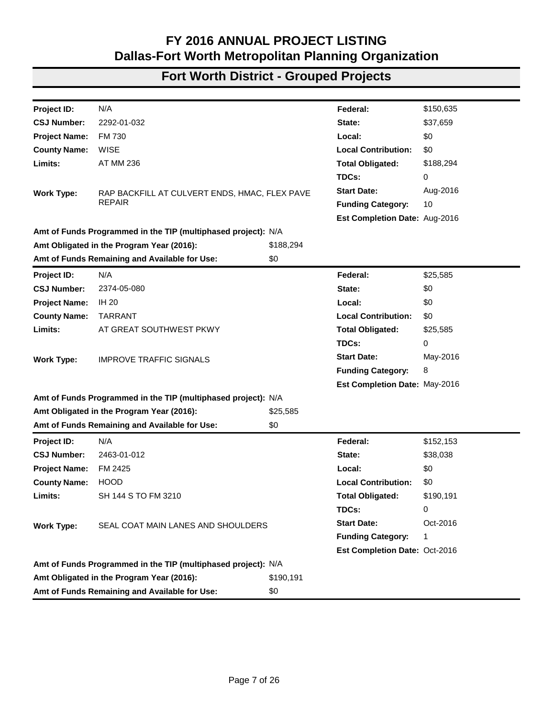| Project ID:                               | N/A                                                           |             | Federal:                      | \$149,862   |
|-------------------------------------------|---------------------------------------------------------------|-------------|-------------------------------|-------------|
| <b>CSJ Number:</b>                        | 2212-02-018                                                   |             | State:                        | \$37,465    |
| <b>Project Name:</b>                      | FM 2210                                                       |             | Local:                        | \$0         |
| <b>County Name:</b>                       | <b>JACK</b>                                                   |             | <b>Local Contribution:</b>    | \$0         |
| Limits:                                   | FM 4 TO US 281                                                |             | <b>Total Obligated:</b>       | \$187,327   |
|                                           |                                                               |             | TDCs:                         | 0           |
| <b>Work Type:</b>                         | <b>SEAL COAT MAIN LANES</b>                                   |             | <b>Start Date:</b>            | Oct-2016    |
|                                           |                                                               |             | <b>Funding Category:</b>      | 1           |
|                                           |                                                               |             | Est Completion Date: Oct-2016 |             |
|                                           | Amt of Funds Programmed in the TIP (multiphased project): N/A |             |                               |             |
| Amt Obligated in the Program Year (2016): |                                                               | \$187,327   |                               |             |
|                                           | Amt of Funds Remaining and Available for Use:                 | \$0         |                               |             |
| Project ID:                               | N/A                                                           |             | Federal:                      | \$18,938    |
| <b>CSJ Number:</b>                        | 2214-01-020                                                   |             | State:                        | \$4,734     |
| <b>Project Name:</b>                      | FM 1810                                                       |             | Local:                        | \$0         |
| <b>County Name:</b>                       | <b>WISE</b>                                                   |             | <b>Local Contribution:</b>    | \$0         |
| Limits:                                   | FM 1655 N TO FM 1655 S                                        |             | <b>Total Obligated:</b>       | \$23,672    |
|                                           |                                                               |             | TDCs:                         | 0           |
| <b>Work Type:</b>                         | SEAL COAT MAIN LANES & SHOULDERS                              |             | <b>Start Date:</b>            | Oct-2016    |
|                                           |                                                               |             | <b>Funding Category:</b>      | 1           |
|                                           |                                                               |             | Est Completion Date: Oct-2016 |             |
|                                           | Amt of Funds Programmed in the TIP (multiphased project): N/A |             |                               |             |
|                                           | Amt Obligated in the Program Year (2016):                     | \$23,672    |                               |             |
|                                           | Amt of Funds Remaining and Available for Use:                 | \$0         |                               |             |
| <b>Project ID:</b>                        | N/A                                                           |             | Federal:                      | \$1,701,311 |
| <b>CSJ Number:</b>                        | 2266-02-138                                                   |             | State:                        | \$425,328   |
| <b>Project Name:</b>                      | <b>SH 360</b>                                                 |             | Local:                        | \$0         |
| <b>County Name:</b>                       | <b>TARRANT</b>                                                |             | <b>Local Contribution:</b>    | \$0         |
| Limits:                                   | SOUTH OF MIDWAY TO TRINITY RIVER                              |             | <b>Total Obligated:</b>       | \$2,126,639 |
|                                           |                                                               |             | TDCs:                         | 0           |
| <b>Work Type:</b>                         | PAVEMENT REPAIR, MILL AND OVERLAY BRIDGES,                    |             | <b>Start Date:</b>            | Jan-2016    |
|                                           | <b>DIAMOND GRINDING</b>                                       |             | <b>Funding Category:</b>      | 1           |
|                                           |                                                               |             | Est Completion Date: Mar-2016 |             |
|                                           | Amt of Funds Programmed in the TIP (multiphased project): N/A |             |                               |             |
|                                           | Amt Obligated in the Program Year (2016):                     | \$2,126,639 |                               |             |
|                                           | Amt of Funds Remaining and Available for Use:                 | \$0         |                               |             |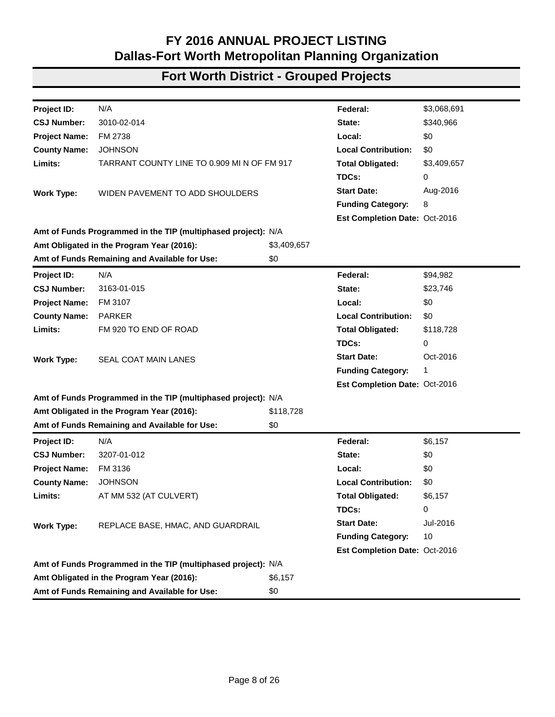| Project ID:          | N/A                                                           |           | Federal:                      | \$154,282 |
|----------------------|---------------------------------------------------------------|-----------|-------------------------------|-----------|
| <b>CSJ Number:</b>   | 2266-02-142                                                   |           | State:                        | \$38,570  |
| <b>Project Name:</b> | <b>SH 360</b>                                                 |           | Local:                        | \$0       |
| <b>County Name:</b>  | <b>TARRANT</b>                                                |           | <b>Local Contribution:</b>    | \$0       |
| Limits:              | SH 183 TO CAMP WISDOM RD                                      |           | <b>Total Obligated:</b>       | \$192,852 |
|                      |                                                               |           | TDCs:                         | 0         |
| <b>Work Type:</b>    | SEAL COAT SHOULDERS                                           |           | <b>Start Date:</b>            | Oct-2016  |
|                      |                                                               |           | <b>Funding Category:</b>      | 1         |
|                      |                                                               |           | Est Completion Date: Oct-2016 |           |
|                      | Amt of Funds Programmed in the TIP (multiphased project): N/A |           |                               |           |
|                      | Amt Obligated in the Program Year (2016):                     | \$192,852 |                               |           |
|                      | Amt of Funds Remaining and Available for Use:                 | \$0       |                               |           |
| Project ID:          | N/A                                                           |           | Federal:                      | \$32,770  |
| <b>CSJ Number:</b>   | 2266-02-144                                                   |           | State:                        | \$0       |
| <b>Project Name:</b> | <b>SH 360</b>                                                 |           | Local:                        | \$0       |
| <b>County Name:</b>  | <b>TARRANT</b>                                                |           | <b>Local Contribution:</b>    | \$0       |
| Limits:              | AT PARK ROW DR                                                |           | <b>Total Obligated:</b>       | \$32,770  |
|                      |                                                               |           | TDCs:                         | 0         |
| <b>Work Type:</b>    | <b>IMPROVE TRAFFIC SIGNALS</b>                                |           | <b>Start Date:</b>            | May-2016  |
|                      |                                                               |           | <b>Funding Category:</b>      | 8         |
|                      |                                                               |           | Est Completion Date: May-2016 |           |
|                      | Amt of Funds Programmed in the TIP (multiphased project): N/A |           |                               |           |
|                      | Amt Obligated in the Program Year (2016):                     | \$32,770  |                               |           |
|                      | Amt of Funds Remaining and Available for Use:                 | \$0       |                               |           |
| Project ID:          | N/A                                                           |           | Federal:                      | \$232,897 |
| <b>CSJ Number:</b>   | 2292-01-031                                                   |           | State:                        | \$0       |
| <b>Project Name:</b> | FM 730                                                        |           | Local:                        | \$0       |
| <b>County Name:</b>  | <b>WISE</b>                                                   |           | <b>Local Contribution:</b>    | \$0       |
| Limits:              | AT MM 236 (TWIN POND CREEK)                                   |           | <b>Total Obligated:</b>       | \$232,897 |
|                      |                                                               |           | TDCs:                         | 0         |
| <b>Work Type:</b>    | RAP BACKFILL AT CULVERT ENDS, HMAC, FLEX PAVE                 |           | <b>Start Date:</b>            | Jul-2016  |
|                      | <b>REPAIR</b>                                                 |           | <b>Funding Category:</b>      | 10        |
|                      |                                                               |           | Est Completion Date: Jan-2016 |           |
|                      | Amt of Funds Programmed in the TIP (multiphased project): N/A |           |                               |           |
|                      | Amt Obligated in the Program Year (2016):                     | \$232,897 |                               |           |
|                      | Amt of Funds Remaining and Available for Use:                 | \$0       |                               |           |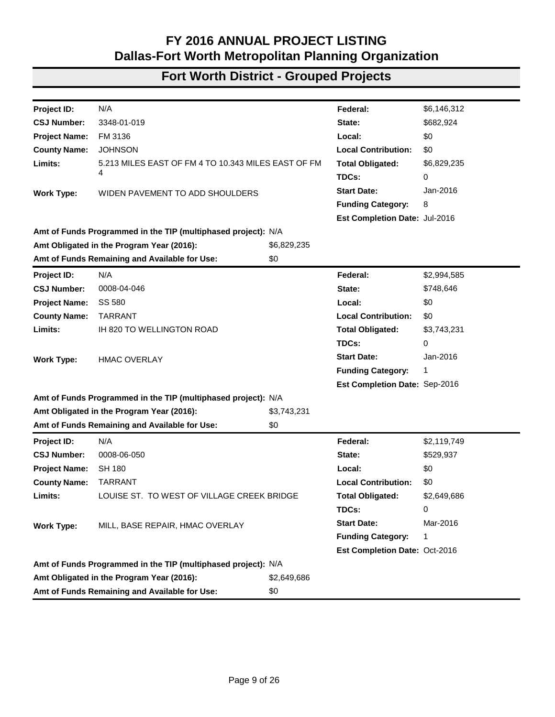| Project ID:          | N/A                                                           |           | Federal:                      | \$150,635 |
|----------------------|---------------------------------------------------------------|-----------|-------------------------------|-----------|
| <b>CSJ Number:</b>   | 2292-01-032                                                   |           | State:                        | \$37,659  |
| <b>Project Name:</b> | FM 730                                                        |           | Local:                        | \$0       |
| <b>County Name:</b>  | <b>WISE</b>                                                   |           | <b>Local Contribution:</b>    | \$0       |
| Limits:              | <b>AT MM 236</b>                                              |           | <b>Total Obligated:</b>       | \$188,294 |
|                      |                                                               |           | TDCs:                         | 0         |
| <b>Work Type:</b>    | RAP BACKFILL AT CULVERT ENDS, HMAC, FLEX PAVE                 |           | <b>Start Date:</b>            | Aug-2016  |
|                      | REPAIR                                                        |           | <b>Funding Category:</b>      | 10        |
|                      |                                                               |           | Est Completion Date: Aug-2016 |           |
|                      | Amt of Funds Programmed in the TIP (multiphased project): N/A |           |                               |           |
|                      | Amt Obligated in the Program Year (2016):                     | \$188,294 |                               |           |
|                      | Amt of Funds Remaining and Available for Use:                 | \$0       |                               |           |
| Project ID:          | N/A                                                           |           | Federal:                      | \$25,585  |
| <b>CSJ Number:</b>   | 2374-05-080                                                   |           | State:                        | \$0       |
| <b>Project Name:</b> | <b>IH 20</b>                                                  |           | Local:                        | \$0       |
| <b>County Name:</b>  | <b>TARRANT</b>                                                |           | <b>Local Contribution:</b>    | \$0       |
| Limits:              | AT GREAT SOUTHWEST PKWY                                       |           | <b>Total Obligated:</b>       | \$25,585  |
|                      |                                                               |           | TDCs:                         | 0         |
| <b>Work Type:</b>    | <b>IMPROVE TRAFFIC SIGNALS</b>                                |           | <b>Start Date:</b>            | May-2016  |
|                      |                                                               |           | <b>Funding Category:</b>      | 8         |
|                      |                                                               |           | Est Completion Date: May-2016 |           |
|                      | Amt of Funds Programmed in the TIP (multiphased project): N/A |           |                               |           |
|                      | Amt Obligated in the Program Year (2016):                     | \$25,585  |                               |           |
|                      | Amt of Funds Remaining and Available for Use:                 | \$0       |                               |           |
| Project ID:          | N/A                                                           |           | Federal:                      | \$152,153 |
| <b>CSJ Number:</b>   | 2463-01-012                                                   |           | State:                        | \$38,038  |
| <b>Project Name:</b> | FM 2425                                                       |           | Local:                        | \$0       |
| <b>County Name:</b>  | <b>HOOD</b>                                                   |           | <b>Local Contribution:</b>    | \$0       |
| Limits:              | SH 144 S TO FM 3210                                           |           | <b>Total Obligated:</b>       | \$190,191 |
|                      |                                                               |           | TDCs:                         | 0         |
| <b>Work Type:</b>    | SEAL COAT MAIN LANES AND SHOULDERS                            |           | <b>Start Date:</b>            | Oct-2016  |
|                      |                                                               |           | <b>Funding Category:</b>      | 1         |
|                      |                                                               |           | Est Completion Date: Oct-2016 |           |
|                      | Amt of Funds Programmed in the TIP (multiphased project): N/A |           |                               |           |
|                      | Amt Obligated in the Program Year (2016):                     | \$190,191 |                               |           |
|                      | Amt of Funds Remaining and Available for Use:                 | \$0       |                               |           |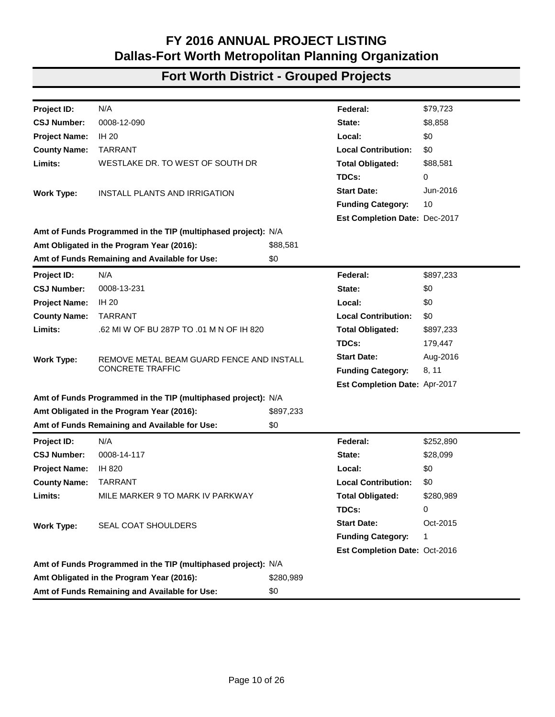| Project ID:          | N/A                                                           |             | Federal:                      | \$3,068,691 |
|----------------------|---------------------------------------------------------------|-------------|-------------------------------|-------------|
| <b>CSJ Number:</b>   | 3010-02-014                                                   |             | State:                        | \$340,966   |
| <b>Project Name:</b> | FM 2738                                                       |             | Local:                        | \$0         |
| <b>County Name:</b>  | <b>JOHNSON</b>                                                |             | <b>Local Contribution:</b>    | \$0         |
| Limits:              | TARRANT COUNTY LINE TO 0.909 MI N OF FM 917                   |             | <b>Total Obligated:</b>       | \$3,409,657 |
|                      |                                                               |             | TDCs:                         | 0           |
| <b>Work Type:</b>    | WIDEN PAVEMENT TO ADD SHOULDERS                               |             | <b>Start Date:</b>            | Aug-2016    |
|                      |                                                               |             | <b>Funding Category:</b>      | 8           |
|                      |                                                               |             | Est Completion Date: Oct-2016 |             |
|                      | Amt of Funds Programmed in the TIP (multiphased project): N/A |             |                               |             |
|                      | Amt Obligated in the Program Year (2016):                     | \$3,409,657 |                               |             |
|                      | Amt of Funds Remaining and Available for Use:                 | \$0         |                               |             |
| Project ID:          | N/A                                                           |             | Federal:                      | \$94,982    |
| <b>CSJ Number:</b>   | 3163-01-015                                                   |             | State:                        | \$23,746    |
| <b>Project Name:</b> | FM 3107                                                       |             | Local:                        | \$0         |
| <b>County Name:</b>  | <b>PARKER</b>                                                 |             | <b>Local Contribution:</b>    | \$0         |
| Limits:              | FM 920 TO END OF ROAD                                         |             | <b>Total Obligated:</b>       | \$118,728   |
|                      |                                                               |             | TDCs:                         | 0           |
| <b>Work Type:</b>    | SEAL COAT MAIN LANES                                          |             | <b>Start Date:</b>            | Oct-2016    |
|                      |                                                               |             | <b>Funding Category:</b>      | 1           |
|                      |                                                               |             | Est Completion Date: Oct-2016 |             |
|                      | Amt of Funds Programmed in the TIP (multiphased project): N/A |             |                               |             |
|                      | Amt Obligated in the Program Year (2016):                     | \$118,728   |                               |             |
|                      | Amt of Funds Remaining and Available for Use:                 | \$0         |                               |             |
| Project ID:          | N/A                                                           |             | Federal:                      | \$6,157     |
| <b>CSJ Number:</b>   | 3207-01-012                                                   |             | State:                        | \$0         |
| <b>Project Name:</b> | FM 3136                                                       |             | Local:                        | \$0         |
| <b>County Name:</b>  | <b>JOHNSON</b>                                                |             | <b>Local Contribution:</b>    | \$0         |
| Limits:              | AT MM 532 (AT CULVERT)                                        |             | <b>Total Obligated:</b>       | \$6,157     |
|                      |                                                               |             | TDCs:                         | 0           |
| <b>Work Type:</b>    | REPLACE BASE, HMAC, AND GUARDRAIL                             |             | <b>Start Date:</b>            | Jul-2016    |
|                      |                                                               |             | <b>Funding Category:</b>      | 10          |
|                      |                                                               |             | Est Completion Date: Oct-2016 |             |
|                      | Amt of Funds Programmed in the TIP (multiphased project): N/A |             |                               |             |
|                      | Amt Obligated in the Program Year (2016):                     | \$6,157     |                               |             |
|                      | Amt of Funds Remaining and Available for Use:                 | \$0         |                               |             |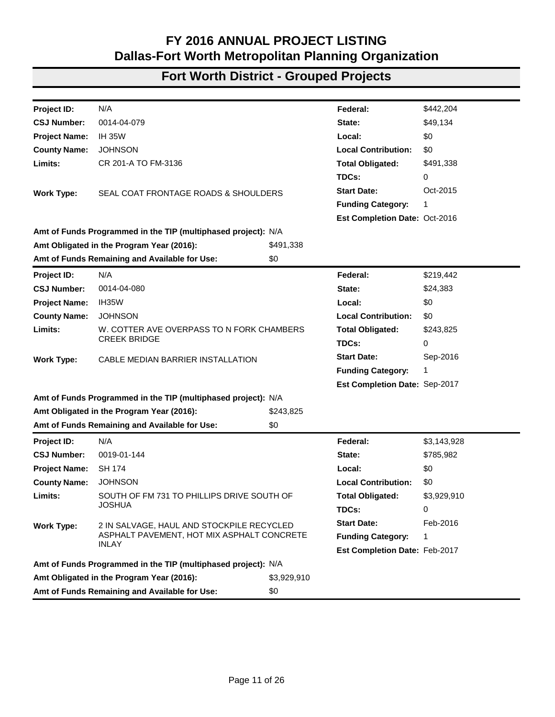| Project ID:          | N/A                                                           |             | Federal:                      | \$6,146,312 |
|----------------------|---------------------------------------------------------------|-------------|-------------------------------|-------------|
| <b>CSJ Number:</b>   | 3348-01-019                                                   |             | State:                        | \$682,924   |
| <b>Project Name:</b> | FM 3136                                                       |             | Local:                        | \$0         |
| <b>County Name:</b>  | <b>JOHNSON</b>                                                |             | <b>Local Contribution:</b>    | \$0         |
| Limits:              | 5.213 MILES EAST OF FM 4 TO 10.343 MILES EAST OF FM           |             | <b>Total Obligated:</b>       | \$6,829,235 |
|                      | 4                                                             |             | TDCs:                         | 0           |
| <b>Work Type:</b>    | WIDEN PAVEMENT TO ADD SHOULDERS                               |             | <b>Start Date:</b>            | Jan-2016    |
|                      |                                                               |             | <b>Funding Category:</b>      | 8           |
|                      |                                                               |             | Est Completion Date: Jul-2016 |             |
|                      | Amt of Funds Programmed in the TIP (multiphased project): N/A |             |                               |             |
|                      | Amt Obligated in the Program Year (2016):                     | \$6,829,235 |                               |             |
|                      | Amt of Funds Remaining and Available for Use:                 | \$0         |                               |             |
| Project ID:          | N/A                                                           |             | Federal:                      | \$2,994,585 |
| <b>CSJ Number:</b>   | 0008-04-046                                                   |             | State:                        | \$748,646   |
| <b>Project Name:</b> | SS 580                                                        |             | Local:                        | \$0         |
| <b>County Name:</b>  | <b>TARRANT</b>                                                |             | <b>Local Contribution:</b>    | \$0         |
| Limits:              | IH 820 TO WELLINGTON ROAD                                     |             | <b>Total Obligated:</b>       | \$3,743,231 |
|                      |                                                               |             | TDCs:                         | 0           |
| <b>Work Type:</b>    | <b>HMAC OVERLAY</b>                                           |             | <b>Start Date:</b>            | Jan-2016    |
|                      |                                                               |             | <b>Funding Category:</b>      | 1           |
|                      |                                                               |             | Est Completion Date: Sep-2016 |             |
|                      | Amt of Funds Programmed in the TIP (multiphased project): N/A |             |                               |             |
|                      | Amt Obligated in the Program Year (2016):                     | \$3,743,231 |                               |             |
|                      | Amt of Funds Remaining and Available for Use:                 | \$0         |                               |             |
| Project ID:          | N/A                                                           |             | Federal:                      | \$2,119,749 |
| <b>CSJ Number:</b>   | 0008-06-050                                                   |             | State:                        | \$529,937   |
| <b>Project Name:</b> | <b>SH 180</b>                                                 |             | Local:                        | \$0         |
| <b>County Name:</b>  | <b>TARRANT</b>                                                |             | <b>Local Contribution:</b>    | \$0         |
| Limits:              | LOUISE ST. TO WEST OF VILLAGE CREEK BRIDGE                    |             | <b>Total Obligated:</b>       | \$2,649,686 |
|                      |                                                               |             | TDCs:                         | 0           |
| <b>Work Type:</b>    | MILL, BASE REPAIR, HMAC OVERLAY                               |             | <b>Start Date:</b>            | Mar-2016    |
|                      |                                                               |             | <b>Funding Category:</b>      | 1           |
|                      |                                                               |             | Est Completion Date: Oct-2016 |             |
|                      | Amt of Funds Programmed in the TIP (multiphased project): N/A |             |                               |             |
|                      | Amt Obligated in the Program Year (2016):                     | \$2,649,686 |                               |             |
|                      | Amt of Funds Remaining and Available for Use:                 | \$0         |                               |             |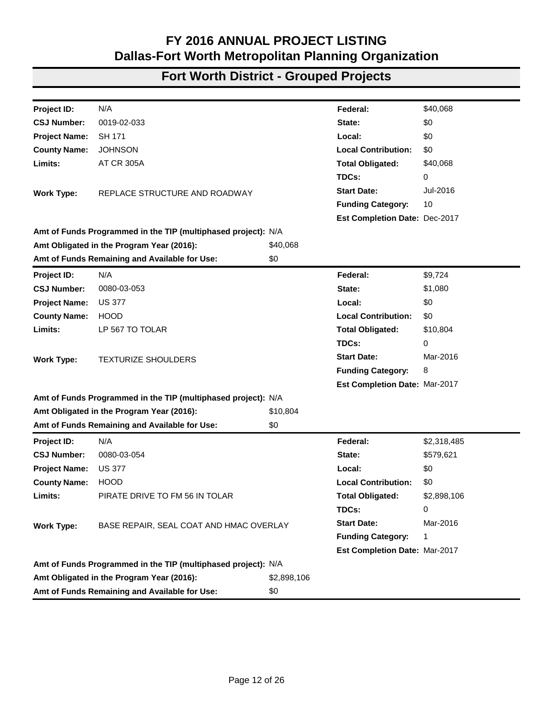| N/A<br>\$79,723<br>Project ID:<br>Federal:<br>0008-12-090<br>\$8,858<br><b>CSJ Number:</b><br>State:<br><b>IH 20</b><br>\$0<br><b>Project Name:</b><br>Local:<br><b>TARRANT</b><br><b>Local Contribution:</b><br>\$0<br><b>County Name:</b><br>Limits:<br>WESTLAKE DR. TO WEST OF SOUTH DR<br>\$88,581<br><b>Total Obligated:</b><br>TDCs:<br>0<br><b>Start Date:</b><br>Jun-2016<br><b>INSTALL PLANTS AND IRRIGATION</b><br><b>Work Type:</b><br>10<br><b>Funding Category:</b><br>Est Completion Date: Dec-2017<br>Amt of Funds Programmed in the TIP (multiphased project): N/A<br>Amt Obligated in the Program Year (2016):<br>\$88,581<br>Amt of Funds Remaining and Available for Use:<br>\$0<br>N/A<br>\$897,233<br>Project ID:<br>Federal:<br><b>CSJ Number:</b><br>0008-13-231<br>\$0<br>State:<br>\$0<br><b>Project Name:</b><br><b>IH 20</b><br>Local:<br><b>TARRANT</b><br><b>Local Contribution:</b><br><b>County Name:</b><br>\$0<br>Limits:<br>.62 MI W OF BU 287P TO .01 M N OF IH 820<br><b>Total Obligated:</b><br>\$897,233<br>TDCs:<br>179,447<br><b>Start Date:</b><br>Aug-2016<br>REMOVE METAL BEAM GUARD FENCE AND INSTALL<br><b>Work Type:</b><br><b>CONCRETE TRAFFIC</b><br><b>Funding Category:</b><br>8, 11<br>Est Completion Date: Apr-2017<br>Amt of Funds Programmed in the TIP (multiphased project): N/A<br>Amt Obligated in the Program Year (2016):<br>\$897,233<br>Amt of Funds Remaining and Available for Use:<br>\$0<br>N/A<br>Federal:<br>\$252,890<br><b>Project ID:</b><br><b>CSJ Number:</b><br>0008-14-117<br>State:<br>\$28,099<br><b>Project Name:</b><br>IH 820<br>Local:<br>\$0<br><b>County Name:</b><br><b>TARRANT</b><br><b>Local Contribution:</b><br>\$0<br>Limits:<br>MILE MARKER 9 TO MARK IV PARKWAY<br><b>Total Obligated:</b><br>\$280,989<br>TDCs:<br>0<br><b>Start Date:</b><br>Oct-2015<br><b>Work Type:</b><br><b>SEAL COAT SHOULDERS</b><br><b>Funding Category:</b><br>1<br>Est Completion Date: Oct-2016<br>Amt of Funds Programmed in the TIP (multiphased project): N/A<br>Amt Obligated in the Program Year (2016):<br>\$280,989<br>Amt of Funds Remaining and Available for Use:<br>\$0 |  |  |  |
|-------------------------------------------------------------------------------------------------------------------------------------------------------------------------------------------------------------------------------------------------------------------------------------------------------------------------------------------------------------------------------------------------------------------------------------------------------------------------------------------------------------------------------------------------------------------------------------------------------------------------------------------------------------------------------------------------------------------------------------------------------------------------------------------------------------------------------------------------------------------------------------------------------------------------------------------------------------------------------------------------------------------------------------------------------------------------------------------------------------------------------------------------------------------------------------------------------------------------------------------------------------------------------------------------------------------------------------------------------------------------------------------------------------------------------------------------------------------------------------------------------------------------------------------------------------------------------------------------------------------------------------------------------------------------------------------------------------------------------------------------------------------------------------------------------------------------------------------------------------------------------------------------------------------------------------------------------------------------------------------------------------------------------------------------------------------------------------------------------------------------------------------------------------|--|--|--|
|                                                                                                                                                                                                                                                                                                                                                                                                                                                                                                                                                                                                                                                                                                                                                                                                                                                                                                                                                                                                                                                                                                                                                                                                                                                                                                                                                                                                                                                                                                                                                                                                                                                                                                                                                                                                                                                                                                                                                                                                                                                                                                                                                             |  |  |  |
|                                                                                                                                                                                                                                                                                                                                                                                                                                                                                                                                                                                                                                                                                                                                                                                                                                                                                                                                                                                                                                                                                                                                                                                                                                                                                                                                                                                                                                                                                                                                                                                                                                                                                                                                                                                                                                                                                                                                                                                                                                                                                                                                                             |  |  |  |
|                                                                                                                                                                                                                                                                                                                                                                                                                                                                                                                                                                                                                                                                                                                                                                                                                                                                                                                                                                                                                                                                                                                                                                                                                                                                                                                                                                                                                                                                                                                                                                                                                                                                                                                                                                                                                                                                                                                                                                                                                                                                                                                                                             |  |  |  |
|                                                                                                                                                                                                                                                                                                                                                                                                                                                                                                                                                                                                                                                                                                                                                                                                                                                                                                                                                                                                                                                                                                                                                                                                                                                                                                                                                                                                                                                                                                                                                                                                                                                                                                                                                                                                                                                                                                                                                                                                                                                                                                                                                             |  |  |  |
|                                                                                                                                                                                                                                                                                                                                                                                                                                                                                                                                                                                                                                                                                                                                                                                                                                                                                                                                                                                                                                                                                                                                                                                                                                                                                                                                                                                                                                                                                                                                                                                                                                                                                                                                                                                                                                                                                                                                                                                                                                                                                                                                                             |  |  |  |
|                                                                                                                                                                                                                                                                                                                                                                                                                                                                                                                                                                                                                                                                                                                                                                                                                                                                                                                                                                                                                                                                                                                                                                                                                                                                                                                                                                                                                                                                                                                                                                                                                                                                                                                                                                                                                                                                                                                                                                                                                                                                                                                                                             |  |  |  |
|                                                                                                                                                                                                                                                                                                                                                                                                                                                                                                                                                                                                                                                                                                                                                                                                                                                                                                                                                                                                                                                                                                                                                                                                                                                                                                                                                                                                                                                                                                                                                                                                                                                                                                                                                                                                                                                                                                                                                                                                                                                                                                                                                             |  |  |  |
|                                                                                                                                                                                                                                                                                                                                                                                                                                                                                                                                                                                                                                                                                                                                                                                                                                                                                                                                                                                                                                                                                                                                                                                                                                                                                                                                                                                                                                                                                                                                                                                                                                                                                                                                                                                                                                                                                                                                                                                                                                                                                                                                                             |  |  |  |
|                                                                                                                                                                                                                                                                                                                                                                                                                                                                                                                                                                                                                                                                                                                                                                                                                                                                                                                                                                                                                                                                                                                                                                                                                                                                                                                                                                                                                                                                                                                                                                                                                                                                                                                                                                                                                                                                                                                                                                                                                                                                                                                                                             |  |  |  |
|                                                                                                                                                                                                                                                                                                                                                                                                                                                                                                                                                                                                                                                                                                                                                                                                                                                                                                                                                                                                                                                                                                                                                                                                                                                                                                                                                                                                                                                                                                                                                                                                                                                                                                                                                                                                                                                                                                                                                                                                                                                                                                                                                             |  |  |  |
|                                                                                                                                                                                                                                                                                                                                                                                                                                                                                                                                                                                                                                                                                                                                                                                                                                                                                                                                                                                                                                                                                                                                                                                                                                                                                                                                                                                                                                                                                                                                                                                                                                                                                                                                                                                                                                                                                                                                                                                                                                                                                                                                                             |  |  |  |
|                                                                                                                                                                                                                                                                                                                                                                                                                                                                                                                                                                                                                                                                                                                                                                                                                                                                                                                                                                                                                                                                                                                                                                                                                                                                                                                                                                                                                                                                                                                                                                                                                                                                                                                                                                                                                                                                                                                                                                                                                                                                                                                                                             |  |  |  |
|                                                                                                                                                                                                                                                                                                                                                                                                                                                                                                                                                                                                                                                                                                                                                                                                                                                                                                                                                                                                                                                                                                                                                                                                                                                                                                                                                                                                                                                                                                                                                                                                                                                                                                                                                                                                                                                                                                                                                                                                                                                                                                                                                             |  |  |  |
|                                                                                                                                                                                                                                                                                                                                                                                                                                                                                                                                                                                                                                                                                                                                                                                                                                                                                                                                                                                                                                                                                                                                                                                                                                                                                                                                                                                                                                                                                                                                                                                                                                                                                                                                                                                                                                                                                                                                                                                                                                                                                                                                                             |  |  |  |
|                                                                                                                                                                                                                                                                                                                                                                                                                                                                                                                                                                                                                                                                                                                                                                                                                                                                                                                                                                                                                                                                                                                                                                                                                                                                                                                                                                                                                                                                                                                                                                                                                                                                                                                                                                                                                                                                                                                                                                                                                                                                                                                                                             |  |  |  |
|                                                                                                                                                                                                                                                                                                                                                                                                                                                                                                                                                                                                                                                                                                                                                                                                                                                                                                                                                                                                                                                                                                                                                                                                                                                                                                                                                                                                                                                                                                                                                                                                                                                                                                                                                                                                                                                                                                                                                                                                                                                                                                                                                             |  |  |  |
|                                                                                                                                                                                                                                                                                                                                                                                                                                                                                                                                                                                                                                                                                                                                                                                                                                                                                                                                                                                                                                                                                                                                                                                                                                                                                                                                                                                                                                                                                                                                                                                                                                                                                                                                                                                                                                                                                                                                                                                                                                                                                                                                                             |  |  |  |
|                                                                                                                                                                                                                                                                                                                                                                                                                                                                                                                                                                                                                                                                                                                                                                                                                                                                                                                                                                                                                                                                                                                                                                                                                                                                                                                                                                                                                                                                                                                                                                                                                                                                                                                                                                                                                                                                                                                                                                                                                                                                                                                                                             |  |  |  |
|                                                                                                                                                                                                                                                                                                                                                                                                                                                                                                                                                                                                                                                                                                                                                                                                                                                                                                                                                                                                                                                                                                                                                                                                                                                                                                                                                                                                                                                                                                                                                                                                                                                                                                                                                                                                                                                                                                                                                                                                                                                                                                                                                             |  |  |  |
|                                                                                                                                                                                                                                                                                                                                                                                                                                                                                                                                                                                                                                                                                                                                                                                                                                                                                                                                                                                                                                                                                                                                                                                                                                                                                                                                                                                                                                                                                                                                                                                                                                                                                                                                                                                                                                                                                                                                                                                                                                                                                                                                                             |  |  |  |
|                                                                                                                                                                                                                                                                                                                                                                                                                                                                                                                                                                                                                                                                                                                                                                                                                                                                                                                                                                                                                                                                                                                                                                                                                                                                                                                                                                                                                                                                                                                                                                                                                                                                                                                                                                                                                                                                                                                                                                                                                                                                                                                                                             |  |  |  |
|                                                                                                                                                                                                                                                                                                                                                                                                                                                                                                                                                                                                                                                                                                                                                                                                                                                                                                                                                                                                                                                                                                                                                                                                                                                                                                                                                                                                                                                                                                                                                                                                                                                                                                                                                                                                                                                                                                                                                                                                                                                                                                                                                             |  |  |  |
|                                                                                                                                                                                                                                                                                                                                                                                                                                                                                                                                                                                                                                                                                                                                                                                                                                                                                                                                                                                                                                                                                                                                                                                                                                                                                                                                                                                                                                                                                                                                                                                                                                                                                                                                                                                                                                                                                                                                                                                                                                                                                                                                                             |  |  |  |
|                                                                                                                                                                                                                                                                                                                                                                                                                                                                                                                                                                                                                                                                                                                                                                                                                                                                                                                                                                                                                                                                                                                                                                                                                                                                                                                                                                                                                                                                                                                                                                                                                                                                                                                                                                                                                                                                                                                                                                                                                                                                                                                                                             |  |  |  |
|                                                                                                                                                                                                                                                                                                                                                                                                                                                                                                                                                                                                                                                                                                                                                                                                                                                                                                                                                                                                                                                                                                                                                                                                                                                                                                                                                                                                                                                                                                                                                                                                                                                                                                                                                                                                                                                                                                                                                                                                                                                                                                                                                             |  |  |  |
|                                                                                                                                                                                                                                                                                                                                                                                                                                                                                                                                                                                                                                                                                                                                                                                                                                                                                                                                                                                                                                                                                                                                                                                                                                                                                                                                                                                                                                                                                                                                                                                                                                                                                                                                                                                                                                                                                                                                                                                                                                                                                                                                                             |  |  |  |
|                                                                                                                                                                                                                                                                                                                                                                                                                                                                                                                                                                                                                                                                                                                                                                                                                                                                                                                                                                                                                                                                                                                                                                                                                                                                                                                                                                                                                                                                                                                                                                                                                                                                                                                                                                                                                                                                                                                                                                                                                                                                                                                                                             |  |  |  |
|                                                                                                                                                                                                                                                                                                                                                                                                                                                                                                                                                                                                                                                                                                                                                                                                                                                                                                                                                                                                                                                                                                                                                                                                                                                                                                                                                                                                                                                                                                                                                                                                                                                                                                                                                                                                                                                                                                                                                                                                                                                                                                                                                             |  |  |  |
|                                                                                                                                                                                                                                                                                                                                                                                                                                                                                                                                                                                                                                                                                                                                                                                                                                                                                                                                                                                                                                                                                                                                                                                                                                                                                                                                                                                                                                                                                                                                                                                                                                                                                                                                                                                                                                                                                                                                                                                                                                                                                                                                                             |  |  |  |
|                                                                                                                                                                                                                                                                                                                                                                                                                                                                                                                                                                                                                                                                                                                                                                                                                                                                                                                                                                                                                                                                                                                                                                                                                                                                                                                                                                                                                                                                                                                                                                                                                                                                                                                                                                                                                                                                                                                                                                                                                                                                                                                                                             |  |  |  |
|                                                                                                                                                                                                                                                                                                                                                                                                                                                                                                                                                                                                                                                                                                                                                                                                                                                                                                                                                                                                                                                                                                                                                                                                                                                                                                                                                                                                                                                                                                                                                                                                                                                                                                                                                                                                                                                                                                                                                                                                                                                                                                                                                             |  |  |  |
|                                                                                                                                                                                                                                                                                                                                                                                                                                                                                                                                                                                                                                                                                                                                                                                                                                                                                                                                                                                                                                                                                                                                                                                                                                                                                                                                                                                                                                                                                                                                                                                                                                                                                                                                                                                                                                                                                                                                                                                                                                                                                                                                                             |  |  |  |
|                                                                                                                                                                                                                                                                                                                                                                                                                                                                                                                                                                                                                                                                                                                                                                                                                                                                                                                                                                                                                                                                                                                                                                                                                                                                                                                                                                                                                                                                                                                                                                                                                                                                                                                                                                                                                                                                                                                                                                                                                                                                                                                                                             |  |  |  |
|                                                                                                                                                                                                                                                                                                                                                                                                                                                                                                                                                                                                                                                                                                                                                                                                                                                                                                                                                                                                                                                                                                                                                                                                                                                                                                                                                                                                                                                                                                                                                                                                                                                                                                                                                                                                                                                                                                                                                                                                                                                                                                                                                             |  |  |  |
|                                                                                                                                                                                                                                                                                                                                                                                                                                                                                                                                                                                                                                                                                                                                                                                                                                                                                                                                                                                                                                                                                                                                                                                                                                                                                                                                                                                                                                                                                                                                                                                                                                                                                                                                                                                                                                                                                                                                                                                                                                                                                                                                                             |  |  |  |
|                                                                                                                                                                                                                                                                                                                                                                                                                                                                                                                                                                                                                                                                                                                                                                                                                                                                                                                                                                                                                                                                                                                                                                                                                                                                                                                                                                                                                                                                                                                                                                                                                                                                                                                                                                                                                                                                                                                                                                                                                                                                                                                                                             |  |  |  |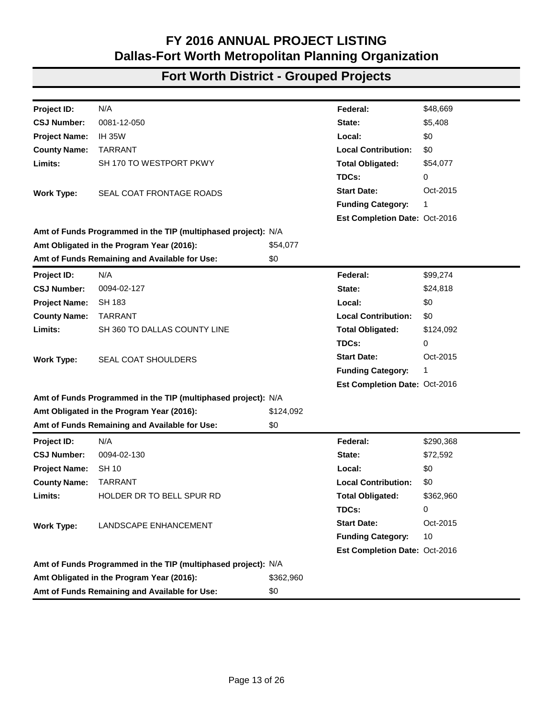| Project ID:          | N/A                                                           |             | Federal:                      | \$442,204   |
|----------------------|---------------------------------------------------------------|-------------|-------------------------------|-------------|
| <b>CSJ Number:</b>   | 0014-04-079                                                   |             | State:                        | \$49,134    |
| <b>Project Name:</b> | <b>IH 35W</b>                                                 |             | Local:                        | \$0         |
| <b>County Name:</b>  | <b>JOHNSON</b>                                                |             | <b>Local Contribution:</b>    | \$0         |
| Limits:              | CR 201-A TO FM-3136                                           |             | <b>Total Obligated:</b>       | \$491,338   |
|                      |                                                               |             | TDCs:                         | 0           |
| <b>Work Type:</b>    | SEAL COAT FRONTAGE ROADS & SHOULDERS                          |             | <b>Start Date:</b>            | Oct-2015    |
|                      |                                                               |             | <b>Funding Category:</b>      | 1           |
|                      |                                                               |             | Est Completion Date: Oct-2016 |             |
|                      | Amt of Funds Programmed in the TIP (multiphased project): N/A |             |                               |             |
|                      | Amt Obligated in the Program Year (2016):                     | \$491,338   |                               |             |
|                      | Amt of Funds Remaining and Available for Use:                 | \$0         |                               |             |
| Project ID:          | N/A                                                           |             | Federal:                      | \$219,442   |
| <b>CSJ Number:</b>   | 0014-04-080                                                   |             | State:                        | \$24,383    |
| <b>Project Name:</b> | IH35W                                                         |             | Local:                        | \$0         |
| <b>County Name:</b>  | <b>JOHNSON</b>                                                |             | <b>Local Contribution:</b>    | \$0         |
| Limits:              | W. COTTER AVE OVERPASS TO N FORK CHAMBERS                     |             | <b>Total Obligated:</b>       | \$243,825   |
|                      | <b>CREEK BRIDGE</b>                                           |             | TDCs:                         | 0           |
| <b>Work Type:</b>    | CABLE MEDIAN BARRIER INSTALLATION                             |             | <b>Start Date:</b>            | Sep-2016    |
|                      |                                                               |             | <b>Funding Category:</b>      | 1           |
|                      |                                                               |             | Est Completion Date: Sep-2017 |             |
|                      | Amt of Funds Programmed in the TIP (multiphased project): N/A |             |                               |             |
|                      | Amt Obligated in the Program Year (2016):                     | \$243,825   |                               |             |
|                      | Amt of Funds Remaining and Available for Use:                 | \$0         |                               |             |
| <b>Project ID:</b>   | N/A                                                           |             | Federal:                      | \$3,143,928 |
| <b>CSJ Number:</b>   | 0019-01-144                                                   |             | State:                        | \$785,982   |
| <b>Project Name:</b> | <b>SH 174</b>                                                 |             | Local:                        | \$0         |
| <b>County Name:</b>  | <b>JOHNSON</b>                                                |             | <b>Local Contribution:</b>    | \$0         |
| Limits:              | SOUTH OF FM 731 TO PHILLIPS DRIVE SOUTH OF                    |             | <b>Total Obligated:</b>       | \$3,929,910 |
|                      | <b>JOSHUA</b>                                                 |             | TDCs:                         | 0           |
| <b>Work Type:</b>    | 2 IN SALVAGE, HAUL AND STOCKPILE RECYCLED                     |             | <b>Start Date:</b>            | Feb-2016    |
|                      | ASPHALT PAVEMENT, HOT MIX ASPHALT CONCRETE                    |             | <b>Funding Category:</b>      | 1           |
|                      | <b>INLAY</b>                                                  |             | Est Completion Date: Feb-2017 |             |
|                      | Amt of Funds Programmed in the TIP (multiphased project): N/A |             |                               |             |
|                      | Amt Obligated in the Program Year (2016):                     | \$3,929,910 |                               |             |
|                      | Amt of Funds Remaining and Available for Use:                 | \$0         |                               |             |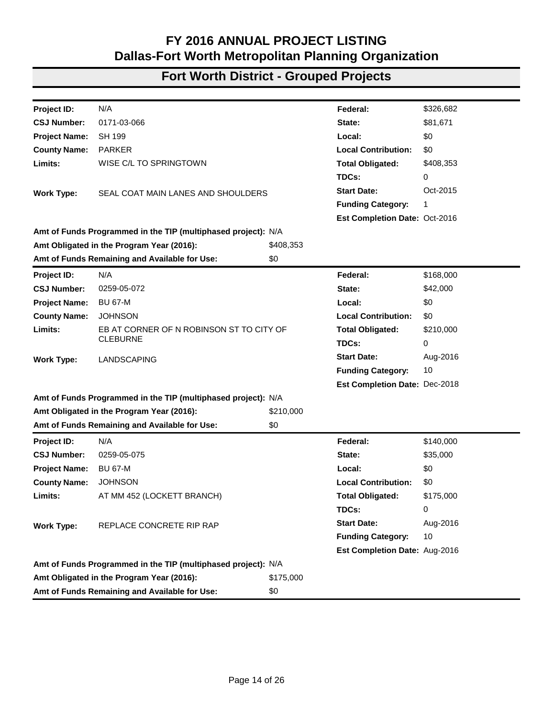| Project ID:          | N/A                                                           |             | Federal:                      | \$40,068    |
|----------------------|---------------------------------------------------------------|-------------|-------------------------------|-------------|
| <b>CSJ Number:</b>   | 0019-02-033                                                   |             | State:                        | \$0         |
| <b>Project Name:</b> | <b>SH 171</b>                                                 |             | Local:                        | \$0         |
| <b>County Name:</b>  | <b>JOHNSON</b>                                                |             | <b>Local Contribution:</b>    | \$0         |
| Limits:              | <b>AT CR 305A</b>                                             |             | <b>Total Obligated:</b>       | \$40,068    |
|                      |                                                               |             | TDCs:                         | 0           |
| <b>Work Type:</b>    | REPLACE STRUCTURE AND ROADWAY                                 |             | <b>Start Date:</b>            | Jul-2016    |
|                      |                                                               |             | <b>Funding Category:</b>      | 10          |
|                      |                                                               |             | Est Completion Date: Dec-2017 |             |
|                      | Amt of Funds Programmed in the TIP (multiphased project): N/A |             |                               |             |
|                      | Amt Obligated in the Program Year (2016):                     | \$40,068    |                               |             |
|                      | Amt of Funds Remaining and Available for Use:                 | \$0         |                               |             |
| Project ID:          | N/A                                                           |             | Federal:                      | \$9,724     |
| <b>CSJ Number:</b>   | 0080-03-053                                                   |             | State:                        | \$1,080     |
| <b>Project Name:</b> | <b>US 377</b>                                                 |             | Local:                        | \$0         |
| <b>County Name:</b>  | <b>HOOD</b>                                                   |             | <b>Local Contribution:</b>    | \$0         |
| Limits:              | LP 567 TO TOLAR                                               |             | <b>Total Obligated:</b>       | \$10,804    |
|                      |                                                               |             | TDCs:                         | 0           |
| <b>Work Type:</b>    | <b>TEXTURIZE SHOULDERS</b>                                    |             | <b>Start Date:</b>            | Mar-2016    |
|                      |                                                               |             | <b>Funding Category:</b>      | 8           |
|                      |                                                               |             | Est Completion Date: Mar-2017 |             |
|                      | Amt of Funds Programmed in the TIP (multiphased project): N/A |             |                               |             |
|                      | Amt Obligated in the Program Year (2016):                     | \$10,804    |                               |             |
|                      | Amt of Funds Remaining and Available for Use:                 | \$0         |                               |             |
| Project ID:          | N/A                                                           |             | Federal:                      | \$2,318,485 |
| <b>CSJ Number:</b>   | 0080-03-054                                                   |             | State:                        | \$579,621   |
| <b>Project Name:</b> | <b>US 377</b>                                                 |             | Local:                        | \$0         |
| <b>County Name:</b>  | <b>HOOD</b>                                                   |             | <b>Local Contribution:</b>    | \$0         |
| Limits:              | PIRATE DRIVE TO FM 56 IN TOLAR                                |             | <b>Total Obligated:</b>       | \$2,898,106 |
|                      |                                                               |             | TDCs:                         | 0           |
| <b>Work Type:</b>    | BASE REPAIR, SEAL COAT AND HMAC OVERLAY                       |             | <b>Start Date:</b>            | Mar-2016    |
|                      |                                                               |             | <b>Funding Category:</b>      | 1           |
|                      |                                                               |             | Est Completion Date: Mar-2017 |             |
|                      | Amt of Funds Programmed in the TIP (multiphased project): N/A |             |                               |             |
|                      | Amt Obligated in the Program Year (2016):                     | \$2,898,106 |                               |             |
|                      | Amt of Funds Remaining and Available for Use:                 | \$0         |                               |             |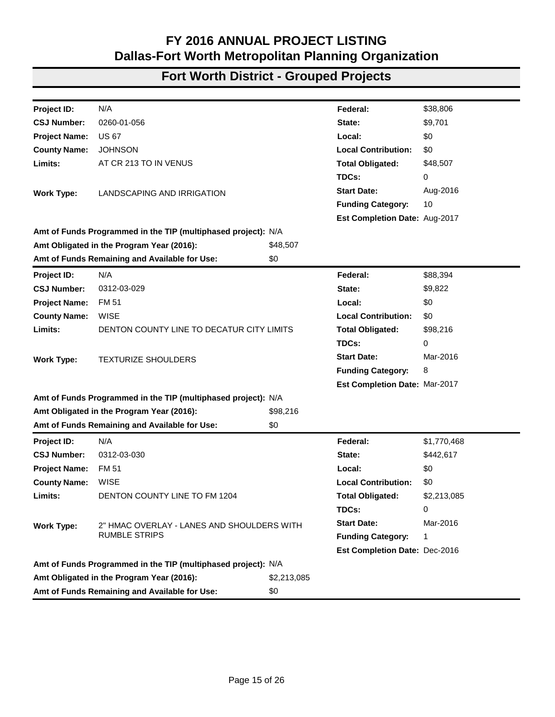| N/A<br>\$48,669<br>Project ID:<br>Federal:<br>0081-12-050<br>\$5,408<br><b>CSJ Number:</b><br>State:<br><b>IH 35W</b><br>\$0<br><b>Project Name:</b><br>Local:<br><b>TARRANT</b><br><b>Local Contribution:</b><br>\$0<br><b>County Name:</b><br>SH 170 TO WESTPORT PKWY<br>Limits:<br><b>Total Obligated:</b><br>\$54,077<br>TDCs:<br>0<br><b>Start Date:</b><br>Oct-2015<br>SEAL COAT FRONTAGE ROADS<br><b>Work Type:</b><br><b>Funding Category:</b><br>1<br>Est Completion Date: Oct-2016<br>Amt of Funds Programmed in the TIP (multiphased project): N/A<br>Amt Obligated in the Program Year (2016):<br>\$54,077<br>Amt of Funds Remaining and Available for Use:<br>\$0<br>N/A<br>\$99,274<br>Project ID:<br>Federal:<br><b>CSJ Number:</b><br>0094-02-127<br>\$24,818<br>State:<br>\$0<br><b>Project Name:</b><br><b>SH 183</b><br>Local:<br><b>TARRANT</b><br><b>Local Contribution:</b><br>\$0<br><b>County Name:</b><br>Limits:<br>SH 360 TO DALLAS COUNTY LINE<br><b>Total Obligated:</b><br>\$124,092<br>TDCs:<br>0<br><b>Start Date:</b><br>Oct-2015<br><b>Work Type:</b><br><b>SEAL COAT SHOULDERS</b><br><b>Funding Category:</b><br>1<br>Est Completion Date: Oct-2016<br>Amt of Funds Programmed in the TIP (multiphased project): N/A<br>Amt Obligated in the Program Year (2016):<br>\$124,092<br>Amt of Funds Remaining and Available for Use:<br>\$0<br>N/A<br>Federal:<br>\$290,368<br>Project ID:<br><b>CSJ Number:</b><br>0094-02-130<br>State:<br>\$72,592<br><b>Project Name:</b><br><b>SH 10</b><br>Local:<br>\$0<br><b>County Name:</b><br><b>TARRANT</b><br><b>Local Contribution:</b><br>\$0<br>Limits:<br>HOLDER DR TO BELL SPUR RD<br><b>Total Obligated:</b><br>\$362,960<br>TDCs:<br>0<br><b>Start Date:</b><br>Oct-2015<br><b>Work Type:</b><br>LANDSCAPE ENHANCEMENT<br><b>Funding Category:</b><br>10<br>Est Completion Date: Oct-2016<br>Amt of Funds Programmed in the TIP (multiphased project): N/A<br>Amt Obligated in the Program Year (2016):<br>\$362,960<br>Amt of Funds Remaining and Available for Use:<br>\$0 |  |  |  |
|-----------------------------------------------------------------------------------------------------------------------------------------------------------------------------------------------------------------------------------------------------------------------------------------------------------------------------------------------------------------------------------------------------------------------------------------------------------------------------------------------------------------------------------------------------------------------------------------------------------------------------------------------------------------------------------------------------------------------------------------------------------------------------------------------------------------------------------------------------------------------------------------------------------------------------------------------------------------------------------------------------------------------------------------------------------------------------------------------------------------------------------------------------------------------------------------------------------------------------------------------------------------------------------------------------------------------------------------------------------------------------------------------------------------------------------------------------------------------------------------------------------------------------------------------------------------------------------------------------------------------------------------------------------------------------------------------------------------------------------------------------------------------------------------------------------------------------------------------------------------------------------------------------------------------------------------------------------------------------------------------------------------------------------------------------------------|--|--|--|
|                                                                                                                                                                                                                                                                                                                                                                                                                                                                                                                                                                                                                                                                                                                                                                                                                                                                                                                                                                                                                                                                                                                                                                                                                                                                                                                                                                                                                                                                                                                                                                                                                                                                                                                                                                                                                                                                                                                                                                                                                                                                 |  |  |  |
|                                                                                                                                                                                                                                                                                                                                                                                                                                                                                                                                                                                                                                                                                                                                                                                                                                                                                                                                                                                                                                                                                                                                                                                                                                                                                                                                                                                                                                                                                                                                                                                                                                                                                                                                                                                                                                                                                                                                                                                                                                                                 |  |  |  |
|                                                                                                                                                                                                                                                                                                                                                                                                                                                                                                                                                                                                                                                                                                                                                                                                                                                                                                                                                                                                                                                                                                                                                                                                                                                                                                                                                                                                                                                                                                                                                                                                                                                                                                                                                                                                                                                                                                                                                                                                                                                                 |  |  |  |
|                                                                                                                                                                                                                                                                                                                                                                                                                                                                                                                                                                                                                                                                                                                                                                                                                                                                                                                                                                                                                                                                                                                                                                                                                                                                                                                                                                                                                                                                                                                                                                                                                                                                                                                                                                                                                                                                                                                                                                                                                                                                 |  |  |  |
|                                                                                                                                                                                                                                                                                                                                                                                                                                                                                                                                                                                                                                                                                                                                                                                                                                                                                                                                                                                                                                                                                                                                                                                                                                                                                                                                                                                                                                                                                                                                                                                                                                                                                                                                                                                                                                                                                                                                                                                                                                                                 |  |  |  |
|                                                                                                                                                                                                                                                                                                                                                                                                                                                                                                                                                                                                                                                                                                                                                                                                                                                                                                                                                                                                                                                                                                                                                                                                                                                                                                                                                                                                                                                                                                                                                                                                                                                                                                                                                                                                                                                                                                                                                                                                                                                                 |  |  |  |
|                                                                                                                                                                                                                                                                                                                                                                                                                                                                                                                                                                                                                                                                                                                                                                                                                                                                                                                                                                                                                                                                                                                                                                                                                                                                                                                                                                                                                                                                                                                                                                                                                                                                                                                                                                                                                                                                                                                                                                                                                                                                 |  |  |  |
|                                                                                                                                                                                                                                                                                                                                                                                                                                                                                                                                                                                                                                                                                                                                                                                                                                                                                                                                                                                                                                                                                                                                                                                                                                                                                                                                                                                                                                                                                                                                                                                                                                                                                                                                                                                                                                                                                                                                                                                                                                                                 |  |  |  |
|                                                                                                                                                                                                                                                                                                                                                                                                                                                                                                                                                                                                                                                                                                                                                                                                                                                                                                                                                                                                                                                                                                                                                                                                                                                                                                                                                                                                                                                                                                                                                                                                                                                                                                                                                                                                                                                                                                                                                                                                                                                                 |  |  |  |
|                                                                                                                                                                                                                                                                                                                                                                                                                                                                                                                                                                                                                                                                                                                                                                                                                                                                                                                                                                                                                                                                                                                                                                                                                                                                                                                                                                                                                                                                                                                                                                                                                                                                                                                                                                                                                                                                                                                                                                                                                                                                 |  |  |  |
|                                                                                                                                                                                                                                                                                                                                                                                                                                                                                                                                                                                                                                                                                                                                                                                                                                                                                                                                                                                                                                                                                                                                                                                                                                                                                                                                                                                                                                                                                                                                                                                                                                                                                                                                                                                                                                                                                                                                                                                                                                                                 |  |  |  |
|                                                                                                                                                                                                                                                                                                                                                                                                                                                                                                                                                                                                                                                                                                                                                                                                                                                                                                                                                                                                                                                                                                                                                                                                                                                                                                                                                                                                                                                                                                                                                                                                                                                                                                                                                                                                                                                                                                                                                                                                                                                                 |  |  |  |
|                                                                                                                                                                                                                                                                                                                                                                                                                                                                                                                                                                                                                                                                                                                                                                                                                                                                                                                                                                                                                                                                                                                                                                                                                                                                                                                                                                                                                                                                                                                                                                                                                                                                                                                                                                                                                                                                                                                                                                                                                                                                 |  |  |  |
|                                                                                                                                                                                                                                                                                                                                                                                                                                                                                                                                                                                                                                                                                                                                                                                                                                                                                                                                                                                                                                                                                                                                                                                                                                                                                                                                                                                                                                                                                                                                                                                                                                                                                                                                                                                                                                                                                                                                                                                                                                                                 |  |  |  |
|                                                                                                                                                                                                                                                                                                                                                                                                                                                                                                                                                                                                                                                                                                                                                                                                                                                                                                                                                                                                                                                                                                                                                                                                                                                                                                                                                                                                                                                                                                                                                                                                                                                                                                                                                                                                                                                                                                                                                                                                                                                                 |  |  |  |
|                                                                                                                                                                                                                                                                                                                                                                                                                                                                                                                                                                                                                                                                                                                                                                                                                                                                                                                                                                                                                                                                                                                                                                                                                                                                                                                                                                                                                                                                                                                                                                                                                                                                                                                                                                                                                                                                                                                                                                                                                                                                 |  |  |  |
|                                                                                                                                                                                                                                                                                                                                                                                                                                                                                                                                                                                                                                                                                                                                                                                                                                                                                                                                                                                                                                                                                                                                                                                                                                                                                                                                                                                                                                                                                                                                                                                                                                                                                                                                                                                                                                                                                                                                                                                                                                                                 |  |  |  |
|                                                                                                                                                                                                                                                                                                                                                                                                                                                                                                                                                                                                                                                                                                                                                                                                                                                                                                                                                                                                                                                                                                                                                                                                                                                                                                                                                                                                                                                                                                                                                                                                                                                                                                                                                                                                                                                                                                                                                                                                                                                                 |  |  |  |
|                                                                                                                                                                                                                                                                                                                                                                                                                                                                                                                                                                                                                                                                                                                                                                                                                                                                                                                                                                                                                                                                                                                                                                                                                                                                                                                                                                                                                                                                                                                                                                                                                                                                                                                                                                                                                                                                                                                                                                                                                                                                 |  |  |  |
|                                                                                                                                                                                                                                                                                                                                                                                                                                                                                                                                                                                                                                                                                                                                                                                                                                                                                                                                                                                                                                                                                                                                                                                                                                                                                                                                                                                                                                                                                                                                                                                                                                                                                                                                                                                                                                                                                                                                                                                                                                                                 |  |  |  |
|                                                                                                                                                                                                                                                                                                                                                                                                                                                                                                                                                                                                                                                                                                                                                                                                                                                                                                                                                                                                                                                                                                                                                                                                                                                                                                                                                                                                                                                                                                                                                                                                                                                                                                                                                                                                                                                                                                                                                                                                                                                                 |  |  |  |
|                                                                                                                                                                                                                                                                                                                                                                                                                                                                                                                                                                                                                                                                                                                                                                                                                                                                                                                                                                                                                                                                                                                                                                                                                                                                                                                                                                                                                                                                                                                                                                                                                                                                                                                                                                                                                                                                                                                                                                                                                                                                 |  |  |  |
|                                                                                                                                                                                                                                                                                                                                                                                                                                                                                                                                                                                                                                                                                                                                                                                                                                                                                                                                                                                                                                                                                                                                                                                                                                                                                                                                                                                                                                                                                                                                                                                                                                                                                                                                                                                                                                                                                                                                                                                                                                                                 |  |  |  |
|                                                                                                                                                                                                                                                                                                                                                                                                                                                                                                                                                                                                                                                                                                                                                                                                                                                                                                                                                                                                                                                                                                                                                                                                                                                                                                                                                                                                                                                                                                                                                                                                                                                                                                                                                                                                                                                                                                                                                                                                                                                                 |  |  |  |
|                                                                                                                                                                                                                                                                                                                                                                                                                                                                                                                                                                                                                                                                                                                                                                                                                                                                                                                                                                                                                                                                                                                                                                                                                                                                                                                                                                                                                                                                                                                                                                                                                                                                                                                                                                                                                                                                                                                                                                                                                                                                 |  |  |  |
|                                                                                                                                                                                                                                                                                                                                                                                                                                                                                                                                                                                                                                                                                                                                                                                                                                                                                                                                                                                                                                                                                                                                                                                                                                                                                                                                                                                                                                                                                                                                                                                                                                                                                                                                                                                                                                                                                                                                                                                                                                                                 |  |  |  |
|                                                                                                                                                                                                                                                                                                                                                                                                                                                                                                                                                                                                                                                                                                                                                                                                                                                                                                                                                                                                                                                                                                                                                                                                                                                                                                                                                                                                                                                                                                                                                                                                                                                                                                                                                                                                                                                                                                                                                                                                                                                                 |  |  |  |
|                                                                                                                                                                                                                                                                                                                                                                                                                                                                                                                                                                                                                                                                                                                                                                                                                                                                                                                                                                                                                                                                                                                                                                                                                                                                                                                                                                                                                                                                                                                                                                                                                                                                                                                                                                                                                                                                                                                                                                                                                                                                 |  |  |  |
|                                                                                                                                                                                                                                                                                                                                                                                                                                                                                                                                                                                                                                                                                                                                                                                                                                                                                                                                                                                                                                                                                                                                                                                                                                                                                                                                                                                                                                                                                                                                                                                                                                                                                                                                                                                                                                                                                                                                                                                                                                                                 |  |  |  |
|                                                                                                                                                                                                                                                                                                                                                                                                                                                                                                                                                                                                                                                                                                                                                                                                                                                                                                                                                                                                                                                                                                                                                                                                                                                                                                                                                                                                                                                                                                                                                                                                                                                                                                                                                                                                                                                                                                                                                                                                                                                                 |  |  |  |
|                                                                                                                                                                                                                                                                                                                                                                                                                                                                                                                                                                                                                                                                                                                                                                                                                                                                                                                                                                                                                                                                                                                                                                                                                                                                                                                                                                                                                                                                                                                                                                                                                                                                                                                                                                                                                                                                                                                                                                                                                                                                 |  |  |  |
|                                                                                                                                                                                                                                                                                                                                                                                                                                                                                                                                                                                                                                                                                                                                                                                                                                                                                                                                                                                                                                                                                                                                                                                                                                                                                                                                                                                                                                                                                                                                                                                                                                                                                                                                                                                                                                                                                                                                                                                                                                                                 |  |  |  |
|                                                                                                                                                                                                                                                                                                                                                                                                                                                                                                                                                                                                                                                                                                                                                                                                                                                                                                                                                                                                                                                                                                                                                                                                                                                                                                                                                                                                                                                                                                                                                                                                                                                                                                                                                                                                                                                                                                                                                                                                                                                                 |  |  |  |
|                                                                                                                                                                                                                                                                                                                                                                                                                                                                                                                                                                                                                                                                                                                                                                                                                                                                                                                                                                                                                                                                                                                                                                                                                                                                                                                                                                                                                                                                                                                                                                                                                                                                                                                                                                                                                                                                                                                                                                                                                                                                 |  |  |  |
|                                                                                                                                                                                                                                                                                                                                                                                                                                                                                                                                                                                                                                                                                                                                                                                                                                                                                                                                                                                                                                                                                                                                                                                                                                                                                                                                                                                                                                                                                                                                                                                                                                                                                                                                                                                                                                                                                                                                                                                                                                                                 |  |  |  |
|                                                                                                                                                                                                                                                                                                                                                                                                                                                                                                                                                                                                                                                                                                                                                                                                                                                                                                                                                                                                                                                                                                                                                                                                                                                                                                                                                                                                                                                                                                                                                                                                                                                                                                                                                                                                                                                                                                                                                                                                                                                                 |  |  |  |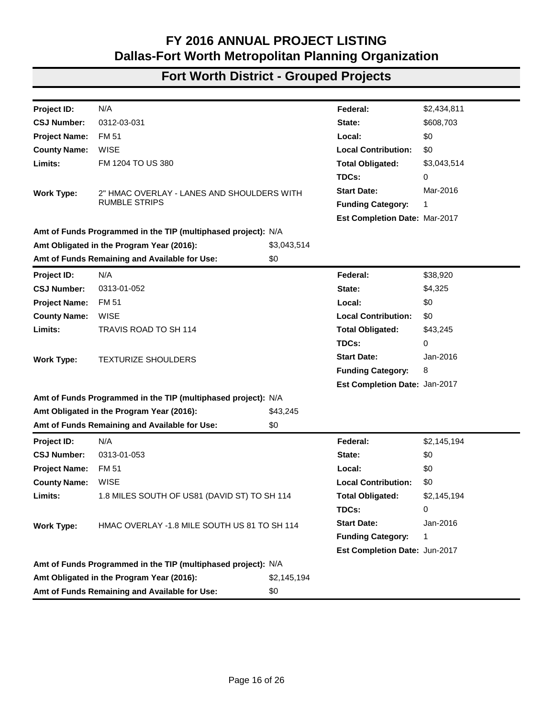| Project ID:          | N/A                                                           |           | Federal:                      | \$326,682 |
|----------------------|---------------------------------------------------------------|-----------|-------------------------------|-----------|
| <b>CSJ Number:</b>   | 0171-03-066                                                   |           | State:                        | \$81,671  |
| <b>Project Name:</b> | <b>SH 199</b>                                                 |           | Local:                        | \$0       |
| <b>County Name:</b>  | <b>PARKER</b>                                                 |           | <b>Local Contribution:</b>    | \$0       |
| Limits:              | WISE C/L TO SPRINGTOWN                                        |           | <b>Total Obligated:</b>       | \$408,353 |
|                      |                                                               |           | TDCs:                         | 0         |
| <b>Work Type:</b>    | SEAL COAT MAIN LANES AND SHOULDERS                            |           | <b>Start Date:</b>            | Oct-2015  |
|                      |                                                               |           | <b>Funding Category:</b>      | 1         |
|                      |                                                               |           | Est Completion Date: Oct-2016 |           |
|                      | Amt of Funds Programmed in the TIP (multiphased project): N/A |           |                               |           |
|                      | Amt Obligated in the Program Year (2016):                     | \$408,353 |                               |           |
|                      | Amt of Funds Remaining and Available for Use:                 | \$0       |                               |           |
| Project ID:          | N/A                                                           |           | Federal:                      | \$168,000 |
| <b>CSJ Number:</b>   | 0259-05-072                                                   |           | State:                        | \$42,000  |
| <b>Project Name:</b> | <b>BU 67-M</b>                                                |           | Local:                        | \$0       |
| <b>County Name:</b>  | <b>JOHNSON</b>                                                |           | <b>Local Contribution:</b>    | \$0       |
| Limits:              | EB AT CORNER OF N ROBINSON ST TO CITY OF                      |           | <b>Total Obligated:</b>       | \$210,000 |
|                      | <b>CLEBURNE</b>                                               |           | TDCs:                         | 0         |
| <b>Work Type:</b>    | LANDSCAPING                                                   |           | <b>Start Date:</b>            | Aug-2016  |
|                      |                                                               |           | <b>Funding Category:</b>      | 10        |
|                      |                                                               |           | Est Completion Date: Dec-2018 |           |
|                      | Amt of Funds Programmed in the TIP (multiphased project): N/A |           |                               |           |
|                      | Amt Obligated in the Program Year (2016):                     | \$210,000 |                               |           |
|                      | Amt of Funds Remaining and Available for Use:                 | \$0       |                               |           |
| <b>Project ID:</b>   | N/A                                                           |           | Federal:                      | \$140,000 |
| <b>CSJ Number:</b>   | 0259-05-075                                                   |           | State:                        | \$35,000  |
| <b>Project Name:</b> | <b>BU 67-M</b>                                                |           | Local:                        | \$0       |
| <b>County Name:</b>  | <b>JOHNSON</b>                                                |           | <b>Local Contribution:</b>    | \$0       |
| Limits:              | AT MM 452 (LOCKETT BRANCH)                                    |           | <b>Total Obligated:</b>       | \$175,000 |
|                      |                                                               |           | TDCs:                         | 0         |
| <b>Work Type:</b>    | REPLACE CONCRETE RIP RAP                                      |           | <b>Start Date:</b>            | Aug-2016  |
|                      |                                                               |           | <b>Funding Category:</b>      | 10        |
|                      |                                                               |           | Est Completion Date: Aug-2016 |           |
|                      | Amt of Funds Programmed in the TIP (multiphased project): N/A |           |                               |           |
|                      | Amt Obligated in the Program Year (2016):                     | \$175,000 |                               |           |
|                      | Amt of Funds Remaining and Available for Use:                 | \$0       |                               |           |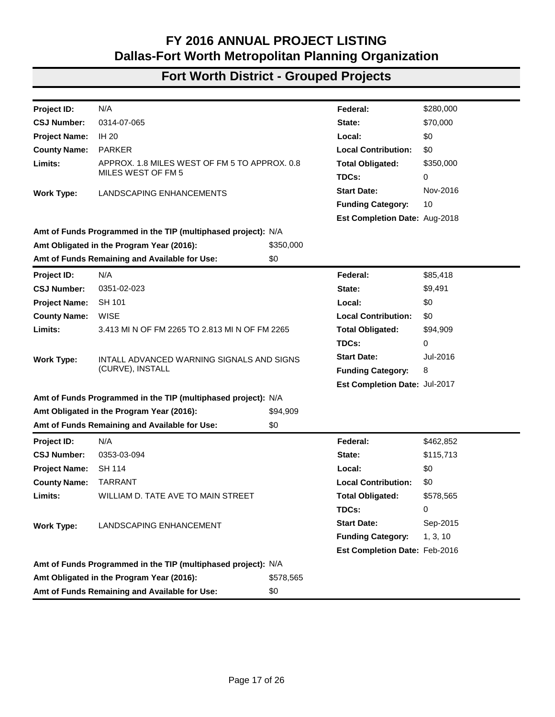| Project ID:          | N/A                                                           |             | Federal:                             | \$38,806    |
|----------------------|---------------------------------------------------------------|-------------|--------------------------------------|-------------|
| <b>CSJ Number:</b>   | 0260-01-056                                                   |             | State:                               | \$9,701     |
| <b>Project Name:</b> | <b>US 67</b>                                                  |             | Local:                               | \$0         |
| <b>County Name:</b>  | <b>JOHNSON</b>                                                |             | <b>Local Contribution:</b>           | \$0         |
| Limits:              | AT CR 213 TO IN VENUS                                         |             | <b>Total Obligated:</b>              | \$48,507    |
|                      |                                                               |             | TDCs:                                | 0           |
| <b>Work Type:</b>    | LANDSCAPING AND IRRIGATION                                    |             | <b>Start Date:</b>                   | Aug-2016    |
|                      |                                                               |             | <b>Funding Category:</b>             | 10          |
|                      |                                                               |             | Est Completion Date: Aug-2017        |             |
|                      | Amt of Funds Programmed in the TIP (multiphased project): N/A |             |                                      |             |
|                      | Amt Obligated in the Program Year (2016):                     | \$48,507    |                                      |             |
|                      | Amt of Funds Remaining and Available for Use:                 | \$0         |                                      |             |
| Project ID:          | N/A                                                           |             | Federal:                             | \$88,394    |
| <b>CSJ Number:</b>   | 0312-03-029                                                   |             | State:                               | \$9,822     |
| <b>Project Name:</b> | <b>FM 51</b>                                                  |             | Local:                               | \$0         |
| <b>County Name:</b>  | <b>WISE</b>                                                   |             | <b>Local Contribution:</b>           | \$0         |
| Limits:              | DENTON COUNTY LINE TO DECATUR CITY LIMITS                     |             | <b>Total Obligated:</b>              | \$98,216    |
|                      |                                                               |             | TDCs:                                | 0           |
| <b>Work Type:</b>    | <b>TEXTURIZE SHOULDERS</b>                                    |             | <b>Start Date:</b>                   | Mar-2016    |
|                      |                                                               |             | <b>Funding Category:</b>             | 8           |
|                      |                                                               |             | <b>Est Completion Date: Mar-2017</b> |             |
|                      | Amt of Funds Programmed in the TIP (multiphased project): N/A |             |                                      |             |
|                      | Amt Obligated in the Program Year (2016):                     | \$98,216    |                                      |             |
|                      | Amt of Funds Remaining and Available for Use:                 | \$0         |                                      |             |
| Project ID:          | N/A                                                           |             | Federal:                             | \$1,770,468 |
| <b>CSJ Number:</b>   | 0312-03-030                                                   |             | State:                               | \$442,617   |
| <b>Project Name:</b> | <b>FM 51</b>                                                  |             | Local:                               | \$0         |
| <b>County Name:</b>  | <b>WISE</b>                                                   |             | <b>Local Contribution:</b>           | \$0         |
| Limits:              | <b>DENTON COUNTY LINE TO FM 1204</b>                          |             | <b>Total Obligated:</b>              | \$2,213,085 |
|                      |                                                               |             | TDCs:                                | 0           |
| <b>Work Type:</b>    | 2" HMAC OVERLAY - LANES AND SHOULDERS WITH                    |             | <b>Start Date:</b>                   | Mar-2016    |
|                      | <b>RUMBLE STRIPS</b>                                          |             | <b>Funding Category:</b>             | 1           |
|                      |                                                               |             | Est Completion Date: Dec-2016        |             |
|                      | Amt of Funds Programmed in the TIP (multiphased project): N/A |             |                                      |             |
|                      | Amt Obligated in the Program Year (2016):                     | \$2,213,085 |                                      |             |
|                      | Amt of Funds Remaining and Available for Use:                 | \$0         |                                      |             |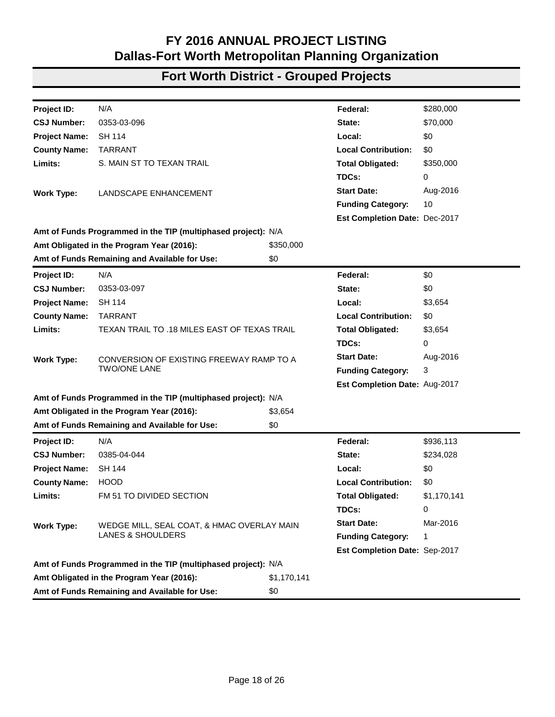| Project ID:          | N/A                                                           |             | Federal:                      | \$2,434,811 |
|----------------------|---------------------------------------------------------------|-------------|-------------------------------|-------------|
| <b>CSJ Number:</b>   | 0312-03-031                                                   |             | State:                        | \$608,703   |
| <b>Project Name:</b> | <b>FM 51</b>                                                  |             | Local:                        | \$0         |
| <b>County Name:</b>  | <b>WISE</b>                                                   |             | <b>Local Contribution:</b>    | \$0         |
| Limits:              | FM 1204 TO US 380                                             |             | <b>Total Obligated:</b>       | \$3,043,514 |
|                      |                                                               |             | TDCs:                         | 0           |
| <b>Work Type:</b>    | 2" HMAC OVERLAY - LANES AND SHOULDERS WITH                    |             | <b>Start Date:</b>            | Mar-2016    |
|                      | <b>RUMBLE STRIPS</b>                                          |             | <b>Funding Category:</b>      | 1           |
|                      |                                                               |             | Est Completion Date: Mar-2017 |             |
|                      | Amt of Funds Programmed in the TIP (multiphased project): N/A |             |                               |             |
|                      | Amt Obligated in the Program Year (2016):                     | \$3,043,514 |                               |             |
|                      | Amt of Funds Remaining and Available for Use:                 | \$0         |                               |             |
| Project ID:          | N/A                                                           |             | Federal:                      | \$38,920    |
| <b>CSJ Number:</b>   | 0313-01-052                                                   |             | State:                        | \$4,325     |
| <b>Project Name:</b> | <b>FM 51</b>                                                  |             | Local:                        | \$0         |
| <b>County Name:</b>  | <b>WISE</b>                                                   |             | <b>Local Contribution:</b>    | \$0         |
| Limits:              | TRAVIS ROAD TO SH 114                                         |             | <b>Total Obligated:</b>       | \$43,245    |
|                      |                                                               |             | TDCs:                         | 0           |
| <b>Work Type:</b>    | <b>TEXTURIZE SHOULDERS</b>                                    |             | <b>Start Date:</b>            | Jan-2016    |
|                      |                                                               |             | <b>Funding Category:</b>      | 8           |
|                      |                                                               |             | Est Completion Date: Jan-2017 |             |
|                      | Amt of Funds Programmed in the TIP (multiphased project): N/A |             |                               |             |
|                      | Amt Obligated in the Program Year (2016):                     | \$43,245    |                               |             |
|                      | Amt of Funds Remaining and Available for Use:                 | \$0         |                               |             |
| Project ID:          | N/A                                                           |             | Federal:                      | \$2,145,194 |
| <b>CSJ Number:</b>   | 0313-01-053                                                   |             | State:                        | \$0         |
| <b>Project Name:</b> | <b>FM 51</b>                                                  |             | Local:                        | \$0         |
| <b>County Name:</b>  | <b>WISE</b>                                                   |             | <b>Local Contribution:</b>    | \$0         |
| Limits:              | 1.8 MILES SOUTH OF US81 (DAVID ST) TO SH 114                  |             | <b>Total Obligated:</b>       | \$2,145,194 |
|                      |                                                               |             | TDCs:                         | 0           |
| <b>Work Type:</b>    | HMAC OVERLAY -1.8 MILE SOUTH US 81 TO SH 114                  |             | <b>Start Date:</b>            | Jan-2016    |
|                      |                                                               |             | <b>Funding Category:</b>      | 1           |
|                      |                                                               |             | Est Completion Date: Jun-2017 |             |
|                      | Amt of Funds Programmed in the TIP (multiphased project): N/A |             |                               |             |
|                      | Amt Obligated in the Program Year (2016):                     | \$2,145,194 |                               |             |
|                      | Amt of Funds Remaining and Available for Use:                 | \$0         |                               |             |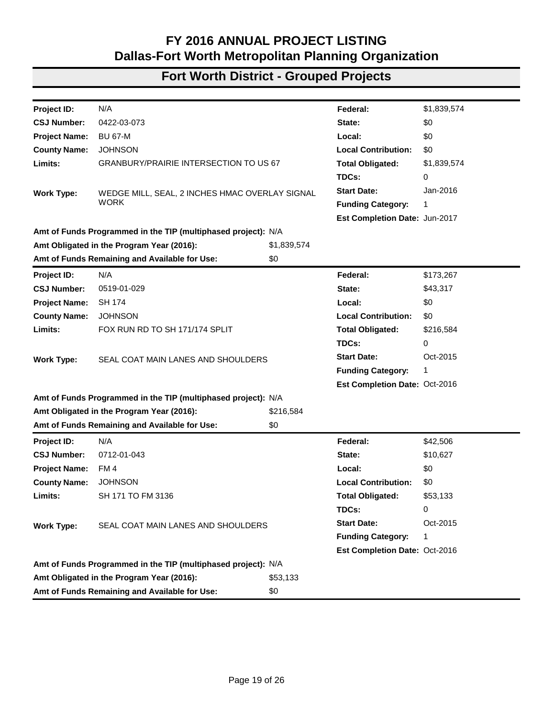| Project ID:          | N/A                                                           |           | Federal:                      | \$280,000 |
|----------------------|---------------------------------------------------------------|-----------|-------------------------------|-----------|
| <b>CSJ Number:</b>   | 0314-07-065                                                   |           | State:                        | \$70,000  |
| <b>Project Name:</b> | <b>IH 20</b>                                                  |           | Local:                        | \$0       |
| <b>County Name:</b>  | <b>PARKER</b>                                                 |           | <b>Local Contribution:</b>    | \$0       |
| Limits:              | APPROX. 1.8 MILES WEST OF FM 5 TO APPROX. 0.8                 |           | <b>Total Obligated:</b>       | \$350,000 |
|                      | MILES WEST OF FM 5                                            |           | TDCs:                         | 0         |
| <b>Work Type:</b>    | <b>LANDSCAPING ENHANCEMENTS</b>                               |           | <b>Start Date:</b>            | Nov-2016  |
|                      |                                                               |           | <b>Funding Category:</b>      | 10        |
|                      |                                                               |           | Est Completion Date: Aug-2018 |           |
|                      | Amt of Funds Programmed in the TIP (multiphased project): N/A |           |                               |           |
|                      | Amt Obligated in the Program Year (2016):                     | \$350,000 |                               |           |
|                      | Amt of Funds Remaining and Available for Use:                 | \$0       |                               |           |
| Project ID:          | N/A                                                           |           | Federal:                      | \$85,418  |
| <b>CSJ Number:</b>   | 0351-02-023                                                   |           | State:                        | \$9,491   |
| <b>Project Name:</b> | SH 101                                                        |           | Local:                        | \$0       |
| <b>County Name:</b>  | <b>WISE</b>                                                   |           | <b>Local Contribution:</b>    | \$0       |
| Limits:              | 3.413 MI N OF FM 2265 TO 2.813 MI N OF FM 2265                |           | <b>Total Obligated:</b>       | \$94,909  |
|                      |                                                               |           | TDCs:                         | 0         |
| <b>Work Type:</b>    | INTALL ADVANCED WARNING SIGNALS AND SIGNS                     |           | <b>Start Date:</b>            | Jul-2016  |
|                      | (CURVE), INSTALL                                              |           | <b>Funding Category:</b>      | 8         |
|                      |                                                               |           | Est Completion Date: Jul-2017 |           |
|                      | Amt of Funds Programmed in the TIP (multiphased project): N/A |           |                               |           |
|                      | Amt Obligated in the Program Year (2016):                     | \$94,909  |                               |           |
|                      | Amt of Funds Remaining and Available for Use:                 | \$0       |                               |           |
| Project ID:          | N/A                                                           |           | Federal:                      | \$462,852 |
| <b>CSJ Number:</b>   | 0353-03-094                                                   |           | State:                        | \$115,713 |
| <b>Project Name:</b> | <b>SH 114</b>                                                 |           | Local:                        | \$0       |
| <b>County Name:</b>  | <b>TARRANT</b>                                                |           | <b>Local Contribution:</b>    | \$0       |
| Limits:              | WILLIAM D. TATE AVE TO MAIN STREET                            |           | <b>Total Obligated:</b>       | \$578,565 |
|                      |                                                               |           | TDCs:                         | 0         |
| <b>Work Type:</b>    | LANDSCAPING ENHANCEMENT                                       |           | <b>Start Date:</b>            | Sep-2015  |
|                      |                                                               |           | <b>Funding Category:</b>      | 1, 3, 10  |
|                      |                                                               |           | Est Completion Date: Feb-2016 |           |
|                      | Amt of Funds Programmed in the TIP (multiphased project): N/A |           |                               |           |
|                      | Amt Obligated in the Program Year (2016):                     | \$578,565 |                               |           |
|                      | Amt of Funds Remaining and Available for Use:                 | \$0       |                               |           |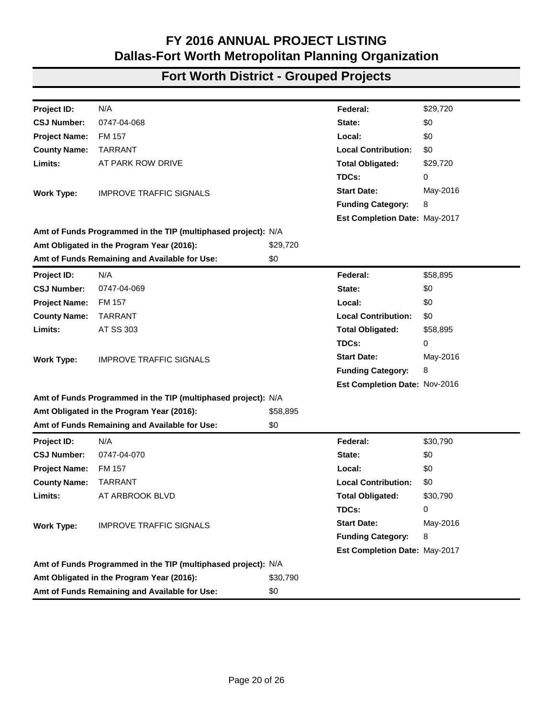| Project ID:          | N/A                                                           |             | Federal:                      | \$280,000   |
|----------------------|---------------------------------------------------------------|-------------|-------------------------------|-------------|
| <b>CSJ Number:</b>   | 0353-03-096                                                   |             | State:                        | \$70,000    |
| <b>Project Name:</b> | SH 114                                                        |             | Local:                        | \$0         |
| <b>County Name:</b>  | <b>TARRANT</b>                                                |             | <b>Local Contribution:</b>    | \$0         |
| Limits:              | S. MAIN ST TO TEXAN TRAIL                                     |             | <b>Total Obligated:</b>       | \$350,000   |
|                      |                                                               |             | TDCs:                         | 0           |
| <b>Work Type:</b>    | LANDSCAPE ENHANCEMENT                                         |             | <b>Start Date:</b>            | Aug-2016    |
|                      |                                                               |             | <b>Funding Category:</b>      | 10          |
|                      |                                                               |             | Est Completion Date: Dec-2017 |             |
|                      | Amt of Funds Programmed in the TIP (multiphased project): N/A |             |                               |             |
|                      | Amt Obligated in the Program Year (2016):                     | \$350,000   |                               |             |
|                      | Amt of Funds Remaining and Available for Use:                 | \$0         |                               |             |
| Project ID:          | N/A                                                           |             | Federal:                      | \$0         |
| <b>CSJ Number:</b>   | 0353-03-097                                                   |             | State:                        | \$0         |
| <b>Project Name:</b> | <b>SH 114</b>                                                 |             | Local:                        | \$3,654     |
| <b>County Name:</b>  | <b>TARRANT</b>                                                |             | <b>Local Contribution:</b>    | \$0         |
| Limits:              | TEXAN TRAIL TO .18 MILES EAST OF TEXAS TRAIL                  |             | <b>Total Obligated:</b>       | \$3,654     |
|                      |                                                               |             | TDCs:                         | 0           |
| <b>Work Type:</b>    | CONVERSION OF EXISTING FREEWAY RAMP TO A                      |             | <b>Start Date:</b>            | Aug-2016    |
|                      | <b>TWO/ONE LANE</b>                                           |             | <b>Funding Category:</b>      | 3           |
|                      |                                                               |             | Est Completion Date: Aug-2017 |             |
|                      | Amt of Funds Programmed in the TIP (multiphased project): N/A |             |                               |             |
|                      | Amt Obligated in the Program Year (2016):                     | \$3,654     |                               |             |
|                      | Amt of Funds Remaining and Available for Use:                 | \$0         |                               |             |
| Project ID:          | N/A                                                           |             | Federal:                      | \$936,113   |
| <b>CSJ Number:</b>   | 0385-04-044                                                   |             | State:                        | \$234,028   |
| <b>Project Name:</b> | <b>SH 144</b>                                                 |             | Local:                        | \$0         |
| <b>County Name:</b>  | <b>HOOD</b>                                                   |             | <b>Local Contribution:</b>    | \$0         |
| Limits:              | FM 51 TO DIVIDED SECTION                                      |             | <b>Total Obligated:</b>       | \$1,170,141 |
|                      |                                                               |             | TDCs:                         | 0           |
| <b>Work Type:</b>    | WEDGE MILL, SEAL COAT, & HMAC OVERLAY MAIN                    |             | <b>Start Date:</b>            | Mar-2016    |
|                      | <b>LANES &amp; SHOULDERS</b>                                  |             | <b>Funding Category:</b>      | 1           |
|                      |                                                               |             | Est Completion Date: Sep-2017 |             |
|                      | Amt of Funds Programmed in the TIP (multiphased project): N/A |             |                               |             |
|                      | Amt Obligated in the Program Year (2016):                     | \$1,170,141 |                               |             |
|                      | Amt of Funds Remaining and Available for Use:                 | \$0         |                               |             |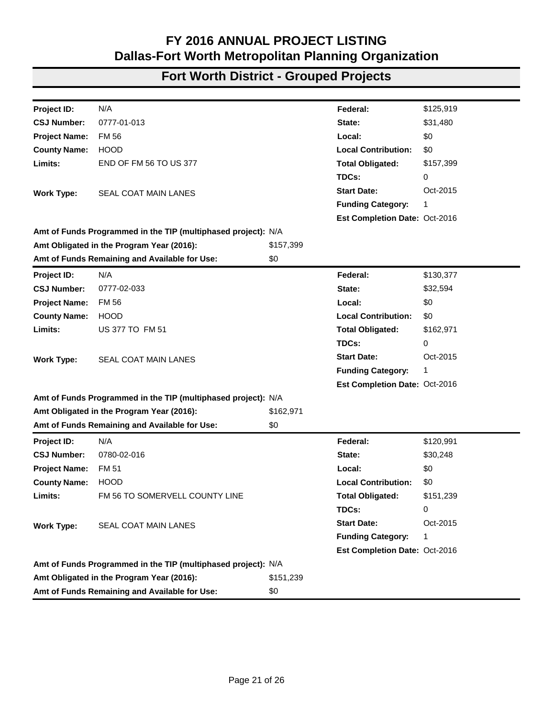| Project ID:          | N/A                                                           |             | Federal:                      | \$1,839,574 |
|----------------------|---------------------------------------------------------------|-------------|-------------------------------|-------------|
| <b>CSJ Number:</b>   | 0422-03-073                                                   |             | State:                        | \$0         |
| <b>Project Name:</b> | <b>BU 67-M</b>                                                |             | Local:                        | \$0         |
| <b>County Name:</b>  | <b>JOHNSON</b>                                                |             | <b>Local Contribution:</b>    | \$0         |
| Limits:              | <b>GRANBURY/PRAIRIE INTERSECTION TO US 67</b>                 |             | <b>Total Obligated:</b>       | \$1,839,574 |
|                      |                                                               |             | TDCs:                         | 0           |
| <b>Work Type:</b>    | WEDGE MILL, SEAL, 2 INCHES HMAC OVERLAY SIGNAL                |             | <b>Start Date:</b>            | Jan-2016    |
|                      | <b>WORK</b>                                                   |             | <b>Funding Category:</b>      | 1           |
|                      |                                                               |             | Est Completion Date: Jun-2017 |             |
|                      | Amt of Funds Programmed in the TIP (multiphased project): N/A |             |                               |             |
|                      | Amt Obligated in the Program Year (2016):                     | \$1,839,574 |                               |             |
|                      | Amt of Funds Remaining and Available for Use:                 | \$0         |                               |             |
| Project ID:          | N/A                                                           |             | Federal:                      | \$173,267   |
| <b>CSJ Number:</b>   | 0519-01-029                                                   |             | State:                        | \$43,317    |
| <b>Project Name:</b> | <b>SH 174</b>                                                 |             | Local:                        | \$0         |
| <b>County Name:</b>  | <b>JOHNSON</b>                                                |             | <b>Local Contribution:</b>    | \$0         |
| Limits:              | FOX RUN RD TO SH 171/174 SPLIT                                |             | <b>Total Obligated:</b>       | \$216,584   |
|                      |                                                               |             | TDCs:                         | 0           |
| <b>Work Type:</b>    | SEAL COAT MAIN LANES AND SHOULDERS                            |             | <b>Start Date:</b>            | Oct-2015    |
|                      |                                                               |             | <b>Funding Category:</b>      | 1           |
|                      |                                                               |             | Est Completion Date: Oct-2016 |             |
|                      | Amt of Funds Programmed in the TIP (multiphased project): N/A |             |                               |             |
|                      | Amt Obligated in the Program Year (2016):                     | \$216,584   |                               |             |
|                      | Amt of Funds Remaining and Available for Use:                 | \$0         |                               |             |
| Project ID:          | N/A                                                           |             | Federal:                      | \$42,506    |
| <b>CSJ Number:</b>   | 0712-01-043                                                   |             | State:                        | \$10,627    |
| <b>Project Name:</b> | FM 4                                                          |             | Local:                        | \$0         |
| <b>County Name:</b>  | <b>JOHNSON</b>                                                |             | <b>Local Contribution:</b>    | \$0         |
| Limits:              | SH 171 TO FM 3136                                             |             | <b>Total Obligated:</b>       | \$53,133    |
|                      |                                                               |             | TDCs:                         | 0           |
| <b>Work Type:</b>    | SEAL COAT MAIN LANES AND SHOULDERS                            |             | <b>Start Date:</b>            | Oct-2015    |
|                      |                                                               |             | <b>Funding Category:</b>      | 1           |
|                      |                                                               |             | Est Completion Date: Oct-2016 |             |
|                      | Amt of Funds Programmed in the TIP (multiphased project): N/A |             |                               |             |
|                      | Amt Obligated in the Program Year (2016):                     | \$53,133    |                               |             |
|                      | Amt of Funds Remaining and Available for Use:                 | \$0         |                               |             |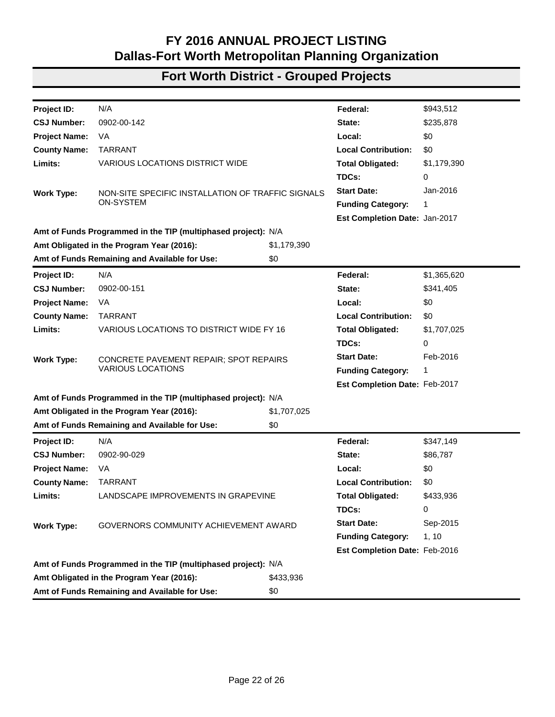| Project ID:          | N/A                                                           |          | Federal:                      | \$29,720 |
|----------------------|---------------------------------------------------------------|----------|-------------------------------|----------|
| <b>CSJ Number:</b>   | 0747-04-068                                                   |          | State:                        | \$0      |
| <b>Project Name:</b> | <b>FM 157</b>                                                 |          | Local:                        | \$0      |
| <b>County Name:</b>  | <b>TARRANT</b>                                                |          | <b>Local Contribution:</b>    | \$0      |
| Limits:              | AT PARK ROW DRIVE                                             |          | <b>Total Obligated:</b>       | \$29,720 |
|                      |                                                               |          | TDCs:                         | 0        |
| <b>Work Type:</b>    | <b>IMPROVE TRAFFIC SIGNALS</b>                                |          | <b>Start Date:</b>            | May-2016 |
|                      |                                                               |          | <b>Funding Category:</b>      | 8        |
|                      |                                                               |          | Est Completion Date: May-2017 |          |
|                      | Amt of Funds Programmed in the TIP (multiphased project): N/A |          |                               |          |
|                      | Amt Obligated in the Program Year (2016):                     | \$29,720 |                               |          |
|                      | Amt of Funds Remaining and Available for Use:                 | \$0      |                               |          |
| Project ID:          | N/A                                                           |          | Federal:                      | \$58,895 |
| <b>CSJ Number:</b>   | 0747-04-069                                                   |          | State:                        | \$0      |
| <b>Project Name:</b> | <b>FM 157</b>                                                 |          | Local:                        | \$0      |
| <b>County Name:</b>  | <b>TARRANT</b>                                                |          | <b>Local Contribution:</b>    | \$0      |
| Limits:              | AT SS 303                                                     |          | <b>Total Obligated:</b>       | \$58,895 |
|                      |                                                               |          | TDCs:                         | 0        |
| <b>Work Type:</b>    | <b>IMPROVE TRAFFIC SIGNALS</b>                                |          | <b>Start Date:</b>            | May-2016 |
|                      |                                                               |          | <b>Funding Category:</b>      | 8        |
|                      |                                                               |          | Est Completion Date: Nov-2016 |          |
|                      | Amt of Funds Programmed in the TIP (multiphased project): N/A |          |                               |          |
|                      | Amt Obligated in the Program Year (2016):                     | \$58,895 |                               |          |
|                      | Amt of Funds Remaining and Available for Use:                 | \$0      |                               |          |
| Project ID:          | N/A                                                           |          | Federal:                      | \$30,790 |
| <b>CSJ Number:</b>   | 0747-04-070                                                   |          | State:                        | \$0      |
| <b>Project Name:</b> | <b>FM 157</b>                                                 |          | Local:                        | \$0      |
| <b>County Name:</b>  | <b>TARRANT</b>                                                |          | <b>Local Contribution:</b>    | \$0      |
| Limits:              | AT ARBROOK BLVD                                               |          | <b>Total Obligated:</b>       | \$30,790 |
|                      |                                                               |          | TDCs:                         | 0        |
| <b>Work Type:</b>    | <b>IMPROVE TRAFFIC SIGNALS</b>                                |          | <b>Start Date:</b>            | May-2016 |
|                      |                                                               |          | <b>Funding Category:</b>      | 8        |
|                      |                                                               |          | Est Completion Date: May-2017 |          |
|                      | Amt of Funds Programmed in the TIP (multiphased project): N/A |          |                               |          |
|                      | Amt Obligated in the Program Year (2016):                     | \$30,790 |                               |          |
|                      | Amt of Funds Remaining and Available for Use:                 | \$0      |                               |          |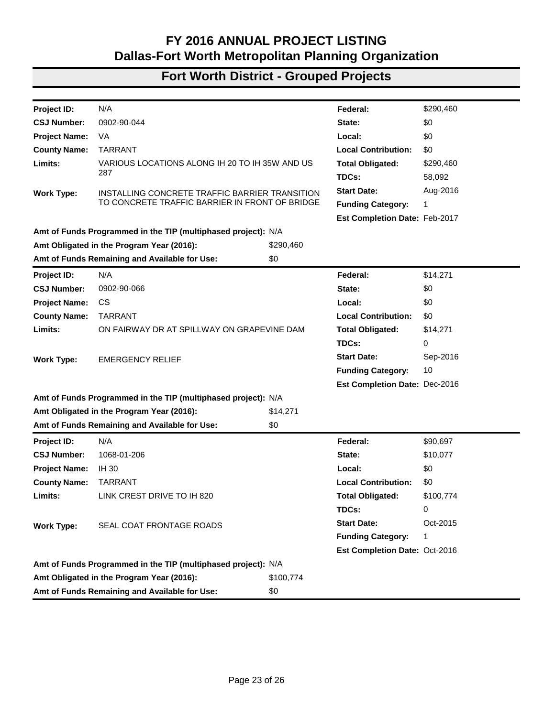| N/A<br>\$125,919<br>Project ID:<br>Federal:<br>0777-01-013<br>\$31,480<br><b>CSJ Number:</b><br>State:<br>FM 56<br>\$0<br><b>Project Name:</b><br>Local:<br><b>HOOD</b><br><b>Local Contribution:</b><br>\$0<br><b>County Name:</b><br>Limits:<br><b>END OF FM 56 TO US 377</b><br><b>Total Obligated:</b><br>\$157,399<br>TDCs:<br>0<br><b>Start Date:</b><br>Oct-2015<br><b>SEAL COAT MAIN LANES</b><br><b>Work Type:</b><br><b>Funding Category:</b><br>1<br>Est Completion Date: Oct-2016<br>Amt of Funds Programmed in the TIP (multiphased project): N/A<br>Amt Obligated in the Program Year (2016):<br>\$157,399<br>Amt of Funds Remaining and Available for Use:<br>\$0<br>N/A<br>\$130,377<br>Project ID:<br>Federal:<br><b>CSJ Number:</b><br>0777-02-033<br>\$32,594<br>State:<br>\$0<br><b>Project Name:</b><br><b>FM 56</b><br>Local:<br><b>County Name:</b><br><b>HOOD</b><br><b>Local Contribution:</b><br>\$0<br>Limits:<br><b>US 377 TO FM 51</b><br><b>Total Obligated:</b><br>\$162,971<br>TDCs:<br>0<br><b>Start Date:</b><br>Oct-2015<br><b>Work Type:</b><br><b>SEAL COAT MAIN LANES</b><br><b>Funding Category:</b><br>1<br>Est Completion Date: Oct-2016<br>Amt of Funds Programmed in the TIP (multiphased project): N/A<br>Amt Obligated in the Program Year (2016):<br>\$162,971<br>Amt of Funds Remaining and Available for Use:<br>\$0<br>N/A<br>Federal:<br>Project ID:<br>\$120,991<br><b>CSJ Number:</b><br>0780-02-016<br>State:<br>\$30,248<br><b>Project Name:</b><br><b>FM 51</b><br>Local:<br>\$0<br><b>County Name:</b><br><b>HOOD</b><br><b>Local Contribution:</b><br>\$0<br>Limits:<br>FM 56 TO SOMERVELL COUNTY LINE<br><b>Total Obligated:</b><br>\$151,239<br>TDCs:<br>0<br><b>Start Date:</b><br>Oct-2015<br><b>Work Type:</b><br><b>SEAL COAT MAIN LANES</b><br><b>Funding Category:</b><br>1<br>Est Completion Date: Oct-2016<br>Amt of Funds Programmed in the TIP (multiphased project): N/A<br>Amt Obligated in the Program Year (2016):<br>\$151,239<br>Amt of Funds Remaining and Available for Use:<br>\$0 |  |  |  |
|------------------------------------------------------------------------------------------------------------------------------------------------------------------------------------------------------------------------------------------------------------------------------------------------------------------------------------------------------------------------------------------------------------------------------------------------------------------------------------------------------------------------------------------------------------------------------------------------------------------------------------------------------------------------------------------------------------------------------------------------------------------------------------------------------------------------------------------------------------------------------------------------------------------------------------------------------------------------------------------------------------------------------------------------------------------------------------------------------------------------------------------------------------------------------------------------------------------------------------------------------------------------------------------------------------------------------------------------------------------------------------------------------------------------------------------------------------------------------------------------------------------------------------------------------------------------------------------------------------------------------------------------------------------------------------------------------------------------------------------------------------------------------------------------------------------------------------------------------------------------------------------------------------------------------------------------------------------------------------------------------------------------------------------------------------------|--|--|--|
|                                                                                                                                                                                                                                                                                                                                                                                                                                                                                                                                                                                                                                                                                                                                                                                                                                                                                                                                                                                                                                                                                                                                                                                                                                                                                                                                                                                                                                                                                                                                                                                                                                                                                                                                                                                                                                                                                                                                                                                                                                                                  |  |  |  |
|                                                                                                                                                                                                                                                                                                                                                                                                                                                                                                                                                                                                                                                                                                                                                                                                                                                                                                                                                                                                                                                                                                                                                                                                                                                                                                                                                                                                                                                                                                                                                                                                                                                                                                                                                                                                                                                                                                                                                                                                                                                                  |  |  |  |
|                                                                                                                                                                                                                                                                                                                                                                                                                                                                                                                                                                                                                                                                                                                                                                                                                                                                                                                                                                                                                                                                                                                                                                                                                                                                                                                                                                                                                                                                                                                                                                                                                                                                                                                                                                                                                                                                                                                                                                                                                                                                  |  |  |  |
|                                                                                                                                                                                                                                                                                                                                                                                                                                                                                                                                                                                                                                                                                                                                                                                                                                                                                                                                                                                                                                                                                                                                                                                                                                                                                                                                                                                                                                                                                                                                                                                                                                                                                                                                                                                                                                                                                                                                                                                                                                                                  |  |  |  |
|                                                                                                                                                                                                                                                                                                                                                                                                                                                                                                                                                                                                                                                                                                                                                                                                                                                                                                                                                                                                                                                                                                                                                                                                                                                                                                                                                                                                                                                                                                                                                                                                                                                                                                                                                                                                                                                                                                                                                                                                                                                                  |  |  |  |
|                                                                                                                                                                                                                                                                                                                                                                                                                                                                                                                                                                                                                                                                                                                                                                                                                                                                                                                                                                                                                                                                                                                                                                                                                                                                                                                                                                                                                                                                                                                                                                                                                                                                                                                                                                                                                                                                                                                                                                                                                                                                  |  |  |  |
|                                                                                                                                                                                                                                                                                                                                                                                                                                                                                                                                                                                                                                                                                                                                                                                                                                                                                                                                                                                                                                                                                                                                                                                                                                                                                                                                                                                                                                                                                                                                                                                                                                                                                                                                                                                                                                                                                                                                                                                                                                                                  |  |  |  |
|                                                                                                                                                                                                                                                                                                                                                                                                                                                                                                                                                                                                                                                                                                                                                                                                                                                                                                                                                                                                                                                                                                                                                                                                                                                                                                                                                                                                                                                                                                                                                                                                                                                                                                                                                                                                                                                                                                                                                                                                                                                                  |  |  |  |
|                                                                                                                                                                                                                                                                                                                                                                                                                                                                                                                                                                                                                                                                                                                                                                                                                                                                                                                                                                                                                                                                                                                                                                                                                                                                                                                                                                                                                                                                                                                                                                                                                                                                                                                                                                                                                                                                                                                                                                                                                                                                  |  |  |  |
|                                                                                                                                                                                                                                                                                                                                                                                                                                                                                                                                                                                                                                                                                                                                                                                                                                                                                                                                                                                                                                                                                                                                                                                                                                                                                                                                                                                                                                                                                                                                                                                                                                                                                                                                                                                                                                                                                                                                                                                                                                                                  |  |  |  |
|                                                                                                                                                                                                                                                                                                                                                                                                                                                                                                                                                                                                                                                                                                                                                                                                                                                                                                                                                                                                                                                                                                                                                                                                                                                                                                                                                                                                                                                                                                                                                                                                                                                                                                                                                                                                                                                                                                                                                                                                                                                                  |  |  |  |
|                                                                                                                                                                                                                                                                                                                                                                                                                                                                                                                                                                                                                                                                                                                                                                                                                                                                                                                                                                                                                                                                                                                                                                                                                                                                                                                                                                                                                                                                                                                                                                                                                                                                                                                                                                                                                                                                                                                                                                                                                                                                  |  |  |  |
|                                                                                                                                                                                                                                                                                                                                                                                                                                                                                                                                                                                                                                                                                                                                                                                                                                                                                                                                                                                                                                                                                                                                                                                                                                                                                                                                                                                                                                                                                                                                                                                                                                                                                                                                                                                                                                                                                                                                                                                                                                                                  |  |  |  |
|                                                                                                                                                                                                                                                                                                                                                                                                                                                                                                                                                                                                                                                                                                                                                                                                                                                                                                                                                                                                                                                                                                                                                                                                                                                                                                                                                                                                                                                                                                                                                                                                                                                                                                                                                                                                                                                                                                                                                                                                                                                                  |  |  |  |
|                                                                                                                                                                                                                                                                                                                                                                                                                                                                                                                                                                                                                                                                                                                                                                                                                                                                                                                                                                                                                                                                                                                                                                                                                                                                                                                                                                                                                                                                                                                                                                                                                                                                                                                                                                                                                                                                                                                                                                                                                                                                  |  |  |  |
|                                                                                                                                                                                                                                                                                                                                                                                                                                                                                                                                                                                                                                                                                                                                                                                                                                                                                                                                                                                                                                                                                                                                                                                                                                                                                                                                                                                                                                                                                                                                                                                                                                                                                                                                                                                                                                                                                                                                                                                                                                                                  |  |  |  |
|                                                                                                                                                                                                                                                                                                                                                                                                                                                                                                                                                                                                                                                                                                                                                                                                                                                                                                                                                                                                                                                                                                                                                                                                                                                                                                                                                                                                                                                                                                                                                                                                                                                                                                                                                                                                                                                                                                                                                                                                                                                                  |  |  |  |
|                                                                                                                                                                                                                                                                                                                                                                                                                                                                                                                                                                                                                                                                                                                                                                                                                                                                                                                                                                                                                                                                                                                                                                                                                                                                                                                                                                                                                                                                                                                                                                                                                                                                                                                                                                                                                                                                                                                                                                                                                                                                  |  |  |  |
|                                                                                                                                                                                                                                                                                                                                                                                                                                                                                                                                                                                                                                                                                                                                                                                                                                                                                                                                                                                                                                                                                                                                                                                                                                                                                                                                                                                                                                                                                                                                                                                                                                                                                                                                                                                                                                                                                                                                                                                                                                                                  |  |  |  |
|                                                                                                                                                                                                                                                                                                                                                                                                                                                                                                                                                                                                                                                                                                                                                                                                                                                                                                                                                                                                                                                                                                                                                                                                                                                                                                                                                                                                                                                                                                                                                                                                                                                                                                                                                                                                                                                                                                                                                                                                                                                                  |  |  |  |
|                                                                                                                                                                                                                                                                                                                                                                                                                                                                                                                                                                                                                                                                                                                                                                                                                                                                                                                                                                                                                                                                                                                                                                                                                                                                                                                                                                                                                                                                                                                                                                                                                                                                                                                                                                                                                                                                                                                                                                                                                                                                  |  |  |  |
|                                                                                                                                                                                                                                                                                                                                                                                                                                                                                                                                                                                                                                                                                                                                                                                                                                                                                                                                                                                                                                                                                                                                                                                                                                                                                                                                                                                                                                                                                                                                                                                                                                                                                                                                                                                                                                                                                                                                                                                                                                                                  |  |  |  |
|                                                                                                                                                                                                                                                                                                                                                                                                                                                                                                                                                                                                                                                                                                                                                                                                                                                                                                                                                                                                                                                                                                                                                                                                                                                                                                                                                                                                                                                                                                                                                                                                                                                                                                                                                                                                                                                                                                                                                                                                                                                                  |  |  |  |
|                                                                                                                                                                                                                                                                                                                                                                                                                                                                                                                                                                                                                                                                                                                                                                                                                                                                                                                                                                                                                                                                                                                                                                                                                                                                                                                                                                                                                                                                                                                                                                                                                                                                                                                                                                                                                                                                                                                                                                                                                                                                  |  |  |  |
|                                                                                                                                                                                                                                                                                                                                                                                                                                                                                                                                                                                                                                                                                                                                                                                                                                                                                                                                                                                                                                                                                                                                                                                                                                                                                                                                                                                                                                                                                                                                                                                                                                                                                                                                                                                                                                                                                                                                                                                                                                                                  |  |  |  |
|                                                                                                                                                                                                                                                                                                                                                                                                                                                                                                                                                                                                                                                                                                                                                                                                                                                                                                                                                                                                                                                                                                                                                                                                                                                                                                                                                                                                                                                                                                                                                                                                                                                                                                                                                                                                                                                                                                                                                                                                                                                                  |  |  |  |
|                                                                                                                                                                                                                                                                                                                                                                                                                                                                                                                                                                                                                                                                                                                                                                                                                                                                                                                                                                                                                                                                                                                                                                                                                                                                                                                                                                                                                                                                                                                                                                                                                                                                                                                                                                                                                                                                                                                                                                                                                                                                  |  |  |  |
|                                                                                                                                                                                                                                                                                                                                                                                                                                                                                                                                                                                                                                                                                                                                                                                                                                                                                                                                                                                                                                                                                                                                                                                                                                                                                                                                                                                                                                                                                                                                                                                                                                                                                                                                                                                                                                                                                                                                                                                                                                                                  |  |  |  |
|                                                                                                                                                                                                                                                                                                                                                                                                                                                                                                                                                                                                                                                                                                                                                                                                                                                                                                                                                                                                                                                                                                                                                                                                                                                                                                                                                                                                                                                                                                                                                                                                                                                                                                                                                                                                                                                                                                                                                                                                                                                                  |  |  |  |
|                                                                                                                                                                                                                                                                                                                                                                                                                                                                                                                                                                                                                                                                                                                                                                                                                                                                                                                                                                                                                                                                                                                                                                                                                                                                                                                                                                                                                                                                                                                                                                                                                                                                                                                                                                                                                                                                                                                                                                                                                                                                  |  |  |  |
|                                                                                                                                                                                                                                                                                                                                                                                                                                                                                                                                                                                                                                                                                                                                                                                                                                                                                                                                                                                                                                                                                                                                                                                                                                                                                                                                                                                                                                                                                                                                                                                                                                                                                                                                                                                                                                                                                                                                                                                                                                                                  |  |  |  |
|                                                                                                                                                                                                                                                                                                                                                                                                                                                                                                                                                                                                                                                                                                                                                                                                                                                                                                                                                                                                                                                                                                                                                                                                                                                                                                                                                                                                                                                                                                                                                                                                                                                                                                                                                                                                                                                                                                                                                                                                                                                                  |  |  |  |
|                                                                                                                                                                                                                                                                                                                                                                                                                                                                                                                                                                                                                                                                                                                                                                                                                                                                                                                                                                                                                                                                                                                                                                                                                                                                                                                                                                                                                                                                                                                                                                                                                                                                                                                                                                                                                                                                                                                                                                                                                                                                  |  |  |  |
|                                                                                                                                                                                                                                                                                                                                                                                                                                                                                                                                                                                                                                                                                                                                                                                                                                                                                                                                                                                                                                                                                                                                                                                                                                                                                                                                                                                                                                                                                                                                                                                                                                                                                                                                                                                                                                                                                                                                                                                                                                                                  |  |  |  |
|                                                                                                                                                                                                                                                                                                                                                                                                                                                                                                                                                                                                                                                                                                                                                                                                                                                                                                                                                                                                                                                                                                                                                                                                                                                                                                                                                                                                                                                                                                                                                                                                                                                                                                                                                                                                                                                                                                                                                                                                                                                                  |  |  |  |
|                                                                                                                                                                                                                                                                                                                                                                                                                                                                                                                                                                                                                                                                                                                                                                                                                                                                                                                                                                                                                                                                                                                                                                                                                                                                                                                                                                                                                                                                                                                                                                                                                                                                                                                                                                                                                                                                                                                                                                                                                                                                  |  |  |  |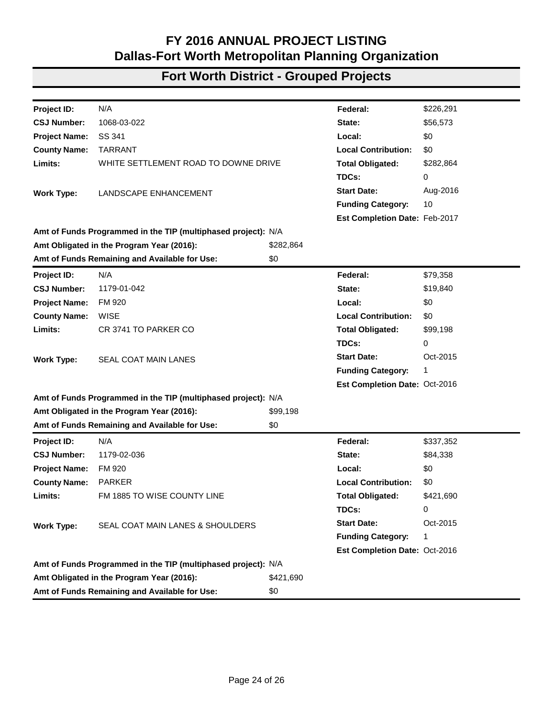| Project ID:          | N/A                                                           |             | Federal:                      | \$943,512   |
|----------------------|---------------------------------------------------------------|-------------|-------------------------------|-------------|
| <b>CSJ Number:</b>   | 0902-00-142                                                   |             | State:                        | \$235,878   |
| <b>Project Name:</b> | VA                                                            |             | Local:                        | \$0         |
| <b>County Name:</b>  | <b>TARRANT</b>                                                |             | <b>Local Contribution:</b>    | \$0         |
| Limits:              | <b>VARIOUS LOCATIONS DISTRICT WIDE</b>                        |             | <b>Total Obligated:</b>       | \$1,179,390 |
|                      |                                                               |             | TDCs:                         | 0           |
| <b>Work Type:</b>    | NON-SITE SPECIFIC INSTALLATION OF TRAFFIC SIGNALS             |             | <b>Start Date:</b>            | Jan-2016    |
|                      | <b>ON-SYSTEM</b>                                              |             | <b>Funding Category:</b>      | 1           |
|                      |                                                               |             | Est Completion Date: Jan-2017 |             |
|                      | Amt of Funds Programmed in the TIP (multiphased project): N/A |             |                               |             |
|                      | Amt Obligated in the Program Year (2016):                     | \$1,179,390 |                               |             |
|                      | Amt of Funds Remaining and Available for Use:                 | \$0         |                               |             |
| Project ID:          | N/A                                                           |             | Federal:                      | \$1,365,620 |
| <b>CSJ Number:</b>   | 0902-00-151                                                   |             | State:                        | \$341,405   |
| <b>Project Name:</b> | VA                                                            |             | Local:                        | \$0         |
| <b>County Name:</b>  | <b>TARRANT</b>                                                |             | <b>Local Contribution:</b>    | \$0         |
| Limits:              | VARIOUS LOCATIONS TO DISTRICT WIDE FY 16                      |             | <b>Total Obligated:</b>       | \$1,707,025 |
|                      |                                                               |             | TDCs:                         | 0           |
| <b>Work Type:</b>    | CONCRETE PAVEMENT REPAIR; SPOT REPAIRS                        |             | <b>Start Date:</b>            | Feb-2016    |
|                      | <b>VARIOUS LOCATIONS</b>                                      |             | <b>Funding Category:</b>      | 1           |
|                      |                                                               |             | Est Completion Date: Feb-2017 |             |
|                      | Amt of Funds Programmed in the TIP (multiphased project): N/A |             |                               |             |
|                      | Amt Obligated in the Program Year (2016):                     | \$1,707,025 |                               |             |
|                      | Amt of Funds Remaining and Available for Use:                 | \$0         |                               |             |
| Project ID:          | N/A                                                           |             | Federal:                      | \$347,149   |
| <b>CSJ Number:</b>   | 0902-90-029                                                   |             | State:                        | \$86,787    |
| <b>Project Name:</b> | VA                                                            |             | Local:                        | \$0         |
| <b>County Name:</b>  | <b>TARRANT</b>                                                |             | <b>Local Contribution:</b>    | \$0         |
| Limits:              | LANDSCAPE IMPROVEMENTS IN GRAPEVINE                           |             | <b>Total Obligated:</b>       | \$433,936   |
|                      |                                                               |             | TDCs:                         | 0           |
| <b>Work Type:</b>    | GOVERNORS COMMUNITY ACHIEVEMENT AWARD                         |             | <b>Start Date:</b>            | Sep-2015    |
|                      |                                                               |             | <b>Funding Category:</b>      | 1, 10       |
|                      |                                                               |             | Est Completion Date: Feb-2016 |             |
|                      | Amt of Funds Programmed in the TIP (multiphased project): N/A |             |                               |             |
|                      | Amt Obligated in the Program Year (2016):                     | \$433,936   |                               |             |
|                      | Amt of Funds Remaining and Available for Use:                 | \$0         |                               |             |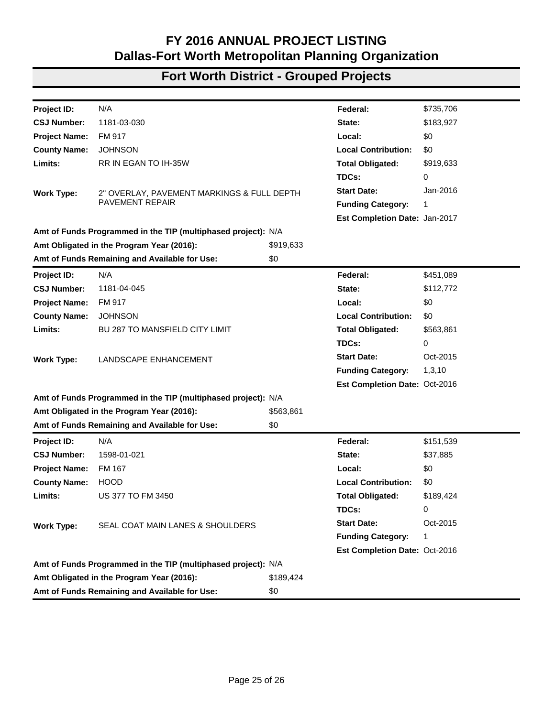# **Fort Worth District - Grouped Projects**

| Project ID:          | N/A                                                           |           | Federal:                      | \$290,460 |
|----------------------|---------------------------------------------------------------|-----------|-------------------------------|-----------|
| <b>CSJ Number:</b>   | 0902-90-044                                                   |           | State:                        | \$0       |
| <b>Project Name:</b> | VA                                                            |           | Local:                        | \$0       |
| <b>County Name:</b>  | <b>TARRANT</b>                                                |           | <b>Local Contribution:</b>    | \$0       |
| Limits:              | VARIOUS LOCATIONS ALONG IH 20 TO IH 35W AND US                |           | <b>Total Obligated:</b>       | \$290,460 |
|                      | 287                                                           |           | TDCs:                         | 58,092    |
| <b>Work Type:</b>    | INSTALLING CONCRETE TRAFFIC BARRIER TRANSITION                |           | <b>Start Date:</b>            | Aug-2016  |
|                      | TO CONCRETE TRAFFIC BARRIER IN FRONT OF BRIDGE                |           | <b>Funding Category:</b>      | 1         |
|                      |                                                               |           | Est Completion Date: Feb-2017 |           |
|                      | Amt of Funds Programmed in the TIP (multiphased project): N/A |           |                               |           |
|                      | Amt Obligated in the Program Year (2016):                     | \$290,460 |                               |           |
|                      | Amt of Funds Remaining and Available for Use:                 | \$0       |                               |           |
| Project ID:          | N/A                                                           |           | Federal:                      | \$14,271  |
| <b>CSJ Number:</b>   | 0902-90-066                                                   |           | State:                        | \$0       |
| <b>Project Name:</b> | <b>CS</b>                                                     |           | Local:                        | \$0       |
| <b>County Name:</b>  | <b>TARRANT</b>                                                |           | <b>Local Contribution:</b>    | \$0       |
| Limits:              | ON FAIRWAY DR AT SPILLWAY ON GRAPEVINE DAM                    |           | <b>Total Obligated:</b>       | \$14,271  |
|                      |                                                               |           | TDCs:                         | 0         |
| <b>Work Type:</b>    | <b>EMERGENCY RELIEF</b>                                       |           | <b>Start Date:</b>            | Sep-2016  |
|                      |                                                               |           | <b>Funding Category:</b>      | 10        |
|                      |                                                               |           | Est Completion Date: Dec-2016 |           |
|                      | Amt of Funds Programmed in the TIP (multiphased project): N/A |           |                               |           |
|                      | Amt Obligated in the Program Year (2016):                     | \$14,271  |                               |           |
|                      | Amt of Funds Remaining and Available for Use:                 | \$0       |                               |           |
| Project ID:          | N/A                                                           |           | Federal:                      | \$90,697  |
| <b>CSJ Number:</b>   | 1068-01-206                                                   |           | State:                        | \$10,077  |
| <b>Project Name:</b> | <b>IH 30</b>                                                  |           | Local:                        | \$0       |
| <b>County Name:</b>  | <b>TARRANT</b>                                                |           | <b>Local Contribution:</b>    | \$0       |
| Limits:              | LINK CREST DRIVE TO IH 820                                    |           | <b>Total Obligated:</b>       | \$100,774 |
|                      |                                                               |           | TDCs:                         | 0         |
| <b>Work Type:</b>    | SEAL COAT FRONTAGE ROADS                                      |           | <b>Start Date:</b>            | Oct-2015  |
|                      |                                                               |           | <b>Funding Category:</b>      | 1         |
|                      |                                                               |           | Est Completion Date: Oct-2016 |           |
|                      | Amt of Funds Programmed in the TIP (multiphased project): N/A |           |                               |           |
|                      | Amt Obligated in the Program Year (2016):                     | \$100,774 |                               |           |
|                      | Amt of Funds Remaining and Available for Use:                 | \$0       |                               |           |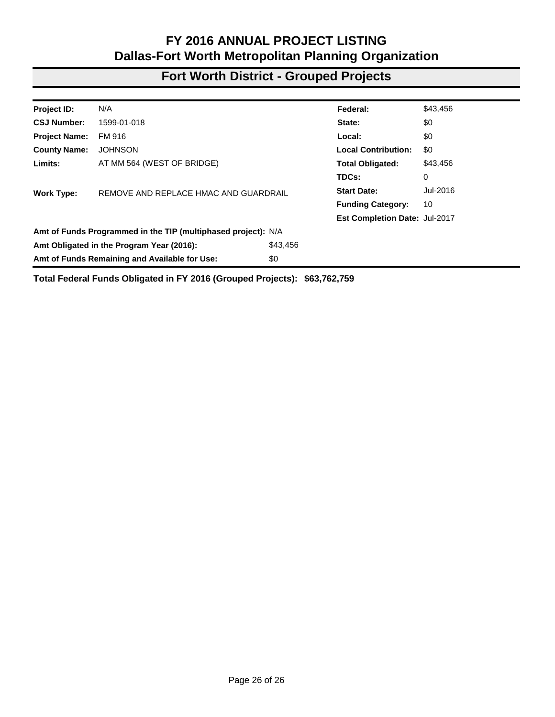# **Fort Worth District - Grouped Projects**

| N/A<br>\$226,291<br>Project ID:<br>Federal:<br>1068-03-022<br>\$56,573<br><b>CSJ Number:</b><br>State:<br>SS 341<br>\$0<br><b>Project Name:</b><br>Local:<br><b>TARRANT</b><br><b>Local Contribution:</b><br>\$0<br><b>County Name:</b><br>WHITE SETTLEMENT ROAD TO DOWNE DRIVE<br>Limits:<br><b>Total Obligated:</b><br>\$282,864<br>TDCs:<br>0<br><b>Start Date:</b><br>Aug-2016<br>LANDSCAPE ENHANCEMENT<br><b>Work Type:</b><br><b>Funding Category:</b><br>10<br>Est Completion Date: Feb-2017<br>Amt of Funds Programmed in the TIP (multiphased project): N/A<br>Amt Obligated in the Program Year (2016):<br>\$282,864<br>\$0<br>Amt of Funds Remaining and Available for Use:<br>N/A<br>\$79,358<br>Project ID:<br>Federal:<br><b>CSJ Number:</b><br>1179-01-042<br>\$19,840<br>State:<br>FM 920<br>\$0<br><b>Project Name:</b><br>Local:<br><b>County Name:</b><br><b>WISE</b><br><b>Local Contribution:</b><br>\$0<br>Limits:<br>CR 3741 TO PARKER CO<br><b>Total Obligated:</b><br>\$99,198<br>TDCs:<br>0<br><b>Start Date:</b><br>Oct-2015<br><b>Work Type:</b><br>SEAL COAT MAIN LANES<br><b>Funding Category:</b><br>1<br>Est Completion Date: Oct-2016<br>Amt of Funds Programmed in the TIP (multiphased project): N/A<br>Amt Obligated in the Program Year (2016):<br>\$99,198<br>Amt of Funds Remaining and Available for Use:<br>\$0<br>N/A<br>Project ID:<br>Federal:<br>\$337,352<br><b>CSJ Number:</b><br>1179-02-036<br>State:<br>\$84,338<br><b>Project Name:</b><br>FM 920<br>Local:<br>\$0<br><b>County Name:</b><br><b>PARKER</b><br><b>Local Contribution:</b><br>\$0<br>Limits:<br>FM 1885 TO WISE COUNTY LINE<br><b>Total Obligated:</b><br>\$421,690<br>TDCs:<br>0<br><b>Start Date:</b><br>Oct-2015<br><b>Work Type:</b><br>SEAL COAT MAIN LANES & SHOULDERS<br><b>Funding Category:</b><br>1<br>Est Completion Date: Oct-2016<br>Amt of Funds Programmed in the TIP (multiphased project): N/A<br>Amt Obligated in the Program Year (2016):<br>\$421,690<br>Amt of Funds Remaining and Available for Use:<br>\$0 |  |  |  |
|----------------------------------------------------------------------------------------------------------------------------------------------------------------------------------------------------------------------------------------------------------------------------------------------------------------------------------------------------------------------------------------------------------------------------------------------------------------------------------------------------------------------------------------------------------------------------------------------------------------------------------------------------------------------------------------------------------------------------------------------------------------------------------------------------------------------------------------------------------------------------------------------------------------------------------------------------------------------------------------------------------------------------------------------------------------------------------------------------------------------------------------------------------------------------------------------------------------------------------------------------------------------------------------------------------------------------------------------------------------------------------------------------------------------------------------------------------------------------------------------------------------------------------------------------------------------------------------------------------------------------------------------------------------------------------------------------------------------------------------------------------------------------------------------------------------------------------------------------------------------------------------------------------------------------------------------------------------------------------------------------------------------------------------------------|--|--|--|
|                                                                                                                                                                                                                                                                                                                                                                                                                                                                                                                                                                                                                                                                                                                                                                                                                                                                                                                                                                                                                                                                                                                                                                                                                                                                                                                                                                                                                                                                                                                                                                                                                                                                                                                                                                                                                                                                                                                                                                                                                                                    |  |  |  |
|                                                                                                                                                                                                                                                                                                                                                                                                                                                                                                                                                                                                                                                                                                                                                                                                                                                                                                                                                                                                                                                                                                                                                                                                                                                                                                                                                                                                                                                                                                                                                                                                                                                                                                                                                                                                                                                                                                                                                                                                                                                    |  |  |  |
|                                                                                                                                                                                                                                                                                                                                                                                                                                                                                                                                                                                                                                                                                                                                                                                                                                                                                                                                                                                                                                                                                                                                                                                                                                                                                                                                                                                                                                                                                                                                                                                                                                                                                                                                                                                                                                                                                                                                                                                                                                                    |  |  |  |
|                                                                                                                                                                                                                                                                                                                                                                                                                                                                                                                                                                                                                                                                                                                                                                                                                                                                                                                                                                                                                                                                                                                                                                                                                                                                                                                                                                                                                                                                                                                                                                                                                                                                                                                                                                                                                                                                                                                                                                                                                                                    |  |  |  |
|                                                                                                                                                                                                                                                                                                                                                                                                                                                                                                                                                                                                                                                                                                                                                                                                                                                                                                                                                                                                                                                                                                                                                                                                                                                                                                                                                                                                                                                                                                                                                                                                                                                                                                                                                                                                                                                                                                                                                                                                                                                    |  |  |  |
|                                                                                                                                                                                                                                                                                                                                                                                                                                                                                                                                                                                                                                                                                                                                                                                                                                                                                                                                                                                                                                                                                                                                                                                                                                                                                                                                                                                                                                                                                                                                                                                                                                                                                                                                                                                                                                                                                                                                                                                                                                                    |  |  |  |
|                                                                                                                                                                                                                                                                                                                                                                                                                                                                                                                                                                                                                                                                                                                                                                                                                                                                                                                                                                                                                                                                                                                                                                                                                                                                                                                                                                                                                                                                                                                                                                                                                                                                                                                                                                                                                                                                                                                                                                                                                                                    |  |  |  |
|                                                                                                                                                                                                                                                                                                                                                                                                                                                                                                                                                                                                                                                                                                                                                                                                                                                                                                                                                                                                                                                                                                                                                                                                                                                                                                                                                                                                                                                                                                                                                                                                                                                                                                                                                                                                                                                                                                                                                                                                                                                    |  |  |  |
|                                                                                                                                                                                                                                                                                                                                                                                                                                                                                                                                                                                                                                                                                                                                                                                                                                                                                                                                                                                                                                                                                                                                                                                                                                                                                                                                                                                                                                                                                                                                                                                                                                                                                                                                                                                                                                                                                                                                                                                                                                                    |  |  |  |
|                                                                                                                                                                                                                                                                                                                                                                                                                                                                                                                                                                                                                                                                                                                                                                                                                                                                                                                                                                                                                                                                                                                                                                                                                                                                                                                                                                                                                                                                                                                                                                                                                                                                                                                                                                                                                                                                                                                                                                                                                                                    |  |  |  |
|                                                                                                                                                                                                                                                                                                                                                                                                                                                                                                                                                                                                                                                                                                                                                                                                                                                                                                                                                                                                                                                                                                                                                                                                                                                                                                                                                                                                                                                                                                                                                                                                                                                                                                                                                                                                                                                                                                                                                                                                                                                    |  |  |  |
|                                                                                                                                                                                                                                                                                                                                                                                                                                                                                                                                                                                                                                                                                                                                                                                                                                                                                                                                                                                                                                                                                                                                                                                                                                                                                                                                                                                                                                                                                                                                                                                                                                                                                                                                                                                                                                                                                                                                                                                                                                                    |  |  |  |
|                                                                                                                                                                                                                                                                                                                                                                                                                                                                                                                                                                                                                                                                                                                                                                                                                                                                                                                                                                                                                                                                                                                                                                                                                                                                                                                                                                                                                                                                                                                                                                                                                                                                                                                                                                                                                                                                                                                                                                                                                                                    |  |  |  |
|                                                                                                                                                                                                                                                                                                                                                                                                                                                                                                                                                                                                                                                                                                                                                                                                                                                                                                                                                                                                                                                                                                                                                                                                                                                                                                                                                                                                                                                                                                                                                                                                                                                                                                                                                                                                                                                                                                                                                                                                                                                    |  |  |  |
|                                                                                                                                                                                                                                                                                                                                                                                                                                                                                                                                                                                                                                                                                                                                                                                                                                                                                                                                                                                                                                                                                                                                                                                                                                                                                                                                                                                                                                                                                                                                                                                                                                                                                                                                                                                                                                                                                                                                                                                                                                                    |  |  |  |
|                                                                                                                                                                                                                                                                                                                                                                                                                                                                                                                                                                                                                                                                                                                                                                                                                                                                                                                                                                                                                                                                                                                                                                                                                                                                                                                                                                                                                                                                                                                                                                                                                                                                                                                                                                                                                                                                                                                                                                                                                                                    |  |  |  |
|                                                                                                                                                                                                                                                                                                                                                                                                                                                                                                                                                                                                                                                                                                                                                                                                                                                                                                                                                                                                                                                                                                                                                                                                                                                                                                                                                                                                                                                                                                                                                                                                                                                                                                                                                                                                                                                                                                                                                                                                                                                    |  |  |  |
|                                                                                                                                                                                                                                                                                                                                                                                                                                                                                                                                                                                                                                                                                                                                                                                                                                                                                                                                                                                                                                                                                                                                                                                                                                                                                                                                                                                                                                                                                                                                                                                                                                                                                                                                                                                                                                                                                                                                                                                                                                                    |  |  |  |
|                                                                                                                                                                                                                                                                                                                                                                                                                                                                                                                                                                                                                                                                                                                                                                                                                                                                                                                                                                                                                                                                                                                                                                                                                                                                                                                                                                                                                                                                                                                                                                                                                                                                                                                                                                                                                                                                                                                                                                                                                                                    |  |  |  |
|                                                                                                                                                                                                                                                                                                                                                                                                                                                                                                                                                                                                                                                                                                                                                                                                                                                                                                                                                                                                                                                                                                                                                                                                                                                                                                                                                                                                                                                                                                                                                                                                                                                                                                                                                                                                                                                                                                                                                                                                                                                    |  |  |  |
|                                                                                                                                                                                                                                                                                                                                                                                                                                                                                                                                                                                                                                                                                                                                                                                                                                                                                                                                                                                                                                                                                                                                                                                                                                                                                                                                                                                                                                                                                                                                                                                                                                                                                                                                                                                                                                                                                                                                                                                                                                                    |  |  |  |
|                                                                                                                                                                                                                                                                                                                                                                                                                                                                                                                                                                                                                                                                                                                                                                                                                                                                                                                                                                                                                                                                                                                                                                                                                                                                                                                                                                                                                                                                                                                                                                                                                                                                                                                                                                                                                                                                                                                                                                                                                                                    |  |  |  |
|                                                                                                                                                                                                                                                                                                                                                                                                                                                                                                                                                                                                                                                                                                                                                                                                                                                                                                                                                                                                                                                                                                                                                                                                                                                                                                                                                                                                                                                                                                                                                                                                                                                                                                                                                                                                                                                                                                                                                                                                                                                    |  |  |  |
|                                                                                                                                                                                                                                                                                                                                                                                                                                                                                                                                                                                                                                                                                                                                                                                                                                                                                                                                                                                                                                                                                                                                                                                                                                                                                                                                                                                                                                                                                                                                                                                                                                                                                                                                                                                                                                                                                                                                                                                                                                                    |  |  |  |
|                                                                                                                                                                                                                                                                                                                                                                                                                                                                                                                                                                                                                                                                                                                                                                                                                                                                                                                                                                                                                                                                                                                                                                                                                                                                                                                                                                                                                                                                                                                                                                                                                                                                                                                                                                                                                                                                                                                                                                                                                                                    |  |  |  |
|                                                                                                                                                                                                                                                                                                                                                                                                                                                                                                                                                                                                                                                                                                                                                                                                                                                                                                                                                                                                                                                                                                                                                                                                                                                                                                                                                                                                                                                                                                                                                                                                                                                                                                                                                                                                                                                                                                                                                                                                                                                    |  |  |  |
|                                                                                                                                                                                                                                                                                                                                                                                                                                                                                                                                                                                                                                                                                                                                                                                                                                                                                                                                                                                                                                                                                                                                                                                                                                                                                                                                                                                                                                                                                                                                                                                                                                                                                                                                                                                                                                                                                                                                                                                                                                                    |  |  |  |
|                                                                                                                                                                                                                                                                                                                                                                                                                                                                                                                                                                                                                                                                                                                                                                                                                                                                                                                                                                                                                                                                                                                                                                                                                                                                                                                                                                                                                                                                                                                                                                                                                                                                                                                                                                                                                                                                                                                                                                                                                                                    |  |  |  |
|                                                                                                                                                                                                                                                                                                                                                                                                                                                                                                                                                                                                                                                                                                                                                                                                                                                                                                                                                                                                                                                                                                                                                                                                                                                                                                                                                                                                                                                                                                                                                                                                                                                                                                                                                                                                                                                                                                                                                                                                                                                    |  |  |  |
|                                                                                                                                                                                                                                                                                                                                                                                                                                                                                                                                                                                                                                                                                                                                                                                                                                                                                                                                                                                                                                                                                                                                                                                                                                                                                                                                                                                                                                                                                                                                                                                                                                                                                                                                                                                                                                                                                                                                                                                                                                                    |  |  |  |
|                                                                                                                                                                                                                                                                                                                                                                                                                                                                                                                                                                                                                                                                                                                                                                                                                                                                                                                                                                                                                                                                                                                                                                                                                                                                                                                                                                                                                                                                                                                                                                                                                                                                                                                                                                                                                                                                                                                                                                                                                                                    |  |  |  |
|                                                                                                                                                                                                                                                                                                                                                                                                                                                                                                                                                                                                                                                                                                                                                                                                                                                                                                                                                                                                                                                                                                                                                                                                                                                                                                                                                                                                                                                                                                                                                                                                                                                                                                                                                                                                                                                                                                                                                                                                                                                    |  |  |  |
|                                                                                                                                                                                                                                                                                                                                                                                                                                                                                                                                                                                                                                                                                                                                                                                                                                                                                                                                                                                                                                                                                                                                                                                                                                                                                                                                                                                                                                                                                                                                                                                                                                                                                                                                                                                                                                                                                                                                                                                                                                                    |  |  |  |
|                                                                                                                                                                                                                                                                                                                                                                                                                                                                                                                                                                                                                                                                                                                                                                                                                                                                                                                                                                                                                                                                                                                                                                                                                                                                                                                                                                                                                                                                                                                                                                                                                                                                                                                                                                                                                                                                                                                                                                                                                                                    |  |  |  |
|                                                                                                                                                                                                                                                                                                                                                                                                                                                                                                                                                                                                                                                                                                                                                                                                                                                                                                                                                                                                                                                                                                                                                                                                                                                                                                                                                                                                                                                                                                                                                                                                                                                                                                                                                                                                                                                                                                                                                                                                                                                    |  |  |  |
|                                                                                                                                                                                                                                                                                                                                                                                                                                                                                                                                                                                                                                                                                                                                                                                                                                                                                                                                                                                                                                                                                                                                                                                                                                                                                                                                                                                                                                                                                                                                                                                                                                                                                                                                                                                                                                                                                                                                                                                                                                                    |  |  |  |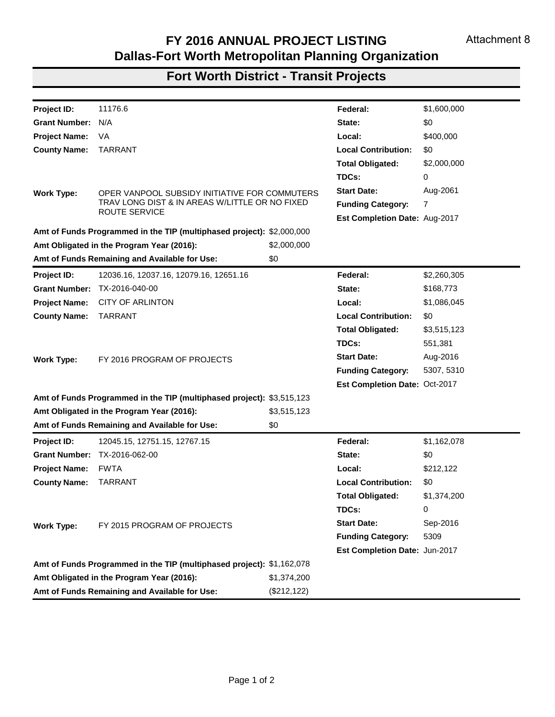# **Fort Worth District - Grouped Projects**

| Project ID:          | N/A                                                           |           | Federal:                      | \$735,706 |
|----------------------|---------------------------------------------------------------|-----------|-------------------------------|-----------|
| <b>CSJ Number:</b>   | 1181-03-030                                                   |           | State:                        | \$183,927 |
| <b>Project Name:</b> | FM 917                                                        |           | Local:                        | \$0       |
| <b>County Name:</b>  | <b>JOHNSON</b>                                                |           | <b>Local Contribution:</b>    | \$0       |
| Limits:              | RR IN EGAN TO IH-35W                                          |           | <b>Total Obligated:</b>       | \$919,633 |
|                      |                                                               |           | TDCs:                         | 0         |
| <b>Work Type:</b>    | 2" OVERLAY, PAVEMENT MARKINGS & FULL DEPTH                    |           | <b>Start Date:</b>            | Jan-2016  |
|                      | <b>PAVEMENT REPAIR</b>                                        |           | <b>Funding Category:</b>      | 1         |
|                      |                                                               |           | Est Completion Date: Jan-2017 |           |
|                      | Amt of Funds Programmed in the TIP (multiphased project): N/A |           |                               |           |
|                      | Amt Obligated in the Program Year (2016):                     | \$919,633 |                               |           |
|                      | Amt of Funds Remaining and Available for Use:                 | \$0       |                               |           |
| Project ID:          | N/A                                                           |           | Federal:                      | \$451,089 |
| <b>CSJ Number:</b>   | 1181-04-045                                                   |           | State:                        | \$112,772 |
| <b>Project Name:</b> | FM 917                                                        |           | Local:                        | \$0       |
| <b>County Name:</b>  | <b>JOHNSON</b>                                                |           | <b>Local Contribution:</b>    | \$0       |
| Limits:              | <b>BU 287 TO MANSFIELD CITY LIMIT</b>                         |           | <b>Total Obligated:</b>       | \$563,861 |
|                      |                                                               |           | TDCs:                         | 0         |
| <b>Work Type:</b>    | LANDSCAPE ENHANCEMENT                                         |           | <b>Start Date:</b>            | Oct-2015  |
|                      |                                                               |           | <b>Funding Category:</b>      | 1,3,10    |
|                      |                                                               |           | Est Completion Date: Oct-2016 |           |
|                      | Amt of Funds Programmed in the TIP (multiphased project): N/A |           |                               |           |
|                      | Amt Obligated in the Program Year (2016):                     | \$563,861 |                               |           |
|                      | Amt of Funds Remaining and Available for Use:                 | \$0       |                               |           |
| Project ID:          | N/A                                                           |           | Federal:                      | \$151,539 |
| <b>CSJ Number:</b>   | 1598-01-021                                                   |           | State:                        | \$37,885  |
| <b>Project Name:</b> | FM 167                                                        |           | Local:                        | \$0       |
| <b>County Name:</b>  | <b>HOOD</b>                                                   |           | <b>Local Contribution:</b>    | \$0       |
| Limits:              | <b>US 377 TO FM 3450</b>                                      |           | <b>Total Obligated:</b>       | \$189,424 |
|                      |                                                               |           | TDCs:                         | 0         |
| <b>Work Type:</b>    | SEAL COAT MAIN LANES & SHOULDERS                              |           | <b>Start Date:</b>            | Oct-2015  |
|                      |                                                               |           | <b>Funding Category:</b>      | 1         |
|                      |                                                               |           | Est Completion Date: Oct-2016 |           |
|                      | Amt of Funds Programmed in the TIP (multiphased project): N/A |           |                               |           |
|                      | Amt Obligated in the Program Year (2016):                     | \$189,424 |                               |           |
|                      | Amt of Funds Remaining and Available for Use:                 | \$0       |                               |           |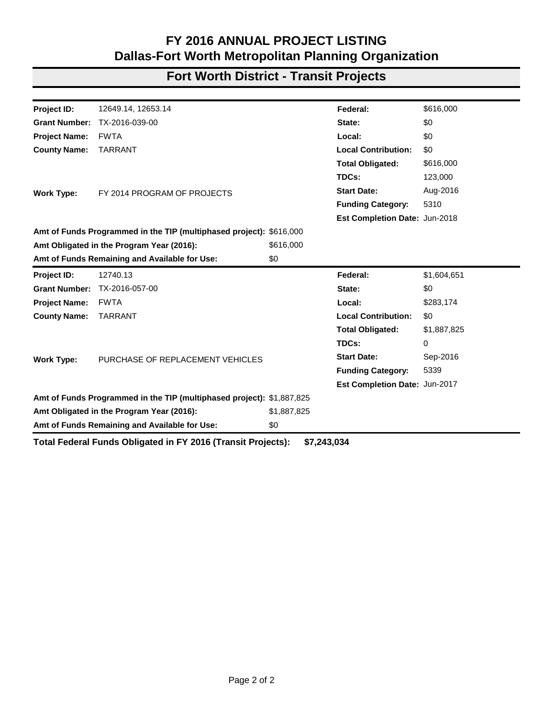#### **Fort Worth District - Grouped Projects**

| Project ID:          | N/A                                                           |          | Federal:                      | \$43,456 |
|----------------------|---------------------------------------------------------------|----------|-------------------------------|----------|
| <b>CSJ Number:</b>   | 1599-01-018                                                   |          | State:                        | \$0      |
| <b>Project Name:</b> | FM 916                                                        |          | Local:                        | \$0      |
| <b>County Name:</b>  | <b>JOHNSON</b>                                                |          | <b>Local Contribution:</b>    | \$0      |
| Limits:              | AT MM 564 (WEST OF BRIDGE)                                    |          | <b>Total Obligated:</b>       | \$43,456 |
|                      |                                                               |          | TDCs:                         | 0        |
| <b>Work Type:</b>    | REMOVE AND REPLACE HMAC AND GUARDRAIL                         |          | <b>Start Date:</b>            | Jul-2016 |
|                      |                                                               |          | <b>Funding Category:</b>      | 10       |
|                      |                                                               |          | Est Completion Date: Jul-2017 |          |
|                      | Amt of Funds Programmed in the TIP (multiphased project): N/A |          |                               |          |
|                      | Amt Obligated in the Program Year (2016):                     | \$43,456 |                               |          |
|                      | Amt of Funds Remaining and Available for Use:                 | \$0      |                               |          |

**Total Federal Funds Obligated in FY 2016 (Grouped Projects): \$63,762,759**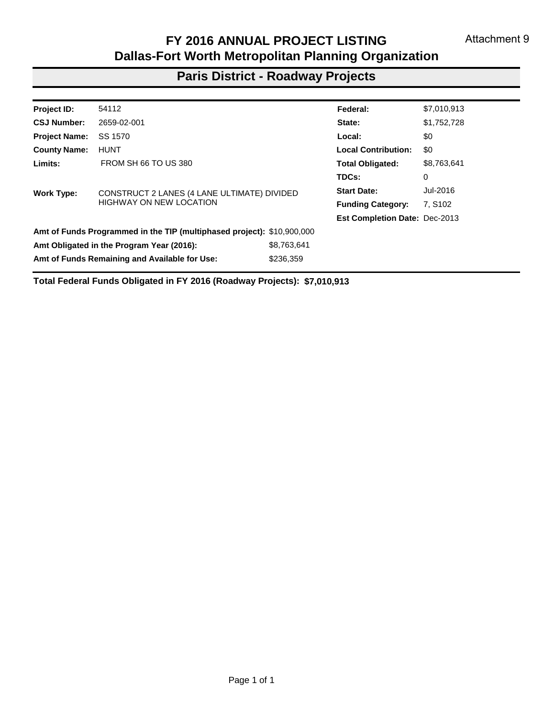# **Fort Worth District - Transit Projects**

| Project ID:          | 11176.6                                                               |              | Federal:                      | \$1,600,000 |
|----------------------|-----------------------------------------------------------------------|--------------|-------------------------------|-------------|
| <b>Grant Number:</b> | N/A                                                                   |              | State:                        | \$0         |
| <b>Project Name:</b> | VA                                                                    |              | Local:                        | \$400,000   |
| <b>County Name:</b>  | <b>TARRANT</b>                                                        |              | <b>Local Contribution:</b>    | \$0         |
|                      |                                                                       |              | <b>Total Obligated:</b>       | \$2,000,000 |
|                      |                                                                       |              | TDCs:                         | 0           |
| <b>Work Type:</b>    | OPER VANPOOL SUBSIDY INITIATIVE FOR COMMUTERS                         |              | <b>Start Date:</b>            | Aug-2061    |
|                      | TRAV LONG DIST & IN AREAS W/LITTLE OR NO FIXED                        |              | <b>Funding Category:</b>      | 7           |
|                      | ROUTE SERVICE                                                         |              | Est Completion Date: Aug-2017 |             |
|                      | Amt of Funds Programmed in the TIP (multiphased project): \$2,000,000 |              |                               |             |
|                      | Amt Obligated in the Program Year (2016):                             | \$2,000,000  |                               |             |
|                      | Amt of Funds Remaining and Available for Use:                         | \$0          |                               |             |
| Project ID:          | 12036.16, 12037.16, 12079.16, 12651.16                                |              | Federal:                      | \$2,260,305 |
| <b>Grant Number:</b> | TX-2016-040-00                                                        |              | State:                        | \$168,773   |
| <b>Project Name:</b> | <b>CITY OF ARLINTON</b>                                               |              | Local:                        | \$1,086,045 |
| <b>County Name:</b>  | <b>TARRANT</b>                                                        |              | <b>Local Contribution:</b>    | \$0         |
|                      |                                                                       |              | <b>Total Obligated:</b>       | \$3,515,123 |
|                      |                                                                       |              | TDCs:                         | 551,381     |
| <b>Work Type:</b>    | FY 2016 PROGRAM OF PROJECTS                                           |              | <b>Start Date:</b>            | Aug-2016    |
|                      |                                                                       |              | <b>Funding Category:</b>      | 5307, 5310  |
|                      |                                                                       |              | Est Completion Date: Oct-2017 |             |
|                      | Amt of Funds Programmed in the TIP (multiphased project): \$3,515,123 |              |                               |             |
|                      | Amt Obligated in the Program Year (2016):                             | \$3,515,123  |                               |             |
|                      | Amt of Funds Remaining and Available for Use:                         | \$0          |                               |             |
| Project ID:          | 12045.15, 12751.15, 12767.15                                          |              | Federal:                      | \$1,162,078 |
| <b>Grant Number:</b> | TX-2016-062-00                                                        |              | State:                        | \$0         |
| <b>Project Name:</b> | <b>FWTA</b>                                                           |              | Local:                        | \$212,122   |
| <b>County Name:</b>  | <b>TARRANT</b>                                                        |              | <b>Local Contribution:</b>    | \$0         |
|                      |                                                                       |              | <b>Total Obligated:</b>       | \$1,374,200 |
|                      |                                                                       |              | TDCs:                         | 0           |
| <b>Work Type:</b>    | FY 2015 PROGRAM OF PROJECTS                                           |              | <b>Start Date:</b>            | Sep-2016    |
|                      |                                                                       |              | <b>Funding Category:</b>      | 5309        |
|                      |                                                                       |              | Est Completion Date: Jun-2017 |             |
|                      | Amt of Funds Programmed in the TIP (multiphased project): \$1,162,078 |              |                               |             |
|                      | Amt Obligated in the Program Year (2016):                             | \$1,374,200  |                               |             |
|                      | Amt of Funds Remaining and Available for Use:                         | (\$212, 122) |                               |             |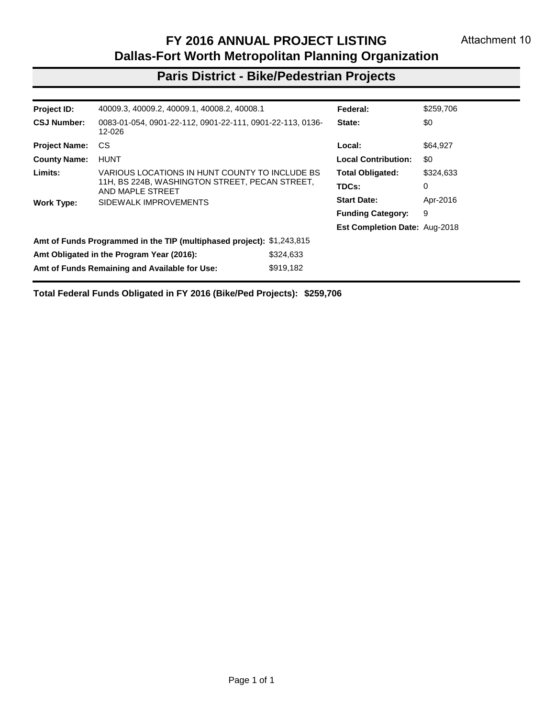# **Fort Worth District - Transit Projects**

| Project ID:          | 12649.14, 12653.14                                                    |             | Federal:                      | \$616,000   |
|----------------------|-----------------------------------------------------------------------|-------------|-------------------------------|-------------|
| <b>Grant Number:</b> | TX-2016-039-00                                                        |             | State:                        | \$0         |
| <b>Project Name:</b> | <b>FWTA</b>                                                           |             | Local:                        | \$0         |
| <b>County Name:</b>  | <b>TARRANT</b>                                                        |             | <b>Local Contribution:</b>    | \$0         |
|                      |                                                                       |             | <b>Total Obligated:</b>       | \$616,000   |
|                      |                                                                       |             | TDCs:                         | 123,000     |
| <b>Work Type:</b>    | FY 2014 PROGRAM OF PROJECTS                                           |             | <b>Start Date:</b>            | Aug-2016    |
|                      |                                                                       |             | <b>Funding Category:</b>      | 5310        |
|                      |                                                                       |             | Est Completion Date: Jun-2018 |             |
|                      | Amt of Funds Programmed in the TIP (multiphased project): \$616,000   |             |                               |             |
|                      | Amt Obligated in the Program Year (2016):                             | \$616,000   |                               |             |
|                      | Amt of Funds Remaining and Available for Use:                         | \$0         |                               |             |
| Project ID:          | 12740.13                                                              |             | Federal:                      | \$1,604,651 |
| <b>Grant Number:</b> | TX-2016-057-00                                                        |             | State:                        | \$0         |
| <b>Project Name:</b> | <b>FWTA</b>                                                           |             | Local:                        | \$283,174   |
| <b>County Name:</b>  | <b>TARRANT</b>                                                        |             | <b>Local Contribution:</b>    | \$0         |
|                      |                                                                       |             | <b>Total Obligated:</b>       | \$1,887,825 |
|                      |                                                                       |             | TDCs:                         | $\Omega$    |
| <b>Work Type:</b>    | PURCHASE OF REPLACEMENT VEHICLES                                      |             | <b>Start Date:</b>            | Sep-2016    |
|                      |                                                                       |             | <b>Funding Category:</b>      | 5339        |
|                      |                                                                       |             | Est Completion Date: Jun-2017 |             |
|                      | Amt of Funds Programmed in the TIP (multiphased project): \$1,887,825 |             |                               |             |
|                      | Amt Obligated in the Program Year (2016):                             | \$1,887,825 |                               |             |
|                      | Amt of Funds Remaining and Available for Use:                         | \$0         |                               |             |
|                      | Total Federal Funds Obligated in FY 2016 (Transit Projects):          | \$7,243,034 |                               |             |

Page 2 of 2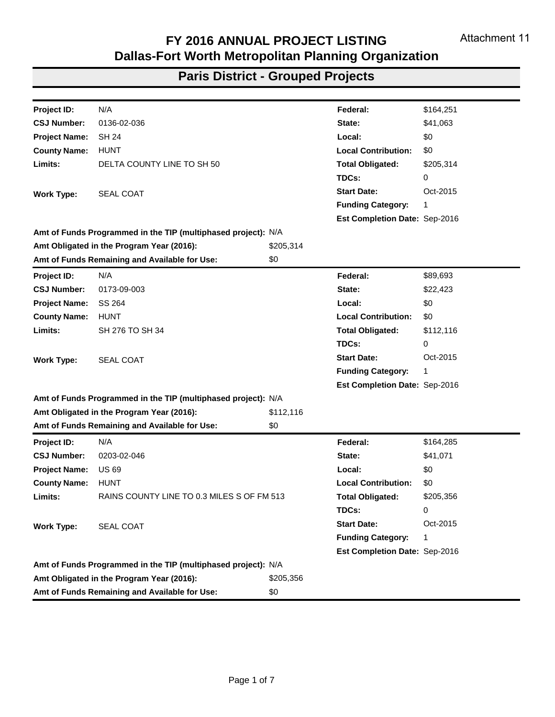#### **Paris District - Roadway Projects**

| Project ID:                                                            | 54112                                         |             | Federal:                             | \$7,010,913         |
|------------------------------------------------------------------------|-----------------------------------------------|-------------|--------------------------------------|---------------------|
| <b>CSJ Number:</b>                                                     | 2659-02-001                                   |             | State:                               | \$1,752,728         |
| <b>Project Name:</b>                                                   | SS 1570                                       |             | Local:                               | \$0                 |
| <b>County Name:</b>                                                    | <b>HUNT</b>                                   |             | <b>Local Contribution:</b>           | \$0                 |
| Limits:                                                                | FROM SH 66 TO US 380                          |             | <b>Total Obligated:</b>              | \$8,763,641         |
|                                                                        |                                               |             | TDCs:                                | 0                   |
| <b>Work Type:</b>                                                      | CONSTRUCT 2 LANES (4 LANE ULTIMATE) DIVIDED   |             | <b>Start Date:</b>                   | Jul-2016            |
|                                                                        | <b>HIGHWAY ON NEW LOCATION</b>                |             | <b>Funding Category:</b>             | 7. S <sub>102</sub> |
|                                                                        |                                               |             | <b>Est Completion Date: Dec-2013</b> |                     |
| Amt of Funds Programmed in the TIP (multiphased project): \$10,900,000 |                                               |             |                                      |                     |
| Amt Obligated in the Program Year (2016):                              |                                               | \$8,763,641 |                                      |                     |
|                                                                        | Amt of Funds Remaining and Available for Use: | \$236,359   |                                      |                     |
|                                                                        |                                               |             |                                      |                     |

**Total Federal Funds Obligated in FY 2016 (Roadway Projects): \$7,010,913**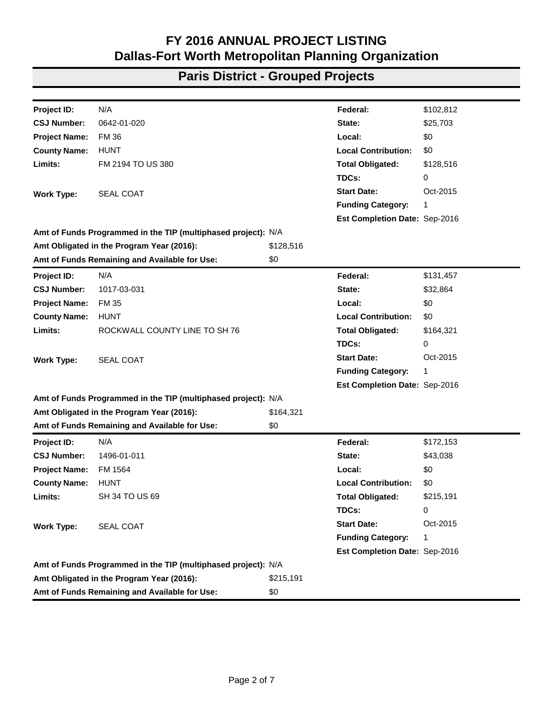#### **Paris District - Bike/Pedestrian Projects**

| Project ID:          | 40009.3, 40009.2, 40009.1, 40008.2, 40008.1                           |                                                | Federal:                             | \$259,706 |
|----------------------|-----------------------------------------------------------------------|------------------------------------------------|--------------------------------------|-----------|
| <b>CSJ Number:</b>   | 0083-01-054, 0901-22-112, 0901-22-111, 0901-22-113, 0136-<br>12-026   |                                                | State:                               | \$0       |
| <b>Project Name:</b> | СS                                                                    |                                                | Local:                               | \$64,927  |
| <b>County Name:</b>  | <b>HUNT</b>                                                           |                                                | <b>Local Contribution:</b>           | \$0       |
| Limits:              | VARIOUS LOCATIONS IN HUNT COUNTY TO INCLUDE BS                        |                                                | <b>Total Obligated:</b>              | \$324,633 |
|                      | AND MAPLE STREET                                                      | 11H, BS 224B, WASHINGTON STREET, PECAN STREET, | TDCs:                                | 0         |
| <b>Work Type:</b>    | SIDEWALK IMPROVEMENTS                                                 |                                                | <b>Start Date:</b>                   | Apr-2016  |
|                      |                                                                       |                                                | <b>Funding Category:</b>             | 9         |
|                      |                                                                       |                                                | <b>Est Completion Date: Aug-2018</b> |           |
|                      | Amt of Funds Programmed in the TIP (multiphased project): \$1,243,815 |                                                |                                      |           |
|                      | Amt Obligated in the Program Year (2016):                             | \$324,633                                      |                                      |           |
|                      | Amt of Funds Remaining and Available for Use:                         | \$919,182                                      |                                      |           |
|                      |                                                                       |                                                |                                      |           |

**Total Federal Funds Obligated in FY 2016 (Bike/Ped Projects): \$259,706**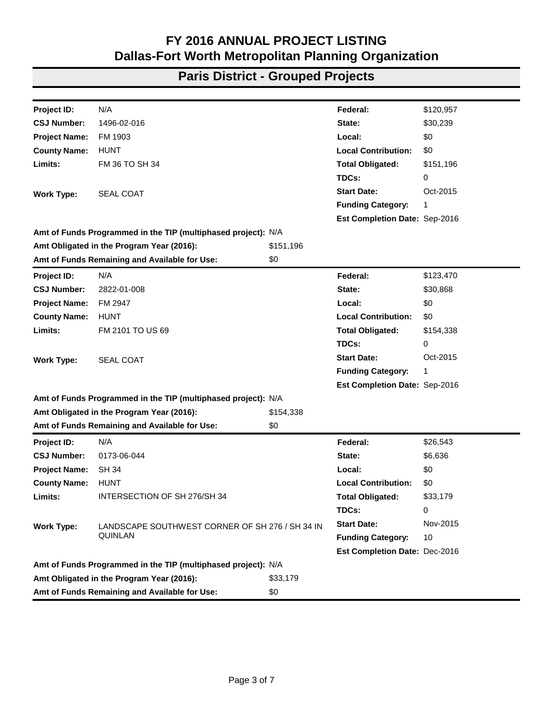| Project ID:          | N/A                                                           |           | Federal:                      | \$164,251 |
|----------------------|---------------------------------------------------------------|-----------|-------------------------------|-----------|
| <b>CSJ Number:</b>   | 0136-02-036                                                   |           | State:                        | \$41,063  |
| <b>Project Name:</b> | <b>SH 24</b>                                                  |           | Local:                        | \$0       |
| <b>County Name:</b>  | <b>HUNT</b>                                                   |           | <b>Local Contribution:</b>    | \$0       |
| Limits:              | DELTA COUNTY LINE TO SH 50                                    |           | <b>Total Obligated:</b>       | \$205,314 |
|                      |                                                               |           | TDCs:                         | 0         |
| <b>Work Type:</b>    | <b>SEAL COAT</b>                                              |           | <b>Start Date:</b>            | Oct-2015  |
|                      |                                                               |           | <b>Funding Category:</b>      | 1         |
|                      |                                                               |           | Est Completion Date: Sep-2016 |           |
|                      | Amt of Funds Programmed in the TIP (multiphased project): N/A |           |                               |           |
|                      | Amt Obligated in the Program Year (2016):                     | \$205,314 |                               |           |
|                      | Amt of Funds Remaining and Available for Use:                 | \$0       |                               |           |
| Project ID:          | N/A                                                           |           | Federal:                      | \$89,693  |
| <b>CSJ Number:</b>   | 0173-09-003                                                   |           | State:                        | \$22,423  |
| <b>Project Name:</b> | SS 264                                                        |           | Local:                        | \$0       |
| <b>County Name:</b>  | <b>HUNT</b>                                                   |           | <b>Local Contribution:</b>    | \$0       |
| Limits:              | SH 276 TO SH 34                                               |           | <b>Total Obligated:</b>       | \$112,116 |
|                      |                                                               |           | TDCs:                         | 0         |
| <b>Work Type:</b>    | <b>SEAL COAT</b>                                              |           | <b>Start Date:</b>            | Oct-2015  |
|                      |                                                               |           | <b>Funding Category:</b>      | 1         |
|                      |                                                               |           | Est Completion Date: Sep-2016 |           |
|                      | Amt of Funds Programmed in the TIP (multiphased project): N/A |           |                               |           |
|                      | Amt Obligated in the Program Year (2016):                     | \$112,116 |                               |           |
|                      | Amt of Funds Remaining and Available for Use:                 | \$0       |                               |           |
| Project ID:          | N/A                                                           |           | Federal:                      | \$164,285 |
| <b>CSJ Number:</b>   | 0203-02-046                                                   |           | State:                        | \$41,071  |
| <b>Project Name:</b> | <b>US69</b>                                                   |           | Local:                        | \$0       |
| <b>County Name:</b>  | <b>HUNT</b>                                                   |           | <b>Local Contribution:</b>    | \$0       |
| Limits:              | RAINS COUNTY LINE TO 0.3 MILES S OF FM 513                    |           | <b>Total Obligated:</b>       | \$205,356 |
|                      |                                                               |           | TDCs:                         | 0         |
| <b>Work Type:</b>    | <b>SEAL COAT</b>                                              |           | <b>Start Date:</b>            | Oct-2015  |
|                      |                                                               |           | <b>Funding Category:</b>      | 1         |
|                      |                                                               |           | Est Completion Date: Sep-2016 |           |
|                      | Amt of Funds Programmed in the TIP (multiphased project): N/A |           |                               |           |
|                      | Amt Obligated in the Program Year (2016):                     | \$205,356 |                               |           |
|                      | Amt of Funds Remaining and Available for Use:                 | \$0       |                               |           |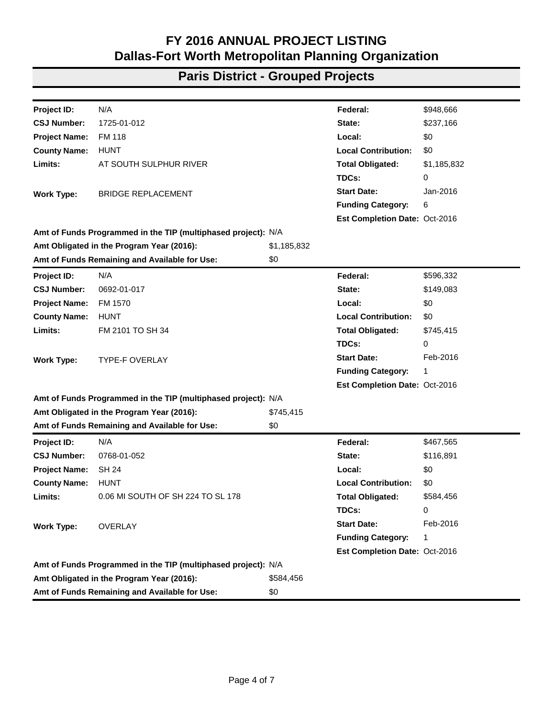| Project ID:          | N/A                                                           |           | Federal:                      | \$102,812 |
|----------------------|---------------------------------------------------------------|-----------|-------------------------------|-----------|
| <b>CSJ Number:</b>   | 0642-01-020                                                   |           | State:                        | \$25,703  |
| <b>Project Name:</b> | <b>FM36</b>                                                   |           | Local:                        | \$0       |
| <b>County Name:</b>  | <b>HUNT</b>                                                   |           | <b>Local Contribution:</b>    | \$0       |
| Limits:              | FM 2194 TO US 380                                             |           | <b>Total Obligated:</b>       | \$128,516 |
|                      |                                                               |           | TDCs:                         | 0         |
| <b>Work Type:</b>    | SEAL COAT                                                     |           | <b>Start Date:</b>            | Oct-2015  |
|                      |                                                               |           | <b>Funding Category:</b>      | 1         |
|                      |                                                               |           | Est Completion Date: Sep-2016 |           |
|                      | Amt of Funds Programmed in the TIP (multiphased project): N/A |           |                               |           |
|                      | Amt Obligated in the Program Year (2016):                     | \$128,516 |                               |           |
|                      | Amt of Funds Remaining and Available for Use:                 | \$0       |                               |           |
| Project ID:          | N/A                                                           |           | Federal:                      | \$131,457 |
| <b>CSJ Number:</b>   | 1017-03-031                                                   |           | State:                        | \$32,864  |
| <b>Project Name:</b> | <b>FM 35</b>                                                  |           | Local:                        | \$0       |
| <b>County Name:</b>  | <b>HUNT</b>                                                   |           | <b>Local Contribution:</b>    | \$0       |
| Limits:              | ROCKWALL COUNTY LINE TO SH 76                                 |           | <b>Total Obligated:</b>       | \$164,321 |
|                      |                                                               |           | TDCs:                         | 0         |
| <b>Work Type:</b>    | <b>SEAL COAT</b>                                              |           | <b>Start Date:</b>            | Oct-2015  |
|                      |                                                               |           | <b>Funding Category:</b>      | 1         |
|                      |                                                               |           | Est Completion Date: Sep-2016 |           |
|                      | Amt of Funds Programmed in the TIP (multiphased project): N/A |           |                               |           |
|                      | Amt Obligated in the Program Year (2016):                     | \$164,321 |                               |           |
|                      | Amt of Funds Remaining and Available for Use:                 | \$0       |                               |           |
| Project ID:          | N/A                                                           |           | Federal:                      | \$172,153 |
| <b>CSJ Number:</b>   | 1496-01-011                                                   |           | State:                        | \$43,038  |
| <b>Project Name:</b> | FM 1564                                                       |           | Local:                        | \$0       |
| <b>County Name:</b>  | <b>HUNT</b>                                                   |           | <b>Local Contribution:</b>    | \$0       |
| Limits:              | <b>SH 34 TO US 69</b>                                         |           | <b>Total Obligated:</b>       | \$215,191 |
|                      |                                                               |           | TDCs:                         | 0         |
| <b>Work Type:</b>    | <b>SEAL COAT</b>                                              |           | <b>Start Date:</b>            | Oct-2015  |
|                      |                                                               |           | <b>Funding Category:</b>      | 1         |
|                      |                                                               |           | Est Completion Date: Sep-2016 |           |
|                      | Amt of Funds Programmed in the TIP (multiphased project): N/A |           |                               |           |
|                      | Amt Obligated in the Program Year (2016):                     | \$215,191 |                               |           |
|                      | Amt of Funds Remaining and Available for Use:                 | \$0       |                               |           |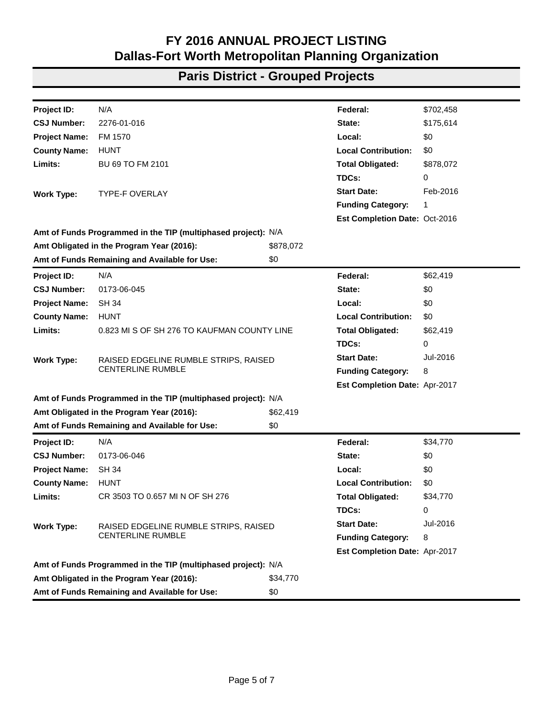| Project ID:          | N/A                                                           |           | Federal:                      | \$120,957 |
|----------------------|---------------------------------------------------------------|-----------|-------------------------------|-----------|
| <b>CSJ Number:</b>   | 1496-02-016                                                   |           | State:                        | \$30,239  |
| <b>Project Name:</b> | FM 1903                                                       |           | Local:                        | \$0       |
| <b>County Name:</b>  | <b>HUNT</b>                                                   |           | <b>Local Contribution:</b>    | \$0       |
| Limits:              | FM 36 TO SH 34                                                |           | <b>Total Obligated:</b>       | \$151,196 |
|                      |                                                               |           | TDCs:                         | 0         |
| <b>Work Type:</b>    | <b>SEAL COAT</b>                                              |           | <b>Start Date:</b>            | Oct-2015  |
|                      |                                                               |           | <b>Funding Category:</b>      | 1         |
|                      |                                                               |           | Est Completion Date: Sep-2016 |           |
|                      | Amt of Funds Programmed in the TIP (multiphased project): N/A |           |                               |           |
|                      | Amt Obligated in the Program Year (2016):                     | \$151,196 |                               |           |
|                      | Amt of Funds Remaining and Available for Use:                 | \$0       |                               |           |
| Project ID:          | N/A                                                           |           | Federal:                      | \$123,470 |
| <b>CSJ Number:</b>   | 2822-01-008                                                   |           | State:                        | \$30,868  |
| <b>Project Name:</b> | FM 2947                                                       |           | Local:                        | \$0       |
| <b>County Name:</b>  | <b>HUNT</b>                                                   |           | <b>Local Contribution:</b>    | \$0       |
| Limits:              | FM 2101 TO US 69                                              |           | <b>Total Obligated:</b>       | \$154,338 |
|                      |                                                               |           | TDCs:                         | 0         |
| <b>Work Type:</b>    | <b>SEAL COAT</b>                                              |           | <b>Start Date:</b>            | Oct-2015  |
|                      |                                                               |           | <b>Funding Category:</b>      | 1         |
|                      |                                                               |           | Est Completion Date: Sep-2016 |           |
|                      | Amt of Funds Programmed in the TIP (multiphased project): N/A |           |                               |           |
|                      | Amt Obligated in the Program Year (2016):                     | \$154,338 |                               |           |
|                      | Amt of Funds Remaining and Available for Use:                 | \$0       |                               |           |
| Project ID:          | N/A                                                           |           | Federal:                      | \$26,543  |
| <b>CSJ Number:</b>   | 0173-06-044                                                   |           | State:                        | \$6,636   |
| <b>Project Name:</b> | <b>SH 34</b>                                                  |           | Local:                        | \$0       |
| <b>County Name:</b>  | <b>HUNT</b>                                                   |           | <b>Local Contribution:</b>    | \$0       |
| Limits:              | INTERSECTION OF SH 276/SH 34                                  |           | <b>Total Obligated:</b>       | \$33,179  |
|                      |                                                               |           | TDCs:                         | 0         |
| <b>Work Type:</b>    | LANDSCAPE SOUTHWEST CORNER OF SH 276 / SH 34 IN               |           | <b>Start Date:</b>            | Nov-2015  |
|                      | QUINLAN                                                       |           | <b>Funding Category:</b>      | 10        |
|                      |                                                               |           | Est Completion Date: Dec-2016 |           |
|                      | Amt of Funds Programmed in the TIP (multiphased project): N/A |           |                               |           |
|                      | Amt Obligated in the Program Year (2016):                     | \$33,179  |                               |           |
|                      | Amt of Funds Remaining and Available for Use:                 | \$0       |                               |           |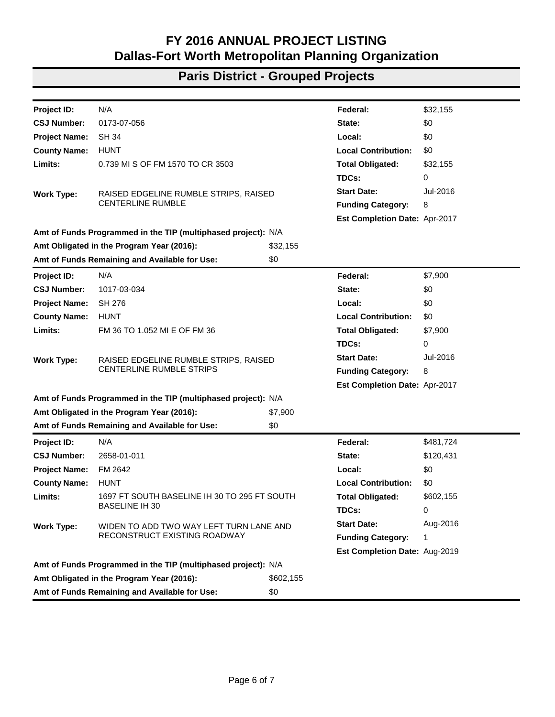| N/A<br>\$948,666<br>Project ID:<br>Federal:<br>1725-01-012<br>State:<br>\$237,166<br><b>FM 118</b><br>\$0<br>Local:<br><b>HUNT</b><br><b>Local Contribution:</b><br>\$0<br>AT SOUTH SULPHUR RIVER<br><b>Total Obligated:</b><br>\$1,185,832<br>TDCs:<br>0<br><b>Start Date:</b><br>Jan-2016<br><b>BRIDGE REPLACEMENT</b><br>6<br><b>Funding Category:</b><br>Est Completion Date: Oct-2016<br>\$1,185,832<br>\$0<br>N/A<br>Federal:<br>\$596,332<br>0692-01-017<br>\$149,083<br>State:<br>FM 1570<br>Local:<br>\$0<br><b>Local Contribution:</b><br><b>HUNT</b><br>\$0<br>FM 2101 TO SH 34<br><b>Total Obligated:</b><br>\$745,415<br>TDCs:<br>0<br><b>Start Date:</b><br>Feb-2016<br><b>TYPE-F OVERLAY</b><br><b>Funding Category:</b><br>1<br>Est Completion Date: Oct-2016<br>\$745,415<br>\$0<br>N/A<br>\$467,565<br>Federal:<br>0768-01-052<br>\$116,891<br>State:<br><b>SH 24</b><br>Local:<br>\$0<br><b>HUNT</b><br><b>Local Contribution:</b><br>\$0<br>0.06 MI SOUTH OF SH 224 TO SL 178<br><b>Total Obligated:</b><br>\$584,456<br>TDCs:<br>0<br><b>Start Date:</b><br>Feb-2016<br><b>OVERLAY</b><br><b>Funding Category:</b><br>1<br>Est Completion Date: Oct-2016<br>\$584,456 |                                                               |  |
|--------------------------------------------------------------------------------------------------------------------------------------------------------------------------------------------------------------------------------------------------------------------------------------------------------------------------------------------------------------------------------------------------------------------------------------------------------------------------------------------------------------------------------------------------------------------------------------------------------------------------------------------------------------------------------------------------------------------------------------------------------------------------------------------------------------------------------------------------------------------------------------------------------------------------------------------------------------------------------------------------------------------------------------------------------------------------------------------------------------------------------------------------------------------------------------------|---------------------------------------------------------------|--|
|                                                                                                                                                                                                                                                                                                                                                                                                                                                                                                                                                                                                                                                                                                                                                                                                                                                                                                                                                                                                                                                                                                                                                                                            |                                                               |  |
|                                                                                                                                                                                                                                                                                                                                                                                                                                                                                                                                                                                                                                                                                                                                                                                                                                                                                                                                                                                                                                                                                                                                                                                            | <b>CSJ Number:</b>                                            |  |
|                                                                                                                                                                                                                                                                                                                                                                                                                                                                                                                                                                                                                                                                                                                                                                                                                                                                                                                                                                                                                                                                                                                                                                                            | <b>Project Name:</b>                                          |  |
|                                                                                                                                                                                                                                                                                                                                                                                                                                                                                                                                                                                                                                                                                                                                                                                                                                                                                                                                                                                                                                                                                                                                                                                            | <b>County Name:</b>                                           |  |
|                                                                                                                                                                                                                                                                                                                                                                                                                                                                                                                                                                                                                                                                                                                                                                                                                                                                                                                                                                                                                                                                                                                                                                                            | Limits:                                                       |  |
|                                                                                                                                                                                                                                                                                                                                                                                                                                                                                                                                                                                                                                                                                                                                                                                                                                                                                                                                                                                                                                                                                                                                                                                            |                                                               |  |
|                                                                                                                                                                                                                                                                                                                                                                                                                                                                                                                                                                                                                                                                                                                                                                                                                                                                                                                                                                                                                                                                                                                                                                                            | <b>Work Type:</b>                                             |  |
|                                                                                                                                                                                                                                                                                                                                                                                                                                                                                                                                                                                                                                                                                                                                                                                                                                                                                                                                                                                                                                                                                                                                                                                            |                                                               |  |
|                                                                                                                                                                                                                                                                                                                                                                                                                                                                                                                                                                                                                                                                                                                                                                                                                                                                                                                                                                                                                                                                                                                                                                                            |                                                               |  |
|                                                                                                                                                                                                                                                                                                                                                                                                                                                                                                                                                                                                                                                                                                                                                                                                                                                                                                                                                                                                                                                                                                                                                                                            | Amt of Funds Programmed in the TIP (multiphased project): N/A |  |
|                                                                                                                                                                                                                                                                                                                                                                                                                                                                                                                                                                                                                                                                                                                                                                                                                                                                                                                                                                                                                                                                                                                                                                                            | Amt Obligated in the Program Year (2016):                     |  |
|                                                                                                                                                                                                                                                                                                                                                                                                                                                                                                                                                                                                                                                                                                                                                                                                                                                                                                                                                                                                                                                                                                                                                                                            | Amt of Funds Remaining and Available for Use:                 |  |
|                                                                                                                                                                                                                                                                                                                                                                                                                                                                                                                                                                                                                                                                                                                                                                                                                                                                                                                                                                                                                                                                                                                                                                                            | Project ID:                                                   |  |
|                                                                                                                                                                                                                                                                                                                                                                                                                                                                                                                                                                                                                                                                                                                                                                                                                                                                                                                                                                                                                                                                                                                                                                                            | <b>CSJ Number:</b>                                            |  |
|                                                                                                                                                                                                                                                                                                                                                                                                                                                                                                                                                                                                                                                                                                                                                                                                                                                                                                                                                                                                                                                                                                                                                                                            | <b>Project Name:</b>                                          |  |
|                                                                                                                                                                                                                                                                                                                                                                                                                                                                                                                                                                                                                                                                                                                                                                                                                                                                                                                                                                                                                                                                                                                                                                                            | <b>County Name:</b>                                           |  |
|                                                                                                                                                                                                                                                                                                                                                                                                                                                                                                                                                                                                                                                                                                                                                                                                                                                                                                                                                                                                                                                                                                                                                                                            | Limits:                                                       |  |
|                                                                                                                                                                                                                                                                                                                                                                                                                                                                                                                                                                                                                                                                                                                                                                                                                                                                                                                                                                                                                                                                                                                                                                                            |                                                               |  |
|                                                                                                                                                                                                                                                                                                                                                                                                                                                                                                                                                                                                                                                                                                                                                                                                                                                                                                                                                                                                                                                                                                                                                                                            | <b>Work Type:</b>                                             |  |
|                                                                                                                                                                                                                                                                                                                                                                                                                                                                                                                                                                                                                                                                                                                                                                                                                                                                                                                                                                                                                                                                                                                                                                                            |                                                               |  |
|                                                                                                                                                                                                                                                                                                                                                                                                                                                                                                                                                                                                                                                                                                                                                                                                                                                                                                                                                                                                                                                                                                                                                                                            |                                                               |  |
|                                                                                                                                                                                                                                                                                                                                                                                                                                                                                                                                                                                                                                                                                                                                                                                                                                                                                                                                                                                                                                                                                                                                                                                            | Amt of Funds Programmed in the TIP (multiphased project): N/A |  |
|                                                                                                                                                                                                                                                                                                                                                                                                                                                                                                                                                                                                                                                                                                                                                                                                                                                                                                                                                                                                                                                                                                                                                                                            | Amt Obligated in the Program Year (2016):                     |  |
|                                                                                                                                                                                                                                                                                                                                                                                                                                                                                                                                                                                                                                                                                                                                                                                                                                                                                                                                                                                                                                                                                                                                                                                            | Amt of Funds Remaining and Available for Use:                 |  |
|                                                                                                                                                                                                                                                                                                                                                                                                                                                                                                                                                                                                                                                                                                                                                                                                                                                                                                                                                                                                                                                                                                                                                                                            | <b>Project ID:</b>                                            |  |
|                                                                                                                                                                                                                                                                                                                                                                                                                                                                                                                                                                                                                                                                                                                                                                                                                                                                                                                                                                                                                                                                                                                                                                                            | <b>CSJ Number:</b>                                            |  |
|                                                                                                                                                                                                                                                                                                                                                                                                                                                                                                                                                                                                                                                                                                                                                                                                                                                                                                                                                                                                                                                                                                                                                                                            | <b>Project Name:</b>                                          |  |
|                                                                                                                                                                                                                                                                                                                                                                                                                                                                                                                                                                                                                                                                                                                                                                                                                                                                                                                                                                                                                                                                                                                                                                                            | <b>County Name:</b>                                           |  |
|                                                                                                                                                                                                                                                                                                                                                                                                                                                                                                                                                                                                                                                                                                                                                                                                                                                                                                                                                                                                                                                                                                                                                                                            | Limits:                                                       |  |
|                                                                                                                                                                                                                                                                                                                                                                                                                                                                                                                                                                                                                                                                                                                                                                                                                                                                                                                                                                                                                                                                                                                                                                                            |                                                               |  |
|                                                                                                                                                                                                                                                                                                                                                                                                                                                                                                                                                                                                                                                                                                                                                                                                                                                                                                                                                                                                                                                                                                                                                                                            | <b>Work Type:</b>                                             |  |
|                                                                                                                                                                                                                                                                                                                                                                                                                                                                                                                                                                                                                                                                                                                                                                                                                                                                                                                                                                                                                                                                                                                                                                                            |                                                               |  |
|                                                                                                                                                                                                                                                                                                                                                                                                                                                                                                                                                                                                                                                                                                                                                                                                                                                                                                                                                                                                                                                                                                                                                                                            |                                                               |  |
|                                                                                                                                                                                                                                                                                                                                                                                                                                                                                                                                                                                                                                                                                                                                                                                                                                                                                                                                                                                                                                                                                                                                                                                            | Amt of Funds Programmed in the TIP (multiphased project): N/A |  |
|                                                                                                                                                                                                                                                                                                                                                                                                                                                                                                                                                                                                                                                                                                                                                                                                                                                                                                                                                                                                                                                                                                                                                                                            | Amt Obligated in the Program Year (2016):                     |  |
| Amt of Funds Remaining and Available for Use:<br>\$0                                                                                                                                                                                                                                                                                                                                                                                                                                                                                                                                                                                                                                                                                                                                                                                                                                                                                                                                                                                                                                                                                                                                       |                                                               |  |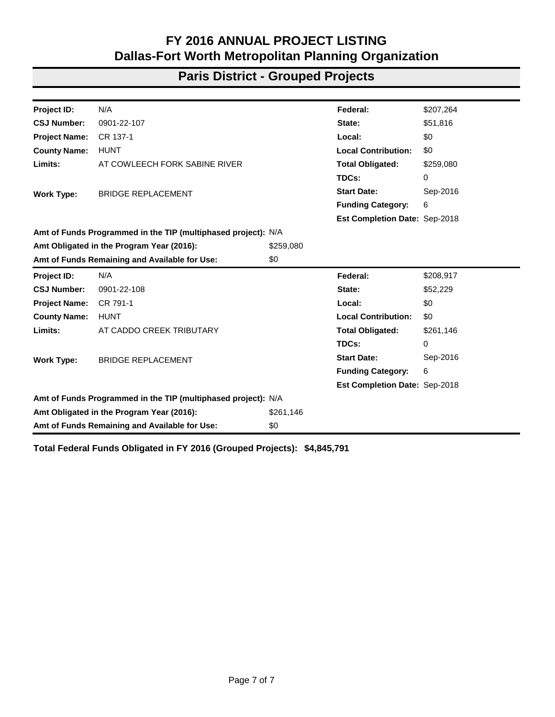| Project ID:                                                   | N/A                                                               |                                                | Federal:                      | \$702,458 |  |  |
|---------------------------------------------------------------|-------------------------------------------------------------------|------------------------------------------------|-------------------------------|-----------|--|--|
| <b>CSJ Number:</b>                                            | 2276-01-016                                                       |                                                | State:                        | \$175,614 |  |  |
| <b>Project Name:</b>                                          | FM 1570                                                           |                                                | Local:                        | \$0       |  |  |
| <b>County Name:</b>                                           | <b>HUNT</b>                                                       |                                                | <b>Local Contribution:</b>    | \$0       |  |  |
| Limits:                                                       | BU 69 TO FM 2101                                                  |                                                | <b>Total Obligated:</b>       | \$878,072 |  |  |
|                                                               |                                                                   |                                                | TDCs:                         | 0         |  |  |
| <b>Work Type:</b>                                             | TYPE-F OVERLAY                                                    |                                                | <b>Start Date:</b>            | Feb-2016  |  |  |
|                                                               |                                                                   |                                                | <b>Funding Category:</b>      | 1         |  |  |
|                                                               |                                                                   |                                                | Est Completion Date: Oct-2016 |           |  |  |
|                                                               | Amt of Funds Programmed in the TIP (multiphased project): N/A     |                                                |                               |           |  |  |
| Amt Obligated in the Program Year (2016):<br>\$878,072        |                                                                   |                                                |                               |           |  |  |
|                                                               | Amt of Funds Remaining and Available for Use:                     | \$0                                            |                               |           |  |  |
| Project ID:                                                   | N/A                                                               |                                                | Federal:                      | \$62,419  |  |  |
| <b>CSJ Number:</b>                                            | 0173-06-045                                                       |                                                | State:                        | \$0       |  |  |
| <b>Project Name:</b>                                          | <b>SH 34</b>                                                      |                                                | Local:                        | \$0       |  |  |
| <b>County Name:</b>                                           | <b>HUNT</b>                                                       |                                                | <b>Local Contribution:</b>    | \$0       |  |  |
| Limits:                                                       | 0.823 MI S OF SH 276 TO KAUFMAN COUNTY LINE                       |                                                | <b>Total Obligated:</b>       | \$62,419  |  |  |
|                                                               |                                                                   |                                                | TDCs:                         | 0         |  |  |
| <b>Work Type:</b>                                             | RAISED EDGELINE RUMBLE STRIPS, RAISED                             | <b>Start Date:</b><br><b>Funding Category:</b> | Jul-2016                      |           |  |  |
|                                                               | <b>CENTERLINE RUMBLE</b>                                          |                                                |                               | 8         |  |  |
|                                                               |                                                                   |                                                | Est Completion Date: Apr-2017 |           |  |  |
|                                                               | Amt of Funds Programmed in the TIP (multiphased project): N/A     |                                                |                               |           |  |  |
|                                                               | Amt Obligated in the Program Year (2016):<br>\$62,419             |                                                |                               |           |  |  |
| Amt of Funds Remaining and Available for Use:<br>\$0          |                                                                   |                                                |                               |           |  |  |
| Project ID:                                                   | N/A                                                               |                                                | Federal:                      | \$34,770  |  |  |
| <b>CSJ Number:</b>                                            | 0173-06-046                                                       |                                                | State:                        | \$0       |  |  |
| <b>Project Name:</b>                                          | <b>SH 34</b>                                                      |                                                | Local:                        | \$0       |  |  |
| <b>County Name:</b>                                           | <b>HUNT</b>                                                       |                                                | <b>Local Contribution:</b>    | \$0       |  |  |
| Limits:                                                       | CR 3503 TO 0.657 MI N OF SH 276                                   |                                                | <b>Total Obligated:</b>       | \$34,770  |  |  |
|                                                               |                                                                   |                                                | TDCs:                         | 0         |  |  |
| <b>Work Type:</b>                                             | RAISED EDGELINE RUMBLE STRIPS, RAISED<br><b>CENTERLINE RUMBLE</b> |                                                | <b>Start Date:</b>            | Jul-2016  |  |  |
|                                                               |                                                                   |                                                | <b>Funding Category:</b>      | 8         |  |  |
|                                                               |                                                                   |                                                | Est Completion Date: Apr-2017 |           |  |  |
| Amt of Funds Programmed in the TIP (multiphased project): N/A |                                                                   |                                                |                               |           |  |  |
|                                                               | Amt Obligated in the Program Year (2016):                         | \$34,770                                       |                               |           |  |  |
|                                                               | Amt of Funds Remaining and Available for Use:                     | \$0                                            |                               |           |  |  |